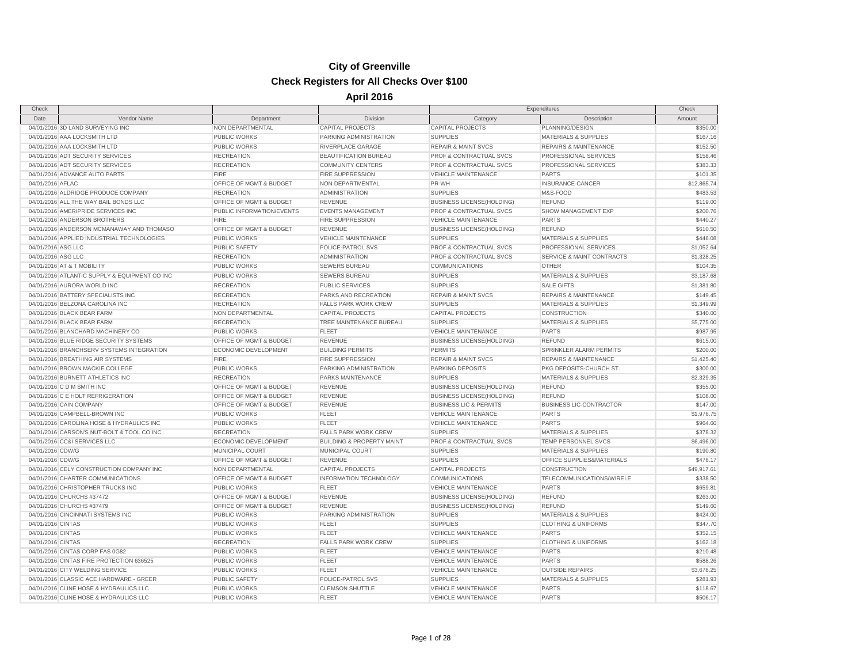| Check              |                                               |                                    |                                      | Expenditures                      |                                      | Check       |
|--------------------|-----------------------------------------------|------------------------------------|--------------------------------------|-----------------------------------|--------------------------------------|-------------|
| Date               | Vendor Name                                   | Department                         | <b>Division</b>                      | Category                          | Description                          | Amount      |
|                    | 04/01/2016 3D LAND SURVEYING INC              | NON DEPARTMENTAL                   | <b>CAPITAL PROJECTS</b>              | <b>CAPITAL PROJECTS</b>           | PLANNING/DESIGN                      | \$350.00    |
|                    | 04/01/2016 AAA LOCKSMITH LTD                  | <b>PUBLIC WORKS</b>                | PARKING ADMINISTRATION               | <b>SUPPLIES</b>                   | <b>MATERIALS &amp; SUPPLIES</b>      | \$167.16    |
|                    | 04/01/2016 AAA LOCKSMITH LTD                  | PUBLIC WORKS                       | RIVERPLACE GARAGE                    | <b>REPAIR &amp; MAINT SVCS</b>    | <b>REPAIRS &amp; MAINTENANCE</b>     | \$152.50    |
|                    | 04/01/2016 ADT SECURITY SERVICES              | <b>RECREATION</b>                  | BEAUTIFICATION BUREAU                | PROF & CONTRACTUAL SVCS           | PROFESSIONAL SERVICES                | \$158.46    |
|                    | 04/01/2016 ADT SECURITY SERVICES              | <b>RECREATION</b>                  | <b>COMMUNITY CENTERS</b>             | PROF & CONTRACTUAL SVCS           | PROFESSIONAL SERVICES                | \$383.33    |
|                    | 04/01/2016 ADVANCE AUTO PARTS                 | <b>FIRE</b>                        | <b>FIRE SUPPRESSION</b>              | <b>VEHICLE MAINTENANCE</b>        | <b>PARTS</b>                         | \$101.35    |
| 04/01/2016 AFLAC   |                                               | OFFICE OF MGMT & BUDGET            | NON-DEPARTMENTAL                     | PR-WH                             | INSURANCE-CANCER                     | \$12,865.74 |
|                    | 04/01/2016 ALDRIDGE PRODUCE COMPANY           | <b>RECREATION</b>                  | <b>ADMINISTRATION</b>                | <b>SUPPLIES</b>                   | M&S-FOOD                             | \$483.53    |
|                    | 04/01/2016 ALL THE WAY BAIL BONDS LLC         | <b>OFFICE OF MGMT &amp; BUDGET</b> | <b>REVENUE</b>                       | <b>BUSINESS LICENSE(HOLDING)</b>  | <b>REFUND</b>                        | \$119.00    |
|                    | 04/01/2016 AMERIPRIDE SERVICES INC            | PUBLIC INFORMATION/EVENTS          | <b>EVENTS MANAGEMENT</b>             | PROF & CONTRACTUAL SVCS           | SHOW MANAGEMENT EXP                  | \$200.76    |
|                    | 04/01/2016 ANDERSON BROTHERS                  | <b>FIRE</b>                        | <b>FIRE SUPPRESSION</b>              | <b>VEHICLE MAINTENANCE</b>        | <b>PARTS</b>                         | \$440.27    |
|                    | 04/01/2016 ANDERSON MCMANAWAY AND THOMASO     | OFFICE OF MGMT & BUDGET            | <b>REVENUE</b>                       | <b>BUSINESS LICENSE(HOLDING)</b>  | <b>REFUND</b>                        | \$610.50    |
|                    | 04/01/2016 APPLIED INDUSTRIAL TECHNOLOGIES    | PUBLIC WORKS                       | <b>VEHICLE MAINTENANCE</b>           | <b>SUPPLIES</b>                   | <b>MATERIALS &amp; SUPPLIES</b>      | \$446.08    |
| 04/01/2016 ASG LLC |                                               | PUBLIC SAFETY                      | POLICE-PATROL SVS                    | PROF & CONTRACTUAL SVCS           | PROFESSIONAL SERVICES                | \$1,052.64  |
| 04/01/2016 ASG LLC |                                               | <b>RECREATION</b>                  | <b>ADMINISTRATION</b>                | PROF & CONTRACTUAL SVCS           | <b>SERVICE &amp; MAINT CONTRACTS</b> | \$1,328.25  |
|                    | 04/01/2016 AT & T MOBILITY                    | <b>PUBLIC WORKS</b>                | <b>SEWERS BUREAU</b>                 | COMMUNICATIONS                    | <b>OTHER</b>                         | \$104.35    |
|                    | 04/01/2016 ATLANTIC SUPPLY & EQUIPMENT CO INC | <b>PUBLIC WORKS</b>                | <b>SEWERS BUREAU</b>                 | <b>SUPPLIES</b>                   | MATERIALS & SUPPLIES                 | \$3,187.68  |
|                    | 04/01/2016 AURORA WORLD INC                   | <b>RECREATION</b>                  | PUBLIC SERVICES                      | <b>SUPPLIES</b>                   | <b>SALE GIFTS</b>                    | \$1,381.80  |
|                    | 04/01/2016 BATTERY SPECIALISTS INC            | <b>RECREATION</b>                  | PARKS AND RECREATION                 | <b>REPAIR &amp; MAINT SVCS</b>    | <b>REPAIRS &amp; MAINTENANCE</b>     | \$149.45    |
|                    | 04/01/2016 BELZONA CAROLINA INC               | <b>RECREATION</b>                  | <b>FALLS PARK WORK CREW</b>          | <b>SUPPLIES</b>                   | <b>MATERIALS &amp; SUPPLIES</b>      | \$1,349.99  |
|                    | 04/01/2016 BLACK BEAR FARM                    | NON DEPARTMENTAL                   | <b>CAPITAL PROJECTS</b>              | <b>CAPITAL PROJECTS</b>           | <b>CONSTRUCTION</b>                  | \$340.00    |
|                    | 04/01/2016 BLACK BEAR FARM                    | <b>RECREATION</b>                  | TREE MAINTENANCE BUREAU              | <b>SUPPLIES</b>                   | <b>MATERIALS &amp; SUPPLIES</b>      | \$5,775.00  |
|                    | 04/01/2016 BLANCHARD MACHINERY CO             | <b>PUBLIC WORKS</b>                | <b>FLEET</b>                         | <b>VEHICLE MAINTENANCE</b>        | <b>PARTS</b>                         | \$987.95    |
|                    | 04/01/2016 BLUE RIDGE SECURITY SYSTEMS        | OFFICE OF MGMT & BUDGET            | <b>REVENUE</b>                       | <b>BUSINESS LICENSE(HOLDING)</b>  | <b>REFUND</b>                        | \$615.00    |
|                    | 04/01/2016 BRANCHSERV SYSTEMS INTEGRATION     | ECONOMIC DEVELOPMENT               | <b>BUILDING PERMITS</b>              | <b>PERMITS</b>                    | SPRINKLER ALARM PERMITS              | \$200.00    |
|                    | 04/01/2016 BREATHING AIR SYSTEMS              | <b>FIRE</b>                        | <b>FIRE SUPPRESSION</b>              | <b>REPAIR &amp; MAINT SVCS</b>    | <b>REPAIRS &amp; MAINTENANCE</b>     | \$1,425.40  |
|                    | 04/01/2016 BROWN MACKIE COLLEGE               | PUBLIC WORKS                       | PARKING ADMINISTRATION               | PARKING DEPOSITS                  | PKG DEPOSITS-CHURCH ST.              | \$300.00    |
|                    | 04/01/2016 BURNETT ATHLETICS INC              | RECREATION                         | PARKS MAINTENANCE                    | <b>SUPPLIES</b>                   | <b>MATERIALS &amp; SUPPLIES</b>      | \$2,329.35  |
|                    | 04/01/2016 C D M SMITH INC                    | OFFICE OF MGMT & BUDGET            | <b>REVENUE</b>                       | <b>BUSINESS LICENSE(HOLDING)</b>  | <b>REFUND</b>                        | \$355.00    |
|                    | 04/01/2016 C E HOLT REFRIGERATION             | OFFICE OF MGMT & BUDGET            | <b>REVENUE</b>                       | <b>BUSINESS LICENSE(HOLDING)</b>  | <b>REFUND</b>                        | \$108.00    |
|                    | 04/01/2016 CAIN COMPANY                       | OFFICE OF MGMT & BUDGET            | <b>REVENUE</b>                       | <b>BUSINESS LIC &amp; PERMITS</b> | <b>BUSINESS LIC-CONTRACTOR</b>       | \$147.00    |
|                    | 04/01/2016 CAMPBELL-BROWN INC                 | <b>PUBLIC WORKS</b>                | <b>FLEET</b>                         | <b>VEHICLE MAINTENANCE</b>        | <b>PARTS</b>                         | \$1,976.75  |
|                    | 04/01/2016 CAROLINA HOSE & HYDRAULICS INC     | <b>PUBLIC WORKS</b>                | <b>FLEET</b>                         | <b>VEHICLE MAINTENANCE</b>        | <b>PARTS</b>                         | \$964.60    |
|                    | 04/01/2016 CARSON'S NUT-BOLT & TOOL CO INC    | <b>RECREATION</b>                  | <b>FALLS PARK WORK CREW</b>          | <b>SUPPLIES</b>                   | <b>MATERIALS &amp; SUPPLIES</b>      | \$378.32    |
|                    | 04/01/2016 CC&I SERVICES LLC                  | ECONOMIC DEVELOPMENT               | <b>BUILDING &amp; PROPERTY MAINT</b> | PROF & CONTRACTUAL SVCS           | TEMP PERSONNEL SVCS                  | \$6,496.00  |
| 04/01/2016 CDW/G   |                                               | MUNICIPAL COURT                    | MUNICIPAL COURT                      | <b>SUPPLIES</b>                   | <b>MATERIALS &amp; SUPPLIES</b>      | \$190.80    |
| 04/01/2016 CDW/G   |                                               | OFFICE OF MGMT & BUDGET            | REVENUE                              | <b>SUPPLIES</b>                   | OFFICE SUPPLIES&MATERIALS            | \$476.17    |
|                    | 04/01/2016 CELY CONSTRUCTION COMPANY INC      | NON DEPARTMENTAL                   | <b>CAPITAL PROJECTS</b>              | <b>CAPITAL PROJECTS</b>           | CONSTRUCTION                         | \$49,917.61 |
|                    | 04/01/2016 CHARTER COMMUNICATIONS             | OFFICE OF MGMT & BUDGET            | INFORMATION TECHNOLOGY               | <b>COMMUNICATIONS</b>             | TELECOMMUNICATIONS/WIRELE            | \$338.50    |
|                    | 04/01/2016 CHRISTOPHER TRUCKS INC             | <b>PUBLIC WORKS</b>                | <b>FLEET</b>                         | <b>VEHICLE MAINTENANCE</b>        | <b>PARTS</b>                         | \$659.81    |
|                    | 04/01/2016 CHURCHS #37472                     | OFFICE OF MGMT & BUDGET            | <b>REVENUE</b>                       | <b>BUSINESS LICENSE(HOLDING)</b>  | <b>REFUND</b>                        | \$263.00    |
|                    | 04/01/2016 CHURCHS #37479                     | OFFICE OF MGMT & BUDGET            | <b>REVENUE</b>                       | <b>BUSINESS LICENSE(HOLDING)</b>  | <b>REFUND</b>                        | \$149.60    |
|                    | 04/01/2016 CINCINNATI SYSTEMS INC             | <b>PUBLIC WORKS</b>                | PARKING ADMINISTRATION               | <b>SUPPLIES</b>                   | MATERIALS & SUPPLIES                 | \$424.00    |
| 04/01/2016 CINTAS  |                                               | <b>PUBLIC WORKS</b>                | FLEET                                | <b>SUPPLIES</b>                   | <b>CLOTHING &amp; UNIFORMS</b>       | \$347.70    |
| 04/01/2016 CINTAS  |                                               | PUBLIC WORKS                       | FLEET                                | <b>VEHICLE MAINTENANCE</b>        | <b>PARTS</b>                         | \$352.15    |
| 04/01/2016 CINTAS  |                                               | <b>RECREATION</b>                  | <b>FALLS PARK WORK CREW</b>          | <b>SUPPLIES</b>                   | <b>CLOTHING &amp; UNIFORMS</b>       | \$162.18    |
|                    | 04/01/2016 CINTAS CORP FAS 0G82               | <b>PUBLIC WORKS</b>                | <b>FLEET</b>                         | <b>VEHICLE MAINTENANCE</b>        | <b>PARTS</b>                         | \$210.48    |
|                    | 04/01/2016 CINTAS FIRE PROTECTION 636525      | PUBLIC WORKS                       | <b>FLEET</b>                         | <b>VEHICLE MAINTENANCE</b>        | <b>PARTS</b>                         | \$588.26    |
|                    | 04/01/2016 CITY WELDING SERVICE               | PUBLIC WORKS                       | <b>FLEET</b>                         | <b>VEHICLE MAINTENANCE</b>        | <b>OUTSIDE REPAIRS</b>               | \$3,678.25  |
|                    | 04/01/2016 CLASSIC ACE HARDWARE - GREER       | <b>PUBLIC SAFETY</b>               | POLICE-PATROL SVS                    | <b>SUPPLIES</b>                   | MATERIALS & SUPPLIES                 | \$281.93    |
|                    | 04/01/2016 CLINE HOSE & HYDRAULICS LLC        | <b>PUBLIC WORKS</b>                | <b>CLEMSON SHUTTLE</b>               | <b>VEHICLE MAINTENANCE</b>        | <b>PARTS</b>                         | \$118.67    |
|                    | 04/01/2016 CLINE HOSE & HYDRAULICS LLC        | <b>PUBLIC WORKS</b>                | <b>FLEET</b>                         | <b>VEHICLE MAINTENANCE</b>        | <b>PARTS</b>                         | \$506.17    |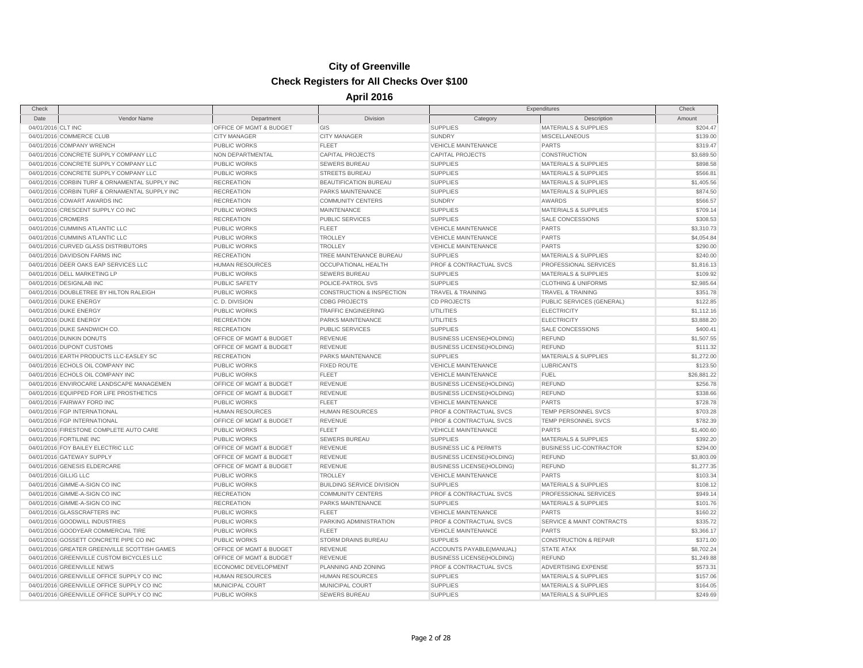| Check                 |                                                |                         |                                        | Expenditures                                                   |                                                      | Check                |
|-----------------------|------------------------------------------------|-------------------------|----------------------------------------|----------------------------------------------------------------|------------------------------------------------------|----------------------|
| Date                  | Vendor Name                                    | Department              | Division                               | Category                                                       | Description                                          | Amount               |
| 04/01/2016 CLT INC    |                                                | OFFICE OF MGMT & BUDGET | GIS                                    | <b>SUPPLIES</b>                                                | <b>MATERIALS &amp; SUPPLIES</b>                      | \$204.47             |
|                       | 04/01/2016 COMMERCE CLUB                       | <b>CITY MANAGER</b>     | <b>CITY MANAGER</b>                    | <b>SUNDRY</b>                                                  | <b>MISCELLANEOUS</b>                                 | \$139.00             |
|                       | 04/01/2016 COMPANY WRENCH                      | <b>PUBLIC WORKS</b>     | <b>FLEET</b>                           | <b>VEHICLE MAINTENANCE</b>                                     | <b>PARTS</b>                                         | \$319.47             |
|                       | 04/01/2016 CONCRETE SUPPLY COMPANY LLC         | NON DEPARTMENTAL        | <b>CAPITAL PROJECTS</b>                | <b>CAPITAL PROJECTS</b>                                        | CONSTRUCTION                                         | \$3,689.50           |
|                       | 04/01/2016 CONCRETE SUPPLY COMPANY LLC         | PUBLIC WORKS            | <b>SEWERS BUREAU</b>                   | <b>SUPPLIES</b>                                                | <b>MATERIALS &amp; SUPPLIES</b>                      | \$898.58             |
|                       | 04/01/2016 CONCRETE SUPPLY COMPANY LLC         | PUBLIC WORKS            | <b>STREETS BUREAU</b>                  | <b>SUPPLIES</b>                                                | <b>MATERIALS &amp; SUPPLIES</b>                      | \$566.81             |
|                       | 04/01/2016 CORBIN TURF & ORNAMENTAL SUPPLY INC | <b>RECREATION</b>       | BEAUTIFICATION BUREAU                  | <b>SUPPLIES</b>                                                | <b>MATERIALS &amp; SUPPLIES</b>                      | \$1,405.56           |
|                       | 04/01/2016 CORBIN TURF & ORNAMENTAL SUPPLY INC | <b>RECREATION</b>       | <b>PARKS MAINTENANCE</b>               | <b>SUPPLIES</b>                                                | <b>MATERIALS &amp; SUPPLIES</b>                      | \$874.50             |
|                       | 04/01/2016 COWART AWARDS INC                   | <b>RECREATION</b>       | <b>COMMUNITY CENTERS</b>               | <b>SUNDRY</b>                                                  | AWARDS                                               | \$566.57             |
|                       | 04/01/2016 CRESCENT SUPPLY CO INC              | PUBLIC WORKS            | <b>MAINTENANCE</b>                     | <b>SUPPLIES</b>                                                | <b>MATERIALS &amp; SUPPLIES</b>                      | \$709.14             |
| 04/01/2016 CROMERS    |                                                | <b>RECREATION</b>       | <b>PUBLIC SERVICES</b>                 | <b>SUPPLIES</b>                                                | <b>SALE CONCESSIONS</b>                              | \$308.53             |
|                       | 04/01/2016 CUMMINS ATLANTIC LLC                | PUBLIC WORKS            | <b>FLEET</b>                           | <b>VEHICLE MAINTENANCE</b>                                     | <b>PARTS</b>                                         | \$3,310.73           |
|                       | 04/01/2016 CUMMINS ATLANTIC LLC                | PUBLIC WORKS            | <b>TROLLEY</b>                         | <b>VEHICLE MAINTENANCE</b>                                     | <b>PARTS</b>                                         | \$4,054.84           |
|                       | 04/01/2016 CURVED GLASS DISTRIBUTORS           | <b>PUBLIC WORKS</b>     | <b>TROLLEY</b>                         | <b>VEHICLE MAINTENANCE</b>                                     | <b>PARTS</b>                                         | \$290.00             |
|                       | 04/01/2016 DAVIDSON FARMS INC                  | <b>RECREATION</b>       | TREE MAINTENANCE BUREAU                | <b>SUPPLIES</b>                                                | <b>MATERIALS &amp; SUPPLIES</b>                      | \$240.00             |
|                       | 04/01/2016 DEER OAKS EAP SERVICES LLC          | <b>HUMAN RESOURCES</b>  | <b>OCCUPATIONAL HEALTH</b>             | <b>PROF &amp; CONTRACTUAL SVCS</b>                             | PROFESSIONAL SERVICES                                | \$1,816.13           |
|                       | 04/01/2016 DELL MARKETING LP                   | PUBLIC WORKS            | <b>SEWERS BUREAU</b>                   | <b>SUPPLIES</b>                                                | <b>MATERIALS &amp; SUPPLIES</b>                      | \$109.92             |
|                       | 04/01/2016 DESIGNLAB INC                       | <b>PUBLIC SAFETY</b>    | POLICE-PATROL SVS                      | <b>SUPPLIES</b>                                                | <b>CLOTHING &amp; UNIFORMS</b>                       | \$2,985.64           |
|                       | 04/01/2016 DOUBLETREE BY HILTON RALEIGH        | PUBLIC WORKS            | <b>CONSTRUCTION &amp; INSPECTION</b>   | <b>TRAVEL &amp; TRAINING</b>                                   | <b>TRAVEL &amp; TRAINING</b>                         | \$351.78             |
|                       | 04/01/2016 DUKE ENERGY                         | C.D. DIVISION           | <b>CDBG PROJECTS</b>                   | <b>CD PROJECTS</b>                                             | PUBLIC SERVICES (GENERAL)                            | \$122.85             |
|                       | 04/01/2016 DUKE ENERGY                         | <b>PUBLIC WORKS</b>     | <b>TRAFFIC ENGINEERING</b>             | <b>UTILITIES</b>                                               | <b>ELECTRICITY</b>                                   | \$1,112.16           |
|                       | 04/01/2016 DUKE ENERGY                         | <b>RECREATION</b>       | PARKS MAINTENANCE                      | <b>UTILITIES</b>                                               | <b>ELECTRICITY</b>                                   | \$3,888.20           |
|                       | 04/01/2016 DUKE SANDWICH CO.                   | <b>RECREATION</b>       | PUBLIC SERVICES                        | <b>SUPPLIES</b>                                                | SALE CONCESSIONS                                     | \$400.41             |
|                       | 04/01/2016 DUNKIN DONUTS                       | OFFICE OF MGMT & BUDGET | <b>REVENUE</b>                         | <b>BUSINESS LICENSE(HOLDING)</b>                               | <b>REFUND</b>                                        | \$1,507.55           |
|                       | 04/01/2016 DUPONT CUSTOMS                      | OFFICE OF MGMT & BUDGET | <b>REVENUE</b>                         | <b>BUSINESS LICENSE(HOLDING)</b>                               | <b>REFUND</b>                                        | \$111.32             |
|                       | 04/01/2016 EARTH PRODUCTS LLC-EASLEY SC        | <b>RECREATION</b>       | <b>PARKS MAINTENANCE</b>               | <b>SUPPLIES</b>                                                | <b>MATERIALS &amp; SUPPLIES</b>                      | \$1,272.00           |
|                       | 04/01/2016 ECHOLS OIL COMPANY INC              | PUBLIC WORKS            | <b>FIXED ROUTE</b>                     | <b>VEHICLE MAINTENANCE</b>                                     | <b>LUBRICANTS</b>                                    | \$123.50             |
|                       | 04/01/2016 ECHOLS OIL COMPANY INC              | PUBLIC WORKS            | FLEET                                  | <b>VEHICLE MAINTENANCE</b>                                     | <b>FUEL</b>                                          | \$26,881.22          |
|                       | 04/01/2016 ENVIROCARE LANDSCAPE MANAGEMEN      | OFFICE OF MGMT & BUDGET | <b>REVENUE</b>                         | <b>BUSINESS LICENSE(HOLDING)</b>                               | <b>REFUND</b>                                        | \$256.78             |
|                       | 04/01/2016 EQUIPPED FOR LIFE PROSTHETICS       | OFFICE OF MGMT & BUDGET | <b>REVENUE</b>                         | <b>BUSINESS LICENSE(HOLDING)</b>                               | <b>REFUND</b>                                        | \$338.66             |
|                       | 04/01/2016 FAIRWAY FORD INC                    | PUBLIC WORKS            | <b>FLEET</b>                           | <b>VEHICLE MAINTENANCE</b>                                     | <b>PARTS</b>                                         | \$728.78             |
|                       | 04/01/2016 FGP INTERNATIONAL                   | <b>HUMAN RESOURCES</b>  | <b>HUMAN RESOURCES</b>                 | PROF & CONTRACTUAL SVCS                                        | TEMP PERSONNEL SVCS                                  | \$703.28             |
|                       | 04/01/2016 FGP INTERNATIONAL                   | OFFICE OF MGMT & BUDGET | <b>REVENUE</b>                         | PROF & CONTRACTUAL SVCS                                        | TEMP PERSONNEL SVCS                                  | \$782.39             |
|                       | 04/01/2016 FIRESTONE COMPLETE AUTO CARE        | PUBLIC WORKS            | <b>FLEET</b>                           | <b>VEHICLE MAINTENANCE</b>                                     | <b>PARTS</b>                                         | \$1,400.60           |
|                       | 04/01/2016 FORTILINE INC                       | <b>PUBLIC WORKS</b>     |                                        | <b>SUPPLIES</b>                                                | MATERIALS & SUPPLIES                                 |                      |
|                       | 04/01/2016 FOY BAILEY ELECTRIC LLC             | OFFICE OF MGMT & BUDGET | <b>SEWERS BUREAU</b><br><b>REVENUE</b> | <b>BUSINESS LIC &amp; PERMITS</b>                              | <b>BUSINESS LIC-CONTRACTOR</b>                       | \$392.20<br>\$294.00 |
|                       | 04/01/2016 GATEWAY SUPPLY                      | OFFICE OF MGMT & BUDGET | <b>REVENUE</b>                         | <b>BUSINESS LICENSE(HOLDING)</b>                               | <b>REFUND</b>                                        | \$3,803.09           |
|                       | 04/01/2016 GENESIS ELDERCARE                   | OFFICE OF MGMT & BUDGET | <b>REVENUE</b>                         |                                                                | <b>REFUND</b>                                        | \$1,277.35           |
| 04/01/2016 GILLIG LLC |                                                | <b>PUBLIC WORKS</b>     | <b>TROLLEY</b>                         | <b>BUSINESS LICENSE(HOLDING)</b><br><b>VEHICLE MAINTENANCE</b> | <b>PARTS</b>                                         | \$103.34             |
|                       | 04/01/2016 GIMME-A-SIGN CO INC                 | PUBLIC WORKS            | <b>BUILDING SERVICE DIVISION</b>       | <b>SUPPLIES</b>                                                | <b>MATERIALS &amp; SUPPLIES</b>                      | \$108.12             |
|                       | 04/01/2016 GIMME-A-SIGN CO INC                 | <b>RECREATION</b>       | <b>COMMUNITY CENTERS</b>               | PROF & CONTRACTUAL SVCS                                        | PROFESSIONAL SERVICES                                | \$949.14             |
|                       | 04/01/2016 GIMME-A-SIGN CO INC                 | <b>RECREATION</b>       | PARKS MAINTENANCE                      | <b>SUPPLIES</b>                                                | <b>MATERIALS &amp; SUPPLIES</b>                      | \$101.76             |
|                       | 04/01/2016 GLASSCRAFTERS INC                   |                         | <b>FLEET</b>                           |                                                                | <b>PARTS</b>                                         |                      |
|                       |                                                | <b>PUBLIC WORKS</b>     |                                        | <b>VEHICLE MAINTENANCE</b><br>PROF & CONTRACTUAL SVCS          |                                                      | \$160.22             |
|                       | 04/01/2016 GOODWILL INDUSTRIES                 | PUBLIC WORKS            | PARKING ADMINISTRATION                 |                                                                | <b>SERVICE &amp; MAINT CONTRACTS</b><br><b>PARTS</b> | \$335.72             |
|                       | 04/01/2016 GOODYEAR COMMERCIAL TIRE            | PUBLIC WORKS            | FLEET                                  | <b>VEHICLE MAINTENANCE</b>                                     |                                                      | \$3,366.17           |
|                       | 04/01/2016 GOSSETT CONCRETE PIPE CO INC        | PUBLIC WORKS            | <b>STORM DRAINS BUREAU</b>             | <b>SUPPLIES</b>                                                | <b>CONSTRUCTION &amp; REPAIR</b>                     | \$371.00             |
|                       | 04/01/2016 GREATER GREENVILLE SCOTTISH GAMES   | OFFICE OF MGMT & BUDGET | <b>REVENUE</b>                         | ACCOUNTS PAYABLE(MANUAL)                                       | <b>STATE ATAX</b>                                    | \$8,702.24           |
|                       | 04/01/2016 GREENVILLE CUSTOM BICYCLES LLC      | OFFICE OF MGMT & BUDGET | <b>REVENUE</b>                         | <b>BUSINESS LICENSE(HOLDING)</b>                               | <b>REFUND</b>                                        | \$1,249.88           |
|                       | 04/01/2016 GREENVILLE NEWS                     | ECONOMIC DEVELOPMENT    | PLANNING AND ZONING                    | PROF & CONTRACTUAL SVCS                                        | ADVERTISING EXPENSE                                  | \$573.31             |
|                       | 04/01/2016 GREENVILLE OFFICE SUPPLY CO INC     | <b>HUMAN RESOURCES</b>  | <b>HUMAN RESOURCES</b>                 | <b>SUPPLIES</b>                                                | <b>MATERIALS &amp; SUPPLIES</b>                      | \$157.06             |
|                       | 04/01/2016 GREENVILLE OFFICE SUPPLY CO INC     | MUNICIPAL COURT         | MUNICIPAL COURT                        | <b>SUPPLIES</b>                                                | <b>MATERIALS &amp; SUPPLIES</b>                      | \$164.05             |
|                       | 04/01/2016 GREENVILLE OFFICE SUPPLY CO INC     | <b>PUBLIC WORKS</b>     | <b>SEWERS BUREAU</b>                   | <b>SUPPLIES</b>                                                | <b>MATERIALS &amp; SUPPLIES</b>                      | \$249.69             |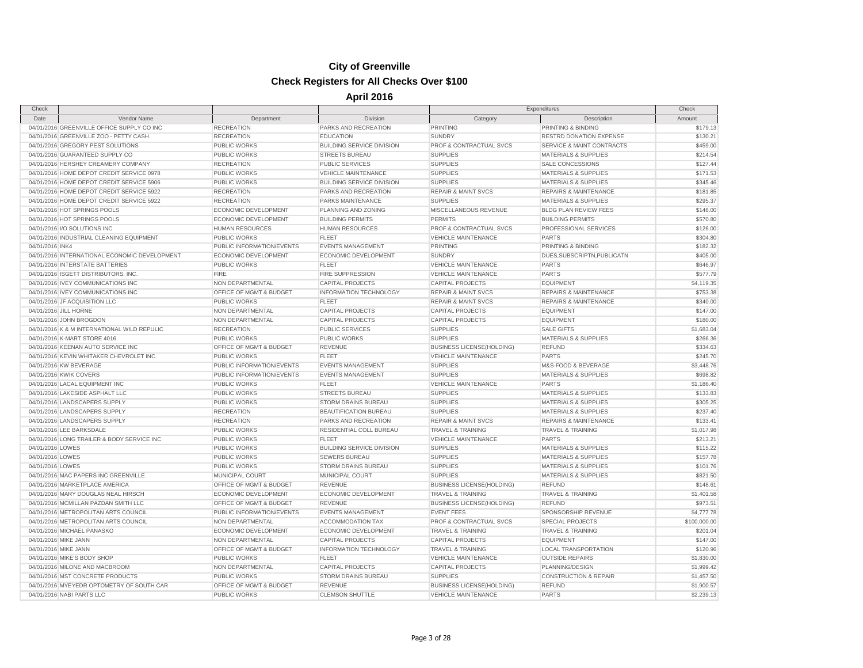| Check                |                                               |                           |                                  | Expenditures                       |                                      | Check        |
|----------------------|-----------------------------------------------|---------------------------|----------------------------------|------------------------------------|--------------------------------------|--------------|
| Date                 | Vendor Name                                   | Department                | Division                         | Category                           | Description                          | Amount       |
|                      | 04/01/2016 GREENVILLE OFFICE SUPPLY CO INC    | <b>RECREATION</b>         | PARKS AND RECREATION             | <b>PRINTING</b>                    | PRINTING & BINDING                   | \$179.13     |
|                      | 04/01/2016 GREENVILLE ZOO - PETTY CASH        | <b>RECREATION</b>         | <b>EDUCATION</b>                 | <b>SUNDRY</b>                      | RESTRD DONATION EXPENSE              | \$130.21     |
|                      | 04/01/2016 GREGORY PEST SOLUTIONS             | <b>PUBLIC WORKS</b>       | <b>BUILDING SERVICE DIVISION</b> | <b>PROF &amp; CONTRACTUAL SVCS</b> | <b>SERVICE &amp; MAINT CONTRACTS</b> | \$459.00     |
|                      | 04/01/2016 GUARANTEED SUPPLY CO               | <b>PUBLIC WORKS</b>       | <b>STREETS BUREAU</b>            | <b>SUPPLIES</b>                    | <b>MATERIALS &amp; SUPPLIES</b>      | \$214.54     |
|                      | 04/01/2016 HERSHEY CREAMERY COMPANY           | <b>RECREATION</b>         | <b>PUBLIC SERVICES</b>           | <b>SUPPLIES</b>                    | SALE CONCESSIONS                     | \$127.44     |
|                      | 04/01/2016 HOME DEPOT CREDIT SERVICE 0978     | <b>PUBLIC WORKS</b>       | <b>VEHICLE MAINTENANCE</b>       | <b>SUPPLIES</b>                    | MATERIALS & SUPPLIES                 | \$171.53     |
|                      | 04/01/2016 HOME DEPOT CREDIT SERVICE 5906     | <b>PUBLIC WORKS</b>       | <b>BUILDING SERVICE DIVISION</b> | <b>SUPPLIES</b>                    | <b>MATERIALS &amp; SUPPLIES</b>      | \$345.46     |
|                      | 04/01/2016 HOME DEPOT CREDIT SERVICE 5922     | <b>RECREATION</b>         | PARKS AND RECREATION             | <b>REPAIR &amp; MAINT SVCS</b>     | <b>REPAIRS &amp; MAINTENANCE</b>     | \$181.85     |
|                      | 04/01/2016 HOME DEPOT CREDIT SERVICE 5922     | <b>RECREATION</b>         | PARKS MAINTENANCE                | <b>SUPPLIES</b>                    | <b>MATERIALS &amp; SUPPLIES</b>      | \$295.37     |
|                      | 04/01/2016 HOT SPRINGS POOLS                  | ECONOMIC DEVELOPMENT      | PLANNING AND ZONING              | MISCELLANEOUS REVENUE              | <b>BLDG PLAN REVIEW FEES</b>         | \$146.00     |
|                      | 04/01/2016 HOT SPRINGS POOLS                  | ECONOMIC DEVELOPMENT      | <b>BUILDING PERMITS</b>          | <b>PERMITS</b>                     | <b>BUILDING PERMITS</b>              | \$570.80     |
|                      | 04/01/2016 I/O SOLUTIONS INC                  | <b>HUMAN RESOURCES</b>    | <b>HUMAN RESOURCES</b>           | PROF & CONTRACTUAL SVCS            | PROFESSIONAL SERVICES                | \$126.00     |
|                      | 04/01/2016 INDUSTRIAL CLEANING EQUIPMENT      | <b>PUBLIC WORKS</b>       | <b>FLEET</b>                     | <b>VEHICLE MAINTENANCE</b>         | <b>PARTS</b>                         | \$304.80     |
| 04/01/2016 INK4      |                                               | PUBLIC INFORMATION/EVENTS | <b>EVENTS MANAGEMENT</b>         | <b>PRINTING</b>                    | PRINTING & BINDING                   | \$182.32     |
|                      | 04/01/2016 INTERNATIONAL ECONOMIC DEVELOPMENT | ECONOMIC DEVELOPMENT      | ECONOMIC DEVELOPMENT             | <b>SUNDRY</b>                      | DUES, SUBSCRIPTN, PUBLICATN          | \$405.00     |
|                      | 04/01/2016 INTERSTATE BATTERIES               | <b>PUBLIC WORKS</b>       | <b>FLEET</b>                     | <b>VEHICLE MAINTENANCE</b>         | <b>PARTS</b>                         | \$646.97     |
|                      | 04/01/2016 ISGETT DISTRIBUTORS, INC.          | <b>FIRE</b>               | <b>FIRE SUPPRESSION</b>          | <b>VEHICLE MAINTENANCE</b>         | <b>PARTS</b>                         | \$577.79     |
|                      | 04/01/2016 IVEY COMMUNICATIONS INC            | NON DEPARTMENTAL          | <b>CAPITAL PROJECTS</b>          | <b>CAPITAL PROJECTS</b>            | <b>EQUIPMENT</b>                     | \$4,119.35   |
|                      | 04/01/2016 IVEY COMMUNICATIONS INC            | OFFICE OF MGMT & BUDGET   | INFORMATION TECHNOLOGY           | <b>REPAIR &amp; MAINT SVCS</b>     | REPAIRS & MAINTENANCE                | \$753.38     |
|                      |                                               |                           |                                  |                                    |                                      |              |
|                      | 04/01/2016 JF ACQUISITION LLC                 | <b>PUBLIC WORKS</b>       | <b>FLEET</b>                     | <b>REPAIR &amp; MAINT SVCS</b>     | <b>REPAIRS &amp; MAINTENANCE</b>     | \$340.00     |
|                      | 04/01/2016 JILL HORNE                         | NON DEPARTMENTAL          | <b>CAPITAL PROJECTS</b>          | <b>CAPITAL PROJECTS</b>            | <b>EQUIPMENT</b>                     | \$147.00     |
|                      | 04/01/2016 JOHN BROGDON                       | NON DEPARTMENTAL          | <b>CAPITAL PROJECTS</b>          | <b>CAPITAL PROJECTS</b>            | <b>EQUIPMENT</b>                     | \$180.00     |
|                      | 04/01/2016 K & M INTERNATIONAL WILD REPULIC   | <b>RECREATION</b>         | <b>PUBLIC SERVICES</b>           | <b>SUPPLIES</b>                    | <b>SALE GIFTS</b>                    | \$1,683.04   |
|                      | 04/01/2016 K-MART STORE 4016                  | <b>PUBLIC WORKS</b>       | <b>PUBLIC WORKS</b>              | <b>SUPPLIES</b>                    | <b>MATERIALS &amp; SUPPLIES</b>      | \$266.36     |
|                      | 04/01/2016 KEENAN AUTO SERVICE INC            | OFFICE OF MGMT & BUDGET   | <b>REVENUE</b>                   | <b>BUSINESS LICENSE(HOLDING)</b>   | <b>REFUND</b>                        | \$334.63     |
|                      | 04/01/2016 KEVIN WHITAKER CHEVROLET INC       | <b>PUBLIC WORKS</b>       | <b>FLEET</b>                     | <b>VEHICLE MAINTENANCE</b>         | <b>PARTS</b>                         | \$245.70     |
|                      | 04/01/2016 KW BEVERAGE                        | PUBLIC INFORMATION/EVENTS | <b>EVENTS MANAGEMENT</b>         | <b>SUPPLIES</b>                    | M&S-FOOD & BEVERAGE                  | \$3,448.76   |
|                      | 04/01/2016 KWIK COVERS                        | PUBLIC INFORMATION/EVENTS | <b>EVENTS MANAGEMENT</b>         | <b>SUPPLIES</b>                    | <b>MATERIALS &amp; SUPPLIES</b>      | \$698.82     |
|                      | 04/01/2016 LACAL EQUIPMENT INC                | <b>PUBLIC WORKS</b>       | <b>FLEET</b>                     | <b>VEHICLE MAINTENANCE</b>         | <b>PARTS</b>                         | \$1,186.40   |
|                      | 04/01/2016 LAKESIDE ASPHALT LLC               | <b>PUBLIC WORKS</b>       | <b>STREETS BUREAU</b>            | <b>SUPPLIES</b>                    | <b>MATERIALS &amp; SUPPLIES</b>      | \$133.83     |
|                      | 04/01/2016 LANDSCAPERS SUPPLY                 | <b>PUBLIC WORKS</b>       | <b>STORM DRAINS BUREAU</b>       | <b>SUPPLIES</b>                    | <b>MATERIALS &amp; SUPPLIES</b>      | \$305.25     |
|                      | 04/01/2016 LANDSCAPERS SUPPLY                 | <b>RECREATION</b>         | BEAUTIFICATION BUREAU            | <b>SUPPLIES</b>                    | <b>MATERIALS &amp; SUPPLIES</b>      | \$237.40     |
|                      | 04/01/2016 LANDSCAPERS SUPPLY                 | <b>RECREATION</b>         | PARKS AND RECREATION             | <b>REPAIR &amp; MAINT SVCS</b>     | <b>REPAIRS &amp; MAINTENANCE</b>     | \$133.41     |
|                      | 04/01/2016 LEE BARKSDALE                      | <b>PUBLIC WORKS</b>       | RESIDENTIAL COLL BUREAU          | <b>TRAVEL &amp; TRAINING</b>       | <b>TRAVEL &amp; TRAINING</b>         | \$1,017.98   |
|                      | 04/01/2016 LONG TRAILER & BODY SERVICE INC    | <b>PUBLIC WORKS</b>       | <b>FLEET</b>                     | <b>VEHICLE MAINTENANCE</b>         | <b>PARTS</b>                         | \$213.21     |
| 04/01/2016 LOWES     |                                               | <b>PUBLIC WORKS</b>       | <b>BUILDING SERVICE DIVISION</b> | <b>SUPPLIES</b>                    | <b>MATERIALS &amp; SUPPLIES</b>      | \$115.22     |
| 04/01/2016 LOWES     |                                               | <b>PUBLIC WORKS</b>       | <b>SEWERS BUREAU</b>             | <b>SUPPLIES</b>                    | <b>MATERIALS &amp; SUPPLIES</b>      | \$157.78     |
| 04/01/2016 LOWES     |                                               | <b>PUBLIC WORKS</b>       | <b>STORM DRAINS BUREAU</b>       | <b>SUPPLIES</b>                    | <b>MATERIALS &amp; SUPPLIES</b>      | \$101.76     |
|                      | 04/01/2016 MAC PAPERS INC GREENVILLE          | MUNICIPAL COURT           | MUNICIPAL COURT                  | <b>SUPPLIES</b>                    | MATERIALS & SUPPLIES                 | \$821.50     |
|                      | 04/01/2016 MARKETPLACE AMERICA                | OFFICE OF MGMT & BUDGET   | <b>REVENUE</b>                   | <b>BUSINESS LICENSE(HOLDING)</b>   | <b>REFUND</b>                        | \$148.61     |
|                      | 04/01/2016 MARY DOUGLAS NEAL HIRSCH           | ECONOMIC DEVELOPMENT      | ECONOMIC DEVELOPMENT             | <b>TRAVEL &amp; TRAINING</b>       | TRAVEL & TRAINING                    | \$1,401.58   |
|                      | 04/01/2016 MCMILLAN PAZDAN SMITH LLC          | OFFICE OF MGMT & BUDGET   | <b>REVENUE</b>                   | <b>BUSINESS LICENSE(HOLDING)</b>   | <b>REFUND</b>                        | \$973.51     |
|                      | 04/01/2016 METROPOLITAN ARTS COUNCIL          | PUBLIC INFORMATION/EVENTS | <b>EVENTS MANAGEMENT</b>         | <b>EVENT FEES</b>                  | SPONSORSHIP REVENUE                  | \$4,777.78   |
|                      | 04/01/2016 METROPOLITAN ARTS COUNCIL          | NON DEPARTMENTAL          | <b>ACCOMMODATION TAX</b>         | PROF & CONTRACTUAL SVCS            | SPECIAL PROJECTS                     | \$100,000.00 |
|                      | 04/01/2016 MICHAEL PANASKO                    | ECONOMIC DEVELOPMENT      | ECONOMIC DEVELOPMENT             | <b>TRAVEL &amp; TRAINING</b>       | <b>TRAVEL &amp; TRAINING</b>         | \$201.04     |
| 04/01/2016 MIKE JANN |                                               | NON DEPARTMENTAL          | <b>CAPITAL PROJECTS</b>          | <b>CAPITAL PROJECTS</b>            | <b>EQUIPMENT</b>                     | \$147.00     |
| 04/01/2016 MIKE JANN |                                               | OFFICE OF MGMT & BUDGET   | INFORMATION TECHNOLOGY           | <b>TRAVEL &amp; TRAINING</b>       | <b>LOCAL TRANSPORTATION</b>          | \$120.96     |
|                      | 04/01/2016 MIKE'S BODY SHOP                   | <b>PUBLIC WORKS</b>       | <b>FLEET</b>                     | <b>VEHICLE MAINTENANCE</b>         | <b>OUTSIDE REPAIRS</b>               | \$1,830.00   |
|                      | 04/01/2016 MILONE AND MACBROOM                | NON DEPARTMENTAL          | <b>CAPITAL PROJECTS</b>          | <b>CAPITAL PROJECTS</b>            | PLANNING/DESIGN                      | \$1,999.42   |
|                      | 04/01/2016 MST CONCRETE PRODUCTS              | <b>PUBLIC WORKS</b>       | STORM DRAINS BUREAU              | <b>SUPPLIES</b>                    | <b>CONSTRUCTION &amp; REPAIR</b>     | \$1,457.50   |
|                      | 04/01/2016 MYEYEDR OPTOMETRY OF SOUTH CAR     | OFFICE OF MGMT & BUDGET   | <b>REVENUE</b>                   | <b>BUSINESS LICENSE(HOLDING)</b>   | <b>REFUND</b>                        | \$1,900.57   |
|                      | 04/01/2016 NABI PARTS LLC                     | <b>PUBLIC WORKS</b>       | <b>CLEMSON SHUTTLE</b>           | <b>VEHICLE MAINTENANCE</b>         | <b>PARTS</b>                         | \$2,239.13   |
|                      |                                               |                           |                                  |                                    |                                      |              |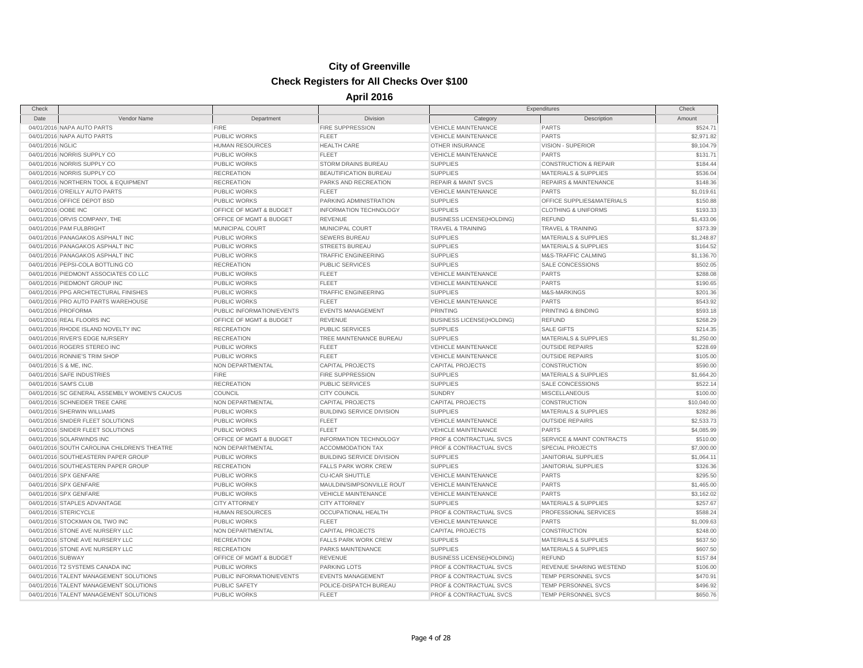| Check               |                                               |                           |                                  |                                    | Expenditures                         | Check       |
|---------------------|-----------------------------------------------|---------------------------|----------------------------------|------------------------------------|--------------------------------------|-------------|
| Date                | Vendor Name                                   | Department                | Division                         | Category                           | Description                          | Amount      |
|                     | 04/01/2016 NAPA AUTO PARTS                    | <b>FIRE</b>               | <b>FIRE SUPPRESSION</b>          | <b>VEHICLE MAINTENANCE</b>         | <b>PARTS</b>                         | \$524.71    |
|                     | 04/01/2016 NAPA AUTO PARTS                    | PUBLIC WORKS              | <b>FLEET</b>                     | <b>VEHICLE MAINTENANCE</b>         | <b>PARTS</b>                         | \$2,971.82  |
| 04/01/2016 NGLIC    |                                               | <b>HUMAN RESOURCES</b>    | <b>HEALTH CARE</b>               | OTHER INSURANCE                    | VISION - SUPERIOR                    | \$9,104.79  |
|                     | 04/01/2016 NORRIS SUPPLY CO                   | PUBLIC WORKS              | FLEET                            | <b>VEHICLE MAINTENANCE</b>         | <b>PARTS</b>                         | \$131.71    |
|                     | 04/01/2016 NORRIS SUPPLY CO                   | PUBLIC WORKS              | <b>STORM DRAINS BUREAU</b>       | <b>SUPPLIES</b>                    | <b>CONSTRUCTION &amp; REPAIR</b>     | \$184.44    |
|                     | 04/01/2016 NORRIS SUPPLY CO                   | <b>RECREATION</b>         | BEAUTIFICATION BUREAU            | <b>SUPPLIES</b>                    | <b>MATERIALS &amp; SUPPLIES</b>      | \$536.04    |
|                     | 04/01/2016 NORTHERN TOOL & EQUIPMENT          | <b>RECREATION</b>         | PARKS AND RECREATION             | <b>REPAIR &amp; MAINT SVCS</b>     | <b>REPAIRS &amp; MAINTENANCE</b>     | \$148.36    |
|                     | 04/01/2016 O'REILLY AUTO PARTS                | PUBLIC WORKS              | <b>FLEET</b>                     | <b>VEHICLE MAINTENANCE</b>         | <b>PARTS</b>                         | \$1,019.61  |
|                     | 04/01/2016 OFFICE DEPOT BSD                   | PUBLIC WORKS              | <b>PARKING ADMINISTRATION</b>    | <b>SUPPLIES</b>                    | OFFICE SUPPLIES&MATERIALS            | \$150.88    |
| 04/01/2016 OOBE INC |                                               | OFFICE OF MGMT & BUDGET   | <b>INFORMATION TECHNOLOGY</b>    | <b>SUPPLIES</b>                    | <b>CLOTHING &amp; UNIFORMS</b>       | \$193.33    |
|                     | 04/01/2016 ORVIS COMPANY, THE                 | OFFICE OF MGMT & BUDGET   | <b>REVENUE</b>                   | <b>BUSINESS LICENSE(HOLDING)</b>   | <b>REFUND</b>                        | \$1,433.06  |
|                     | 04/01/2016 PAM FULBRIGHT                      | MUNICIPAL COURT           | MUNICIPAL COURT                  | <b>TRAVEL &amp; TRAINING</b>       | TRAVEL & TRAINING                    | \$373.39    |
|                     | 04/01/2016 PANAGAKOS ASPHALT INC              | <b>PUBLIC WORKS</b>       | <b>SEWERS BUREAU</b>             | <b>SUPPLIES</b>                    | <b>MATERIALS &amp; SUPPLIES</b>      | \$1,248.87  |
|                     | 04/01/2016 PANAGAKOS ASPHALT INC              | PUBLIC WORKS              | <b>STREETS BUREAU</b>            | <b>SUPPLIES</b>                    | <b>MATERIALS &amp; SUPPLIES</b>      | \$164.52    |
|                     | 04/01/2016 PANAGAKOS ASPHALT INC              | PUBLIC WORKS              | <b>TRAFFIC ENGINEERING</b>       | <b>SUPPLIES</b>                    | M&S-TRAFFIC CALMING                  | \$1,136.70  |
|                     | 04/01/2016 PEPSI-COLA BOTTLING CO             | <b>RECREATION</b>         | <b>PUBLIC SERVICES</b>           | <b>SUPPLIES</b>                    | SALE CONCESSIONS                     | \$502.05    |
|                     | 04/01/2016 PIEDMONT ASSOCIATES CO LLC         | PUBLIC WORKS              | <b>FLEET</b>                     | <b>VEHICLE MAINTENANCE</b>         | <b>PARTS</b>                         | \$288.08    |
|                     | 04/01/2016 PIEDMONT GROUP INC                 | <b>PUBLIC WORKS</b>       | <b>FLEET</b>                     | <b>VEHICLE MAINTENANCE</b>         | <b>PARTS</b>                         | \$190.65    |
|                     | 04/01/2016 PPG ARCHITECTURAL FINISHES         | PUBLIC WORKS              | <b>TRAFFIC ENGINEERING</b>       | <b>SUPPLIES</b>                    | M&S-MARKINGS                         | \$201.36    |
|                     | 04/01/2016 PRO AUTO PARTS WAREHOUSE           | PUBLIC WORKS              | FLEET                            | <b>VEHICLE MAINTENANCE</b>         | <b>PARTS</b>                         | \$543.92    |
|                     | 04/01/2016 PROFORMA                           | PUBLIC INFORMATION/EVENTS | <b>EVENTS MANAGEMENT</b>         | <b>PRINTING</b>                    | PRINTING & BINDING                   | \$593.18    |
|                     | 04/01/2016 REAL FLOORS INC                    | OFFICE OF MGMT & BUDGET   | <b>REVENUE</b>                   | <b>BUSINESS LICENSE(HOLDING)</b>   | <b>REFUND</b>                        | \$268.29    |
|                     | 04/01/2016 RHODE ISLAND NOVELTY INC           | <b>RECREATION</b>         | <b>PUBLIC SERVICES</b>           | <b>SUPPLIES</b>                    | <b>SALE GIFTS</b>                    | \$214.35    |
|                     | 04/01/2016 RIVER'S EDGE NURSERY               | <b>RECREATION</b>         | TREE MAINTENANCE BUREAU          | <b>SUPPLIES</b>                    | <b>MATERIALS &amp; SUPPLIES</b>      | \$1,250.00  |
|                     | 04/01/2016 ROGERS STEREO INC                  | PUBLIC WORKS              | FLEET                            | <b>VEHICLE MAINTENANCE</b>         | <b>OUTSIDE REPAIRS</b>               | \$228.69    |
|                     | 04/01/2016 RONNIE'S TRIM SHOP                 | PUBLIC WORKS              | <b>FLEET</b>                     | <b>VEHICLE MAINTENANCE</b>         | <b>OUTSIDE REPAIRS</b>               | \$105.00    |
|                     | 04/01/2016 S & ME, INC.                       | NON DEPARTMENTAL          | <b>CAPITAL PROJECTS</b>          | <b>CAPITAL PROJECTS</b>            | CONSTRUCTION                         | \$590.00    |
|                     | 04/01/2016 SAFE INDUSTRIES                    | <b>FIRE</b>               | <b>FIRE SUPPRESSION</b>          | <b>SUPPLIES</b>                    | <b>MATERIALS &amp; SUPPLIES</b>      | \$1,664.20  |
|                     | 04/01/2016 SAM'S CLUB                         | <b>RECREATION</b>         | <b>PUBLIC SERVICES</b>           | <b>SUPPLIES</b>                    | SALE CONCESSIONS                     | \$522.14    |
|                     | 04/01/2016 SC GENERAL ASSEMBLY WOMEN'S CAUCUS | <b>COUNCIL</b>            | <b>CITY COUNCIL</b>              | <b>SUNDRY</b>                      | <b>MISCELLANEOUS</b>                 | \$100.00    |
|                     | 04/01/2016 SCHNEIDER TREE CARE                | NON DEPARTMENTAL          | <b>CAPITAL PROJECTS</b>          | <b>CAPITAL PROJECTS</b>            | CONSTRUCTION                         | \$10,040.00 |
|                     | 04/01/2016 SHERWIN WILLIAMS                   | <b>PUBLIC WORKS</b>       | <b>BUILDING SERVICE DIVISION</b> | <b>SUPPLIES</b>                    | <b>MATERIALS &amp; SUPPLIES</b>      | \$282.86    |
|                     | 04/01/2016 SNIDER FLEET SOLUTIONS             | <b>PUBLIC WORKS</b>       | FLEET                            | <b>VEHICLE MAINTENANCE</b>         | <b>OUTSIDE REPAIRS</b>               | \$2,533.73  |
|                     | 04/01/2016 SNIDER FLEET SOLUTIONS             | PUBLIC WORKS              | <b>FLEET</b>                     | <b>VEHICLE MAINTENANCE</b>         | <b>PARTS</b>                         | \$4,085.99  |
|                     | 04/01/2016 SOLARWINDS INC                     | OFFICE OF MGMT & BUDGET   | <b>INFORMATION TECHNOLOGY</b>    | PROF & CONTRACTUAL SVCS            | <b>SERVICE &amp; MAINT CONTRACTS</b> | \$510.00    |
|                     | 04/01/2016 SOUTH CAROLINA CHILDREN'S THEATRE  | NON DEPARTMENTAL          | <b>ACCOMMODATION TAX</b>         | <b>PROF &amp; CONTRACTUAL SVCS</b> | <b>SPECIAL PROJECTS</b>              | \$7,000.00  |
|                     | 04/01/2016 SOUTHEASTERN PAPER GROUP           | PUBLIC WORKS              | <b>BUILDING SERVICE DIVISION</b> | <b>SUPPLIES</b>                    | <b>JANITORIAL SUPPLIES</b>           | \$1,064.11  |
|                     | 04/01/2016 SOUTHEASTERN PAPER GROUP           | <b>RECREATION</b>         | <b>FALLS PARK WORK CREW</b>      | <b>SUPPLIES</b>                    | <b>JANITORIAL SUPPLIES</b>           | \$326.36    |
|                     | 04/01/2016 SPX GENFARE                        | PUBLIC WORKS              | <b>CU-ICAR SHUTTLE</b>           | <b>VEHICLE MAINTENANCE</b>         | <b>PARTS</b>                         | \$295.50    |
|                     | 04/01/2016 SPX GENFARE                        | PUBLIC WORKS              | MAULDIN/SIMPSONVILLE ROUT        | <b>VEHICLE MAINTENANCE</b>         | <b>PARTS</b>                         | \$1,465.00  |
|                     | 04/01/2016 SPX GENFARE                        | <b>PUBLIC WORKS</b>       | <b>VEHICLE MAINTENANCE</b>       | <b>VEHICLE MAINTENANCE</b>         | <b>PARTS</b>                         | \$3,162.02  |
|                     | 04/01/2016 STAPLES ADVANTAGE                  | <b>CITY ATTORNEY</b>      | <b>CITY ATTORNEY</b>             | <b>SUPPLIES</b>                    | <b>MATERIALS &amp; SUPPLIES</b>      | \$257.67    |
|                     | 04/01/2016 STERICYCLE                         | <b>HUMAN RESOURCES</b>    | <b>OCCUPATIONAL HEALTH</b>       | PROF & CONTRACTUAL SVCS            | PROFESSIONAL SERVICES                | \$588.24    |
|                     | 04/01/2016 STOCKMAN OIL TWO INC               | <b>PUBLIC WORKS</b>       | <b>FLEET</b>                     | <b>VEHICLE MAINTENANCE</b>         | <b>PARTS</b>                         | \$1,009.63  |
|                     | 04/01/2016 STONE AVE NURSERY LLC              | NON DEPARTMENTAL          | <b>CAPITAL PROJECTS</b>          | <b>CAPITAL PROJECTS</b>            | <b>CONSTRUCTION</b>                  | \$248.00    |
|                     | 04/01/2016 STONE AVE NURSERY LLC              | <b>RECREATION</b>         | <b>FALLS PARK WORK CREW</b>      | <b>SUPPLIES</b>                    | <b>MATERIALS &amp; SUPPLIES</b>      | \$637.50    |
|                     | 04/01/2016 STONE AVE NURSERY LLC              | <b>RECREATION</b>         | PARKS MAINTENANCE                | <b>SUPPLIES</b>                    | MATERIALS & SUPPLIES                 | \$607.50    |
| 04/01/2016 SUBWAY   |                                               | OFFICE OF MGMT & BUDGET   | <b>REVENUE</b>                   | <b>BUSINESS LICENSE(HOLDING)</b>   | <b>REFUND</b>                        | \$157.84    |
|                     | 04/01/2016 T2 SYSTEMS CANADA INC              | <b>PUBLIC WORKS</b>       | <b>PARKING LOTS</b>              | PROF & CONTRACTUAL SVCS            | REVENUE SHARING WESTEND              | \$106.00    |
|                     | 04/01/2016 TALENT MANAGEMENT SOLUTIONS        | PUBLIC INFORMATION/EVENTS | <b>EVENTS MANAGEMENT</b>         | PROF & CONTRACTUAL SVCS            | TEMP PERSONNEL SVCS                  | \$470.91    |
|                     | 04/01/2016 TALENT MANAGEMENT SOLUTIONS        | <b>PUBLIC SAFETY</b>      | POLICE-DISPATCH BUREAU           | <b>PROF &amp; CONTRACTUAL SVCS</b> | TEMP PERSONNEL SVCS                  | \$496.92    |
|                     | 04/01/2016 TALENT MANAGEMENT SOLUTIONS        | PUBLIC WORKS              | FLEET                            | PROF & CONTRACTUAL SVCS            | TEMP PERSONNEL SVCS                  | \$650.76    |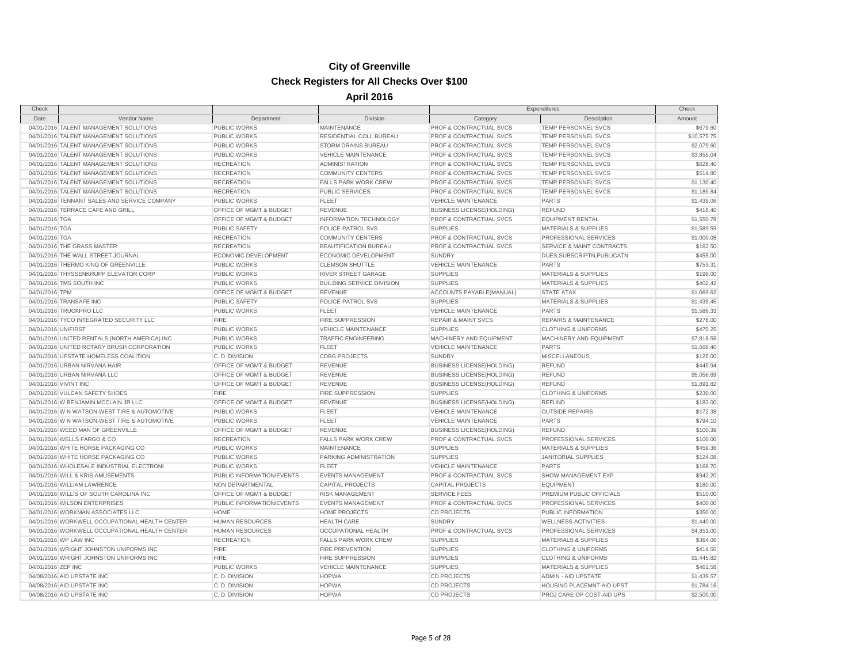| Check                 |                                                |                             |                                  |                                    | Expenditures                     | Check       |
|-----------------------|------------------------------------------------|-----------------------------|----------------------------------|------------------------------------|----------------------------------|-------------|
| Date                  | Vendor Name                                    | Department                  | Division                         | Category                           | Description                      | Amount      |
|                       | 04/01/2016 TALENT MANAGEMENT SOLUTIONS         | <b>PUBLIC WORKS</b>         | <b>MAINTENANCE</b>               | PROF & CONTRACTUAL SVCS            | TEMP PERSONNEL SVCS              | \$679.60    |
|                       | 04/01/2016 TALENT MANAGEMENT SOLUTIONS         | <b>PUBLIC WORKS</b>         | RESIDENTIAL COLL BUREAU          | PROF & CONTRACTUAL SVCS            | TEMP PERSONNEL SVCS              | \$10,575.75 |
|                       | 04/01/2016 TALENT MANAGEMENT SOLUTIONS         | <b>PUBLIC WORKS</b>         | STORM DRAINS BUREAU              | PROF & CONTRACTUAL SVCS            | <b>TEMP PERSONNEL SVCS</b>       | \$2,079.60  |
|                       | 04/01/2016 TALENT MANAGEMENT SOLUTIONS         | <b>PUBLIC WORKS</b>         | <b>VEHICLE MAINTENANCE</b>       | PROF & CONTRACTUAL SVCS            | TEMP PERSONNEL SVCS              | \$3,855.04  |
|                       | 04/01/2016 TALENT MANAGEMENT SOLUTIONS         | <b>RECREATION</b>           | <b>ADMINISTRATION</b>            | PROF & CONTRACTUAL SVCS            | TEMP PERSONNEL SVCS              | \$628.40    |
|                       | 04/01/2016 TALENT MANAGEMENT SOLUTIONS         | <b>RECREATION</b>           | <b>COMMUNITY CENTERS</b>         | <b>PROF &amp; CONTRACTUAL SVCS</b> | <b>TEMP PERSONNEL SVCS</b>       | \$514.80    |
|                       | 04/01/2016 TALENT MANAGEMENT SOLUTIONS         | <b>RECREATION</b>           | <b>FALLS PARK WORK CREW</b>      | PROF & CONTRACTUAL SVCS            | TEMP PERSONNEL SVCS              | \$1,130.40  |
|                       | 04/01/2016 TALENT MANAGEMENT SOLUTIONS         | <b>RECREATION</b>           | PUBLIC SERVICES                  | PROF & CONTRACTUAL SVCS            | TEMP PERSONNEL SVCS              | \$1,189.84  |
|                       | 04/01/2016 TENNANT SALES AND SERVICE COMPANY   | <b>PUBLIC WORKS</b>         | <b>FLEET</b>                     | <b>VEHICLE MAINTENANCE</b>         | <b>PARTS</b>                     | \$1,439.06  |
|                       | 04/01/2016 TERRACE CAFE AND GRILL              | OFFICE OF MGMT & BUDGET     | <b>REVENUE</b>                   | <b>BUSINESS LICENSE(HOLDING)</b>   | <b>REFUND</b>                    | \$418.40    |
| 04/01/2016 TGA        |                                                | OFFICE OF MGMT & BUDGET     | INFORMATION TECHNOLOGY           | PROF & CONTRACTUAL SVCS            | <b>EQUIPMENT RENTAL</b>          | \$1,550.78  |
| 04/01/2016 TGA        |                                                | <b>PUBLIC SAFETY</b>        | POLICE-PATROL SVS                | <b>SUPPLIES</b>                    | <b>MATERIALS &amp; SUPPLIES</b>  | \$1,589.59  |
| 04/01/2016 TGA        |                                                | <b>RECREATION</b>           | <b>COMMUNITY CENTERS</b>         | <b>PROF &amp; CONTRACTUAL SVCS</b> | PROFESSIONAL SERVICES            | \$1,000.08  |
|                       | 04/01/2016 THE GRASS MASTER                    | <b>RECREATION</b>           | <b>BEAUTIFICATION BUREAU</b>     | PROF & CONTRACTUAL SVCS            | SERVICE & MAINT CONTRACTS        | \$162.50    |
|                       | 04/01/2016 THE WALL STREET JOURNAL             | <b>ECONOMIC DEVELOPMENT</b> | ECONOMIC DEVELOPMENT             | <b>SUNDRY</b>                      | DUES, SUBSCRIPTN, PUBLICATN      | \$455.00    |
|                       | 04/01/2016 THERMO KING OF GREENVILLE           | <b>PUBLIC WORKS</b>         | <b>CLEMSON SHUTTLE</b>           | <b>VEHICLE MAINTENANCE</b>         | <b>PARTS</b>                     | \$753.31    |
|                       | 04/01/2016 THYSSENKRUPP ELEVATOR CORP          | <b>PUBLIC WORKS</b>         | RIVER STREET GARAGE              | <b>SUPPLIES</b>                    | <b>MATERIALS &amp; SUPPLIES</b>  | \$198.00    |
|                       | 04/01/2016 TMS SOUTH INC                       | <b>PUBLIC WORKS</b>         | <b>BUILDING SERVICE DIVISION</b> | <b>SUPPLIES</b>                    | <b>MATERIALS &amp; SUPPLIES</b>  | \$402.42    |
| 04/01/2016 TPM        |                                                | OFFICE OF MGMT & BUDGET     | <b>REVENUE</b>                   | ACCOUNTS PAYABLE(MANUAL)           | <b>STATE ATAX</b>                | \$1,069.62  |
|                       | 04/01/2016 TRANSAFE INC                        | <b>PUBLIC SAFETY</b>        | POLICE-PATROL SVS                | <b>SUPPLIES</b>                    | <b>MATERIALS &amp; SUPPLIES</b>  | \$1,435.45  |
|                       | 04/01/2016 TRUCKPRO LLC                        | <b>PUBLIC WORKS</b>         | <b>FLEET</b>                     | <b>VEHICLE MAINTENANCE</b>         | <b>PARTS</b>                     | \$1,586.33  |
|                       | 04/01/2016 TYCO INTEGRATED SECURITY LLC        | <b>FIRE</b>                 | FIRE SUPPRESSION                 | <b>REPAIR &amp; MAINT SVCS</b>     | <b>REPAIRS &amp; MAINTENANCE</b> | \$278.00    |
| 04/01/2016 UNIFIRST   |                                                | <b>PUBLIC WORKS</b>         | <b>VEHICLE MAINTENANCE</b>       | <b>SUPPLIES</b>                    | <b>CLOTHING &amp; UNIFORMS</b>   | \$470.25    |
|                       | 04/01/2016 UNITED RENTALS (NORTH AMERICA) INC  | <b>PUBLIC WORKS</b>         | <b>TRAFFIC ENGINEERING</b>       | MACHINERY AND EQUIPMENT            | MACHINERY AND EQUIPMENT          | \$7,818.56  |
|                       | 04/01/2016 UNITED ROTARY BRUSH CORPORATION     | <b>PUBLIC WORKS</b>         | <b>FLEET</b>                     | <b>VEHICLE MAINTENANCE</b>         | <b>PARTS</b>                     | \$1,668.40  |
|                       | 04/01/2016 UPSTATE HOMELESS COALITION          | C.D. DIVISION               | <b>CDBG PROJECTS</b>             | <b>SUNDRY</b>                      | <b>MISCELLANEOUS</b>             | \$125.00    |
|                       | 04/01/2016 URBAN NIRVANA HAIR                  | OFFICE OF MGMT & BUDGET     | <b>REVENUE</b>                   | <b>BUSINESS LICENSE(HOLDING)</b>   | <b>REFUND</b>                    | \$445.94    |
|                       | 04/01/2016 URBAN NIRVANA LLC                   | OFFICE OF MGMT & BUDGET     | <b>REVENUE</b>                   | <b>BUSINESS LICENSE(HOLDING)</b>   | <b>REFUND</b>                    | \$5,056.69  |
| 04/01/2016 VIVINT INC |                                                | OFFICE OF MGMT & BUDGET     | <b>REVENUE</b>                   | <b>BUSINESS LICENSE(HOLDING)</b>   | <b>REFUND</b>                    | \$1,891.82  |
|                       | 04/01/2016 VULCAN SAFETY SHOES                 | <b>FIRE</b>                 | <b>FIRE SUPPRESSION</b>          | <b>SUPPLIES</b>                    | <b>CLOTHING &amp; UNIFORMS</b>   | \$230.00    |
|                       | 04/01/2016 W BENJAMIN MCCLAIN JR LLC           | OFFICE OF MGMT & BUDGET     | REVENUE                          | <b>BUSINESS LICENSE(HOLDING)</b>   | <b>REFUND</b>                    | \$183.00    |
|                       | 04/01/2016 W N WATSON-WEST TIRE & AUTOMOTIVE   | <b>PUBLIC WORKS</b>         | <b>FLEET</b>                     | <b>VEHICLE MAINTENANCE</b>         | <b>OUTSIDE REPAIRS</b>           | \$172.38    |
|                       | 04/01/2016 W N WATSON-WEST TIRE & AUTOMOTIVE   | <b>PUBLIC WORKS</b>         | <b>FLEET</b>                     | <b>VEHICLE MAINTENANCE</b>         | PARTS                            | \$794.10    |
|                       | 04/01/2016 WEED MAN OF GREENVILLE              | OFFICE OF MGMT & BUDGET     | <b>REVENUE</b>                   | <b>BUSINESS LICENSE(HOLDING)</b>   | <b>REFUND</b>                    | \$100.39    |
|                       | 04/01/2016 WELLS FARGO & CO                    | <b>RECREATION</b>           | FALLS PARK WORK CREW             | PROF & CONTRACTUAL SVCS            | PROFESSIONAL SERVICES            | \$100.00    |
|                       | 04/01/2016 WHITE HORSE PACKAGING CO            | <b>PUBLIC WORKS</b>         | <b>MAINTENANCE</b>               | <b>SUPPLIES</b>                    | <b>MATERIALS &amp; SUPPLIES</b>  | \$459.36    |
|                       | 04/01/2016 WHITE HORSE PACKAGING CO            | <b>PUBLIC WORKS</b>         | PARKING ADMINISTRATION           | <b>SUPPLIES</b>                    | <b>JANITORIAL SUPPLIES</b>       | \$124.08    |
|                       | 04/01/2016 WHOLESALE INDUSTRIAL ELECTRONI      | <b>PUBLIC WORKS</b>         | <b>FLEET</b>                     | <b>VEHICLE MAINTENANCE</b>         | <b>PARTS</b>                     | \$168.70    |
|                       | 04/01/2016 WILL & KRIS AMUSEMENTS              | PUBLIC INFORMATION/EVENTS   | <b>EVENTS MANAGEMENT</b>         | PROF & CONTRACTUAL SVCS            | <b>SHOW MANAGEMENT EXP</b>       | \$942.20    |
|                       | 04/01/2016 WILLIAM LAWRENCE                    | NON DEPARTMENTAL            | <b>CAPITAL PROJECTS</b>          | <b>CAPITAL PROJECTS</b>            | <b>EQUIPMENT</b>                 | \$180.00    |
|                       | 04/01/2016 WILLIS OF SOUTH CAROLINA INC        | OFFICE OF MGMT & BUDGET     | <b>RISK MANAGEMENT</b>           | <b>SERVICE FEES</b>                | PREMIUM PUBLIC OFFICIALS         | \$510.00    |
|                       | 04/01/2016 WILSON ENTERPRISES                  | PUBLIC INFORMATION/EVENTS   | <b>EVENTS MANAGEMENT</b>         | PROF & CONTRACTUAL SVCS            | PROFESSIONAL SERVICES            | \$400.00    |
|                       | 04/01/2016 WORKMAN ASSOCIATES LLC              | HOME                        | <b>HOME PROJECTS</b>             | <b>CD PROJECTS</b>                 | PUBLIC INFORMATION               | \$350.00    |
|                       | 04/01/2016 WORKWELL OCCUPATIONAL HEALTH CENTER | HUMAN RESOURCES             | <b>HEALTH CARE</b>               | <b>SUNDRY</b>                      | <b>WELLNESS ACTIVITIES</b>       | \$1,440.00  |
|                       | 04/01/2016 WORKWELL OCCUPATIONAL HEALTH CENTER | HUMAN RESOURCES             | OCCUPATIONAL HEALTH              | PROF & CONTRACTUAL SVCS            | PROFESSIONAL SERVICES            | \$4,851.00  |
|                       | 04/01/2016 WP LAW INC                          | <b>RECREATION</b>           | <b>FALLS PARK WORK CREW</b>      | <b>SUPPLIES</b>                    | <b>MATERIALS &amp; SUPPLIES</b>  | \$364.06    |
|                       | 04/01/2016 WRIGHT JOHNSTON UNIFORMS INC        | FIRE                        | <b>FIRE PREVENTION</b>           | <b>SUPPLIES</b>                    | <b>CLOTHING &amp; UNIFORMS</b>   | \$414.50    |
|                       | 04/01/2016 WRIGHT JOHNSTON UNIFORMS INC        | <b>FIRE</b>                 | FIRE SUPPRESSION                 | <b>SUPPLIES</b>                    | <b>CLOTHING &amp; UNIFORMS</b>   | \$1,445.82  |
| 04/01/2016 ZEP INC    |                                                | <b>PUBLIC WORKS</b>         | <b>VEHICLE MAINTENANCE</b>       | <b>SUPPLIES</b>                    | <b>MATERIALS &amp; SUPPLIES</b>  | \$461.58    |
|                       | 04/08/2016 AID UPSTATE INC                     | C.D. DIVISION               | <b>HOPWA</b>                     | <b>CD PROJECTS</b>                 | ADMIN - AID UPSTATE              | \$1,439.57  |
|                       | 04/08/2016 AID UPSTATE INC                     | C.D. DIVISION               | <b>HOPWA</b>                     | <b>CD PROJECTS</b>                 | HOUSING PLACEMNT-AID UPST        | \$1,784.16  |
|                       | 04/08/2016 AID UPSTATE INC                     | C. D. DIVISION              | <b>HOPWA</b>                     | <b>CD PROJECTS</b>                 | PROJ CARE OP COST-AID UPS        | \$2,500.00  |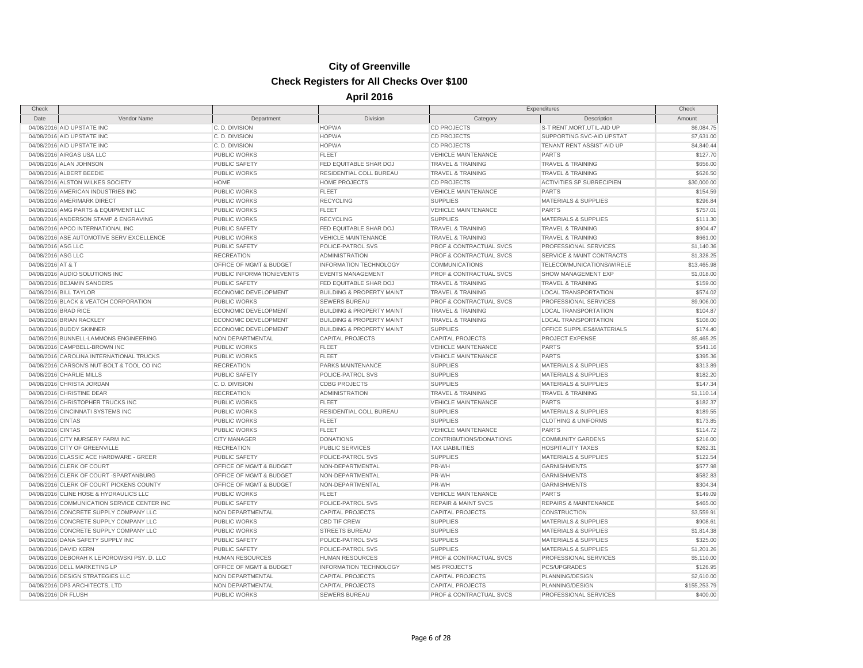| Check               |                                             |                           |                                      |                                | Expenditures                         | Check        |
|---------------------|---------------------------------------------|---------------------------|--------------------------------------|--------------------------------|--------------------------------------|--------------|
| Date                | Vendor Name                                 | Department                | Division                             | Category                       | Description                          | Amount       |
|                     | 04/08/2016 AID UPSTATE INC                  | C.D. DIVISION             | <b>HOPWA</b>                         | <b>CD PROJECTS</b>             | S-T RENT, MORT, UTIL-AID UP          | \$6,084.75   |
|                     | 04/08/2016 AID UPSTATE INC                  | C.D. DIVISION             | <b>HOPWA</b>                         | <b>CD PROJECTS</b>             | SUPPORTING SVC-AID UPSTAT            | \$7,631.00   |
|                     | 04/08/2016 AID UPSTATE INC                  | C.D. DIVISION             | <b>HOPWA</b>                         | <b>CD PROJECTS</b>             | TENANT RENT ASSIST-AID UP            | \$4,840.44   |
|                     | 04/08/2016 AIRGAS USA LLC                   | <b>PUBLIC WORKS</b>       | <b>FLEET</b>                         | <b>VEHICLE MAINTENANCE</b>     | <b>PARTS</b>                         | \$127.70     |
|                     | 04/08/2016 ALAN JOHNSON                     | PUBLIC SAFETY             | FED EQUITABLE SHAR DOJ               | <b>TRAVEL &amp; TRAINING</b>   | <b>TRAVEL &amp; TRAINING</b>         | \$656.00     |
|                     | 04/08/2016 ALBERT BEEDIE                    | PUBLIC WORKS              | <b>RESIDENTIAL COLL BUREAU</b>       | <b>TRAVEL &amp; TRAINING</b>   | <b>TRAVEL &amp; TRAINING</b>         | \$626.50     |
|                     | 04/08/2016 ALSTON WILKES SOCIETY            | HOME                      | HOME PROJECTS                        | <b>CD PROJECTS</b>             | ACTIVITIES SP SUBRECIPIEN            | \$30,000.00  |
|                     | 04/08/2016 AMERICAN INDUSTRIES INC          | <b>PUBLIC WORKS</b>       | <b>FLEET</b>                         | <b>VEHICLE MAINTENANCE</b>     | <b>PARTS</b>                         | \$154.59     |
|                     | 04/08/2016 AMERIMARK DIRECT                 | PUBLIC WORKS              | <b>RECYCLING</b>                     | <b>SUPPLIES</b>                | MATERIALS & SUPPLIES                 | \$296.84     |
|                     | 04/08/2016 AMG PARTS & EQUIPMENT LLC        | PUBLIC WORKS              | <b>FLEET</b>                         | <b>VEHICLE MAINTENANCE</b>     | <b>PARTS</b>                         | \$757.01     |
|                     | 04/08/2016 ANDERSON STAMP & ENGRAVING       | <b>PUBLIC WORKS</b>       | <b>RECYCLING</b>                     | <b>SUPPLIES</b>                | <b>MATERIALS &amp; SUPPLIES</b>      | \$111.30     |
|                     | 04/08/2016 APCO INTERNATIONAL INC           | <b>PUBLIC SAFETY</b>      | FED EQUITABLE SHAR DOJ               | TRAVEL & TRAINING              | <b>TRAVEL &amp; TRAINING</b>         | \$904.47     |
|                     | 04/08/2016 ASE AUTOMOTIVE SERV EXCELLENCE   | PUBLIC WORKS              | <b>VEHICLE MAINTENANCE</b>           | <b>TRAVEL &amp; TRAINING</b>   | <b>TRAVEL &amp; TRAINING</b>         | \$661.00     |
| 04/08/2016 ASG LLC  |                                             | <b>PUBLIC SAFETY</b>      | POLICE-PATROL SVS                    | PROF & CONTRACTUAL SVCS        | PROFESSIONAL SERVICES                | \$1,140.36   |
| 04/08/2016 ASG LLC  |                                             | <b>RECREATION</b>         | <b>ADMINISTRATION</b>                | PROF & CONTRACTUAL SVCS        | <b>SERVICE &amp; MAINT CONTRACTS</b> | \$1,328.25   |
| 04/08/2016 AT & T   |                                             | OFFICE OF MGMT & BUDGET   | INFORMATION TECHNOLOGY               | <b>COMMUNICATIONS</b>          | TELECOMMUNICATIONS/WIRELE            | \$13,465.98  |
|                     | 04/08/2016 AUDIO SOLUTIONS INC              | PUBLIC INFORMATION/EVENTS | <b>EVENTS MANAGEMENT</b>             | PROF & CONTRACTUAL SVCS        | <b>SHOW MANAGEMENT EXP</b>           | \$1,018.00   |
|                     | 04/08/2016 BEJAMIN SANDERS                  | <b>PUBLIC SAFETY</b>      | FED EQUITABLE SHAR DOJ               | <b>TRAVEL &amp; TRAINING</b>   | <b>TRAVEL &amp; TRAINING</b>         | \$159.00     |
|                     | 04/08/2016 BILL TAYLOR                      | ECONOMIC DEVELOPMENT      | <b>BUILDING &amp; PROPERTY MAINT</b> | <b>TRAVEL &amp; TRAINING</b>   | <b>LOCAL TRANSPORTATION</b>          | \$574.02     |
|                     | 04/08/2016 BLACK & VEATCH CORPORATION       | <b>PUBLIC WORKS</b>       | <b>SEWERS BUREAU</b>                 | PROF & CONTRACTUAL SVCS        | PROFESSIONAL SERVICES                | \$9,906.00   |
|                     | 04/08/2016 BRAD RICE                        | ECONOMIC DEVELOPMENT      | <b>BUILDING &amp; PROPERTY MAINT</b> | <b>TRAVEL &amp; TRAINING</b>   | <b>LOCAL TRANSPORTATION</b>          | \$104.87     |
|                     | 04/08/2016 BRIAN RACKLEY                    | ECONOMIC DEVELOPMENT      | <b>BUILDING &amp; PROPERTY MAINT</b> | <b>TRAVEL &amp; TRAINING</b>   | <b>LOCAL TRANSPORTATION</b>          | \$108.00     |
|                     | 04/08/2016 BUDDY SKINNER                    | ECONOMIC DEVELOPMENT      | <b>BUILDING &amp; PROPERTY MAINT</b> | <b>SUPPLIES</b>                | OFFICE SUPPLIES&MATERIALS            | \$174.40     |
|                     | 04/08/2016 BUNNELL-LAMMONS ENGINEERING      | NON DEPARTMENTAL          | <b>CAPITAL PROJECTS</b>              | <b>CAPITAL PROJECTS</b>        | PROJECT EXPENSE                      | \$5,465.25   |
|                     |                                             |                           |                                      |                                |                                      |              |
|                     | 04/08/2016 CAMPBELL-BROWN INC               | <b>PUBLIC WORKS</b>       | <b>FLEET</b>                         | <b>VEHICLE MAINTENANCE</b>     | <b>PARTS</b>                         | \$541.16     |
|                     | 04/08/2016 CAROLINA INTERNATIONAL TRUCKS    | PUBLIC WORKS              | <b>FLEET</b>                         | <b>VEHICLE MAINTENANCE</b>     | <b>PARTS</b>                         | \$395.36     |
|                     | 04/08/2016 CARSON'S NUT-BOLT & TOOL CO INC  | <b>RECREATION</b>         | <b>PARKS MAINTENANCE</b>             | <b>SUPPLIES</b>                | <b>MATERIALS &amp; SUPPLIES</b>      | \$313.89     |
|                     | 04/08/2016 CHARLIE MILLS                    | PUBLIC SAFETY             | POLICE-PATROL SVS                    | <b>SUPPLIES</b>                | MATERIALS & SUPPLIES                 | \$182.20     |
|                     | 04/08/2016 CHRISTA JORDAN                   | C. D. DIVISION            | <b>CDBG PROJECTS</b>                 | <b>SUPPLIES</b>                | <b>MATERIALS &amp; SUPPLIES</b>      | \$147.34     |
|                     | 04/08/2016 CHRISTINE DEAR                   | <b>RECREATION</b>         | <b>ADMINISTRATION</b>                | <b>TRAVEL &amp; TRAINING</b>   | <b>TRAVEL &amp; TRAINING</b>         | \$1,110.14   |
|                     | 04/08/2016 CHRISTOPHER TRUCKS INC           | PUBLIC WORKS              | <b>FLEET</b>                         | <b>VEHICLE MAINTENANCE</b>     | <b>PARTS</b>                         | \$182.37     |
|                     | 04/08/2016 CINCINNATI SYSTEMS INC           | <b>PUBLIC WORKS</b>       | RESIDENTIAL COLL BUREAU              | <b>SUPPLIES</b>                | <b>MATERIALS &amp; SUPPLIES</b>      | \$189.55     |
| 04/08/2016 CINTAS   |                                             | PUBLIC WORKS              | <b>FLEET</b>                         | <b>SUPPLIES</b>                | <b>CLOTHING &amp; UNIFORMS</b>       | \$173.85     |
| 04/08/2016 CINTAS   |                                             | PUBLIC WORKS              | <b>FLEET</b>                         | <b>VEHICLE MAINTENANCE</b>     | <b>PARTS</b>                         | \$114.72     |
|                     | 04/08/2016 CITY NURSERY FARM INC            | <b>CITY MANAGER</b>       | <b>DONATIONS</b>                     | CONTRIBUTIONS/DONATIONS        | <b>COMMUNITY GARDENS</b>             | \$216.00     |
|                     | 04/08/2016 CITY OF GREENVILLE               | <b>RECREATION</b>         | PUBLIC SERVICES                      | <b>TAX LIABILITIES</b>         | <b>HOSPITALITY TAXES</b>             | \$262.31     |
|                     | 04/08/2016 CLASSIC ACE HARDWARE - GREER     | <b>PUBLIC SAFETY</b>      | POLICE-PATROL SVS                    | <b>SUPPLIES</b>                | <b>MATERIALS &amp; SUPPLIES</b>      | \$122.54     |
|                     | 04/08/2016 CLERK OF COURT                   | OFFICE OF MGMT & BUDGET   | NON-DEPARTMENTAL                     | PR-WH                          | <b>GARNISHMENTS</b>                  | \$577.98     |
|                     | 04/08/2016 CLERK OF COURT -SPARTANBURG      | OFFICE OF MGMT & BUDGET   | NON-DEPARTMENTAL                     | PR-WH                          | <b>GARNISHMENTS</b>                  | \$582.83     |
|                     | 04/08/2016 CLERK OF COURT PICKENS COUNTY    | OFFICE OF MGMT & BUDGET   | NON-DEPARTMENTAL                     | PR-WH                          | <b>GARNISHMENTS</b>                  | \$304.34     |
|                     | 04/08/2016 CLINE HOSE & HYDRAULICS LLC      | <b>PUBLIC WORKS</b>       | <b>FLEET</b>                         | <b>VEHICLE MAINTENANCE</b>     | <b>PARTS</b>                         | \$149.09     |
|                     | 04/08/2016 COMMUNICATION SERVICE CENTER INC | PUBLIC SAFETY             | POLICE-PATROL SVS                    | <b>REPAIR &amp; MAINT SVCS</b> | <b>REPAIRS &amp; MAINTENANCE</b>     | \$465.00     |
|                     | 04/08/2016 CONCRETE SUPPLY COMPANY LLC      | NON DEPARTMENTAL          | <b>CAPITAL PROJECTS</b>              | <b>CAPITAL PROJECTS</b>        | <b>CONSTRUCTION</b>                  | \$3,559.91   |
|                     | 04/08/2016 CONCRETE SUPPLY COMPANY LLC      | PUBLIC WORKS              | CBD TIF CREW                         | <b>SUPPLIES</b>                | MATERIALS & SUPPLIES                 | \$908.61     |
|                     | 04/08/2016 CONCRETE SUPPLY COMPANY LLC      | PUBLIC WORKS              | <b>STREETS BUREAU</b>                | <b>SUPPLIES</b>                | MATERIALS & SUPPLIES                 | \$1,814.38   |
|                     | 04/08/2016 DANA SAFETY SUPPLY INC           | <b>PUBLIC SAFETY</b>      | POLICE-PATROL SVS                    | <b>SUPPLIES</b>                | <b>MATERIALS &amp; SUPPLIES</b>      | \$325.00     |
|                     | 04/08/2016 DAVID KERN                       | <b>PUBLIC SAFETY</b>      | POLICE-PATROL SVS                    | <b>SUPPLIES</b>                | MATERIALS & SUPPLIES                 | \$1,201.26   |
|                     | 04/08/2016 DEBORAH K LEPOROWSKI PSY. D. LLC | <b>HUMAN RESOURCES</b>    | <b>HUMAN RESOURCES</b>               | PROF & CONTRACTUAL SVCS        | PROFESSIONAL SERVICES                | \$5,110.00   |
|                     | 04/08/2016 DELL MARKETING LP                | OFFICE OF MGMT & BUDGET   | <b>INFORMATION TECHNOLOGY</b>        | <b>MIS PROJECTS</b>            | PCS/UPGRADES                         | \$126.95     |
|                     | 04/08/2016 DESIGN STRATEGIES LLC            | NON DEPARTMENTAL          | <b>CAPITAL PROJECTS</b>              | <b>CAPITAL PROJECTS</b>        | PLANNING/DESIGN                      | \$2,610.00   |
|                     | 04/08/2016 DP3 ARCHITECTS, LTD              | NON DEPARTMENTAL          | <b>CAPITAL PROJECTS</b>              | <b>CAPITAL PROJECTS</b>        | PLANNING/DESIGN                      | \$155,253.79 |
| 04/08/2016 DR FLUSH |                                             | PUBLIC WORKS              | <b>SEWERS BUREAU</b>                 | PROF & CONTRACTUAL SVCS        | PROFESSIONAL SERVICES                | \$400.00     |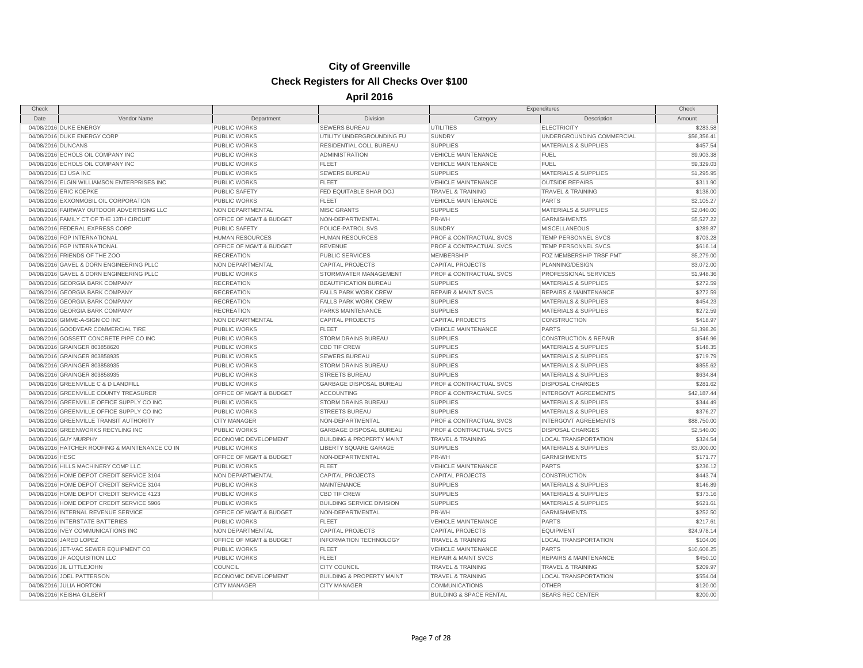#### Page 7 of 28

| 04/08/2016 DUKE ENERGY                         | <b>PUBLIC WORKS</b>     | <b>SEWERS BUREAU</b>                 | <b>UTILITIES</b>                   | <b>ELECTRICITY</b>               | \$283.58    |
|------------------------------------------------|-------------------------|--------------------------------------|------------------------------------|----------------------------------|-------------|
| 04/08/2016 DUKE ENERGY CORP                    | PUBLIC WORKS            | UTILITY UNDERGROUNDING FU            | <b>SUNDRY</b>                      | UNDERGROUNDING COMMERCIAL        | \$56,356.41 |
| 04/08/2016 DUNCANS                             | <b>PUBLIC WORKS</b>     | RESIDENTIAL COLL BUREAU              | <b>SUPPLIES</b>                    | <b>MATERIALS &amp; SUPPLIES</b>  | \$457.54    |
| 04/08/2016 ECHOLS OIL COMPANY INC              | <b>PUBLIC WORKS</b>     | <b>ADMINISTRATION</b>                | <b>VEHICLE MAINTENANCE</b>         | <b>FUEL</b>                      | \$9,903.38  |
| 04/08/2016 ECHOLS OIL COMPANY INC              | PUBLIC WORKS            | FLEET                                | VEHICLE MAINTENANCE                | <b>FUEL</b>                      | \$9,329.03  |
| 04/08/2016 EJ USA INC                          | PUBLIC WORKS            | SEWERS BUREAU                        | <b>SUPPLIES</b>                    | <b>MATERIALS &amp; SUPPLIES</b>  | \$1,295.95  |
| 04/08/2016 ELGIN WILLIAMSON ENTERPRISES INC    | <b>PUBLIC WORKS</b>     | <b>FLEET</b>                         | <b>VEHICLE MAINTENANCE</b>         | <b>OUTSIDE REPAIRS</b>           | \$311.90    |
| 04/08/2016 ERIC KOEPKE                         | <b>PUBLIC SAFETY</b>    | <b>FED EQUITABLE SHAR DOJ</b>        | <b>TRAVEL &amp; TRAINING</b>       | <b>TRAVEL &amp; TRAINING</b>     | \$138.00    |
| 04/08/2016 EXXONMOBIL OIL CORPORATION          | <b>PUBLIC WORKS</b>     | <b>FLEET</b>                         | <b>VEHICLE MAINTENANCE</b>         | <b>PARTS</b>                     | \$2,105.27  |
| 04/08/2016 FAIRWAY OUTDOOR ADVERTISING LLC     | <b>NON DEPARTMENTAL</b> | <b>MISC GRANTS</b>                   | <b>SUPPLIES</b>                    | <b>MATERIALS &amp; SUPPLIES</b>  | \$2,040.00  |
| 04/08/2016 FAMILY CT OF THE 13TH CIRCUIT       | OFFICE OF MGMT & BUDGET | NON-DEPARTMENTAL                     | PR-WH                              | <b>GARNISHMENTS</b>              | \$5,527.22  |
| 04/08/2016 FEDERAL EXPRESS CORP                | <b>PUBLIC SAFETY</b>    | POLICE-PATROL SVS                    | <b>SUNDRY</b>                      | <b>MISCELLANEOUS</b>             | \$289.87    |
| 04/08/2016 FGP INTERNATIONAL                   | <b>HUMAN RESOURCES</b>  | <b>HUMAN RESOURCES</b>               | PROF & CONTRACTUAL SVCS            | TEMP PERSONNEL SVCS              | \$703.28    |
| 04/08/2016 FGP INTERNATIONAL                   | OFFICE OF MGMT & BUDGET | <b>REVENUE</b>                       | <b>PROF &amp; CONTRACTUAL SVCS</b> | <b>TEMP PERSONNEL SVCS</b>       | \$616.14    |
| 04/08/2016 FRIENDS OF THE ZOO                  | <b>RECREATION</b>       | <b>PUBLIC SERVICES</b>               | <b>MEMBERSHIP</b>                  | FOZ MEMBERSHIP TRSF PMT          | \$5,279.00  |
| 04/08/2016 GAVEL & DORN ENGINEERING PLLC       | NON DEPARTMENTAL        | <b>CAPITAL PROJECTS</b>              | <b>CAPITAL PROJECTS</b>            | PLANNING/DESIGN                  | \$3,072.00  |
| 04/08/2016 GAVEL & DORN ENGINEERING PLLC       | PUBLIC WORKS            | STORMWATER MANAGEMENT                | <b>PROF &amp; CONTRACTUAL SVCS</b> | PROFESSIONAL SERVICES            | \$1,948.36  |
| 04/08/2016 GEORGIA BARK COMPANY                | <b>RECREATION</b>       | <b>BEAUTIFICATION BUREAU</b>         | <b>SUPPLIES</b>                    | <b>MATERIALS &amp; SUPPLIES</b>  | \$272.59    |
| 04/08/2016 GEORGIA BARK COMPANY                | <b>RECREATION</b>       | <b>FALLS PARK WORK CREW</b>          | <b>REPAIR &amp; MAINT SVCS</b>     | <b>REPAIRS &amp; MAINTENANCE</b> | \$272.59    |
| 04/08/2016 GEORGIA BARK COMPANY                | <b>RECREATION</b>       | <b>FALLS PARK WORK CREW</b>          | <b>SUPPLIES</b>                    | <b>MATERIALS &amp; SUPPLIES</b>  | \$454.23    |
| 04/08/2016 GEORGIA BARK COMPANY                | <b>RECREATION</b>       | PARKS MAINTENANCE                    | <b>SUPPLIES</b>                    | <b>MATERIALS &amp; SUPPLIES</b>  | \$272.59    |
| 04/08/2016 GIMME-A-SIGN CO INC                 | <b>NON DEPARTMENTAL</b> | <b>CAPITAL PROJECTS</b>              | <b>CAPITAL PROJECTS</b>            | CONSTRUCTION                     | \$418.97    |
| 04/08/2016 GOODYEAR COMMERCIAL TIRE            | <b>PUBLIC WORKS</b>     | <b>FLEET</b>                         | <b>VEHICLE MAINTENANCE</b>         | <b>PARTS</b>                     | \$1,398.26  |
| 04/08/2016 GOSSETT CONCRETE PIPE CO INC        | <b>PUBLIC WORKS</b>     | <b>STORM DRAINS BUREAU</b>           | <b>SUPPLIES</b>                    | <b>CONSTRUCTION &amp; REPAIR</b> | \$546.96    |
| 04/08/2016 GRAINGER 803858620                  | PUBLIC WORKS            | <b>CBD TIF CREW</b>                  | <b>SUPPLIES</b>                    | <b>MATERIALS &amp; SUPPLIES</b>  | \$148.35    |
| 04/08/2016 GRAINGER 803858935                  | <b>PUBLIC WORKS</b>     | <b>SEWERS BUREAU</b>                 | <b>SUPPLIES</b>                    | <b>MATERIALS &amp; SUPPLIES</b>  | \$719.79    |
| 04/08/2016 GRAINGER 803858935                  | PUBLIC WORKS            | STORM DRAINS BUREAU                  | <b>SUPPLIES</b>                    | <b>MATERIALS &amp; SUPPLIES</b>  | \$855.62    |
| 04/08/2016 GRAINGER 803858935                  | PUBLIC WORKS            | <b>STREETS BUREAU</b>                | <b>SUPPLIES</b>                    | <b>MATERIALS &amp; SUPPLIES</b>  | \$634.84    |
| 04/08/2016 GREENVILLE C & D LANDFILL           | <b>PUBLIC WORKS</b>     | GARBAGE DISPOSAL BUREAU              | <b>PROF &amp; CONTRACTUAL SVCS</b> | <b>DISPOSAL CHARGES</b>          | \$281.62    |
| 04/08/2016 GREENVILLE COUNTY TREASURER         | OFFICE OF MGMT & BUDGET | <b>ACCOUNTING</b>                    | <b>PROF &amp; CONTRACTUAL SVCS</b> | <b>INTERGOVT AGREEMENTS</b>      | \$42,187.44 |
| 04/08/2016 GREENVILLE OFFICE SUPPLY CO INC     | <b>PUBLIC WORKS</b>     | STORM DRAINS BUREAU                  | <b>SUPPLIES</b>                    | <b>MATERIALS &amp; SUPPLIES</b>  | \$344.49    |
| 04/08/2016 GREENVILLE OFFICE SUPPLY CO INC     | PUBLIC WORKS            | <b>STREETS BUREAU</b>                | <b>SUPPLIES</b>                    | <b>MATERIALS &amp; SUPPLIES</b>  | \$376.27    |
| 04/08/2016 GREENVILLE TRANSIT AUTHORITY        | <b>CITY MANAGER</b>     | NON-DEPARTMENTAL                     | <b>PROF &amp; CONTRACTUAL SVCS</b> | <b>INTERGOVT AGREEMENTS</b>      | \$88,750.00 |
| 04/08/2016 GREENWORKS RECYLING INC             | <b>PUBLIC WORKS</b>     | GARBAGE DISPOSAL BUREAU              | <b>PROF &amp; CONTRACTUAL SVCS</b> | <b>DISPOSAL CHARGES</b>          | \$2,540.00  |
| 04/08/2016 GUY MURPHY                          | ECONOMIC DEVELOPMENT    | <b>BUILDING &amp; PROPERTY MAINT</b> | <b>TRAVEL &amp; TRAINING</b>       | <b>LOCAL TRANSPORTATION</b>      | \$324.54    |
| 04/08/2016 HATCHER ROOFING & MAINTENANCE CO IN | <b>PUBLIC WORKS</b>     | <b>LIBERTY SQUARE GARAGE</b>         | <b>SUPPLIES</b>                    | <b>MATERIALS &amp; SUPPLIES</b>  | \$3,000.00  |
| 04/08/2016 HESC                                | OFFICE OF MGMT & BUDGET | NON-DEPARTMENTAL                     | PR-WH                              | <b>GARNISHMENTS</b>              | \$171.77    |
| 04/08/2016 HILLS MACHINERY COMP LLC            | PUBLIC WORKS            | <b>FLEET</b>                         | <b>VEHICLE MAINTENANCE</b>         | <b>PARTS</b>                     | \$236.12    |
| 04/08/2016 HOME DEPOT CREDIT SERVICE 3104      | NON DEPARTMENTAL        | <b>CAPITAL PROJECTS</b>              | <b>CAPITAL PROJECTS</b>            | CONSTRUCTION                     | \$443.74    |
| 04/08/2016 HOME DEPOT CREDIT SERVICE 3104      | PUBLIC WORKS            | <b>MAINTENANCE</b>                   | <b>SUPPLIES</b>                    | <b>MATERIALS &amp; SUPPLIES</b>  | \$146.89    |
| 04/08/2016 HOME DEPOT CREDIT SERVICE 4123      | <b>PUBLIC WORKS</b>     | <b>CBD TIF CREW</b>                  | <b>SUPPLIES</b>                    | <b>MATERIALS &amp; SUPPLIES</b>  | \$373.16    |
| 04/08/2016 HOME DEPOT CREDIT SERVICE 5906      | PUBLIC WORKS            | <b>BUILDING SERVICE DIVISION</b>     | <b>SUPPLIES</b>                    | <b>MATERIALS &amp; SUPPLIES</b>  | \$621.61    |
| 04/08/2016 INTERNAL REVENUE SERVICE            | OFFICE OF MGMT & BUDGET | NON-DEPARTMENTAL                     | PR-WH                              | <b>GARNISHMENTS</b>              | \$252.50    |
| 04/08/2016 INTERSTATE BATTERIES                | PUBLIC WORKS            | <b>FLEET</b>                         | <b>VEHICLE MAINTENANCE</b>         | <b>PARTS</b>                     | \$217.61    |
| 04/08/2016 IVEY COMMUNICATIONS INC             | <b>NON DEPARTMENTAL</b> | <b>CAPITAL PROJECTS</b>              | <b>CAPITAL PROJECTS</b>            | <b>EQUIPMENT</b>                 | \$24,978.14 |
| 04/08/2016 JARED LOPEZ                         | OFFICE OF MGMT & BUDGET | INFORMATION TECHNOLOGY               | <b>TRAVEL &amp; TRAINING</b>       | <b>LOCAL TRANSPORTATION</b>      | \$104.06    |
| 04/08/2016 JET-VAC SEWER EQUIPMENT CO          | <b>PUBLIC WORKS</b>     | <b>FLEET</b>                         | <b>VEHICLE MAINTENANCE</b>         | <b>PARTS</b>                     | \$10,606.25 |
| 04/08/2016 JF ACQUISITION LLC                  | PUBLIC WORKS            | <b>FLEET</b>                         | <b>REPAIR &amp; MAINT SVCS</b>     | <b>REPAIRS &amp; MAINTENANCE</b> | \$450.10    |
| 04/08/2016 JIL LITTLEJOHN                      | COUNCIL                 | <b>CITY COUNCIL</b>                  | <b>TRAVEL &amp; TRAINING</b>       | <b>TRAVEL &amp; TRAINING</b>     | \$209.97    |
| 04/08/2016 JOEL PATTERSON                      | ECONOMIC DEVELOPMENT    | <b>BUILDING &amp; PROPERTY MAINT</b> | <b>TRAVEL &amp; TRAINING</b>       | <b>LOCAL TRANSPORTATION</b>      | \$554.04    |
| 04/08/2016 JULIA HORTON                        | <b>CITY MANAGER</b>     | <b>CITY MANAGER</b>                  | <b>COMMUNICATIONS</b>              | <b>OTHER</b>                     | \$120.00    |
| 04/08/2016 KEISHA GILBERT                      |                         |                                      | <b>BUILDING &amp; SPACE RENTAL</b> | <b>SEARS REC CENTER</b>          | \$200.00    |
|                                                |                         |                                      |                                    |                                  |             |

### **City of Greenville Check Registers for All Checks Over \$100**

Check Check **April 2016**

Expenditures

Date **Vendor Name Category Department Department Division Division Category Category Description Description Amount**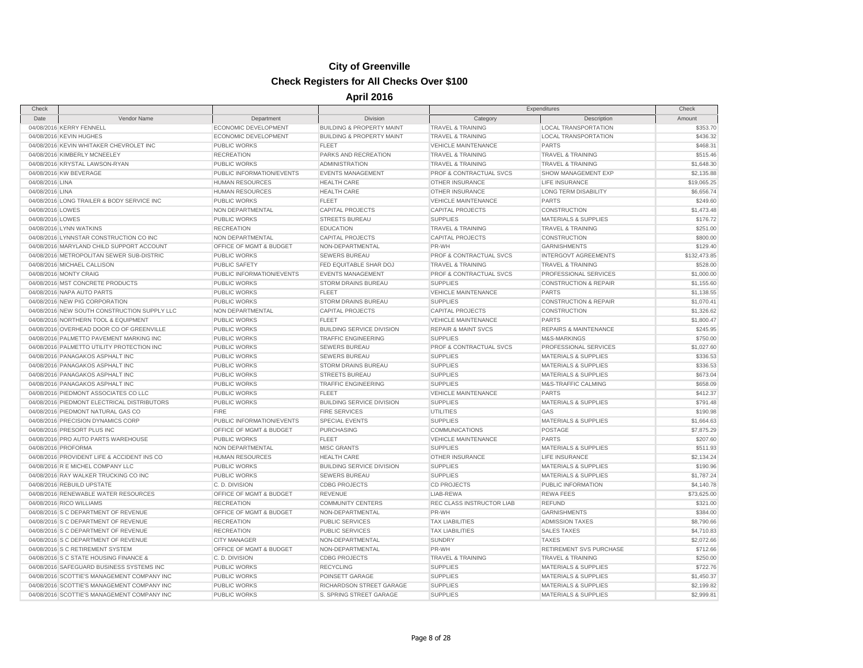| Check            |                                              |                           |                                      | Expenditures                   |                                  | Check        |
|------------------|----------------------------------------------|---------------------------|--------------------------------------|--------------------------------|----------------------------------|--------------|
| Date             | Vendor Name                                  | Department                | Division                             | Category                       | Description                      | Amount       |
|                  | 04/08/2016 KERRY FENNELL                     | ECONOMIC DEVELOPMENT      | <b>BUILDING &amp; PROPERTY MAINT</b> | <b>TRAVEL &amp; TRAINING</b>   | <b>LOCAL TRANSPORTATION</b>      | \$353.70     |
|                  | 04/08/2016 KEVIN HUGHES                      | ECONOMIC DEVELOPMENT      | <b>BUILDING &amp; PROPERTY MAINT</b> | <b>TRAVEL &amp; TRAINING</b>   | <b>LOCAL TRANSPORTATION</b>      | \$436.32     |
|                  | 04/08/2016 KEVIN WHITAKER CHEVROLET INC      | <b>PUBLIC WORKS</b>       | FLEET                                | <b>VEHICLE MAINTENANCE</b>     | <b>PARTS</b>                     | \$468.31     |
|                  | 04/08/2016 KIMBERLY MCNEELEY                 | <b>RECREATION</b>         | PARKS AND RECREATION                 | <b>TRAVEL &amp; TRAINING</b>   | <b>TRAVEL &amp; TRAINING</b>     | \$515.46     |
|                  | 04/08/2016 KRYSTAL LAWSON-RYAN               | <b>PUBLIC WORKS</b>       | <b>ADMINISTRATION</b>                | <b>TRAVEL &amp; TRAINING</b>   | <b>TRAVEL &amp; TRAINING</b>     | \$1,648.30   |
|                  | 04/08/2016 KW BEVERAGE                       | PUBLIC INFORMATION/EVENTS | <b>EVENTS MANAGEMENT</b>             | PROF & CONTRACTUAL SVCS        | SHOW MANAGEMENT EXP              | \$2,135.88   |
| 04/08/2016 LINA  |                                              | <b>HUMAN RESOURCES</b>    | <b>HEALTH CARE</b>                   | OTHER INSURANCE                | LIFE INSURANCE                   | \$19,065.25  |
| 04/08/2016 LINA  |                                              | <b>HUMAN RESOURCES</b>    | <b>HEALTH CARE</b>                   | <b>OTHER INSURANCE</b>         | <b>LONG TERM DISABILITY</b>      | \$6,656.74   |
|                  | 04/08/2016 LONG TRAILER & BODY SERVICE INC   | <b>PUBLIC WORKS</b>       | <b>FLEET</b>                         | <b>VEHICLE MAINTENANCE</b>     | <b>PARTS</b>                     | \$249.60     |
| 04/08/2016 LOWES |                                              | NON DEPARTMENTAL          | <b>CAPITAL PROJECTS</b>              | <b>CAPITAL PROJECTS</b>        | <b>CONSTRUCTION</b>              | \$1,473.48   |
| 04/08/2016 LOWES |                                              | PUBLIC WORKS              | <b>STREETS BUREAU</b>                | <b>SUPPLIES</b>                | <b>MATERIALS &amp; SUPPLIES</b>  | \$176.72     |
|                  | 04/08/2016 LYNN WATKINS                      | <b>RECREATION</b>         | <b>EDUCATION</b>                     | <b>TRAVEL &amp; TRAINING</b>   | <b>TRAVEL &amp; TRAINING</b>     | \$251.00     |
|                  | 04/08/2016 LYNNSTAR CONSTRUCTION CO INC      | NON DEPARTMENTAL          | <b>CAPITAL PROJECTS</b>              | <b>CAPITAL PROJECTS</b>        | CONSTRUCTION                     | \$800.00     |
|                  | 04/08/2016 MARYLAND CHILD SUPPORT ACCOUNT    | OFFICE OF MGMT & BUDGET   | NON-DEPARTMENTAL                     | PR-WH                          | GARNISHMENTS                     | \$129.40     |
|                  | 04/08/2016 METROPOLITAN SEWER SUB-DISTRIC    | <b>PUBLIC WORKS</b>       | <b>SEWERS BUREAU</b>                 | PROF & CONTRACTUAL SVCS        | <b>INTERGOVT AGREEMENTS</b>      | \$132,473.85 |
|                  | 04/08/2016 MICHAEL CALLISON                  | PUBLIC SAFETY             | FED EQUITABLE SHAR DOJ               | <b>TRAVEL &amp; TRAINING</b>   | <b>TRAVEL &amp; TRAINING</b>     | \$528.00     |
|                  | 04/08/2016 MONTY CRAIG                       | PUBLIC INFORMATION/EVENTS | <b>EVENTS MANAGEMENT</b>             | PROF & CONTRACTUAL SVCS        | PROFESSIONAL SERVICES            | \$1,000.00   |
|                  | 04/08/2016 MST CONCRETE PRODUCTS             | PUBLIC WORKS              | STORM DRAINS BUREAU                  | <b>SUPPLIES</b>                | <b>CONSTRUCTION &amp; REPAIR</b> | \$1,155.60   |
|                  | 04/08/2016 NAPA AUTO PARTS                   | <b>PUBLIC WORKS</b>       | <b>FLEET</b>                         | <b>VEHICLE MAINTENANCE</b>     | <b>PARTS</b>                     | \$1,138.55   |
|                  | 04/08/2016 NEW PIG CORPORATION               | <b>PUBLIC WORKS</b>       | <b>STORM DRAINS BUREAU</b>           | <b>SUPPLIES</b>                | <b>CONSTRUCTION &amp; REPAIR</b> | \$1,070.41   |
|                  | 04/08/2016 NEW SOUTH CONSTRUCTION SUPPLY LLC | NON DEPARTMENTAL          | <b>CAPITAL PROJECTS</b>              | <b>CAPITAL PROJECTS</b>        | CONSTRUCTION                     | \$1,326.62   |
|                  | 04/08/2016 NORTHERN TOOL & EQUIPMENT         | <b>PUBLIC WORKS</b>       | FLEET                                | <b>VEHICLE MAINTENANCE</b>     | <b>PARTS</b>                     | \$1,800.47   |
|                  | 04/08/2016 OVERHEAD DOOR CO OF GREENVILLE    | PUBLIC WORKS              | <b>BUILDING SERVICE DIVISION</b>     | <b>REPAIR &amp; MAINT SVCS</b> | <b>REPAIRS &amp; MAINTENANCE</b> | \$245.95     |
|                  | 04/08/2016 PALMETTO PAVEMENT MARKING INC     | <b>PUBLIC WORKS</b>       | <b>TRAFFIC ENGINEERING</b>           | <b>SUPPLIES</b>                | M&S-MARKINGS                     | \$750.00     |
|                  | 04/08/2016 PALMETTO UTILITY PROTECTION INC   | PUBLIC WORKS              | <b>SEWERS BUREAU</b>                 | PROF & CONTRACTUAL SVCS        | PROFESSIONAL SERVICES            | \$1,027.60   |
|                  | 04/08/2016 PANAGAKOS ASPHALT INC             | <b>PUBLIC WORKS</b>       | <b>SEWERS BUREAU</b>                 | <b>SUPPLIES</b>                | <b>MATERIALS &amp; SUPPLIES</b>  | \$336.53     |
|                  | 04/08/2016 PANAGAKOS ASPHALT INC             | <b>PUBLIC WORKS</b>       | <b>STORM DRAINS BUREAU</b>           | <b>SUPPLIES</b>                | <b>MATERIALS &amp; SUPPLIES</b>  | \$336.53     |
|                  | 04/08/2016 PANAGAKOS ASPHALT INC             | <b>PUBLIC WORKS</b>       | <b>STREETS BUREAU</b>                | <b>SUPPLIES</b>                | <b>MATERIALS &amp; SUPPLIES</b>  | \$673.04     |
|                  | 04/08/2016 PANAGAKOS ASPHALT INC             | <b>PUBLIC WORKS</b>       | <b>TRAFFIC ENGINEERING</b>           | <b>SUPPLIES</b>                | M&S-TRAFFIC CALMING              | \$658.09     |
|                  | 04/08/2016 PIEDMONT ASSOCIATES CO LLC        | <b>PUBLIC WORKS</b>       | FLEET                                | <b>VEHICLE MAINTENANCE</b>     | <b>PARTS</b>                     | \$412.37     |
|                  | 04/08/2016 PIEDMONT ELECTRICAL DISTRIBUTORS  | <b>PUBLIC WORKS</b>       | <b>BUILDING SERVICE DIVISION</b>     | <b>SUPPLIES</b>                | <b>MATERIALS &amp; SUPPLIES</b>  | \$791.48     |
|                  | 04/08/2016 PIEDMONT NATURAL GAS CO           | <b>FIRE</b>               | <b>FIRE SERVICES</b>                 | <b>UTILITIES</b>               | GAS                              | \$190.98     |
|                  | 04/08/2016 PRECISION DYNAMICS CORP           | PUBLIC INFORMATION/EVENTS | SPECIAL EVENTS                       | <b>SUPPLIES</b>                | <b>MATERIALS &amp; SUPPLIES</b>  | \$1,664.63   |
|                  | 04/08/2016 PRESORT PLUS INC                  | OFFICE OF MGMT & BUDGET   | PURCHASING                           | COMMUNICATIONS                 | POSTAGE                          | \$7,875.29   |
|                  | 04/08/2016 PRO AUTO PARTS WAREHOUSE          | <b>PUBLIC WORKS</b>       | <b>FLEET</b>                         | <b>VEHICLE MAINTENANCE</b>     | <b>PARTS</b>                     | \$207.60     |
|                  | 04/08/2016 PROFORMA                          | NON DEPARTMENTAL          | <b>MISC GRANTS</b>                   | <b>SUPPLIES</b>                | <b>MATERIALS &amp; SUPPLIES</b>  | \$511.93     |
|                  | 04/08/2016 PROVIDENT LIFE & ACCIDENT INS CO  | <b>HUMAN RESOURCES</b>    | <b>HEALTH CARE</b>                   | <b>OTHER INSURANCE</b>         | LIFE INSURANCE                   | \$2,134.24   |
|                  | 04/08/2016 R E MICHEL COMPANY LLC            | PUBLIC WORKS              | <b>BUILDING SERVICE DIVISION</b>     | <b>SUPPLIES</b>                | <b>MATERIALS &amp; SUPPLIES</b>  | \$190.96     |
|                  | 04/08/2016 RAY WALKER TRUCKING CO INC        | <b>PUBLIC WORKS</b>       | <b>SEWERS BUREAU</b>                 | <b>SUPPLIES</b>                | <b>MATERIALS &amp; SUPPLIES</b>  | \$1,787.24   |
|                  | 04/08/2016 REBUILD UPSTATE                   | C.D. DIVISION             | <b>CDBG PROJECTS</b>                 | <b>CD PROJECTS</b>             | PUBLIC INFORMATION               | \$4,140.78   |
|                  | 04/08/2016 RENEWABLE WATER RESOURCES         | OFFICE OF MGMT & BUDGET   | <b>REVENUE</b>                       | LIAB-REWA                      | <b>REWA FEES</b>                 | \$73,625.00  |
|                  | 04/08/2016 RICO WILLIAMS                     | <b>RECREATION</b>         | <b>COMMUNITY CENTERS</b>             | REC CLASS INSTRUCTOR LIAB      | <b>REFUND</b>                    | \$321.00     |
|                  | 04/08/2016 S C DEPARTMENT OF REVENUE         | OFFICE OF MGMT & BUDGET   | NON-DEPARTMENTAL                     | PR-WH                          | <b>GARNISHMENTS</b>              | \$384.00     |
|                  | 04/08/2016 S C DEPARTMENT OF REVENUE         | <b>RECREATION</b>         | <b>PUBLIC SERVICES</b>               | <b>TAX LIABILITIES</b>         | <b>ADMISSION TAXES</b>           | \$8,790.66   |
|                  | 04/08/2016 S C DEPARTMENT OF REVENUE         | <b>RECREATION</b>         | <b>PUBLIC SERVICES</b>               | <b>TAX LIABILITIES</b>         | <b>SALES TAXES</b>               | \$4,710.83   |
|                  | 04/08/2016 S C DEPARTMENT OF REVENUE         | <b>CITY MANAGER</b>       | NON-DEPARTMENTAL                     | <b>SUNDRY</b>                  | <b>TAXES</b>                     | \$2,072.66   |
|                  | 04/08/2016 S C RETIREMENT SYSTEM             | OFFICE OF MGMT & BUDGET   | NON-DEPARTMENTAL                     | PR-WH                          | RETIREMENT SVS PURCHASE          | \$712.66     |
|                  | 04/08/2016 S C STATE HOUSING FINANCE &       | C.D. DIVISION             | <b>CDBG PROJECTS</b>                 | <b>TRAVEL &amp; TRAINING</b>   | <b>TRAVEL &amp; TRAINING</b>     | \$250.00     |
|                  | 04/08/2016 SAFEGUARD BUSINESS SYSTEMS INC    | PUBLIC WORKS              | <b>RECYCLING</b>                     | <b>SUPPLIES</b>                | <b>MATERIALS &amp; SUPPLIES</b>  | \$722.76     |
|                  | 04/08/2016 SCOTTIE'S MANAGEMENT COMPANY INC  | PUBLIC WORKS              | POINSETT GARAGE                      | <b>SUPPLIES</b>                | <b>MATERIALS &amp; SUPPLIES</b>  | \$1,450.37   |
|                  | 04/08/2016 SCOTTIE'S MANAGEMENT COMPANY INC  | PUBLIC WORKS              | RICHARDSON STREET GARAGE             | <b>SUPPLIES</b>                | <b>MATERIALS &amp; SUPPLIES</b>  | \$2,199.82   |
|                  | 04/08/2016 SCOTTIE'S MANAGEMENT COMPANY INC  | <b>PUBLIC WORKS</b>       | S. SPRING STREET GARAGE              | <b>SUPPLIES</b>                | <b>MATERIALS &amp; SUPPLIES</b>  | \$2,999.81   |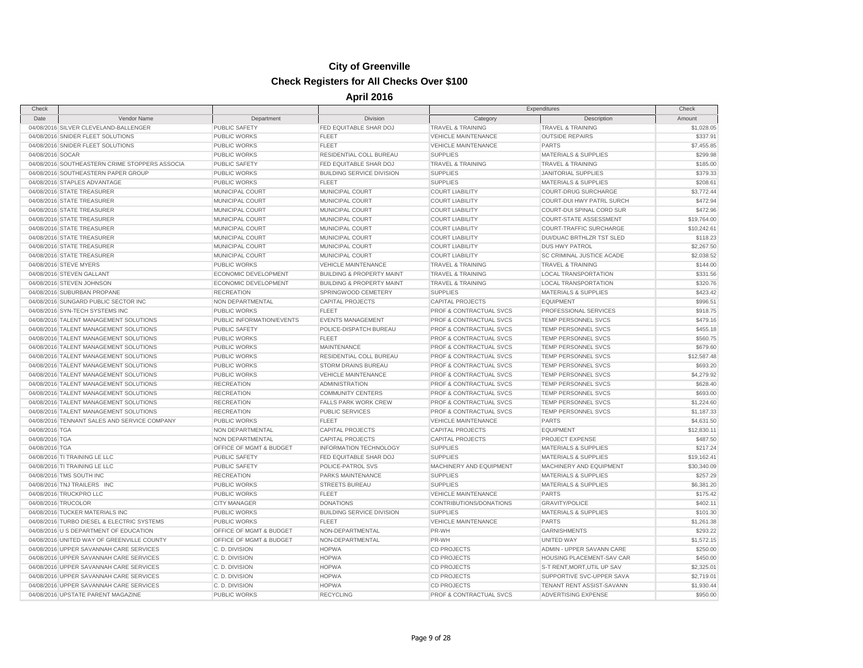| Check               |                                                |                           |                                      |                                    | Expenditures                     | Check       |
|---------------------|------------------------------------------------|---------------------------|--------------------------------------|------------------------------------|----------------------------------|-------------|
| Date                | Vendor Name                                    | Department                | Division                             | Category                           | Description                      | Amount      |
|                     | 04/08/2016 SILVER CLEVELAND-BALLENGER          | <b>PUBLIC SAFETY</b>      | <b>FED EQUITABLE SHAR DOJ</b>        | <b>TRAVEL &amp; TRAINING</b>       | <b>TRAVEL &amp; TRAINING</b>     | \$1,028.05  |
|                     | 04/08/2016 SNIDER FLEET SOLUTIONS              | <b>PUBLIC WORKS</b>       | <b>FLEET</b>                         | <b>VEHICLE MAINTENANCE</b>         | <b>OUTSIDE REPAIRS</b>           | \$337.91    |
|                     | 04/08/2016 SNIDER FLEET SOLUTIONS              | PUBLIC WORKS              | <b>FLEET</b>                         | <b>VEHICLE MAINTENANCE</b>         | <b>PARTS</b>                     | \$7,455.85  |
| 04/08/2016 SOCAR    |                                                | <b>PUBLIC WORKS</b>       | RESIDENTIAL COLL BUREAU              | <b>SUPPLIES</b>                    | <b>MATERIALS &amp; SUPPLIES</b>  | \$299.98    |
|                     | 04/08/2016 SOUTHEASTERN CRIME STOPPERS ASSOCIA | PUBLIC SAFETY             | FED EQUITABLE SHAR DOJ               | <b>TRAVEL &amp; TRAINING</b>       | <b>TRAVEL &amp; TRAINING</b>     | \$185.00    |
|                     | 04/08/2016 SOUTHEASTERN PAPER GROUP            | <b>PUBLIC WORKS</b>       | <b>BUILDING SERVICE DIVISION</b>     | <b>SUPPLIES</b>                    | <b>JANITORIAL SUPPLIES</b>       | \$379.33    |
|                     | 04/08/2016 STAPLES ADVANTAGE                   | <b>PUBLIC WORKS</b>       | <b>FLEET</b>                         | <b>SUPPLIES</b>                    | MATERIALS & SUPPLIES             | \$208.61    |
|                     | 04/08/2016 STATE TREASURER                     | MUNICIPAL COURT           | MUNICIPAL COURT                      | <b>COURT LIABILITY</b>             | COURT-DRUG SURCHARGE             | \$3,772.44  |
|                     | 04/08/2016 STATE TREASURER                     | MUNICIPAL COURT           | MUNICIPAL COURT                      | <b>COURT LIABILITY</b>             | COURT-DUI HWY PATRL SURCH        | \$472.94    |
|                     | 04/08/2016 STATE TREASURER                     | MUNICIPAL COURT           | MUNICIPAL COURT                      | <b>COURT LIABILITY</b>             | COURT-DUI SPINAL CORD SUR        | \$472.96    |
|                     | 04/08/2016 STATE TREASURER                     | MUNICIPAL COURT           | MUNICIPAL COURT                      | <b>COURT LIABILITY</b>             | <b>COURT-STATE ASSESSMENT</b>    | \$19,764.00 |
|                     | 04/08/2016 STATE TREASURER                     | MUNICIPAL COURT           | MUNICIPAL COURT                      | <b>COURT LIABILITY</b>             | COURT-TRAFFIC SURCHARGE          | \$10,242.61 |
|                     | 04/08/2016 STATE TREASURER                     | MUNICIPAL COURT           | MUNICIPAL COURT                      | <b>COURT LIABILITY</b>             | <b>DUI/DUAC BRTHLZR TST SLED</b> | \$118.23    |
|                     | 04/08/2016 STATE TREASURER                     | MUNICIPAL COURT           | MUNICIPAL COURT                      | <b>COURT LIABILITY</b>             | <b>DUS HWY PATROL</b>            | \$2,267.50  |
|                     | 04/08/2016 STATE TREASURER                     | MUNICIPAL COURT           | MUNICIPAL COURT                      | <b>COURT LIABILITY</b>             | SC CRIMINAL JUSTICE ACADE        | \$2,038.52  |
|                     | 04/08/2016 STEVE MYERS                         | <b>PUBLIC WORKS</b>       | <b>VEHICLE MAINTENANCE</b>           | <b>TRAVEL &amp; TRAINING</b>       | <b>TRAVEL &amp; TRAINING</b>     | \$144.00    |
|                     | 04/08/2016 STEVEN GALLANT                      | ECONOMIC DEVELOPMENT      | <b>BUILDING &amp; PROPERTY MAINT</b> | <b>TRAVEL &amp; TRAINING</b>       | <b>LOCAL TRANSPORTATION</b>      | \$331.56    |
|                     | 04/08/2016 STEVEN JOHNSON                      | ECONOMIC DEVELOPMENT      | <b>BUILDING &amp; PROPERTY MAINT</b> | <b>TRAVEL &amp; TRAINING</b>       | <b>LOCAL TRANSPORTATION</b>      | \$320.76    |
|                     | 04/08/2016 SUBURBAN PROPANE                    | <b>RECREATION</b>         | SPRINGWOOD CEMETERY                  | <b>SUPPLIES</b>                    | <b>MATERIALS &amp; SUPPLIES</b>  | \$423.42    |
|                     | 04/08/2016 SUNGARD PUBLIC SECTOR INC           | NON DEPARTMENTAL          | <b>CAPITAL PROJECTS</b>              | <b>CAPITAL PROJECTS</b>            | <b>EQUIPMENT</b>                 | \$996.51    |
|                     | 04/08/2016 SYN-TECH SYSTEMS INC                | <b>PUBLIC WORKS</b>       | <b>FLEET</b>                         | PROF & CONTRACTUAL SVCS            | PROFESSIONAL SERVICES            | \$918.75    |
|                     | 04/08/2016 TALENT MANAGEMENT SOLUTIONS         | PUBLIC INFORMATION/EVENTS | <b>EVENTS MANAGEMENT</b>             | PROF & CONTRACTUAL SVCS            | TEMP PERSONNEL SVCS              | \$479.16    |
|                     | 04/08/2016 TALENT MANAGEMENT SOLUTIONS         | <b>PUBLIC SAFETY</b>      | POLICE-DISPATCH BUREAU               | PROF & CONTRACTUAL SVCS            | TEMP PERSONNEL SVCS              | \$455.18    |
|                     | 04/08/2016 TALENT MANAGEMENT SOLUTIONS         | <b>PUBLIC WORKS</b>       | <b>FLEET</b>                         | PROF & CONTRACTUAL SVCS            | TEMP PERSONNEL SVCS              | \$560.75    |
|                     | 04/08/2016 TALENT MANAGEMENT SOLUTIONS         | <b>PUBLIC WORKS</b>       | MAINTENANCE                          | PROF & CONTRACTUAL SVCS            | TEMP PERSONNEL SVCS              | \$679.60    |
|                     | 04/08/2016 TALENT MANAGEMENT SOLUTIONS         | PUBLIC WORKS              | RESIDENTIAL COLL BUREAU              | <b>PROF &amp; CONTRACTUAL SVCS</b> | TEMP PERSONNEL SVCS              | \$12,587.48 |
|                     | 04/08/2016 TALENT MANAGEMENT SOLUTIONS         | <b>PUBLIC WORKS</b>       | <b>STORM DRAINS BUREAU</b>           | PROF & CONTRACTUAL SVCS            | TEMP PERSONNEL SVCS              | \$693.20    |
|                     | 04/08/2016 TALENT MANAGEMENT SOLUTIONS         | PUBLIC WORKS              | <b>VEHICLE MAINTENANCE</b>           | PROF & CONTRACTUAL SVCS            | TEMP PERSONNEL SVCS              | \$4,279.92  |
|                     | 04/08/2016 TALENT MANAGEMENT SOLUTIONS         | <b>RECREATION</b>         | <b>ADMINISTRATION</b>                | <b>PROF &amp; CONTRACTUAL SVCS</b> | TEMP PERSONNEL SVCS              | \$628.40    |
|                     | 04/08/2016 TALENT MANAGEMENT SOLUTIONS         | <b>RECREATION</b>         | <b>COMMUNITY CENTERS</b>             | PROF & CONTRACTUAL SVCS            | TEMP PERSONNEL SVCS              | \$693.00    |
|                     | 04/08/2016 TALENT MANAGEMENT SOLUTIONS         | <b>RECREATION</b>         | <b>FALLS PARK WORK CREW</b>          | PROF & CONTRACTUAL SVCS            | TEMP PERSONNEL SVCS              | \$1,224.60  |
|                     | 04/08/2016 TALENT MANAGEMENT SOLUTIONS         | <b>RECREATION</b>         | <b>PUBLIC SERVICES</b>               | PROF & CONTRACTUAL SVCS            | TEMP PERSONNEL SVCS              | \$1,187.33  |
|                     | 04/08/2016 TENNANT SALES AND SERVICE COMPANY   | PUBLIC WORKS              | <b>FLEET</b>                         | <b>VEHICLE MAINTENANCE</b>         | <b>PARTS</b>                     | \$4,631.50  |
| 04/08/2016 TGA      |                                                | NON DEPARTMENTAL          | <b>CAPITAL PROJECTS</b>              | <b>CAPITAL PROJECTS</b>            | <b>EQUIPMENT</b>                 | \$12,830.11 |
| 04/08/2016 TGA      |                                                | NON DEPARTMENTAL          | <b>CAPITAL PROJECTS</b>              | <b>CAPITAL PROJECTS</b>            | PROJECT EXPENSE                  | \$487.50    |
| 04/08/2016 TGA      |                                                | OFFICE OF MGMT & BUDGET   | <b>INFORMATION TECHNOLOGY</b>        | <b>SUPPLIES</b>                    | <b>MATERIALS &amp; SUPPLIES</b>  | \$217.24    |
|                     | 04/08/2016 TI TRAINING LE LLC                  | PUBLIC SAFETY             | FED EQUITABLE SHAR DOJ               | <b>SUPPLIES</b>                    | <b>MATERIALS &amp; SUPPLIES</b>  | \$19,162.41 |
|                     | 04/08/2016 TI TRAINING LE LLC                  | <b>PUBLIC SAFETY</b>      | POLICE-PATROL SVS                    | MACHINERY AND EQUIPMENT            | MACHINERY AND EQUIPMENT          | \$30,340.09 |
|                     | 04/08/2016 TMS SOUTH INC                       | <b>RECREATION</b>         | PARKS MAINTENANCE                    | <b>SUPPLIES</b>                    | <b>MATERIALS &amp; SUPPLIES</b>  | \$257.29    |
|                     | 04/08/2016 TNJ TRAILERS INC                    | PUBLIC WORKS              | <b>STREETS BUREAU</b>                | <b>SUPPLIES</b>                    | <b>MATERIALS &amp; SUPPLIES</b>  | \$6,381.20  |
|                     | 04/08/2016 TRUCKPRO LLC                        | <b>PUBLIC WORKS</b>       | <b>FLEET</b>                         | <b>VEHICLE MAINTENANCE</b>         | <b>PARTS</b>                     | \$175.42    |
| 04/08/2016 TRUCOLOR |                                                | <b>CITY MANAGER</b>       | <b>DONATIONS</b>                     | CONTRIBUTIONS/DONATIONS            | <b>GRAVITY/POLICE</b>            | \$402.11    |
|                     | 04/08/2016 TUCKER MATERIALS INC                | PUBLIC WORKS              | <b>BUILDING SERVICE DIVISION</b>     | <b>SUPPLIES</b>                    | <b>MATERIALS &amp; SUPPLIES</b>  | \$101.30    |
|                     | 04/08/2016 TURBO DIESEL & ELECTRIC SYSTEMS     | PUBLIC WORKS              | <b>FLEET</b>                         | <b>VEHICLE MAINTENANCE</b>         | <b>PARTS</b>                     | \$1,261.38  |
|                     | 04/08/2016 U S DEPARTMENT OF EDUCATION         | OFFICE OF MGMT & BUDGET   | NON-DEPARTMENTAL                     | PR-WH                              | <b>GARNISHMENTS</b>              | \$293.22    |
|                     | 04/08/2016 UNITED WAY OF GREENVILLE COUNTY     | OFFICE OF MGMT & BUDGET   | NON-DEPARTMENTAL                     | PR-WH                              | UNITED WAY                       | \$1,572.15  |
|                     | 04/08/2016 UPPER SAVANNAH CARE SERVICES        | C. D. DIVISION            | <b>HOPWA</b>                         | <b>CD PROJECTS</b>                 | ADMIN - UPPER SAVANN CARE        | \$250.00    |
|                     | 04/08/2016 UPPER SAVANNAH CARE SERVICES        | C. D. DIVISION            | <b>HOPWA</b>                         | <b>CD PROJECTS</b>                 | HOUSING PLACEMENT-SAV CAR        | \$450.00    |
|                     | 04/08/2016 UPPER SAVANNAH CARE SERVICES        | C. D. DIVISION            | <b>HOPWA</b>                         | <b>CD PROJECTS</b>                 | S-T RENT, MORT, UTIL UP SAV      | \$2,325.01  |
|                     | 04/08/2016 UPPER SAVANNAH CARE SERVICES        | C. D. DIVISION            | <b>HOPWA</b>                         | <b>CD PROJECTS</b>                 | SUPPORTIVE SVC-UPPER SAVA        | \$2,719.01  |
|                     | 04/08/2016 UPPER SAVANNAH CARE SERVICES        | C.D. DIVISION             | <b>HOPWA</b>                         | <b>CD PROJECTS</b>                 | TENANT RENT ASSIST-SAVANN        | \$1,930.44  |
|                     | 04/08/2016 UPSTATE PARENT MAGAZINE             | <b>PUBLIC WORKS</b>       | <b>RECYCLING</b>                     | <b>PROF &amp; CONTRACTUAL SVCS</b> | <b>ADVERTISING EXPENSE</b>       | \$950.00    |
|                     |                                                |                           |                                      |                                    |                                  |             |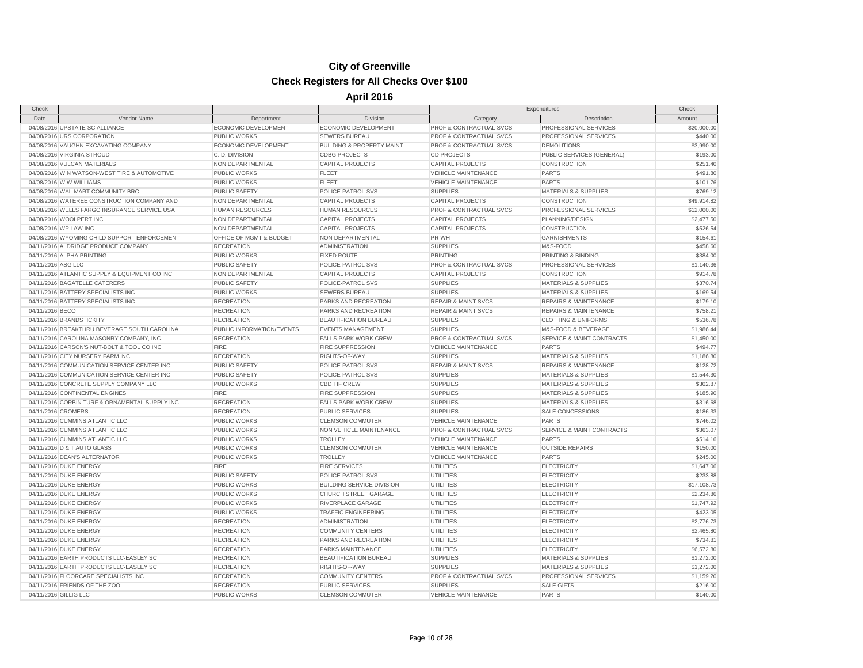| Check                 |                                                |                             |                                      | Expenditures                       |                                      | Check       |
|-----------------------|------------------------------------------------|-----------------------------|--------------------------------------|------------------------------------|--------------------------------------|-------------|
| Date                  | Vendor Name                                    | Department                  | Division                             | Category                           | Description                          | Amount      |
|                       | 04/08/2016 UPSTATE SC ALLIANCE                 | ECONOMIC DEVELOPMENT        | ECONOMIC DEVELOPMENT                 | PROF & CONTRACTUAL SVCS            | PROFESSIONAL SERVICES                | \$20,000.00 |
|                       | 04/08/2016 URS CORPORATION                     | PUBLIC WORKS                | <b>SEWERS BUREAU</b>                 | PROF & CONTRACTUAL SVCS            | PROFESSIONAL SERVICES                | \$440.00    |
|                       | 04/08/2016 VAUGHN EXCAVATING COMPANY           | <b>ECONOMIC DEVELOPMENT</b> | <b>BUILDING &amp; PROPERTY MAINT</b> | <b>PROF &amp; CONTRACTUAL SVCS</b> | <b>DEMOLITIONS</b>                   | \$3,990.00  |
|                       | 04/08/2016 VIRGINIA STROUD                     | C.D. DIVISION               | <b>CDBG PROJECTS</b>                 | <b>CD PROJECTS</b>                 | PUBLIC SERVICES (GENERAL)            | \$193.00    |
|                       | 04/08/2016 VULCAN MATERIALS                    | NON DEPARTMENTAL            | <b>CAPITAL PROJECTS</b>              | <b>CAPITAL PROJECTS</b>            | CONSTRUCTION                         | \$251.40    |
|                       | 04/08/2016 W N WATSON-WEST TIRE & AUTOMOTIVE   | PUBLIC WORKS                | <b>FLEET</b>                         | <b>VEHICLE MAINTENANCE</b>         | <b>PARTS</b>                         | \$491.80    |
|                       | 04/08/2016 W W WILLIAMS                        | PUBLIC WORKS                | <b>FLEET</b>                         | <b>VEHICLE MAINTENANCE</b>         | <b>PARTS</b>                         | \$101.76    |
|                       | 04/08/2016 WAL-MART COMMUNITY BRC              | <b>PUBLIC SAFETY</b>        | POLICE-PATROL SVS                    | <b>SUPPLIES</b>                    | <b>MATERIALS &amp; SUPPLIES</b>      | \$769.12    |
|                       | 04/08/2016 WATEREE CONSTRUCTION COMPANY AND    | NON DEPARTMENTAL            | <b>CAPITAL PROJECTS</b>              | <b>CAPITAL PROJECTS</b>            | CONSTRUCTION                         | \$49,914.82 |
|                       | 04/08/2016 WELLS FARGO INSURANCE SERVICE USA   | <b>HUMAN RESOURCES</b>      | <b>HUMAN RESOURCES</b>               | PROF & CONTRACTUAL SVCS            | PROFESSIONAL SERVICES                | \$12,000.00 |
|                       | 04/08/2016 WOOLPERT INC                        | NON DEPARTMENTAL            | <b>CAPITAL PROJECTS</b>              | <b>CAPITAL PROJECTS</b>            | PLANNING/DESIGN                      | \$2,477.50  |
|                       | 04/08/2016 WP LAW INC                          | NON DEPARTMENTAL            | <b>CAPITAL PROJECTS</b>              | <b>CAPITAL PROJECTS</b>            | CONSTRUCTION                         | \$526.54    |
|                       | 04/08/2016 WYOMING CHILD SUPPORT ENFORCEMENT   | OFFICE OF MGMT & BUDGET     | NON-DEPARTMENTAL                     | PR-WH                              | <b>GARNISHMENTS</b>                  | \$154.61    |
|                       | 04/11/2016 ALDRIDGE PRODUCE COMPANY            | <b>RECREATION</b>           | <b>ADMINISTRATION</b>                | <b>SUPPLIES</b>                    | M&S-FOOD                             | \$458.60    |
|                       | 04/11/2016 ALPHA PRINTING                      | <b>PUBLIC WORKS</b>         | <b>FIXED ROUTE</b>                   | <b>PRINTING</b>                    | PRINTING & BINDING                   | \$384.00    |
| 04/11/2016 ASG LLC    |                                                | PUBLIC SAFETY               | POLICE-PATROL SVS                    | PROF & CONTRACTUAL SVCS            | PROFESSIONAL SERVICES                | \$1,140.36  |
|                       | 04/11/2016 ATLANTIC SUPPLY & EQUIPMENT CO INC  | NON DEPARTMENTAL            | <b>CAPITAL PROJECTS</b>              | <b>CAPITAL PROJECTS</b>            | <b>CONSTRUCTION</b>                  | \$914.78    |
|                       | 04/11/2016 BAGATELLE CATERERS                  | PUBLIC SAFETY               | POLICE-PATROL SVS                    | <b>SUPPLIES</b>                    | <b>MATERIALS &amp; SUPPLIES</b>      | \$370.74    |
|                       | 04/11/2016 BATTERY SPECIALISTS INC             | PUBLIC WORKS                | <b>SEWERS BUREAU</b>                 | <b>SUPPLIES</b>                    | <b>MATERIALS &amp; SUPPLIES</b>      | \$169.54    |
|                       | 04/11/2016 BATTERY SPECIALISTS INC             | <b>RECREATION</b>           | PARKS AND RECREATION                 | <b>REPAIR &amp; MAINT SVCS</b>     | <b>REPAIRS &amp; MAINTENANCE</b>     | \$179.10    |
| 04/11/2016 BECO       |                                                | <b>RECREATION</b>           | PARKS AND RECREATION                 | <b>REPAIR &amp; MAINT SVCS</b>     | <b>REPAIRS &amp; MAINTENANCE</b>     | \$758.21    |
|                       | 04/11/2016 BRANDSTICKITY                       | <b>RECREATION</b>           | BEAUTIFICATION BUREAU                | <b>SUPPLIES</b>                    | <b>CLOTHING &amp; UNIFORMS</b>       | \$536.78    |
|                       | 04/11/2016 BREAKTHRU BEVERAGE SOUTH CAROLINA   | PUBLIC INFORMATION/EVENTS   | <b>EVENTS MANAGEMENT</b>             | <b>SUPPLIES</b>                    | M&S-FOOD & BEVERAGE                  | \$1,986.44  |
|                       | 04/11/2016 CAROLINA MASONRY COMPANY, INC.      |                             |                                      | PROF & CONTRACTUAL SVCS            | <b>SERVICE &amp; MAINT CONTRACTS</b> |             |
|                       |                                                | <b>RECREATION</b>           | <b>FALLS PARK WORK CREW</b>          |                                    |                                      | \$1,450.00  |
|                       | 04/11/2016 CARSON'S NUT-BOLT & TOOL CO INC     | <b>FIRE</b>                 | <b>FIRE SUPPRESSION</b>              | <b>VEHICLE MAINTENANCE</b>         | <b>PARTS</b>                         | \$494.77    |
|                       | 04/11/2016 CITY NURSERY FARM INC               | <b>RECREATION</b>           | RIGHTS-OF-WAY                        | <b>SUPPLIES</b>                    | <b>MATERIALS &amp; SUPPLIES</b>      | \$1,186.80  |
|                       | 04/11/2016 COMMUNICATION SERVICE CENTER INC    | <b>PUBLIC SAFETY</b>        | POLICE-PATROL SVS                    | <b>REPAIR &amp; MAINT SVCS</b>     | <b>REPAIRS &amp; MAINTENANCE</b>     | \$128.72    |
|                       | 04/11/2016 COMMUNICATION SERVICE CENTER INC    | <b>PUBLIC SAFETY</b>        | POLICE-PATROL SVS                    | <b>SUPPLIES</b>                    | <b>MATERIALS &amp; SUPPLIES</b>      | \$1,544.30  |
|                       | 04/11/2016 CONCRETE SUPPLY COMPANY LLC         | PUBLIC WORKS                | <b>CBD TIF CREW</b>                  | <b>SUPPLIES</b>                    | <b>MATERIALS &amp; SUPPLIES</b>      | \$302.87    |
|                       | 04/11/2016 CONTINENTAL ENGINES                 | <b>FIRE</b>                 | <b>FIRE SUPPRESSION</b>              | <b>SUPPLIES</b>                    | <b>MATERIALS &amp; SUPPLIES</b>      | \$185.90    |
|                       | 04/11/2016 CORBIN TURF & ORNAMENTAL SUPPLY INC | <b>RECREATION</b>           | <b>FALLS PARK WORK CREW</b>          | <b>SUPPLIES</b>                    | <b>MATERIALS &amp; SUPPLIES</b>      | \$316.68    |
| 04/11/2016 CROMERS    |                                                | <b>RECREATION</b>           | PUBLIC SERVICES                      | <b>SUPPLIES</b>                    | SALE CONCESSIONS                     | \$186.33    |
|                       | 04/11/2016 CUMMINS ATLANTIC LLC                | <b>PUBLIC WORKS</b>         | <b>CLEMSON COMMUTER</b>              | <b>VEHICLE MAINTENANCE</b>         | <b>PARTS</b>                         | \$746.02    |
|                       | 04/11/2016 CUMMINS ATLANTIC LLC                | PUBLIC WORKS                | NON VEHICLE MAINTENANCE              | PROF & CONTRACTUAL SVCS            | SERVICE & MAINT CONTRACTS            | \$363.07    |
|                       | 04/11/2016 CUMMINS ATLANTIC LLC                | PUBLIC WORKS                | <b>TROLLEY</b>                       | <b>VEHICLE MAINTENANCE</b>         | <b>PARTS</b>                         | \$514.16    |
|                       | 04/11/2016 D & T AUTO GLASS                    | <b>PUBLIC WORKS</b>         | <b>CLEMSON COMMUTER</b>              | <b>VEHICLE MAINTENANCE</b>         | <b>OUTSIDE REPAIRS</b>               | \$150.00    |
|                       | 04/11/2016 DEAN'S ALTERNATOR                   | PUBLIC WORKS                | <b>TROLLEY</b>                       | <b>VEHICLE MAINTENANCE</b>         | <b>PARTS</b>                         | \$245.00    |
|                       | 04/11/2016 DUKE ENERGY                         | <b>FIRE</b>                 | <b>FIRE SERVICES</b>                 | <b>UTILITIES</b>                   | <b>ELECTRICITY</b>                   | \$1,647.06  |
|                       | 04/11/2016 DUKE ENERGY                         | PUBLIC SAFETY               | POLICE-PATROL SVS                    | <b>UTILITIES</b>                   | <b>ELECTRICITY</b>                   | \$233.88    |
|                       | 04/11/2016 DUKE ENERGY                         | <b>PUBLIC WORKS</b>         | <b>BUILDING SERVICE DIVISION</b>     | <b>UTILITIES</b>                   | <b>ELECTRICITY</b>                   | \$17,108.73 |
|                       | 04/11/2016 DUKE ENERGY                         | PUBLIC WORKS                | <b>CHURCH STREET GARAGE</b>          | UTILITIES                          | <b>ELECTRICITY</b>                   | \$2,234.86  |
|                       | 04/11/2016 DUKE ENERGY                         | <b>PUBLIC WORKS</b>         | RIVERPLACE GARAGE                    | <b>UTILITIES</b>                   | <b>ELECTRICITY</b>                   | \$1,747.92  |
|                       | 04/11/2016 DUKE ENERGY                         | PUBLIC WORKS                | <b>TRAFFIC ENGINEERING</b>           | <b>UTILITIES</b>                   | <b>ELECTRICITY</b>                   | \$423.05    |
|                       | 04/11/2016 DUKE ENERGY                         | <b>RECREATION</b>           | <b>ADMINISTRATION</b>                | <b>UTILITIES</b>                   | <b>ELECTRICITY</b>                   | \$2,776.73  |
|                       | 04/11/2016 DUKE ENERGY                         | <b>RECREATION</b>           | <b>COMMUNITY CENTERS</b>             | <b>UTILITIES</b>                   | <b>ELECTRICITY</b>                   | \$2,465.80  |
|                       | 04/11/2016 DUKE ENERGY                         | <b>RECREATION</b>           | PARKS AND RECREATION                 | <b>UTILITIES</b>                   | <b>ELECTRICITY</b>                   | \$734.81    |
|                       | 04/11/2016 DUKE ENERGY                         | <b>RECREATION</b>           | PARKS MAINTENANCE                    | <b>UTILITIES</b>                   | <b>ELECTRICITY</b>                   | \$6,572.80  |
|                       | 04/11/2016 EARTH PRODUCTS LLC-EASLEY SC        | <b>RECREATION</b>           | BEAUTIFICATION BUREAU                | <b>SUPPLIES</b>                    | <b>MATERIALS &amp; SUPPLIES</b>      | \$1,272.00  |
|                       | 04/11/2016 EARTH PRODUCTS LLC-EASLEY SC        | <b>RECREATION</b>           | RIGHTS-OF-WAY                        | <b>SUPPLIES</b>                    | <b>MATERIALS &amp; SUPPLIES</b>      | \$1,272.00  |
|                       | 04/11/2016 FLOORCARE SPECIALISTS INC           | <b>RECREATION</b>           | <b>COMMUNITY CENTERS</b>             | PROF & CONTRACTUAL SVCS            | PROFESSIONAL SERVICES                | \$1,159.20  |
|                       | 04/11/2016 FRIENDS OF THE ZOO                  | <b>RECREATION</b>           | <b>PUBLIC SERVICES</b>               | <b>SUPPLIES</b>                    | <b>SALE GIFTS</b>                    | \$216.00    |
| 04/11/2016 GILLIG LLC |                                                | PUBLIC WORKS                | <b>CLEMSON COMMUTER</b>              | <b>VEHICLE MAINTENANCE</b>         | <b>PARTS</b>                         | \$140.00    |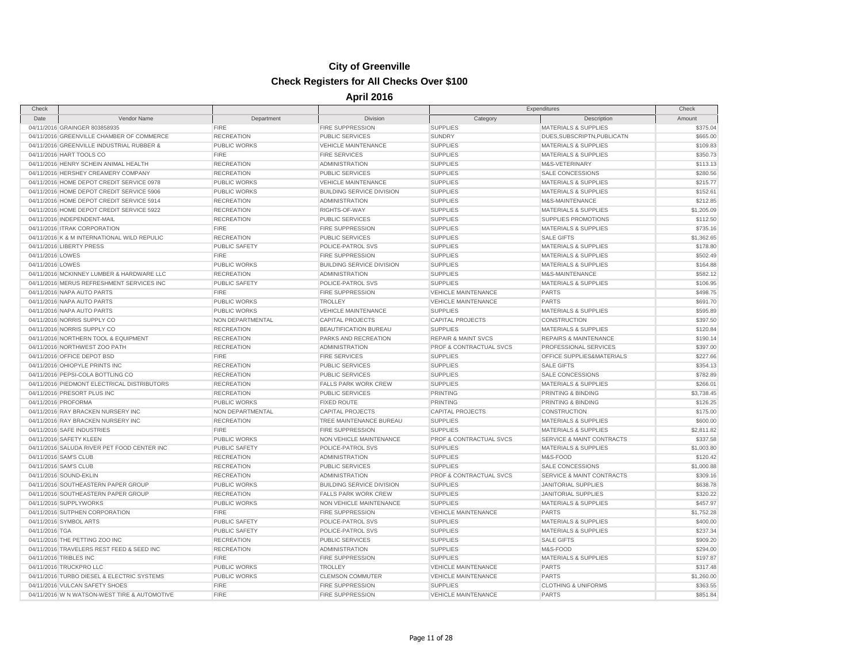| Check            |                                              |                      |                                  |                                    | Expenditures                         | Check      |
|------------------|----------------------------------------------|----------------------|----------------------------------|------------------------------------|--------------------------------------|------------|
| Date             | Vendor Name                                  | Department           | Division                         | Category                           | Description                          | Amount     |
|                  | 04/11/2016 GRAINGER 803858935                | <b>FIRE</b>          | <b>FIRE SUPPRESSION</b>          | <b>SUPPLIES</b>                    | <b>MATERIALS &amp; SUPPLIES</b>      | \$375.04   |
|                  | 04/11/2016 GREENVILLE CHAMBER OF COMMERCE    | <b>RECREATION</b>    | <b>PUBLIC SERVICES</b>           | <b>SUNDRY</b>                      | DUES, SUBSCRIPTN, PUBLICATN          | \$665.00   |
|                  | 04/11/2016 GREENVILLE INDUSTRIAL RUBBER &    | PUBLIC WORKS         | <b>VEHICLE MAINTENANCE</b>       | <b>SUPPLIES</b>                    | <b>MATERIALS &amp; SUPPLIES</b>      | \$109.83   |
|                  | 04/11/2016 HART TOOLS CO                     | <b>FIRE</b>          | <b>FIRE SERVICES</b>             | <b>SUPPLIES</b>                    | <b>MATERIALS &amp; SUPPLIES</b>      | \$350.73   |
|                  | 04/11/2016 HENRY SCHEIN ANIMAL HEALTH        | <b>RECREATION</b>    | <b>ADMINISTRATION</b>            | <b>SUPPLIES</b>                    | M&S-VETERINARY                       | \$113.13   |
|                  | 04/11/2016 HERSHEY CREAMERY COMPANY          | <b>RECREATION</b>    | <b>PUBLIC SERVICES</b>           | <b>SUPPLIES</b>                    | <b>SALE CONCESSIONS</b>              | \$280.56   |
|                  | 04/11/2016 HOME DEPOT CREDIT SERVICE 0978    | <b>PUBLIC WORKS</b>  | <b>VEHICLE MAINTENANCE</b>       | <b>SUPPLIES</b>                    | <b>MATERIALS &amp; SUPPLIES</b>      | \$215.77   |
|                  | 04/11/2016 HOME DEPOT CREDIT SERVICE 5906    | PUBLIC WORKS         | <b>BUILDING SERVICE DIVISION</b> | <b>SUPPLIES</b>                    | <b>MATERIALS &amp; SUPPLIES</b>      | \$152.61   |
|                  | 04/11/2016 HOME DEPOT CREDIT SERVICE 5914    | <b>RECREATION</b>    | <b>ADMINISTRATION</b>            | <b>SUPPLIES</b>                    | M&S-MAINTENANCE                      | \$212.85   |
|                  | 04/11/2016 HOME DEPOT CREDIT SERVICE 5922    | <b>RECREATION</b>    | RIGHTS-OF-WAY                    | <b>SUPPLIES</b>                    | <b>MATERIALS &amp; SUPPLIES</b>      | \$1,205.09 |
|                  | 04/11/2016 INDEPENDENT-MAIL                  | <b>RECREATION</b>    | <b>PUBLIC SERVICES</b>           | <b>SUPPLIES</b>                    | <b>SUPPLIES PROMOTIONS</b>           | \$112.50   |
|                  | 04/11/2016 ITRAK CORPORATION                 | <b>FIRE</b>          | <b>FIRE SUPPRESSION</b>          | <b>SUPPLIES</b>                    | <b>MATERIALS &amp; SUPPLIES</b>      | \$735.16   |
|                  | 04/11/2016 K & M INTERNATIONAL WILD REPULIC  | <b>RECREATION</b>    | <b>PUBLIC SERVICES</b>           | <b>SUPPLIES</b>                    | <b>SALE GIFTS</b>                    | \$1,362.65 |
|                  | 04/11/2016 LIBERTY PRESS                     | <b>PUBLIC SAFETY</b> | POLICE-PATROL SVS                | <b>SUPPLIES</b>                    | <b>MATERIALS &amp; SUPPLIES</b>      | \$178.80   |
| 04/11/2016 LOWES |                                              | <b>FIRE</b>          | <b>FIRE SUPPRESSION</b>          | <b>SUPPLIES</b>                    | <b>MATERIALS &amp; SUPPLIES</b>      | \$502.49   |
| 04/11/2016 LOWES |                                              | PUBLIC WORKS         | <b>BUILDING SERVICE DIVISION</b> | <b>SUPPLIES</b>                    | <b>MATERIALS &amp; SUPPLIES</b>      | \$164.88   |
|                  | 04/11/2016 MCKINNEY LUMBER & HARDWARE LLC    | <b>RECREATION</b>    | <b>ADMINISTRATION</b>            | <b>SUPPLIES</b>                    | M&S-MAINTENANCE                      | \$582.12   |
|                  | 04/11/2016 MERUS REFRESHMENT SERVICES INC    | <b>PUBLIC SAFETY</b> | POLICE-PATROL SVS                | <b>SUPPLIES</b>                    | <b>MATERIALS &amp; SUPPLIES</b>      | \$106.95   |
|                  | 04/11/2016 NAPA AUTO PARTS                   | <b>FIRE</b>          | <b>FIRE SUPPRESSION</b>          | <b>VEHICLE MAINTENANCE</b>         | <b>PARTS</b>                         | \$498.75   |
|                  | 04/11/2016 NAPA AUTO PARTS                   | PUBLIC WORKS         | <b>TROLLEY</b>                   | VEHICLE MAINTENANCE                | <b>PARTS</b>                         | \$691.70   |
|                  | 04/11/2016 NAPA AUTO PARTS                   | PUBLIC WORKS         | VEHICLE MAINTENANCE              | <b>SUPPLIES</b>                    | <b>MATERIALS &amp; SUPPLIES</b>      | \$595.89   |
|                  | 04/11/2016 NORRIS SUPPLY CO                  | NON DEPARTMENTAL     | <b>CAPITAL PROJECTS</b>          | <b>CAPITAL PROJECTS</b>            | CONSTRUCTION                         | \$397.50   |
|                  |                                              |                      |                                  |                                    |                                      |            |
|                  | 04/11/2016 NORRIS SUPPLY CO                  | <b>RECREATION</b>    | BEAUTIFICATION BUREAU            | <b>SUPPLIES</b>                    | <b>MATERIALS &amp; SUPPLIES</b>      | \$120.84   |
|                  | 04/11/2016 NORTHERN TOOL & EQUIPMENT         | <b>RECREATION</b>    | PARKS AND RECREATION             | <b>REPAIR &amp; MAINT SVCS</b>     | <b>REPAIRS &amp; MAINTENANCE</b>     | \$190.14   |
|                  | 04/11/2016 NORTHWEST ZOO PATH                | <b>RECREATION</b>    | <b>ADMINISTRATION</b>            | PROF & CONTRACTUAL SVCS            | PROFESSIONAL SERVICES                | \$397.00   |
|                  | 04/11/2016 OFFICE DEPOT BSD                  | <b>FIRE</b>          | <b>FIRE SERVICES</b>             | <b>SUPPLIES</b>                    | OFFICE SUPPLIES&MATERIALS            | \$227.66   |
|                  | 04/11/2016 OHIOPYLE PRINTS INC               | <b>RECREATION</b>    | <b>PUBLIC SERVICES</b>           | <b>SUPPLIES</b>                    | <b>SALE GIFTS</b>                    | \$354.13   |
|                  | 04/11/2016 PEPSI-COLA BOTTLING CO            | <b>RECREATION</b>    | <b>PUBLIC SERVICES</b>           | <b>SUPPLIES</b>                    | SALE CONCESSIONS                     | \$782.89   |
|                  | 04/11/2016 PIEDMONT ELECTRICAL DISTRIBUTORS  | <b>RECREATION</b>    | <b>FALLS PARK WORK CREW</b>      | <b>SUPPLIES</b>                    | <b>MATERIALS &amp; SUPPLIES</b>      | \$266.01   |
|                  | 04/11/2016 PRESORT PLUS INC                  | <b>RECREATION</b>    | <b>PUBLIC SERVICES</b>           | PRINTING                           | PRINTING & BINDING                   | \$3,738.45 |
|                  | 04/11/2016 PROFORMA                          | PUBLIC WORKS         | <b>FIXED ROUTE</b>               | <b>PRINTING</b>                    | PRINTING & BINDING                   | \$126.25   |
|                  | 04/11/2016 RAY BRACKEN NURSERY INC           | NON DEPARTMENTAL     | <b>CAPITAL PROJECTS</b>          | CAPITAL PROJECTS                   | CONSTRUCTION                         | \$175.00   |
|                  | 04/11/2016 RAY BRACKEN NURSERY INC           | <b>RECREATION</b>    | TREE MAINTENANCE BUREAU          | <b>SUPPLIES</b>                    | <b>MATERIALS &amp; SUPPLIES</b>      | \$600.00   |
|                  | 04/11/2016 SAFE INDUSTRIES                   | <b>FIRE</b>          | <b>FIRE SUPPRESSION</b>          | <b>SUPPLIES</b>                    | <b>MATERIALS &amp; SUPPLIES</b>      | \$2,811.82 |
|                  | 04/11/2016 SAFETY KLEEN                      | PUBLIC WORKS         | NON VEHICLE MAINTENANCE          | <b>PROF &amp; CONTRACTUAL SVCS</b> | <b>SERVICE &amp; MAINT CONTRACTS</b> | \$337.58   |
|                  | 04/11/2016 SALUDA RIVER PET FOOD CENTER INC  | PUBLIC SAFETY        | POLICE-PATROL SVS                | <b>SUPPLIES</b>                    | <b>MATERIALS &amp; SUPPLIES</b>      | \$1,003.80 |
|                  | 04/11/2016 SAM'S CLUB                        | <b>RECREATION</b>    | <b>ADMINISTRATION</b>            | <b>SUPPLIES</b>                    | M&S-FOOD                             | \$120.42   |
|                  | 04/11/2016 SAM'S CLUB                        | <b>RECREATION</b>    | <b>PUBLIC SERVICES</b>           | <b>SUPPLIES</b>                    | SALE CONCESSIONS                     | \$1,000.88 |
|                  | 04/11/2016 SOUND-EKLIN                       | <b>RECREATION</b>    | <b>ADMINISTRATION</b>            | PROF & CONTRACTUAL SVCS            | <b>SERVICE &amp; MAINT CONTRACTS</b> | \$309.16   |
|                  | 04/11/2016 SOUTHEASTERN PAPER GROUP          | PUBLIC WORKS         | <b>BUILDING SERVICE DIVISION</b> | <b>SUPPLIES</b>                    | <b>JANITORIAL SUPPLIES</b>           | \$638.78   |
|                  | 04/11/2016 SOUTHEASTERN PAPER GROUP          | <b>RECREATION</b>    | <b>FALLS PARK WORK CREW</b>      | <b>SUPPLIES</b>                    | <b>JANITORIAL SUPPLIES</b>           | \$320.22   |
|                  | 04/11/2016 SUPPLYWORKS                       | PUBLIC WORKS         | NON VEHICLE MAINTENANCE          | <b>SUPPLIES</b>                    | <b>MATERIALS &amp; SUPPLIES</b>      | \$457.97   |
|                  | 04/11/2016 SUTPHEN CORPORATION               | <b>FIRE</b>          | <b>FIRE SUPPRESSION</b>          | VEHICLE MAINTENANCE                | <b>PARTS</b>                         | \$1,752.28 |
|                  | 04/11/2016 SYMBOL ARTS                       | <b>PUBLIC SAFETY</b> | POLICE-PATROL SVS                | <b>SUPPLIES</b>                    | <b>MATERIALS &amp; SUPPLIES</b>      | \$400.00   |
| 04/11/2016 TGA   |                                              | <b>PUBLIC SAFETY</b> | POLICE-PATROL SVS                | <b>SUPPLIES</b>                    | <b>MATERIALS &amp; SUPPLIES</b>      | \$237.34   |
|                  | 04/11/2016 THE PETTING ZOO INC               | <b>RECREATION</b>    | <b>PUBLIC SERVICES</b>           | <b>SUPPLIES</b>                    | <b>SALE GIFTS</b>                    | \$909.20   |
|                  | 04/11/2016 TRAVELERS REST FEED & SEED INC    | <b>RECREATION</b>    | <b>ADMINISTRATION</b>            | <b>SUPPLIES</b>                    | M&S-FOOD                             | \$294.00   |
|                  | 04/11/2016 TRIBLES INC                       | <b>FIRE</b>          | FIRE SUPPRESSION                 | <b>SUPPLIES</b>                    | <b>MATERIALS &amp; SUPPLIES</b>      | \$197.87   |
|                  | 04/11/2016 TRUCKPRO LLC                      | <b>PUBLIC WORKS</b>  | <b>TROLLEY</b>                   | <b>VEHICLE MAINTENANCE</b>         | <b>PARTS</b>                         | \$317.48   |
|                  | 04/11/2016 TURBO DIESEL & ELECTRIC SYSTEMS   | <b>PUBLIC WORKS</b>  | <b>CLEMSON COMMUTER</b>          | <b>VEHICLE MAINTENANCE</b>         | <b>PARTS</b>                         | \$1,260.00 |
|                  | 04/11/2016 VULCAN SAFETY SHOES               | <b>FIRE</b>          | <b>FIRE SUPPRESSION</b>          | <b>SUPPLIES</b>                    | <b>CLOTHING &amp; UNIFORMS</b>       | \$363.55   |
|                  | 04/11/2016 W N WATSON-WEST TIRE & AUTOMOTIVE | <b>FIRE</b>          | <b>FIRE SUPPRESSION</b>          | <b>VEHICLE MAINTENANCE</b>         | <b>PARTS</b>                         | \$851.84   |
|                  |                                              |                      |                                  |                                    |                                      |            |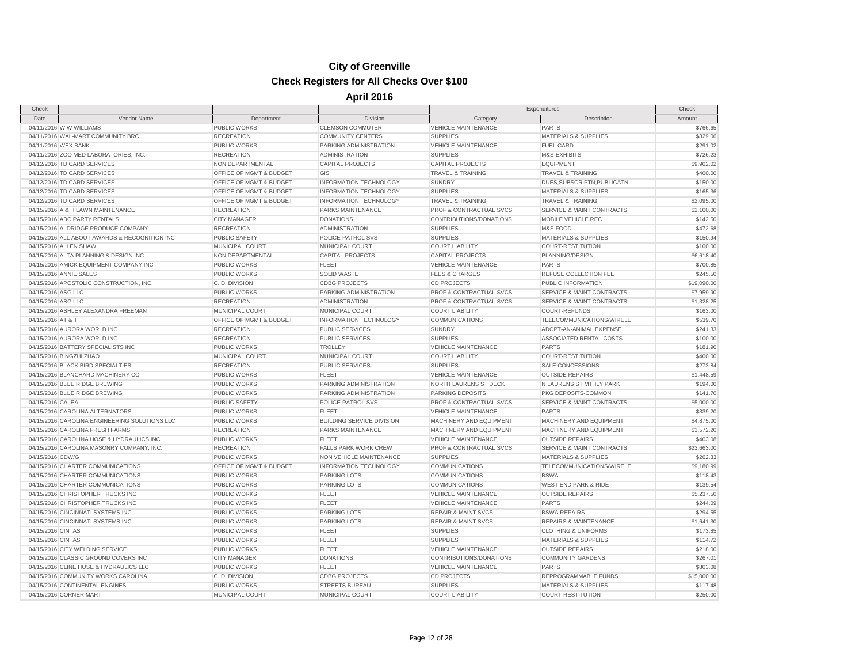| Check               |                                               |                         |                                  |                                | Expenditures                         | Check       |
|---------------------|-----------------------------------------------|-------------------------|----------------------------------|--------------------------------|--------------------------------------|-------------|
| Date                | Vendor Name                                   | Department              | Division                         | Category                       | Description                          | Amount      |
|                     | 04/11/2016 W W WILLIAMS                       | <b>PUBLIC WORKS</b>     | <b>CLEMSON COMMUTER</b>          | <b>VEHICLE MAINTENANCE</b>     | <b>PARTS</b>                         | \$766.65    |
|                     | 04/11/2016 WAL-MART COMMUNITY BRC             | <b>RECREATION</b>       | <b>COMMUNITY CENTERS</b>         | <b>SUPPLIES</b>                | <b>MATERIALS &amp; SUPPLIES</b>      | \$829.06    |
| 04/11/2016 WEX BANK |                                               | PUBLIC WORKS            | PARKING ADMINISTRATION           | <b>VEHICLE MAINTENANCE</b>     | <b>FUEL CARD</b>                     | \$291.02    |
|                     | 04/11/2016 ZOO MED LABORATORIES, INC.         | <b>RECREATION</b>       | <b>ADMINISTRATION</b>            | <b>SUPPLIES</b>                | M&S-EXHIBITS                         | \$726.23    |
|                     | 04/12/2016 TD CARD SERVICES                   | NON DEPARTMENTAL        | <b>CAPITAL PROJECTS</b>          | <b>CAPITAL PROJECTS</b>        | <b>EQUIPMENT</b>                     | \$9,902.02  |
|                     | 04/12/2016 TD CARD SERVICES                   | OFFICE OF MGMT & BUDGET | GIS                              | <b>TRAVEL &amp; TRAINING</b>   | <b>TRAVEL &amp; TRAINING</b>         | \$400.00    |
|                     | 04/12/2016 TD CARD SERVICES                   | OFFICE OF MGMT & BUDGET | <b>INFORMATION TECHNOLOGY</b>    | <b>SUNDRY</b>                  | DUES, SUBSCRIPTN, PUBLICATN          | \$150.00    |
|                     | 04/12/2016 TD CARD SERVICES                   | OFFICE OF MGMT & BUDGET | INFORMATION TECHNOLOGY           | <b>SUPPLIES</b>                | <b>MATERIALS &amp; SUPPLIES</b>      | \$165.36    |
|                     | 04/12/2016 TD CARD SERVICES                   | OFFICE OF MGMT & BUDGET | <b>INFORMATION TECHNOLOGY</b>    | TRAVEL & TRAINING              | <b>TRAVEL &amp; TRAINING</b>         | \$2,095.00  |
|                     | 04/15/2016 A & H LAWN MAINTENANCE             | <b>RECREATION</b>       | PARKS MAINTENANCE                | PROF & CONTRACTUAL SVCS        | <b>SERVICE &amp; MAINT CONTRACTS</b> | \$2,100.00  |
|                     | 04/15/2016 ABC PARTY RENTALS                  | <b>CITY MANAGER</b>     | <b>DONATIONS</b>                 | CONTRIBUTIONS/DONATIONS        | MOBILE VEHICLE REC                   | \$142.50    |
|                     | 04/15/2016 ALDRIDGE PRODUCE COMPANY           | <b>RECREATION</b>       | <b>ADMINISTRATION</b>            | <b>SUPPLIES</b>                | M&S-FOOD                             | \$472.68    |
|                     | 04/15/2016 ALL ABOUT AWARDS & RECOGNITION INC | PUBLIC SAFETY           | POLICE-PATROL SVS                | <b>SUPPLIES</b>                | <b>MATERIALS &amp; SUPPLIES</b>      | \$150.94    |
|                     | 04/15/2016 ALLEN SHAW                         | MUNICIPAL COURT         | MUNICIPAL COURT                  | <b>COURT LIABILITY</b>         | <b>COURT-RESTITUTION</b>             | \$100.00    |
|                     | 04/15/2016 ALTA PLANNING & DESIGN INC         | NON DEPARTMENTAL        | <b>CAPITAL PROJECTS</b>          | <b>CAPITAL PROJECTS</b>        | PLANNING/DESIGN                      | \$6,618.40  |
|                     | 04/15/2016 AMICK EQUIPMENT COMPANY INC        | <b>PUBLIC WORKS</b>     | <b>FLEET</b>                     | <b>VEHICLE MAINTENANCE</b>     | <b>PARTS</b>                         | \$700.85    |
|                     | 04/15/2016 ANNIE SALES                        | PUBLIC WORKS            | <b>SOLID WASTE</b>               | <b>FEES &amp; CHARGES</b>      | REFUSE COLLECTION FEE                | \$245.50    |
|                     | 04/15/2016 APOSTOLIC CONSTRUCTION, INC.       | C. D. DIVISION          | <b>CDBG PROJECTS</b>             | <b>CD PROJECTS</b>             | PUBLIC INFORMATION                   | \$19,090.00 |
| 04/15/2016 ASG LLC  |                                               | PUBLIC WORKS            | PARKING ADMINISTRATION           | PROF & CONTRACTUAL SVCS        | SERVICE & MAINT CONTRACTS            | \$7,959.90  |
| 04/15/2016 ASG LLC  |                                               | <b>RECREATION</b>       | <b>ADMINISTRATION</b>            | PROF & CONTRACTUAL SVCS        | <b>SERVICE &amp; MAINT CONTRACTS</b> | \$1,328.25  |
|                     | 04/15/2016 ASHLEY ALEXANDRA FREEMAN           | MUNICIPAL COURT         | MUNICIPAL COURT                  | <b>COURT LIABILITY</b>         | <b>COURT-REFUNDS</b>                 | \$163.00    |
| 04/15/2016 AT & T   |                                               | OFFICE OF MGMT & BUDGET | INFORMATION TECHNOLOGY           | <b>COMMUNICATIONS</b>          | TELECOMMUNICATIONS/WIRELE            | \$539.70    |
|                     | 04/15/2016 AURORA WORLD INC                   | <b>RECREATION</b>       | <b>PUBLIC SERVICES</b>           | <b>SUNDRY</b>                  | ADOPT-AN-ANIMAL EXPENSE              | \$241.33    |
|                     | 04/15/2016 AURORA WORLD INC                   | <b>RECREATION</b>       | <b>PUBLIC SERVICES</b>           | <b>SUPPLIES</b>                | ASSOCIATED RENTAL COSTS              | \$100.00    |
|                     | 04/15/2016 BATTERY SPECIALISTS INC            | <b>PUBLIC WORKS</b>     | <b>TROLLEY</b>                   | <b>VEHICLE MAINTENANCE</b>     | <b>PARTS</b>                         | \$181.90    |
|                     | 04/15/2016 BINGZHI ZHAO                       | MUNICIPAL COURT         | MUNICIPAL COURT                  | <b>COURT LIABILITY</b>         | <b>COURT-RESTITUTION</b>             | \$400.00    |
|                     | 04/15/2016 BLACK BIRD SPECIALTIES             | <b>RECREATION</b>       | <b>PUBLIC SERVICES</b>           | <b>SUPPLIES</b>                | SALE CONCESSIONS                     | \$273.84    |
|                     | 04/15/2016 BLANCHARD MACHINERY CO             | PUBLIC WORKS            | <b>FLEET</b>                     | <b>VEHICLE MAINTENANCE</b>     | <b>OUTSIDE REPAIRS</b>               | \$1,448.59  |
|                     | 04/15/2016 BLUE RIDGE BREWING                 | PUBLIC WORKS            | PARKING ADMINISTRATION           | NORTH LAURENS ST DECK          | N LAURENS ST MTHLY PARK              | \$194.00    |
|                     | 04/15/2016 BLUE RIDGE BREWING                 | <b>PUBLIC WORKS</b>     | PARKING ADMINISTRATION           | <b>PARKING DEPOSITS</b>        | PKG DEPOSITS-COMMON                  | \$141.70    |
| 04/15/2016 CALEA    |                                               | PUBLIC SAFETY           | POLICE-PATROL SVS                | PROF & CONTRACTUAL SVCS        | <b>SERVICE &amp; MAINT CONTRACTS</b> | \$5,000.00  |
|                     | 04/15/2016 CAROLINA ALTERNATORS               | <b>PUBLIC WORKS</b>     | <b>FLEET</b>                     | <b>VEHICLE MAINTENANCE</b>     | <b>PARTS</b>                         | \$339.20    |
|                     | 04/15/2016 CAROLINA ENGINEERING SOLUTIONS LLC | PUBLIC WORKS            | <b>BUILDING SERVICE DIVISION</b> | MACHINERY AND EQUIPMENT        | MACHINERY AND EQUIPMENT              | \$4,875.00  |
|                     | 04/15/2016 CAROLINA FRESH FARMS               | <b>RECREATION</b>       | <b>PARKS MAINTENANCE</b>         | MACHINERY AND EQUIPMENT        | MACHINERY AND EQUIPMENT              | \$3,572.20  |
|                     | 04/15/2016 CAROLINA HOSE & HYDRAULICS INC     | PUBLIC WORKS            | <b>FLEET</b>                     | <b>VEHICLE MAINTENANCE</b>     | <b>OUTSIDE REPAIRS</b>               | \$403.08    |
|                     | 04/15/2016 CAROLINA MASONRY COMPANY, INC.     | <b>RECREATION</b>       | <b>FALLS PARK WORK CREW</b>      | PROF & CONTRACTUAL SVCS        | <b>SERVICE &amp; MAINT CONTRACTS</b> | \$23,663.00 |
| 04/15/2016 CDW/G    |                                               | <b>PUBLIC WORKS</b>     | NON VEHICLE MAINTENANCE          | <b>SUPPLIES</b>                | <b>MATERIALS &amp; SUPPLIES</b>      | \$262.33    |
|                     | 04/15/2016 CHARTER COMMUNICATIONS             | OFFICE OF MGMT & BUDGET | <b>INFORMATION TECHNOLOGY</b>    | COMMUNICATIONS                 | TELECOMMUNICATIONS/WIRELE            | \$9,180.99  |
|                     | 04/15/2016 CHARTER COMMUNICATIONS             | <b>PUBLIC WORKS</b>     | <b>PARKING LOTS</b>              | <b>COMMUNICATIONS</b>          | <b>BSWA</b>                          | \$118.43    |
|                     | 04/15/2016 CHARTER COMMUNICATIONS             | PUBLIC WORKS            | <b>PARKING LOTS</b>              | <b>COMMUNICATIONS</b>          | <b>WEST END PARK &amp; RIDE</b>      | \$139.54    |
|                     | 04/15/2016 CHRISTOPHER TRUCKS INC             | PUBLIC WORKS            | <b>FLEET</b>                     | <b>VEHICLE MAINTENANCE</b>     | <b>OUTSIDE REPAIRS</b>               | \$5,237.50  |
|                     | 04/15/2016 CHRISTOPHER TRUCKS INC             | PUBLIC WORKS            | FLEET                            | <b>VEHICLE MAINTENANCE</b>     | <b>PARTS</b>                         | \$244.09    |
|                     | 04/15/2016 CINCINNATI SYSTEMS INC             | PUBLIC WORKS            | <b>PARKING LOTS</b>              | <b>REPAIR &amp; MAINT SVCS</b> | <b>BSWA REPAIRS</b>                  | \$294.55    |
|                     | 04/15/2016 CINCINNATI SYSTEMS INC             | PUBLIC WORKS            | <b>PARKING LOTS</b>              | <b>REPAIR &amp; MAINT SVCS</b> | <b>REPAIRS &amp; MAINTENANCE</b>     | \$1,641.30  |
| 04/15/2016 CINTAS   |                                               | PUBLIC WORKS            | <b>FLEET</b>                     | <b>SUPPLIES</b>                | <b>CLOTHING &amp; UNIFORMS</b>       | \$173.85    |
| 04/15/2016 CINTAS   |                                               | <b>PUBLIC WORKS</b>     | <b>FLEET</b>                     | <b>SUPPLIES</b>                | <b>MATERIALS &amp; SUPPLIES</b>      | \$114.72    |
|                     | 04/15/2016 CITY WELDING SERVICE               | PUBLIC WORKS            | <b>FLEET</b>                     | <b>VEHICLE MAINTENANCE</b>     | <b>OUTSIDE REPAIRS</b>               | \$218.00    |
|                     | 04/15/2016 CLASSIC GROUND COVERS INC          | <b>CITY MANAGER</b>     | <b>DONATIONS</b>                 | CONTRIBUTIONS/DONATIONS        | <b>COMMUNITY GARDENS</b>             | \$267.01    |
|                     | 04/15/2016 CLINE HOSE & HYDRAULICS LLC        | <b>PUBLIC WORKS</b>     | <b>FLEET</b>                     | <b>VEHICLE MAINTENANCE</b>     | <b>PARTS</b>                         | \$803.08    |
|                     | 04/15/2016 COMMUNITY WORKS CAROLINA           | C. D. DIVISION          | <b>CDBG PROJECTS</b>             | <b>CD PROJECTS</b>             | REPROGRAMMABLE FUNDS                 | \$15,000.00 |
|                     | 04/15/2016 CONTINENTAL ENGINES                | <b>PUBLIC WORKS</b>     | STREETS BUREAU                   | <b>SUPPLIES</b>                | <b>MATERIALS &amp; SUPPLIES</b>      | \$117.48    |
|                     | 04/15/2016 CORNER MART                        | MUNICIPAL COURT         | MUNICIPAL COURT                  | <b>COURT LIABILITY</b>         | COURT-RESTITUTION                    | \$250.00    |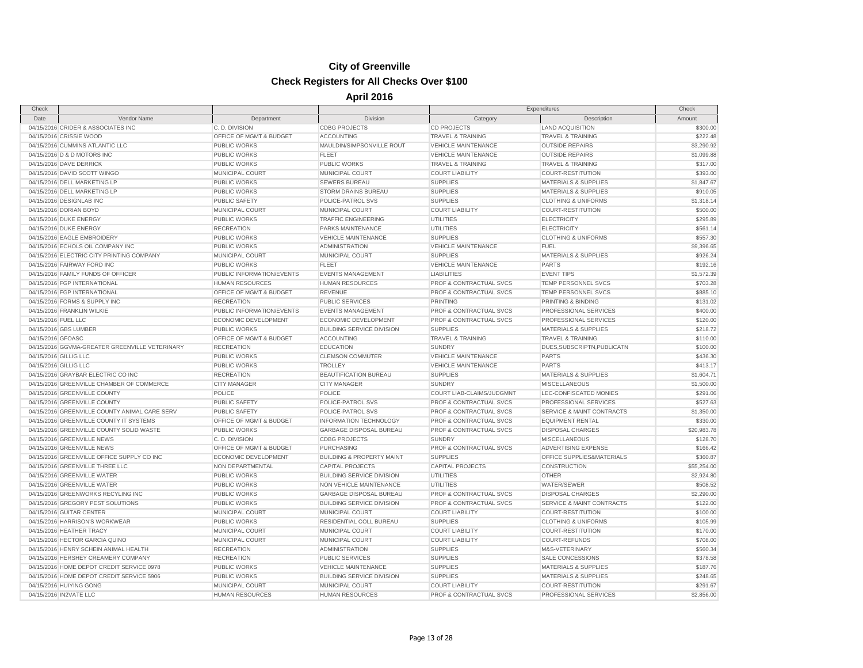| Check               |                                                |                           |                                      |                                             | Expenditures                         | Check       |
|---------------------|------------------------------------------------|---------------------------|--------------------------------------|---------------------------------------------|--------------------------------------|-------------|
| Date                | Vendor Name                                    | Department                | Division                             | Category                                    | Description                          | Amount      |
|                     | 04/15/2016 CRIDER & ASSOCIATES INC             | C. D. DIVISION            | <b>CDBG PROJECTS</b>                 | <b>CD PROJECTS</b>                          | <b>LAND ACQUISITION</b>              | \$300.00    |
|                     | 04/15/2016 CRISSIE WOOD                        | OFFICE OF MGMT & BUDGET   | <b>ACCOUNTING</b>                    | <b>TRAVEL &amp; TRAINING</b>                | <b>TRAVEL &amp; TRAINING</b>         | \$222.48    |
|                     | 04/15/2016 CUMMINS ATLANTIC LLC                | PUBLIC WORKS              | MAULDIN/SIMPSONVILLE ROUT            | <b>VEHICLE MAINTENANCE</b>                  | <b>OUTSIDE REPAIRS</b>               | \$3,290.92  |
|                     | 04/15/2016 D & D MOTORS INC                    | <b>PUBLIC WORKS</b>       | <b>FLEET</b>                         | <b>VEHICLE MAINTENANCE</b>                  | <b>OUTSIDE REPAIRS</b>               | \$1,099.88  |
|                     | 04/15/2016 DAVE DERRICK                        | PUBLIC WORKS              | <b>PUBLIC WORKS</b>                  | <b>TRAVEL &amp; TRAINING</b>                | <b>TRAVEL &amp; TRAINING</b>         | \$317.00    |
|                     | 04/15/2016 DAVID SCOTT WINGO                   | <b>MUNICIPAL COURT</b>    | MUNICIPAL COURT                      | <b>COURT LIABILITY</b>                      | <b>COURT-RESTITUTION</b>             | \$393.00    |
|                     | 04/15/2016 DELL MARKETING LP                   | PUBLIC WORKS              | <b>SEWERS BUREAU</b>                 | <b>SUPPLIES</b>                             | <b>MATERIALS &amp; SUPPLIES</b>      | \$1,847.67  |
|                     | 04/15/2016 DELL MARKETING LP                   | <b>PUBLIC WORKS</b>       | STORM DRAINS BUREAU                  | <b>SUPPLIES</b>                             | <b>MATERIALS &amp; SUPPLIES</b>      | \$910.05    |
|                     | 04/15/2016 DESIGNLAB INC                       | PUBLIC SAFETY             | POLICE-PATROL SVS                    | <b>SUPPLIES</b>                             | <b>CLOTHING &amp; UNIFORMS</b>       | \$1,318.14  |
|                     | 04/15/2016 DORIAN BOYD                         | MUNICIPAL COURT           | MUNICIPAL COURT                      | <b>COURT LIABILITY</b>                      | <b>COURT-RESTITUTION</b>             | \$500.00    |
|                     | 04/15/2016 DUKE ENERGY                         | <b>PUBLIC WORKS</b>       | <b>TRAFFIC ENGINEERING</b>           | <b>UTILITIES</b>                            | <b>ELECTRICITY</b>                   | \$295.89    |
|                     | 04/15/2016 DUKE ENERGY                         | <b>RECREATION</b>         | PARKS MAINTENANCE                    | <b>UTILITIES</b>                            | <b>ELECTRICITY</b>                   | \$561.14    |
|                     | 04/15/2016 EAGLE EMBROIDERY                    | PUBLIC WORKS              | <b>VEHICLE MAINTENANCE</b>           | <b>SUPPLIES</b>                             | <b>CLOTHING &amp; UNIFORMS</b>       | \$557.30    |
|                     | 04/15/2016 ECHOLS OIL COMPANY INC              | PUBLIC WORKS              | <b>ADMINISTRATION</b>                | <b>VEHICLE MAINTENANCE</b>                  | <b>FUEL</b>                          | \$9,396.65  |
|                     | 04/15/2016 ELECTRIC CITY PRINTING COMPANY      | MUNICIPAL COURT           | MUNICIPAL COURT                      | <b>SUPPLIES</b>                             | <b>MATERIALS &amp; SUPPLIES</b>      | \$926.24    |
|                     | 04/15/2016 FAIRWAY FORD INC                    | <b>PUBLIC WORKS</b>       | <b>FLEET</b>                         | <b>VEHICLE MAINTENANCE</b>                  | <b>PARTS</b>                         | \$192.16    |
|                     | 04/15/2016 FAMILY FUNDS OF OFFICER             | PUBLIC INFORMATION/EVENTS | <b>EVENTS MANAGEMENT</b>             | <b>LIABILITIES</b>                          | <b>EVENT TIPS</b>                    | \$1,572.39  |
|                     | 04/15/2016 FGP INTERNATIONAL                   | <b>HUMAN RESOURCES</b>    | <b>HUMAN RESOURCES</b>               | PROF & CONTRACTUAL SVCS                     | TEMP PERSONNEL SVCS                  | \$703.28    |
|                     | 04/15/2016 FGP INTERNATIONAL                   | OFFICE OF MGMT & BUDGET   | <b>REVENUE</b>                       | PROF & CONTRACTUAL SVCS                     | TEMP PERSONNEL SVCS                  | \$885.10    |
|                     | 04/15/2016 FORMS & SUPPLY INC                  | <b>RECREATION</b>         | <b>PUBLIC SERVICES</b>               | <b>PRINTING</b>                             | PRINTING & BINDING                   | \$131.02    |
|                     | 04/15/2016 FRANKLIN WILKIE                     | PUBLIC INFORMATION/EVENTS | <b>EVENTS MANAGEMENT</b>             | PROF & CONTRACTUAL SVCS                     | PROFESSIONAL SERVICES                | \$400.00    |
| 04/15/2016 FUEL LLC |                                                | ECONOMIC DEVELOPMENT      | ECONOMIC DEVELOPMENT                 | PROF & CONTRACTUAL SVCS                     | PROFESSIONAL SERVICES                | \$120.00    |
|                     | 04/15/2016 GBS LUMBER                          | <b>PUBLIC WORKS</b>       | <b>BUILDING SERVICE DIVISION</b>     | <b>SUPPLIES</b>                             | MATERIALS & SUPPLIES                 | \$218.72    |
| 04/15/2016 GFOASC   |                                                | OFFICE OF MGMT & BUDGET   | <b>ACCOUNTING</b>                    | <b>TRAVEL &amp; TRAINING</b>                | <b>TRAVEL &amp; TRAINING</b>         | \$110.00    |
|                     |                                                |                           |                                      |                                             |                                      |             |
|                     | 04/15/2016 GGVMA-GREATER GREENVILLE VETERINARY | <b>RECREATION</b>         | <b>EDUCATION</b>                     | <b>SUNDRY</b><br><b>VEHICLE MAINTENANCE</b> | DUES, SUBSCRIPTN, PUBLICATN          | \$100.00    |
|                     | 04/15/2016 GILLIG LLC                          | PUBLIC WORKS              | <b>CLEMSON COMMUTER</b>              |                                             | <b>PARTS</b><br><b>PARTS</b>         | \$436.30    |
|                     | 04/15/2016 GILLIG LLC                          | <b>PUBLIC WORKS</b>       | <b>TROLLEY</b>                       | <b>VEHICLE MAINTENANCE</b>                  |                                      | \$413.17    |
|                     | 04/15/2016 GRAYBAR ELECTRIC CO INC             | <b>RECREATION</b>         | BEAUTIFICATION BUREAU                | <b>SUPPLIES</b>                             | <b>MATERIALS &amp; SUPPLIES</b>      | \$1,604.71  |
|                     | 04/15/2016 GREENVILLE CHAMBER OF COMMERCE      | <b>CITY MANAGER</b>       | <b>CITY MANAGER</b>                  | <b>SUNDRY</b>                               | <b>MISCELLANEOUS</b>                 | \$1,500.00  |
|                     | 04/15/2016 GREENVILLE COUNTY                   | POLICE                    | POLICE                               | COURT LIAB-CLAIMS/JUDGMNT                   | LEC-CONFISCATED MONIES               | \$291.06    |
|                     | 04/15/2016 GREENVILLE COUNTY                   | <b>PUBLIC SAFETY</b>      | POLICE-PATROL SVS                    | PROF & CONTRACTUAL SVCS                     | PROFESSIONAL SERVICES                | \$527.63    |
|                     | 04/15/2016 GREENVILLE COUNTY ANIMAL CARE SERV  | <b>PUBLIC SAFETY</b>      | POLICE-PATROL SVS                    | PROF & CONTRACTUAL SVCS                     | <b>SERVICE &amp; MAINT CONTRACTS</b> | \$1,350.00  |
|                     | 04/15/2016 GREENVILLE COUNTY IT SYSTEMS        | OFFICE OF MGMT & BUDGET   | <b>INFORMATION TECHNOLOGY</b>        | <b>PROF &amp; CONTRACTUAL SVCS</b>          | <b>EQUIPMENT RENTAL</b>              | \$330.00    |
|                     | 04/15/2016 GREENVILLE COUNTY SOLID WASTE       | <b>PUBLIC WORKS</b>       | <b>GARBAGE DISPOSAL BUREAU</b>       | PROF & CONTRACTUAL SVCS                     | <b>DISPOSAL CHARGES</b>              | \$20,983.78 |
|                     | 04/15/2016 GREENVILLE NEWS                     | C. D. DIVISION            | <b>CDBG PROJECTS</b>                 | <b>SUNDRY</b>                               | MISCELLANEOUS                        | \$128.70    |
|                     | 04/15/2016 GREENVILLE NEWS                     | OFFICE OF MGMT & BUDGET   | PURCHASING                           | <b>PROF &amp; CONTRACTUAL SVCS</b>          | <b>ADVERTISING EXPENSE</b>           | \$166.42    |
|                     | 04/15/2016 GREENVILLE OFFICE SUPPLY CO INC     | ECONOMIC DEVELOPMENT      | <b>BUILDING &amp; PROPERTY MAINT</b> | <b>SUPPLIES</b>                             | OFFICE SUPPLIES&MATERIALS            | \$360.87    |
|                     | 04/15/2016 GREENVILLE THREE LLC                | NON DEPARTMENTAL          | <b>CAPITAL PROJECTS</b>              | <b>CAPITAL PROJECTS</b>                     | CONSTRUCTION                         | \$55,254.00 |
|                     | 04/15/2016 GREENVILLE WATER                    | PUBLIC WORKS              | <b>BUILDING SERVICE DIVISION</b>     | UTILITIES                                   | <b>OTHER</b>                         | \$2,924.80  |
|                     | 04/15/2016 GREENVILLE WATER                    | PUBLIC WORKS              | NON VEHICLE MAINTENANCE              | UTILITIES                                   | WATER/SEWER                          | \$508.52    |
|                     | 04/15/2016 GREENWORKS RECYLING INC             | <b>PUBLIC WORKS</b>       | <b>GARBAGE DISPOSAL BUREAU</b>       | <b>PROF &amp; CONTRACTUAL SVCS</b>          | <b>DISPOSAL CHARGES</b>              | \$2,290.00  |
|                     | 04/15/2016 GREGORY PEST SOLUTIONS              | PUBLIC WORKS              | <b>BUILDING SERVICE DIVISION</b>     | PROF & CONTRACTUAL SVCS                     | <b>SERVICE &amp; MAINT CONTRACTS</b> | \$122.00    |
|                     | 04/15/2016 GUITAR CENTER                       | MUNICIPAL COURT           | MUNICIPAL COURT                      | <b>COURT LIABILITY</b>                      | <b>COURT-RESTITUTION</b>             | \$100.00    |
|                     | 04/15/2016 HARRISON'S WORKWEAR                 | PUBLIC WORKS              | RESIDENTIAL COLL BUREAU              | <b>SUPPLIES</b>                             | <b>CLOTHING &amp; UNIFORMS</b>       | \$105.99    |
|                     | 04/15/2016 HEATHER TRACY                       | MUNICIPAL COURT           | MUNICIPAL COURT                      | <b>COURT LIABILITY</b>                      | <b>COURT-RESTITUTION</b>             | \$170.00    |
|                     | 04/15/2016 HECTOR GARCIA QUINO                 | MUNICIPAL COURT           | MUNICIPAL COURT                      | <b>COURT LIABILITY</b>                      | <b>COURT-REFUNDS</b>                 | \$708.00    |
|                     | 04/15/2016 HENRY SCHEIN ANIMAL HEALTH          | <b>RECREATION</b>         | <b>ADMINISTRATION</b>                | <b>SUPPLIES</b>                             | M&S-VETERINARY                       | \$560.34    |
|                     | 04/15/2016 HERSHEY CREAMERY COMPANY            | <b>RECREATION</b>         | <b>PUBLIC SERVICES</b>               | <b>SUPPLIES</b>                             | SALE CONCESSIONS                     | \$378.58    |
|                     | 04/15/2016 HOME DEPOT CREDIT SERVICE 0978      | PUBLIC WORKS              | <b>VEHICLE MAINTENANCE</b>           | <b>SUPPLIES</b>                             | <b>MATERIALS &amp; SUPPLIES</b>      | \$187.76    |
|                     | 04/15/2016 HOME DEPOT CREDIT SERVICE 5906      | PUBLIC WORKS              | <b>BUILDING SERVICE DIVISION</b>     | <b>SUPPLIES</b>                             | <b>MATERIALS &amp; SUPPLIES</b>      | \$248.65    |
|                     | 04/15/2016 HUIYING GONG                        | MUNICIPAL COURT           | MUNICIPAL COURT                      | <b>COURT LIABILITY</b>                      | <b>COURT-RESTITUTION</b>             | \$291.67    |
|                     | 04/15/2016 IN2VATE LLC                         | <b>HUMAN RESOURCES</b>    | <b>HUMAN RESOURCES</b>               | <b>PROF &amp; CONTRACTUAL SVCS</b>          | PROFESSIONAL SERVICES                | \$2,856.00  |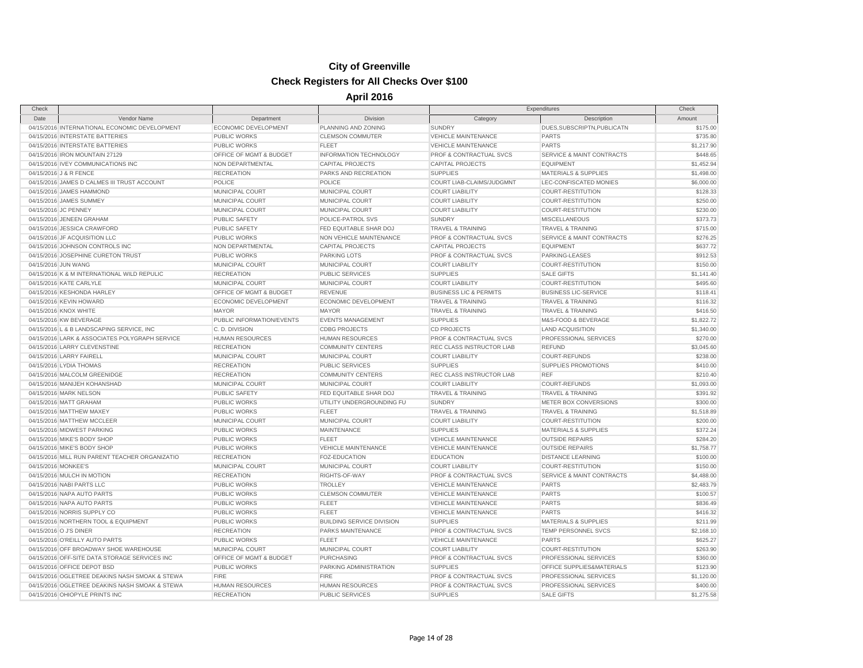| Check                |                                                    |                                            |                                           | Expenditures                                  |                                      | Check                |
|----------------------|----------------------------------------------------|--------------------------------------------|-------------------------------------------|-----------------------------------------------|--------------------------------------|----------------------|
| Date                 | Vendor Name                                        | Department                                 | Division                                  | Category                                      | Description                          | Amount               |
|                      | 04/15/2016 INTERNATIONAL ECONOMIC DEVELOPMENT      | ECONOMIC DEVELOPMENT                       | PLANNING AND ZONING                       | <b>SUNDRY</b>                                 | DUES, SUBSCRIPTN, PUBLICATN          | \$175.00             |
|                      | 04/15/2016 INTERSTATE BATTERIES                    | <b>PUBLIC WORKS</b>                        | <b>CLEMSON COMMUTER</b>                   | <b>VEHICLE MAINTENANCE</b>                    | <b>PARTS</b>                         | \$735.80             |
|                      | 04/15/2016 INTERSTATE BATTERIES                    | <b>PUBLIC WORKS</b>                        | <b>FLEET</b>                              | <b>VEHICLE MAINTENANCE</b>                    | <b>PARTS</b>                         | \$1,217.90           |
|                      | 04/15/2016 IRON MOUNTAIN 27129                     | OFFICE OF MGMT & BUDGET                    | INFORMATION TECHNOLOGY                    | PROF & CONTRACTUAL SVCS                       | SERVICE & MAINT CONTRACTS            | \$448.65             |
|                      | 04/15/2016 IVEY COMMUNICATIONS INC                 | NON DEPARTMENTAL                           | <b>CAPITAL PROJECTS</b>                   | <b>CAPITAL PROJECTS</b>                       | <b>EQUIPMENT</b>                     | \$1,452.94           |
|                      | 04/15/2016 J & R FENCE                             | <b>RECREATION</b>                          | PARKS AND RECREATION                      | <b>SUPPLIES</b>                               | <b>MATERIALS &amp; SUPPLIES</b>      | \$1,498.00           |
|                      | 04/15/2016 JAMES D CALMES III TRUST ACCOUNT        | POLICE                                     | POLICE                                    | COURT LIAB-CLAIMS/JUDGMNT                     | LEC-CONFISCATED MONIES               | \$6,000.00           |
|                      | 04/15/2016 JAMES HAMMOND                           | MUNICIPAL COURT                            | MUNICIPAL COURT                           | <b>COURT LIABILITY</b>                        | <b>COURT-RESTITUTION</b>             | \$128.33             |
|                      | 04/15/2016 JAMES SUMMEY                            | MUNICIPAL COURT                            | MUNICIPAL COURT                           | <b>COURT LIABILITY</b>                        | <b>COURT-RESTITUTION</b>             | \$250.00             |
| 04/15/2016 JC PENNEY |                                                    | MUNICIPAL COURT                            | MUNICIPAL COURT                           | <b>COURT LIABILITY</b>                        | <b>COURT-RESTITUTION</b>             | \$230.00             |
|                      | 04/15/2016 JENEEN GRAHAM                           | <b>PUBLIC SAFETY</b>                       | POLICE-PATROL SVS                         | <b>SUNDRY</b>                                 | <b>MISCELLANEOUS</b>                 | \$373.73             |
|                      | 04/15/2016 JESSICA CRAWFORD                        | <b>PUBLIC SAFETY</b>                       | FED EQUITABLE SHAR DOJ                    | <b>TRAVEL &amp; TRAINING</b>                  | <b>TRAVEL &amp; TRAINING</b>         | \$715.00             |
|                      | 04/15/2016 JF ACQUISITION LLC                      | <b>PUBLIC WORKS</b>                        | NON VEHICLE MAINTENANCE                   | PROF & CONTRACTUAL SVCS                       | SERVICE & MAINT CONTRACTS            | \$276.25             |
|                      | 04/15/2016 JOHNSON CONTROLS INC                    | NON DEPARTMENTAL                           | <b>CAPITAL PROJECTS</b>                   | <b>CAPITAL PROJECTS</b>                       | <b>EQUIPMENT</b>                     | \$637.72             |
|                      | 04/15/2016 JOSEPHINE CURETON TRUST                 | <b>PUBLIC WORKS</b>                        | <b>PARKING LOTS</b>                       | PROF & CONTRACTUAL SVCS                       | PARKING-LEASES                       | \$912.53             |
| 04/15/2016 JUN WANG  |                                                    | MUNICIPAL COURT                            | MUNICIPAL COURT                           | <b>COURT LIABILITY</b>                        | COURT-RESTITUTION                    | \$150.00             |
|                      | 04/15/2016 K & M INTERNATIONAL WILD REPULIC        | <b>RECREATION</b>                          | <b>PUBLIC SERVICES</b>                    | <b>SUPPLIES</b>                               | <b>SALE GIFTS</b>                    | \$1,141.40           |
|                      | 04/15/2016 KATE CARLYLE                            | MUNICIPAL COURT                            | MUNICIPAL COURT                           | <b>COURT LIABILITY</b>                        | COURT-RESTITUTION                    | \$495.60             |
|                      | 04/15/2016 KESHONDA HARLEY                         | OFFICE OF MGMT & BUDGET                    | <b>REVENUE</b>                            | <b>BUSINESS LIC &amp; PERMITS</b>             | <b>BUSINESS LIC-SERVICE</b>          | \$118.41             |
|                      | 04/15/2016 KEVIN HOWARD                            | <b>ECONOMIC DEVELOPMENT</b>                | ECONOMIC DEVELOPMENT                      | <b>TRAVEL &amp; TRAINING</b>                  | <b>TRAVEL &amp; TRAINING</b>         | \$116.32             |
|                      | 04/15/2016 KNOX WHITE                              | <b>MAYOR</b>                               | <b>MAYOR</b>                              | <b>TRAVEL &amp; TRAINING</b>                  | <b>TRAVEL &amp; TRAINING</b>         | \$416.50             |
|                      | 04/15/2016 KW BEVERAGE                             | PUBLIC INFORMATION/EVENTS                  | <b>EVENTS MANAGEMENT</b>                  | <b>SUPPLIES</b>                               | M&S-FOOD & BEVERAGE                  | \$1,822.72           |
|                      | 04/15/2016 L & B LANDSCAPING SERVICE, INC          | C.D. DIVISION                              | <b>CDBG PROJECTS</b>                      | <b>CD PROJECTS</b>                            | <b>LAND ACQUISITION</b>              | \$1,340.00           |
|                      | 04/15/2016 LARK & ASSOCIATES POLYGRAPH SERVICE     | HUMAN RESOURCES                            | <b>HUMAN RESOURCES</b>                    | PROF & CONTRACTUAL SVCS                       | PROFESSIONAL SERVICES                | \$270.00             |
|                      | 04/15/2016 LARRY CLEVENSTINE                       | <b>RECREATION</b>                          | <b>COMMUNITY CENTERS</b>                  | REC CLASS INSTRUCTOR LIAB                     | <b>REFUND</b>                        | \$3,045.60           |
|                      | 04/15/2016 LARRY FAIRELL                           | MUNICIPAL COURT                            | MUNICIPAL COURT                           | <b>COURT LIABILITY</b>                        | <b>COURT-REFUNDS</b>                 | \$238.00             |
|                      | 04/15/2016 LYDIA THOMAS                            | <b>RECREATION</b>                          | PUBLIC SERVICES                           | <b>SUPPLIES</b>                               | SUPPLIES PROMOTIONS                  | \$410.00             |
|                      | 04/15/2016 MALCOLM GREENIDGE                       | <b>RECREATION</b>                          | <b>COMMUNITY CENTERS</b>                  | REC CLASS INSTRUCTOR LIAB                     | <b>REF</b>                           | \$210.40             |
|                      | 04/15/2016 MANIJEH KOHANSHAD                       | MUNICIPAL COURT                            | MUNICIPAL COURT                           | <b>COURT LIABILITY</b>                        | <b>COURT-REFUNDS</b>                 | \$1,093.00           |
|                      |                                                    | <b>PUBLIC SAFETY</b>                       | FED EQUITABLE SHAR DOJ                    | <b>TRAVEL &amp; TRAINING</b>                  | <b>TRAVEL &amp; TRAINING</b>         |                      |
|                      | 04/15/2016 MARK NELSON                             |                                            |                                           |                                               | METER BOX CONVERSIONS                | \$391.92<br>\$300.00 |
|                      | 04/15/2016 MATT GRAHAM<br>04/15/2016 MATTHEW MAXEY | <b>PUBLIC WORKS</b><br><b>PUBLIC WORKS</b> | UTILITY UNDERGROUNDING FU<br><b>FLEET</b> | <b>SUNDRY</b><br><b>TRAVEL &amp; TRAINING</b> | <b>TRAVEL &amp; TRAINING</b>         | \$1,518.89           |
|                      |                                                    |                                            |                                           |                                               |                                      |                      |
|                      | 04/15/2016 MATTHEW MCCLEER                         | MUNICIPAL COURT                            | MUNICIPAL COURT                           | <b>COURT LIABILITY</b>                        | COURT-RESTITUTION                    | \$200.00             |
|                      | 04/15/2016 MIDWEST PARKING                         | <b>PUBLIC WORKS</b>                        | MAINTENANCE                               | <b>SUPPLIES</b>                               | <b>MATERIALS &amp; SUPPLIES</b>      | \$372.24             |
|                      | 04/15/2016 MIKE'S BODY SHOP                        | <b>PUBLIC WORKS</b>                        | <b>FLEET</b>                              | <b>VEHICLE MAINTENANCE</b>                    | <b>OUTSIDE REPAIRS</b>               | \$284.20             |
|                      | 04/15/2016 MIKE'S BODY SHOP                        | <b>PUBLIC WORKS</b>                        | <b>VEHICLE MAINTENANCE</b>                | <b>VEHICLE MAINTENANCE</b>                    | <b>OUTSIDE REPAIRS</b>               | \$1,758.77           |
|                      | 04/15/2016 MILL RUN PARENT TEACHER ORGANIZATIO     | <b>RECREATION</b>                          | FOZ-EDUCATION                             | <b>EDUCATION</b>                              | <b>DISTANCE LEARNING</b>             | \$100.00             |
| 04/15/2016 MONKEE'S  |                                                    | MUNICIPAL COURT                            | MUNICIPAL COURT                           | <b>COURT LIABILITY</b>                        | COURT-RESTITUTION                    | \$150.00             |
|                      | 04/15/2016 MULCH IN MOTION                         | <b>RECREATION</b>                          | RIGHTS-OF-WAY                             | PROF & CONTRACTUAL SVCS                       | <b>SERVICE &amp; MAINT CONTRACTS</b> | \$4,488.00           |
|                      | 04/15/2016 NABI PARTS LLC                          | <b>PUBLIC WORKS</b>                        | <b>TROLLEY</b>                            | <b>VEHICLE MAINTENANCE</b>                    | <b>PARTS</b>                         | \$2,483.79           |
|                      | 04/15/2016 NAPA AUTO PARTS                         | <b>PUBLIC WORKS</b>                        | <b>CLEMSON COMMUTER</b>                   | <b>VEHICLE MAINTENANCE</b>                    | PARTS                                | \$100.57             |
|                      | 04/15/2016 NAPA AUTO PARTS                         | <b>PUBLIC WORKS</b>                        | <b>FLEET</b>                              | <b>VEHICLE MAINTENANCE</b>                    | <b>PARTS</b>                         | \$836.49             |
|                      | 04/15/2016 NORRIS SUPPLY CO                        | <b>PUBLIC WORKS</b>                        | <b>FLEET</b>                              | VEHICLE MAINTENANCE                           | <b>PARTS</b>                         | \$416.32             |
|                      | 04/15/2016 NORTHERN TOOL & EQUIPMENT               | <b>PUBLIC WORKS</b>                        | <b>BUILDING SERVICE DIVISION</b>          | <b>SUPPLIES</b>                               | <b>MATERIALS &amp; SUPPLIES</b>      | \$211.99             |
|                      | 04/15/2016 O J'S DINER                             | <b>RECREATION</b>                          | PARKS MAINTENANCE                         | PROF & CONTRACTUAL SVCS                       | TEMP PERSONNEL SVCS                  | \$2,168.10           |
|                      | 04/15/2016 O'REILLY AUTO PARTS                     | <b>PUBLIC WORKS</b>                        | <b>FLEET</b>                              | <b>VEHICLE MAINTENANCE</b>                    | <b>PARTS</b>                         | \$625.27             |
|                      | 04/15/2016 OFF BROADWAY SHOE WAREHOUSE             | MUNICIPAL COURT                            | MUNICIPAL COURT                           | <b>COURT LIABILITY</b>                        | <b>COURT-RESTITUTION</b>             | \$263.90             |
|                      | 04/15/2016 OFF-SITE DATA STORAGE SERVICES INC      | OFFICE OF MGMT & BUDGET                    | PURCHASING                                | PROF & CONTRACTUAL SVCS                       | PROFESSIONAL SERVICES                | \$360.00             |
|                      | 04/15/2016 OFFICE DEPOT BSD                        | <b>PUBLIC WORKS</b>                        | PARKING ADMINISTRATION                    | <b>SUPPLIES</b>                               | OFFICE SUPPLIES&MATERIALS            | \$123.90             |
|                      | 04/15/2016 OGLETREE DEAKINS NASH SMOAK & STEWA     | <b>FIRE</b>                                | <b>FIRE</b>                               | <b>PROF &amp; CONTRACTUAL SVCS</b>            | PROFESSIONAL SERVICES                | \$1,120.00           |
|                      | 04/15/2016 OGLETREE DEAKINS NASH SMOAK & STEWA     | <b>HUMAN RESOURCES</b>                     | <b>HUMAN RESOURCES</b>                    | PROF & CONTRACTUAL SVCS                       | PROFESSIONAL SERVICES                | \$400.00             |
|                      | 04/15/2016 OHIOPYLE PRINTS INC                     | <b>RECREATION</b>                          | PUBLIC SERVICES                           | <b>SUPPLIES</b>                               | <b>SALE GIFTS</b>                    | \$1,275.58           |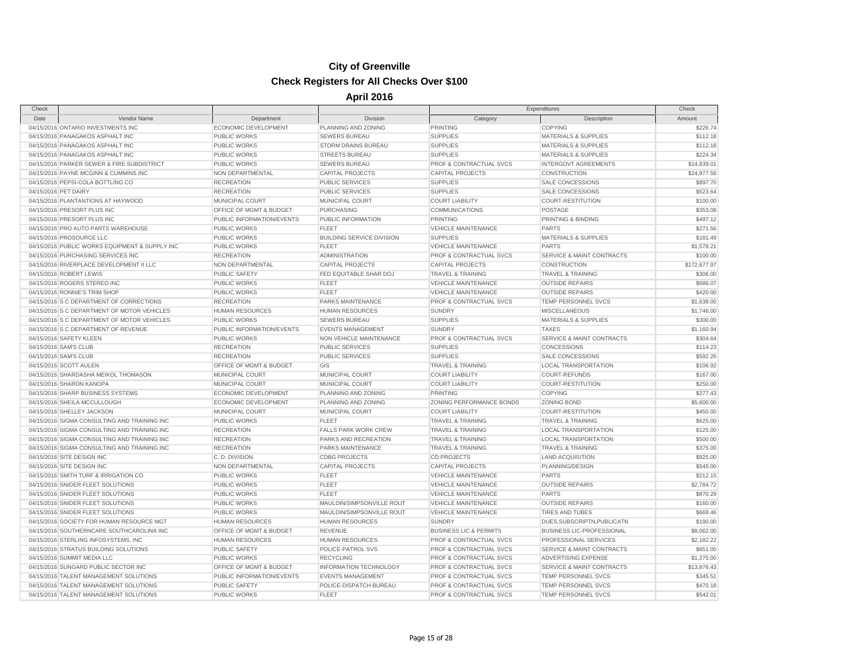# **City of Greenville**

#### **Check Registers for All Checks Over \$100**

| Check                |                                                |                           |                                  |                                    | Expenditures                         | Check        |
|----------------------|------------------------------------------------|---------------------------|----------------------------------|------------------------------------|--------------------------------------|--------------|
| Date                 | Vendor Name                                    | Department                | Division                         | Category                           | Description                          | Amount       |
|                      | 04/15/2016 ONTARIO INVESTMENTS INC             | ECONOMIC DEVELOPMENT      | PLANNING AND ZONING              | <b>PRINTING</b>                    | <b>COPYING</b>                       | \$226.74     |
|                      | 04/15/2016 PANAGAKOS ASPHALT INC               | <b>PUBLIC WORKS</b>       | <b>SEWERS BUREAU</b>             | <b>SUPPLIES</b>                    | <b>MATERIALS &amp; SUPPLIES</b>      | \$112.18     |
|                      | 04/15/2016 PANAGAKOS ASPHALT INC               | PUBLIC WORKS              | <b>STORM DRAINS BUREAU</b>       | <b>SUPPLIES</b>                    | <b>MATERIALS &amp; SUPPLIES</b>      | \$112.18     |
|                      | 04/15/2016 PANAGAKOS ASPHALT INC               | <b>PUBLIC WORKS</b>       | <b>STREETS BUREAU</b>            | <b>SUPPLIES</b>                    | <b>MATERIALS &amp; SUPPLIES</b>      | \$224.34     |
|                      | 04/15/2016 PARKER SEWER & FIRE SUBDISTRICT     | PUBLIC WORKS              | <b>SEWERS BUREAU</b>             | PROF & CONTRACTUAL SVCS            | <b>INTERGOVT AGREEMENTS</b>          | \$14,839.01  |
|                      | 04/15/2016 PAYNE MCGINN & CUMMINS INC          | NON DEPARTMENTAL          | <b>CAPITAL PROJECTS</b>          | <b>CAPITAL PROJECTS</b>            | <b>CONSTRUCTION</b>                  | \$24,977.56  |
|                      | 04/15/2016 PEPSI-COLA BOTTLING CO              | <b>RECREATION</b>         | <b>PUBLIC SERVICES</b>           | <b>SUPPLIES</b>                    | SALE CONCESSIONS                     | \$897.70     |
| 04/15/2016 PET DAIRY |                                                | <b>RECREATION</b>         | <b>PUBLIC SERVICES</b>           | <b>SUPPLIES</b>                    | <b>SALE CONCESSIONS</b>              | \$523.64     |
|                      | 04/15/2016 PLANTANTIONS AT HAYWOOD             | MUNICIPAL COURT           | MUNICIPAL COURT                  | <b>COURT LIABILITY</b>             | COURT-RESTITUTION                    | \$100.00     |
|                      | 04/15/2016 PRESORT PLUS INC                    | OFFICE OF MGMT & BUDGET   | <b>PURCHASING</b>                | COMMUNICATIONS                     | POSTAGE                              | \$353.08     |
|                      | 04/15/2016 PRESORT PLUS INC                    | PUBLIC INFORMATION/EVENTS | PUBLIC INFORMATION               | PRINTING                           | PRINTING & BINDING                   | \$497.12     |
|                      | 04/15/2016 PRO AUTO PARTS WAREHOUSE            | <b>PUBLIC WORKS</b>       | <b>FLEET</b>                     | <b>VEHICLE MAINTENANCE</b>         | <b>PARTS</b>                         | \$271.56     |
|                      | 04/15/2016 PROSOURCE LLC                       | PUBLIC WORKS              | <b>BUILDING SERVICE DIVISION</b> | <b>SUPPLIES</b>                    | <b>MATERIALS &amp; SUPPLIES</b>      | \$181.49     |
|                      | 04/15/2016 PUBLIC WORKS EQUIPMENT & SUPPLY INC | PUBLIC WORKS              | <b>FLEET</b>                     | <b>VEHICLE MAINTENANCE</b>         | <b>PARTS</b>                         | \$1,578.21   |
|                      | 04/15/2016 PURCHASING SERVICES INC             | <b>RECREATION</b>         | <b>ADMINISTRATION</b>            | PROF & CONTRACTUAL SVCS            | <b>SERVICE &amp; MAINT CONTRACTS</b> | \$100.00     |
|                      | 04/15/2016 RIVERPLACE DEVELOPMENT II LLC       | NON DEPARTMENTAL          | <b>CAPITAL PROJECTS</b>          | <b>CAPITAL PROJECTS</b>            | <b>CONSTRUCTION</b>                  | \$172,677.97 |
|                      | 04/15/2016 ROBERT LEWIS                        | <b>PUBLIC SAFETY</b>      | FED EQUITABLE SHAR DOJ           | <b>TRAVEL &amp; TRAINING</b>       | <b>TRAVEL &amp; TRAINING</b>         | \$306.00     |
|                      | 04/15/2016 ROGERS STEREO INC                   | <b>PUBLIC WORKS</b>       | <b>FLEET</b>                     | <b>VEHICLE MAINTENANCE</b>         | <b>OUTSIDE REPAIRS</b>               | \$686.07     |
|                      | 04/15/2016 RONNIE'S TRIM SHOP                  | <b>PUBLIC WORKS</b>       | FLEET                            | <b>VEHICLE MAINTENANCE</b>         | <b>OUTSIDE REPAIRS</b>               | \$420.00     |
|                      | 04/15/2016 S C DEPARTMENT OF CORRECTIONS       | <b>RECREATION</b>         | PARKS MAINTENANCE                | PROF & CONTRACTUAL SVCS            | TEMP PERSONNEL SVCS                  | \$1,638.00   |
|                      | 04/15/2016 S C DEPARTMENT OF MOTOR VEHICLES    | <b>HUMAN RESOURCES</b>    | <b>HUMAN RESOURCES</b>           | <b>SUNDRY</b>                      | <b>MISCELLANEOUS</b>                 | \$1,746.00   |
|                      | 04/15/2016 S C DEPARTMENT OF MOTOR VEHICLES    | <b>PUBLIC WORKS</b>       | <b>SEWERS BUREAU</b>             | <b>SUPPLIES</b>                    | <b>MATERIALS &amp; SUPPLIES</b>      | \$300.00     |
|                      | 04/15/2016 S C DEPARTMENT OF REVENUE           | PUBLIC INFORMATION/EVENTS | <b>EVENTS MANAGEMENT</b>         | <b>SUNDRY</b>                      | <b>TAXES</b>                         | \$1,160.94   |
|                      | 04/15/2016 SAFETY KLEEN                        | <b>PUBLIC WORKS</b>       | NON VEHICLE MAINTENANCE          | PROF & CONTRACTUAL SVCS            | SERVICE & MAINT CONTRACTS            | \$304.64     |
|                      | 04/15/2016 SAM'S CLUB                          | <b>RECREATION</b>         | <b>PUBLIC SERVICES</b>           | <b>SUPPLIES</b>                    | <b>CONCESSIONS</b>                   | \$114.23     |
|                      | 04/15/2016 SAM'S CLUB                          | <b>RECREATION</b>         | <b>PUBLIC SERVICES</b>           | <b>SUPPLIES</b>                    | <b>SALE CONCESSIONS</b>              | \$592.26     |
|                      | 04/15/2016 SCOTT AULEN                         | OFFICE OF MGMT & BUDGET   | GIS                              | TRAVEL & TRAINING                  | <b>LOCAL TRANSPORTATION</b>          | \$106.92     |
|                      | 04/15/2016 SHARDASHA MEIKOL THOMASON           | MUNICIPAL COURT           | MUNICIPAL COURT                  | <b>COURT LIABILITY</b>             | <b>COURT-REFUNDS</b>                 | \$167.00     |
|                      | 04/15/2016 SHARON KANOPA                       | MUNICIPAL COURT           | MUNICIPAL COURT                  | <b>COURT LIABILITY</b>             | COURT-RESTITUTION                    | \$250.00     |
|                      | 04/15/2016 SHARP BUSINESS SYSTEMS              | ECONOMIC DEVELOPMENT      | PLANNING AND ZONING              | <b>PRINTING</b>                    | <b>COPYING</b>                       | \$277.43     |
|                      | 04/15/2016 SHEILA MCCULLOUGH                   | ECONOMIC DEVELOPMENT      | PLANNING AND ZONING              | ZONING PERFORMANCE BONDS           | <b>ZONING BOND</b>                   | \$5,600.00   |
|                      | 04/15/2016 SHELLEY JACKSON                     | MUNICIPAL COURT           | MUNICIPAL COURT                  | <b>COURT LIABILITY</b>             | COURT-RESTITUTION                    | \$450.00     |
|                      | 04/15/2016 SIGMA CONSULTING AND TRAINING INC   | <b>PUBLIC WORKS</b>       | <b>FLEET</b>                     | <b>TRAVEL &amp; TRAINING</b>       | <b>TRAVEL &amp; TRAINING</b>         | \$625.00     |
|                      | 04/15/2016 SIGMA CONSULTING AND TRAINING INC   | <b>RECREATION</b>         | <b>FALLS PARK WORK CREW</b>      | <b>TRAVEL &amp; TRAINING</b>       | <b>LOCAL TRANSPORTATION</b>          | \$125.00     |
|                      | 04/15/2016 SIGMA CONSULTING AND TRAINING INC   | <b>RECREATION</b>         | <b>PARKS AND RECREATION</b>      | <b>TRAVEL &amp; TRAINING</b>       | LOCAL TRANSPORTATION                 | \$500.00     |
|                      | 04/15/2016 SIGMA CONSULTING AND TRAINING INC   | <b>RECREATION</b>         | PARKS MAINTENANCE                | <b>TRAVEL &amp; TRAINING</b>       | <b>TRAVEL &amp; TRAINING</b>         | \$375.00     |
|                      | 04/15/2016 SITE DESIGN INC                     | C. D. DIVISION            | <b>CDBG PROJECTS</b>             | <b>CD PROJECTS</b>                 | <b>LAND ACQUISITION</b>              | \$925.00     |
|                      | 04/15/2016 SITE DESIGN INC                     | NON DEPARTMENTAL          | <b>CAPITAL PROJECTS</b>          | <b>CAPITAL PROJECTS</b>            | PLANNING/DESIGN                      | \$545.00     |
|                      | 04/15/2016 SMITH TURF & IRRIGATION CO.         | <b>PUBLIC WORKS</b>       | <b>FLEET</b>                     | <b>VEHICLE MAINTENANCE</b>         | <b>PARTS</b>                         | \$212.15     |
|                      | 04/15/2016 SNIDER FLEET SOLUTIONS              | <b>PUBLIC WORKS</b>       | FLEET                            | <b>VEHICLE MAINTENANCE</b>         | <b>OUTSIDE REPAIRS</b>               | \$2,784.72   |
|                      | 04/15/2016 SNIDER FLEET SOLUTIONS              | PUBLIC WORKS              | FLEET                            | VEHICLE MAINTENANCE                | <b>PARTS</b>                         | \$870.29     |
|                      | 04/15/2016 SNIDER FLEET SOLUTIONS              | <b>PUBLIC WORKS</b>       | MAULDIN/SIMPSONVILLE ROUT        | <b>VEHICLE MAINTENANCE</b>         | <b>OUTSIDE REPAIRS</b>               | \$160.00     |
|                      | 04/15/2016 SNIDER FLEET SOLUTIONS              | <b>PUBLIC WORKS</b>       | MAULDIN/SIMPSONVILLE ROUT        | <b>VEHICLE MAINTENANCE</b>         | <b>TIRES AND TUBES</b>               | \$669.46     |
|                      | 04/15/2016 SOCIETY FOR HUMAN RESOURCE MGT      | <b>HUMAN RESOURCES</b>    | <b>HUMAN RESOURCES</b>           | <b>SUNDRY</b>                      | DUES, SUBSCRIPTN, PUBLICATN          | \$190.00     |
|                      | 04/15/2016 SOUTHERNCARE SOUTHCAROLINA INC      | OFFICE OF MGMT & BUDGET   | <b>REVENUE</b>                   | <b>BUSINESS LIC &amp; PERMITS</b>  | <b>BUSINESS LIC-PROFESSIONAL</b>     | \$8,062.00   |
|                      | 04/15/2016 STERLING INFOSYSTEMS, INC           | <b>HUMAN RESOURCES</b>    | <b>HUMAN RESOURCES</b>           | PROF & CONTRACTUAL SVCS            | PROFESSIONAL SERVICES                | \$2,182.22   |
|                      | 04/15/2016 STRATUS BUILDING SOLUTIONS          | PUBLIC SAFETY             | POLICE-PATROL SVS                | PROF & CONTRACTUAL SVCS            | SERVICE & MAINT CONTRACTS            | \$651.00     |
|                      | 04/15/2016 SUMMIT MEDIA LLC                    | <b>PUBLIC WORKS</b>       | <b>RECYCLING</b>                 | PROF & CONTRACTUAL SVCS            | <b>ADVERTISING EXPENSE</b>           | \$1,275.00   |
|                      | 04/15/2016 SUNGARD PUBLIC SECTOR INC           | OFFICE OF MGMT & BUDGET   | <b>INFORMATION TECHNOLOGY</b>    | PROF & CONTRACTUAL SVCS            | <b>SERVICE &amp; MAINT CONTRACTS</b> | \$13,876.43  |
|                      | 04/15/2016 TALENT MANAGEMENT SOLUTIONS         | PUBLIC INFORMATION/EVENTS | <b>EVENTS MANAGEMENT</b>         | <b>PROF &amp; CONTRACTUAL SVCS</b> | <b>TEMP PERSONNEL SVCS</b>           | \$345.51     |
|                      | 04/15/2016 TALENT MANAGEMENT SOLUTIONS         | <b>PUBLIC SAFETY</b>      | POLICE-DISPATCH BUREAU           | <b>PROF &amp; CONTRACTUAL SVCS</b> | TEMP PERSONNEL SVCS                  | \$470.18     |
|                      | 04/15/2016 TALENT MANAGEMENT SOLUTIONS         | PUBLIC WORKS              | FLEET                            | PROF & CONTRACTUAL SVCS            | TEMP PERSONNEL SVCS                  | \$542.01     |
|                      |                                                |                           |                                  |                                    |                                      |              |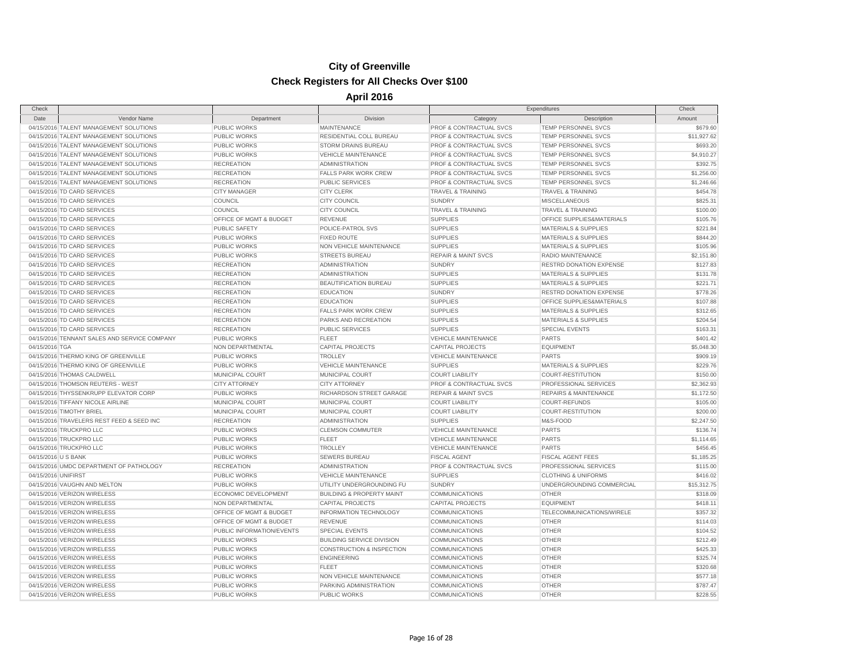| Check               |                                              |                             |                                      | Expenditures                   |                                  | Check       |
|---------------------|----------------------------------------------|-----------------------------|--------------------------------------|--------------------------------|----------------------------------|-------------|
| Date                | Vendor Name                                  | Department                  | Division                             | Category                       | Description                      | Amount      |
|                     | 04/15/2016 TALENT MANAGEMENT SOLUTIONS       | <b>PUBLIC WORKS</b>         | MAINTENANCE                          | PROF & CONTRACTUAL SVCS        | TEMP PERSONNEL SVCS              | \$679.60    |
|                     | 04/15/2016 TALENT MANAGEMENT SOLUTIONS       | <b>PUBLIC WORKS</b>         | RESIDENTIAL COLL BUREAU              | PROF & CONTRACTUAL SVCS        | TEMP PERSONNEL SVCS              | \$11,927.62 |
|                     | 04/15/2016 TALENT MANAGEMENT SOLUTIONS       | <b>PUBLIC WORKS</b>         | <b>STORM DRAINS BUREAU</b>           | PROF & CONTRACTUAL SVCS        | <b>TEMP PERSONNEL SVCS</b>       | \$693.20    |
|                     | 04/15/2016 TALENT MANAGEMENT SOLUTIONS       | PUBLIC WORKS                | <b>VEHICLE MAINTENANCE</b>           | PROF & CONTRACTUAL SVCS        | <b>TEMP PERSONNEL SVCS</b>       | \$4,910.27  |
|                     | 04/15/2016 TALENT MANAGEMENT SOLUTIONS       | <b>RECREATION</b>           | <b>ADMINISTRATION</b>                | PROF & CONTRACTUAL SVCS        | TEMP PERSONNEL SVCS              | \$392.75    |
|                     | 04/15/2016 TALENT MANAGEMENT SOLUTIONS       | <b>RECREATION</b>           | <b>FALLS PARK WORK CREW</b>          | PROF & CONTRACTUAL SVCS        | TEMP PERSONNEL SVCS              | \$1,256.00  |
|                     | 04/15/2016 TALENT MANAGEMENT SOLUTIONS       | <b>RECREATION</b>           | <b>PUBLIC SERVICES</b>               | PROF & CONTRACTUAL SVCS        | TEMP PERSONNEL SVCS              | \$1,246.66  |
|                     | 04/15/2016 TD CARD SERVICES                  | <b>CITY MANAGER</b>         | <b>CITY CLERK</b>                    | <b>TRAVEL &amp; TRAINING</b>   | <b>TRAVEL &amp; TRAINING</b>     | \$454.78    |
|                     | 04/15/2016 TD CARD SERVICES                  | COUNCIL                     | <b>CITY COUNCIL</b>                  | <b>SUNDRY</b>                  | <b>MISCELLANEOUS</b>             | \$825.31    |
|                     | 04/15/2016 TD CARD SERVICES                  | COUNCIL                     | <b>CITY COUNCIL</b>                  | <b>TRAVEL &amp; TRAINING</b>   | <b>TRAVEL &amp; TRAINING</b>     | \$100.00    |
|                     | 04/15/2016 TD CARD SERVICES                  | OFFICE OF MGMT & BUDGET     | <b>REVENUE</b>                       | <b>SUPPLIES</b>                | OFFICE SUPPLIES&MATERIALS        | \$105.76    |
|                     | 04/15/2016 TD CARD SERVICES                  | <b>PUBLIC SAFETY</b>        | POLICE-PATROL SVS                    | <b>SUPPLIES</b>                | <b>MATERIALS &amp; SUPPLIES</b>  | \$221.84    |
|                     | 04/15/2016 TD CARD SERVICES                  | PUBLIC WORKS                | <b>FIXED ROUTE</b>                   | <b>SUPPLIES</b>                | <b>MATERIALS &amp; SUPPLIES</b>  | \$844.20    |
|                     | 04/15/2016 TD CARD SERVICES                  | <b>PUBLIC WORKS</b>         | NON VEHICLE MAINTENANCE              | <b>SUPPLIES</b>                | <b>MATERIALS &amp; SUPPLIES</b>  | \$105.96    |
|                     | 04/15/2016 TD CARD SERVICES                  | <b>PUBLIC WORKS</b>         | <b>STREETS BUREAU</b>                | <b>REPAIR &amp; MAINT SVCS</b> | RADIO MAINTENANCE                | \$2,151.80  |
|                     | 04/15/2016 TD CARD SERVICES                  | <b>RECREATION</b>           | <b>ADMINISTRATION</b>                | <b>SUNDRY</b>                  | <b>RESTRD DONATION EXPENSE</b>   | \$127.83    |
|                     | 04/15/2016 TD CARD SERVICES                  | <b>RECREATION</b>           | <b>ADMINISTRATION</b>                | <b>SUPPLIES</b>                | <b>MATERIALS &amp; SUPPLIES</b>  | \$131.78    |
|                     | 04/15/2016 TD CARD SERVICES                  | <b>RECREATION</b>           | BEAUTIFICATION BUREAU                | <b>SUPPLIES</b>                | <b>MATERIALS &amp; SUPPLIES</b>  | \$221.71    |
|                     | 04/15/2016 TD CARD SERVICES                  | <b>RECREATION</b>           | <b>EDUCATION</b>                     | <b>SUNDRY</b>                  | RESTRD DONATION EXPENSE          | \$778.26    |
|                     | 04/15/2016 TD CARD SERVICES                  | <b>RECREATION</b>           | <b>EDUCATION</b>                     | <b>SUPPLIES</b>                | OFFICE SUPPLIES&MATERIALS        | \$107.88    |
|                     | 04/15/2016 TD CARD SERVICES                  | <b>RECREATION</b>           | <b>FALLS PARK WORK CREW</b>          | <b>SUPPLIES</b>                | <b>MATERIALS &amp; SUPPLIES</b>  | \$312.65    |
|                     | 04/15/2016 TD CARD SERVICES                  | <b>RECREATION</b>           | PARKS AND RECREATION                 | <b>SUPPLIES</b>                | <b>MATERIALS &amp; SUPPLIES</b>  | \$204.54    |
|                     | 04/15/2016 TD CARD SERVICES                  | <b>RECREATION</b>           | <b>PUBLIC SERVICES</b>               | <b>SUPPLIES</b>                | <b>SPECIAL EVENTS</b>            | \$163.31    |
|                     | 04/15/2016 TENNANT SALES AND SERVICE COMPANY | <b>PUBLIC WORKS</b>         | <b>FLEET</b>                         | <b>VEHICLE MAINTENANCE</b>     | <b>PARTS</b>                     | \$401.42    |
| 04/15/2016 TGA      |                                              | NON DEPARTMENTAL            | <b>CAPITAL PROJECTS</b>              | <b>CAPITAL PROJECTS</b>        | <b>EQUIPMENT</b>                 | \$5,048.30  |
|                     | 04/15/2016 THERMO KING OF GREENVILLE         | <b>PUBLIC WORKS</b>         | <b>TROLLEY</b>                       | <b>VEHICLE MAINTENANCE</b>     | <b>PARTS</b>                     | \$909.19    |
|                     | 04/15/2016 THERMO KING OF GREENVILLE         | PUBLIC WORKS                | <b>VEHICLE MAINTENANCE</b>           | <b>SUPPLIES</b>                | <b>MATERIALS &amp; SUPPLIES</b>  | \$229.76    |
|                     | 04/15/2016 THOMAS CALDWELL                   | MUNICIPAL COURT             | MUNICIPAL COURT                      | <b>COURT LIABILITY</b>         | <b>COURT-RESTITUTION</b>         | \$150.00    |
|                     | 04/15/2016 THOMSON REUTERS - WEST            | <b>CITY ATTORNEY</b>        | <b>CITY ATTORNEY</b>                 | PROF & CONTRACTUAL SVCS        | PROFESSIONAL SERVICES            | \$2,362.93  |
|                     | 04/15/2016 THYSSENKRUPP ELEVATOR CORP        | <b>PUBLIC WORKS</b>         | RICHARDSON STREET GARAGE             | <b>REPAIR &amp; MAINT SVCS</b> | <b>REPAIRS &amp; MAINTENANCE</b> | \$1,172.50  |
|                     | 04/15/2016 TIFFANY NICOLE AIRLINE            | MUNICIPAL COURT             | MUNICIPAL COURT                      | <b>COURT LIABILITY</b>         | <b>COURT-REFUNDS</b>             | \$105.00    |
|                     | 04/15/2016 TIMOTHY BRIEL                     | MUNICIPAL COURT             | MUNICIPAL COURT                      | <b>COURT LIABILITY</b>         | <b>COURT-RESTITUTION</b>         | \$200.00    |
|                     | 04/15/2016 TRAVELERS REST FEED & SEED INC    | <b>RECREATION</b>           | <b>ADMINISTRATION</b>                | <b>SUPPLIES</b>                | M&S-FOOD                         | \$2,247.50  |
|                     | 04/15/2016 TRUCKPRO LLC                      | PUBLIC WORKS                | <b>CLEMSON COMMUTER</b>              | <b>VEHICLE MAINTENANCE</b>     | PARTS                            | \$136.74    |
|                     | 04/15/2016 TRUCKPRO LLC                      | <b>PUBLIC WORKS</b>         | <b>FLEET</b>                         | <b>VEHICLE MAINTENANCE</b>     | <b>PARTS</b>                     | \$1,114.65  |
|                     | 04/15/2016 TRUCKPRO LLC                      | <b>PUBLIC WORKS</b>         | <b>TROLLEY</b>                       | <b>VEHICLE MAINTENANCE</b>     | <b>PARTS</b>                     | \$456.45    |
| 04/15/2016 U S BANK |                                              | <b>PUBLIC WORKS</b>         | <b>SEWERS BUREAU</b>                 | <b>FISCAL AGENT</b>            | <b>FISCAL AGENT FEES</b>         | \$1,185.25  |
|                     | 04/15/2016 UMDC DEPARTMENT OF PATHOLOGY      | <b>RECREATION</b>           | <b>ADMINISTRATION</b>                | PROF & CONTRACTUAL SVCS        | PROFESSIONAL SERVICES            | \$115.00    |
| 04/15/2016 UNIFIRST |                                              | <b>PUBLIC WORKS</b>         | <b>VEHICLE MAINTENANCE</b>           | <b>SUPPLIES</b>                | <b>CLOTHING &amp; UNIFORMS</b>   | \$416.02    |
|                     | 04/15/2016 VAUGHN AND MELTON                 | <b>PUBLIC WORKS</b>         | UTILITY UNDERGROUNDING FU            | <b>SUNDRY</b>                  | UNDERGROUNDING COMMERCIAL        | \$15,312.75 |
|                     | 04/15/2016 VERIZON WIRELESS                  | <b>ECONOMIC DEVELOPMENT</b> | <b>BUILDING &amp; PROPERTY MAINT</b> | <b>COMMUNICATIONS</b>          | <b>OTHER</b>                     | \$318.09    |
|                     | 04/15/2016 VERIZON WIRELESS                  | NON DEPARTMENTAL            | <b>CAPITAL PROJECTS</b>              | <b>CAPITAL PROJECTS</b>        | <b>EQUIPMENT</b>                 | \$418.11    |
|                     | 04/15/2016 VERIZON WIRELESS                  | OFFICE OF MGMT & BUDGET     | <b>INFORMATION TECHNOLOGY</b>        | <b>COMMUNICATIONS</b>          | TELECOMMUNICATIONS/WIRELE        | \$357.32    |
|                     | 04/15/2016 VERIZON WIRELESS                  | OFFICE OF MGMT & BUDGET     | REVENUE                              | <b>COMMUNICATIONS</b>          | <b>OTHER</b>                     | \$114.03    |
|                     | 04/15/2016 VERIZON WIRELESS                  | PUBLIC INFORMATION/EVENTS   | <b>SPECIAL EVENTS</b>                | <b>COMMUNICATIONS</b>          | <b>OTHER</b>                     | \$104.52    |
|                     | 04/15/2016 VERIZON WIRELESS                  | <b>PUBLIC WORKS</b>         | <b>BUILDING SERVICE DIVISION</b>     | <b>COMMUNICATIONS</b>          | <b>OTHER</b>                     | \$212.49    |
|                     | 04/15/2016 VERIZON WIRELESS                  | PUBLIC WORKS                | <b>CONSTRUCTION &amp; INSPECTION</b> | <b>COMMUNICATIONS</b>          | <b>OTHER</b>                     | \$425.33    |
|                     | 04/15/2016 VERIZON WIRELESS                  | <b>PUBLIC WORKS</b>         | <b>ENGINEERING</b>                   | <b>COMMUNICATIONS</b>          | <b>OTHER</b>                     | \$325.74    |
|                     | 04/15/2016 VERIZON WIRELESS                  | PUBLIC WORKS                | <b>FLEET</b>                         | <b>COMMUNICATIONS</b>          | <b>OTHER</b>                     | \$320.68    |
|                     | 04/15/2016 VERIZON WIRELESS                  | PUBLIC WORKS                | NON VEHICLE MAINTENANCE              | <b>COMMUNICATIONS</b>          | <b>OTHER</b>                     | \$577.18    |
|                     | 04/15/2016 VERIZON WIRELESS                  | <b>PUBLIC WORKS</b>         | PARKING ADMINISTRATION               | <b>COMMUNICATIONS</b>          | OTHER                            | \$787.47    |
|                     | 04/15/2016 VERIZON WIRELESS                  | <b>PUBLIC WORKS</b>         | <b>PUBLIC WORKS</b>                  | <b>COMMUNICATIONS</b>          | <b>OTHER</b>                     | \$228.55    |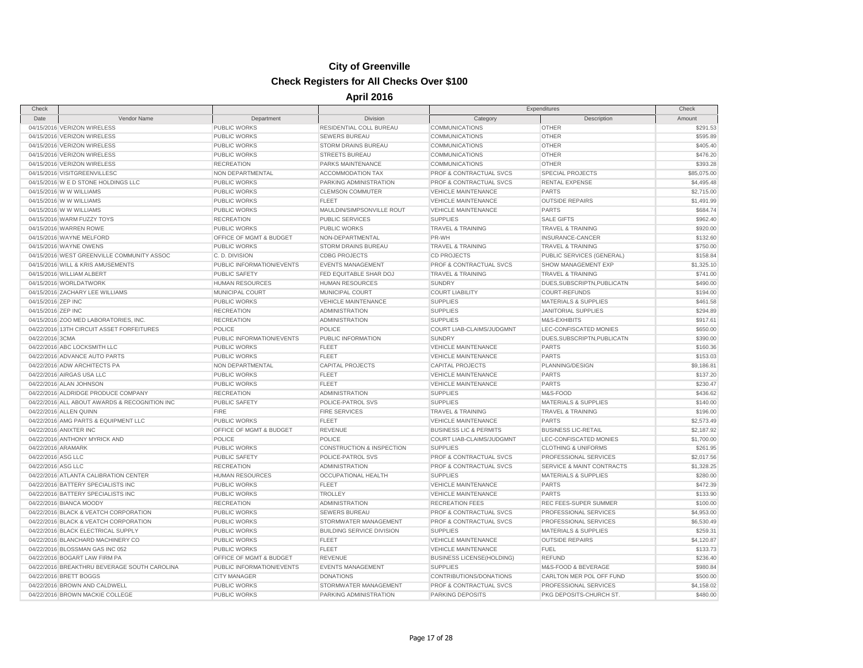# **City of Greenville**

#### **Check Registers for All Checks Over \$100**

| Check              |                                               |                           |                                      |                                    | Expenditures                         | Check       |
|--------------------|-----------------------------------------------|---------------------------|--------------------------------------|------------------------------------|--------------------------------------|-------------|
| Date               | Vendor Name                                   | Department                | Division                             | Category                           | Description                          | Amount      |
|                    | 04/15/2016 VERIZON WIRELESS                   | <b>PUBLIC WORKS</b>       | RESIDENTIAL COLL BUREAU              | COMMUNICATIONS                     | <b>OTHER</b>                         | \$291.53    |
|                    | 04/15/2016 VERIZON WIRELESS                   | PUBLIC WORKS              | <b>SEWERS BUREAU</b>                 | COMMUNICATIONS                     | <b>OTHER</b>                         | \$595.89    |
|                    | 04/15/2016 VERIZON WIRELESS                   | PUBLIC WORKS              | STORM DRAINS BUREAU                  | <b>COMMUNICATIONS</b>              | <b>OTHER</b>                         | \$405.40    |
|                    | 04/15/2016 VERIZON WIRELESS                   | PUBLIC WORKS              | <b>STREETS BUREAU</b>                | <b>COMMUNICATIONS</b>              | <b>OTHER</b>                         | \$476.20    |
|                    | 04/15/2016 VERIZON WIRELESS                   | <b>RECREATION</b>         | <b>PARKS MAINTENANCE</b>             | <b>COMMUNICATIONS</b>              | <b>OTHER</b>                         | \$393.28    |
|                    | 04/15/2016 VISITGREENVILLESC                  | NON DEPARTMENTAL          | <b>ACCOMMODATION TAX</b>             | PROF & CONTRACTUAL SVCS            | <b>SPECIAL PROJECTS</b>              | \$85,075.00 |
|                    | 04/15/2016 W E D STONE HOLDINGS LLC           | PUBLIC WORKS              | PARKING ADMINISTRATION               | <b>PROF &amp; CONTRACTUAL SVCS</b> | <b>RENTAL EXPENSE</b>                | \$4,495.48  |
|                    | 04/15/2016 W W WILLIAMS                       | PUBLIC WORKS              | <b>CLEMSON COMMUTER</b>              | <b>VEHICLE MAINTENANCE</b>         | <b>PARTS</b>                         | \$2,715.00  |
|                    | 04/15/2016 W W WILLIAMS                       | PUBLIC WORKS              | <b>FLEET</b>                         | <b>VEHICLE MAINTENANCE</b>         | <b>OUTSIDE REPAIRS</b>               | \$1,491.99  |
|                    | 04/15/2016 W W WILLIAMS                       | PUBLIC WORKS              | MAULDIN/SIMPSONVILLE ROUT            | <b>VEHICLE MAINTENANCE</b>         | <b>PARTS</b>                         | \$684.74    |
|                    | 04/15/2016 WARM FUZZY TOYS                    | <b>RECREATION</b>         | <b>PUBLIC SERVICES</b>               | <b>SUPPLIES</b>                    | <b>SALE GIFTS</b>                    | \$962.40    |
|                    | 04/15/2016 WARREN ROWE                        | <b>PUBLIC WORKS</b>       | <b>PUBLIC WORKS</b>                  | <b>TRAVEL &amp; TRAINING</b>       | <b>TRAVEL &amp; TRAINING</b>         | \$920.00    |
|                    | 04/15/2016 WAYNE MELFORD                      | OFFICE OF MGMT & BUDGET   | NON-DEPARTMENTAL                     | PR-WH                              | INSURANCE-CANCER                     | \$132.60    |
|                    | 04/15/2016 WAYNE OWENS                        | PUBLIC WORKS              | <b>STORM DRAINS BUREAU</b>           | <b>TRAVEL &amp; TRAINING</b>       | <b>TRAVEL &amp; TRAINING</b>         | \$750.00    |
|                    | 04/15/2016 WEST GREENVILLE COMMUNITY ASSOC    | C. D. DIVISION            | <b>CDBG PROJECTS</b>                 | <b>CD PROJECTS</b>                 | PUBLIC SERVICES (GENERAL)            | \$158.84    |
|                    | 04/15/2016 WILL & KRIS AMUSEMENTS             | PUBLIC INFORMATION/EVENTS | <b>EVENTS MANAGEMENT</b>             | PROF & CONTRACTUAL SVCS            | SHOW MANAGEMENT EXP                  | \$1,325.10  |
|                    | 04/15/2016 WILLIAM ALBERT                     | <b>PUBLIC SAFETY</b>      | FED EQUITABLE SHAR DOJ               | <b>TRAVEL &amp; TRAINING</b>       | <b>TRAVEL &amp; TRAINING</b>         | \$741.00    |
|                    | 04/15/2016 WORLDATWORK                        | <b>HUMAN RESOURCES</b>    | <b>HUMAN RESOURCES</b>               | <b>SUNDRY</b>                      | DUES, SUBSCRIPTN, PUBLICATN          | \$490.00    |
|                    | 04/15/2016 ZACHARY LEE WILLIAMS               | MUNICIPAL COURT           | MUNICIPAL COURT                      | <b>COURT LIABILITY</b>             | <b>COURT-REFUNDS</b>                 | \$194.00    |
| 04/15/2016 ZEP INC |                                               | <b>PUBLIC WORKS</b>       | <b>VEHICLE MAINTENANCE</b>           | <b>SUPPLIES</b>                    | <b>MATERIALS &amp; SUPPLIES</b>      | \$461.58    |
| 04/15/2016 ZEP INC |                                               | <b>RECREATION</b>         | <b>ADMINISTRATION</b>                | <b>SUPPLIES</b>                    | <b>JANITORIAL SUPPLIES</b>           | \$294.89    |
|                    | 04/15/2016 ZOO MED LABORATORIES, INC.         | <b>RECREATION</b>         | <b>ADMINISTRATION</b>                | <b>SUPPLIES</b>                    | M&S-EXHIBITS                         | \$917.61    |
|                    | 04/22/2016 13TH CIRCUIT ASSET FORFEITURES     | POLICE                    | POLICE                               | COURT LIAB-CLAIMS/JUDGMNT          | LEC-CONFISCATED MONIES               | \$650.00    |
| 04/22/2016 3CMA    |                                               | PUBLIC INFORMATION/EVENTS | PUBLIC INFORMATION                   | <b>SUNDRY</b>                      | DUES, SUBSCRIPTN, PUBLICATN          | \$390.00    |
|                    | 04/22/2016 ABC LOCKSMITH LLC                  | <b>PUBLIC WORKS</b>       | <b>FLEET</b>                         | <b>VEHICLE MAINTENANCE</b>         | PARTS                                | \$160.36    |
|                    | 04/22/2016 ADVANCE AUTO PARTS                 | <b>PUBLIC WORKS</b>       | <b>FLEET</b>                         | <b>VEHICLE MAINTENANCE</b>         | <b>PARTS</b>                         | \$153.03    |
|                    | 04/22/2016 ADW ARCHITECTS PA                  | NON DEPARTMENTAL          | <b>CAPITAL PROJECTS</b>              | <b>CAPITAL PROJECTS</b>            | PLANNING/DESIGN                      | \$9,186.81  |
|                    | 04/22/2016 AIRGAS USA LLC                     | PUBLIC WORKS              | FLEET                                | <b>VEHICLE MAINTENANCE</b>         | <b>PARTS</b>                         | \$137.20    |
|                    | 04/22/2016 ALAN JOHNSON                       | <b>PUBLIC WORKS</b>       | <b>FLEET</b>                         | <b>VEHICLE MAINTENANCE</b>         | <b>PARTS</b>                         | \$230.47    |
|                    | 04/22/2016 ALDRIDGE PRODUCE COMPANY           | <b>RECREATION</b>         | <b>ADMINISTRATION</b>                | <b>SUPPLIES</b>                    | M&S-FOOD                             | \$436.62    |
|                    | 04/22/2016 ALL ABOUT AWARDS & RECOGNITION INC | PUBLIC SAFETY             | POLICE-PATROL SVS                    | <b>SUPPLIES</b>                    | <b>MATERIALS &amp; SUPPLIES</b>      | \$140.00    |
|                    | 04/22/2016 ALLEN QUINN                        | <b>FIRE</b>               | <b>FIRE SERVICES</b>                 | <b>TRAVEL &amp; TRAINING</b>       | <b>TRAVEL &amp; TRAINING</b>         | \$196.00    |
|                    | 04/22/2016 AMG PARTS & EQUIPMENT LLC          | PUBLIC WORKS              | <b>FLEET</b>                         | <b>VEHICLE MAINTENANCE</b>         | <b>PARTS</b>                         | \$2,573.49  |
|                    | 04/22/2016 ANIXTER INC                        | OFFICE OF MGMT & BUDGET   | <b>REVENUE</b>                       | <b>BUSINESS LIC &amp; PERMITS</b>  | <b>BUSINESS LIC-RETAIL</b>           | \$2,187.92  |
|                    | 04/22/2016 ANTHONY MYRICK AND                 | POLICE                    | POLICE                               | COURT LIAB-CLAIMS/JUDGMNT          | LEC-CONFISCATED MONIES               | \$1,700.00  |
| 04/22/2016 ARAMARK |                                               | <b>PUBLIC WORKS</b>       | <b>CONSTRUCTION &amp; INSPECTION</b> | <b>SUPPLIES</b>                    | <b>CLOTHING &amp; UNIFORMS</b>       | \$261.95    |
| 04/22/2016 ASG LLC |                                               | <b>PUBLIC SAFETY</b>      | POLICE-PATROL SVS                    | PROF & CONTRACTUAL SVCS            | PROFESSIONAL SERVICES                | \$2,017.56  |
| 04/22/2016 ASG LLC |                                               | <b>RECREATION</b>         | <b>ADMINISTRATION</b>                | PROF & CONTRACTUAL SVCS            | <b>SERVICE &amp; MAINT CONTRACTS</b> | \$1,328.25  |
|                    | 04/22/2016 ATLANTA CALIBRATION CENTER         | <b>HUMAN RESOURCES</b>    | <b>OCCUPATIONAL HEALTH</b>           | <b>SUPPLIES</b>                    | <b>MATERIALS &amp; SUPPLIES</b>      | \$280.00    |
|                    | 04/22/2016 BATTERY SPECIALISTS INC            | PUBLIC WORKS              | <b>FLEET</b>                         | <b>VEHICLE MAINTENANCE</b>         | <b>PARTS</b>                         | \$472.39    |
|                    | 04/22/2016 BATTERY SPECIALISTS INC            | PUBLIC WORKS              | <b>TROLLEY</b>                       | <b>VEHICLE MAINTENANCE</b>         | <b>PARTS</b>                         | \$133.90    |
|                    | 04/22/2016 BIANCA MOODY                       | <b>RECREATION</b>         | <b>ADMINISTRATION</b>                | <b>RECREATION FEES</b>             | <b>REC FEES-SUPER SUMMER</b>         | \$100.00    |
|                    | 04/22/2016 BLACK & VEATCH CORPORATION         | PUBLIC WORKS              | <b>SEWERS BUREAU</b>                 | <b>PROF &amp; CONTRACTUAL SVCS</b> | PROFESSIONAL SERVICES                | \$4,953.00  |
|                    | 04/22/2016 BLACK & VEATCH CORPORATION         | PUBLIC WORKS              | STORMWATER MANAGEMENT                | PROF & CONTRACTUAL SVCS            | PROFESSIONAL SERVICES                | \$6,530.49  |
|                    | 04/22/2016 BLACK ELECTRICAL SUPPLY            | PUBLIC WORKS              | <b>BUILDING SERVICE DIVISION</b>     | <b>SUPPLIES</b>                    | <b>MATERIALS &amp; SUPPLIES</b>      | \$259.31    |
|                    | 04/22/2016 BLANCHARD MACHINERY CO             | PUBLIC WORKS              | <b>FLEET</b>                         | <b>VEHICLE MAINTENANCE</b>         | <b>OUTSIDE REPAIRS</b>               | \$4,120.87  |
|                    | 04/22/2016 BLOSSMAN GAS INC 052               | <b>PUBLIC WORKS</b>       | FLEET                                | <b>VEHICLE MAINTENANCE</b>         | <b>FUEL</b>                          | \$133.73    |
|                    | 04/22/2016 BOGART LAW FIRM PA                 | OFFICE OF MGMT & BUDGET   | <b>REVENUE</b>                       | <b>BUSINESS LICENSE(HOLDING)</b>   | <b>REFUND</b>                        | \$236.40    |
|                    | 04/22/2016 BREAKTHRU BEVERAGE SOUTH CAROLINA  | PUBLIC INFORMATION/EVENTS | <b>EVENTS MANAGEMENT</b>             | <b>SUPPLIES</b>                    | M&S-FOOD & BEVERAGE                  | \$980.84    |
|                    | 04/22/2016 BRETT BOGGS                        | <b>CITY MANAGER</b>       | <b>DONATIONS</b>                     | CONTRIBUTIONS/DONATIONS            | CARLTON MER POL OFF FUND             | \$500.00    |
|                    | 04/22/2016 BROWN AND CALDWELL                 | PUBLIC WORKS              | STORMWATER MANAGEMENT                | PROF & CONTRACTUAL SVCS            | PROFESSIONAL SERVICES                | \$4,158.02  |
|                    | 04/22/2016 BROWN MACKIE COLLEGE               | <b>PUBLIC WORKS</b>       | PARKING ADMINISTRATION               | <b>PARKING DEPOSITS</b>            | PKG DEPOSITS-CHURCH ST.              | \$480.00    |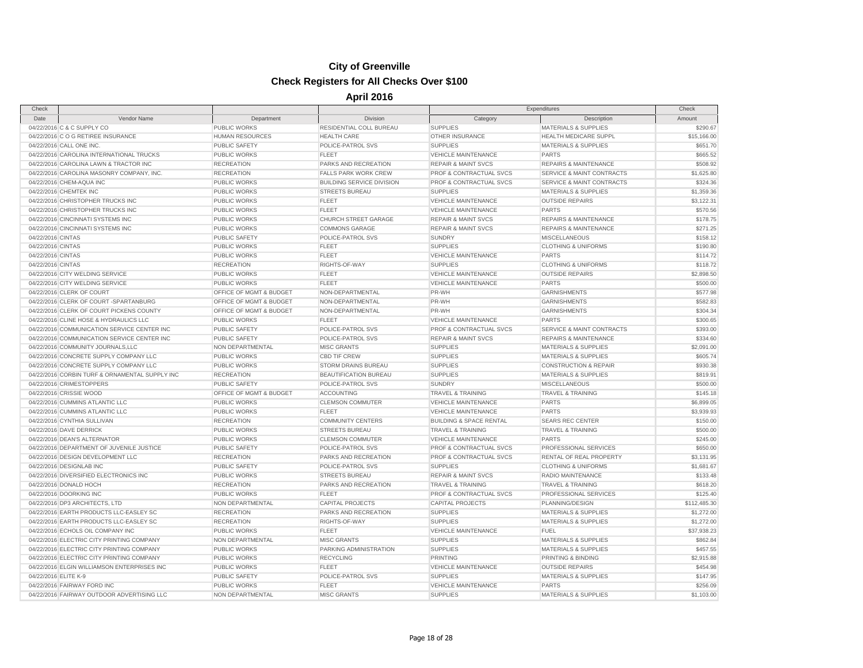| Check                |                                                                                  |                         |                                  | Expenditures                       |                                      | Check        |
|----------------------|----------------------------------------------------------------------------------|-------------------------|----------------------------------|------------------------------------|--------------------------------------|--------------|
| Date                 | Vendor Name                                                                      | Department              | Division                         | Category                           | Description                          | Amount       |
|                      | 04/22/2016 C & C SUPPLY CO                                                       | PUBLIC WORKS            | RESIDENTIAL COLL BUREAU          | <b>SUPPLIES</b>                    | <b>MATERIALS &amp; SUPPLIES</b>      | \$290.67     |
|                      | 04/22/2016 C O G RETIREE INSURANCE                                               | <b>HUMAN RESOURCES</b>  | <b>HEALTH CARE</b>               | OTHER INSURANCE                    | HEALTH MEDICARE SUPPL                | \$15,166.00  |
|                      | 04/22/2016 CALL ONE INC.                                                         | <b>PUBLIC SAFETY</b>    | POLICE-PATROL SVS                | <b>SUPPLIES</b>                    | <b>MATERIALS &amp; SUPPLIES</b>      | \$651.70     |
|                      | 04/22/2016 CAROLINA INTERNATIONAL TRUCKS                                         | <b>PUBLIC WORKS</b>     | <b>FLEET</b>                     | <b>VEHICLE MAINTENANCE</b>         | <b>PARTS</b>                         | \$665.52     |
|                      | 04/22/2016 CAROLINA LAWN & TRACTOR INC                                           | <b>RECREATION</b>       | PARKS AND RECREATION             | <b>REPAIR &amp; MAINT SVCS</b>     | <b>REPAIRS &amp; MAINTENANCE</b>     | \$508.92     |
|                      | 04/22/2016 CAROLINA MASONRY COMPANY, INC.                                        | <b>RECREATION</b>       | <b>FALLS PARK WORK CREW</b>      | PROF & CONTRACTUAL SVCS            | <b>SERVICE &amp; MAINT CONTRACTS</b> | \$1,625.80   |
|                      | 04/22/2016 CHEM-AQUA INC                                                         | <b>PUBLIC WORKS</b>     | <b>BUILDING SERVICE DIVISION</b> | <b>PROF &amp; CONTRACTUAL SVCS</b> | <b>SERVICE &amp; MAINT CONTRACTS</b> | \$324.36     |
|                      | 04/22/2016 CHEMTEK INC                                                           | <b>PUBLIC WORKS</b>     | <b>STREETS BUREAU</b>            | <b>SUPPLIES</b>                    | <b>MATERIALS &amp; SUPPLIES</b>      | \$1,359.36   |
|                      | 04/22/2016 CHRISTOPHER TRUCKS INC                                                | <b>PUBLIC WORKS</b>     | <b>FLEET</b>                     | <b>VEHICLE MAINTENANCE</b>         | <b>OUTSIDE REPAIRS</b>               | \$3,122.31   |
|                      | 04/22/2016 CHRISTOPHER TRUCKS INC                                                | <b>PUBLIC WORKS</b>     | <b>FLEET</b>                     | <b>VEHICLE MAINTENANCE</b>         | <b>PARTS</b>                         | \$570.56     |
|                      | 04/22/2016 CINCINNATI SYSTEMS INC                                                | <b>PUBLIC WORKS</b>     | CHURCH STREET GARAGE             | <b>REPAIR &amp; MAINT SVCS</b>     | <b>REPAIRS &amp; MAINTENANCE</b>     | \$178.75     |
|                      | 04/22/2016 CINCINNATI SYSTEMS INC                                                | <b>PUBLIC WORKS</b>     | <b>COMMONS GARAGE</b>            | <b>REPAIR &amp; MAINT SVCS</b>     | <b>REPAIRS &amp; MAINTENANCE</b>     | \$271.25     |
| 04/22/2016 CINTAS    |                                                                                  | <b>PUBLIC SAFETY</b>    | POLICE-PATROL SVS                | <b>SUNDRY</b>                      | <b>MISCELLANEOUS</b>                 | \$158.12     |
| 04/22/2016 CINTAS    |                                                                                  | <b>PUBLIC WORKS</b>     | <b>FLEET</b>                     | <b>SUPPLIES</b>                    | <b>CLOTHING &amp; UNIFORMS</b>       | \$190.80     |
| 04/22/2016 CINTAS    |                                                                                  | <b>PUBLIC WORKS</b>     | <b>FLEET</b>                     | <b>VEHICLE MAINTENANCE</b>         | <b>PARTS</b>                         | \$114.72     |
| 04/22/2016 CINTAS    |                                                                                  | <b>RECREATION</b>       | RIGHTS-OF-WAY                    | <b>SUPPLIES</b>                    | <b>CLOTHING &amp; UNIFORMS</b>       | \$118.72     |
|                      | 04/22/2016 CITY WELDING SERVICE                                                  | <b>PUBLIC WORKS</b>     | <b>FLEET</b>                     | <b>VEHICLE MAINTENANCE</b>         | <b>OUTSIDE REPAIRS</b>               | \$2,898.50   |
|                      | 04/22/2016 CITY WELDING SERVICE                                                  | <b>PUBLIC WORKS</b>     | <b>FLEET</b>                     | <b>VEHICLE MAINTENANCE</b>         | <b>PARTS</b>                         | \$500.00     |
|                      | 04/22/2016 CLERK OF COURT                                                        | OFFICE OF MGMT & BUDGET | NON-DEPARTMENTAL                 | PR-WH                              | <b>GARNISHMENTS</b>                  | \$577.98     |
|                      | 04/22/2016 CLERK OF COURT -SPARTANBURG                                           | OFFICE OF MGMT & BUDGET | NON-DEPARTMENTAL                 | PR-WH                              | <b>GARNISHMENTS</b>                  | \$582.83     |
|                      | 04/22/2016 CLERK OF COURT PICKENS COUNTY                                         | OFFICE OF MGMT & BUDGET | NON-DEPARTMENTAL                 | PR-WH                              | <b>GARNISHMENTS</b>                  | \$304.34     |
|                      | 04/22/2016 CLINE HOSE & HYDRAULICS LLC                                           | <b>PUBLIC WORKS</b>     | <b>FLEET</b>                     | <b>VEHICLE MAINTENANCE</b>         | <b>PARTS</b>                         | \$300.65     |
|                      | 04/22/2016 COMMUNICATION SERVICE CENTER INC                                      | <b>PUBLIC SAFETY</b>    | POLICE-PATROL SVS                | <b>PROF &amp; CONTRACTUAL SVCS</b> | <b>SERVICE &amp; MAINT CONTRACTS</b> | \$393.00     |
|                      | 04/22/2016 COMMUNICATION SERVICE CENTER INC                                      | <b>PUBLIC SAFETY</b>    | POLICE-PATROL SVS                | <b>REPAIR &amp; MAINT SVCS</b>     | <b>REPAIRS &amp; MAINTENANCE</b>     | \$334.60     |
|                      | 04/22/2016 COMMUNITY JOURNALS,LLC                                                | <b>NON DEPARTMENTAL</b> | <b>MISC GRANTS</b>               | <b>SUPPLIES</b>                    | <b>MATERIALS &amp; SUPPLIES</b>      | \$2,091.00   |
|                      |                                                                                  |                         |                                  |                                    |                                      |              |
|                      | 04/22/2016 CONCRETE SUPPLY COMPANY LLC<br>04/22/2016 CONCRETE SUPPLY COMPANY LLC | <b>PUBLIC WORKS</b>     | <b>CBD TIF CREW</b>              | <b>SUPPLIES</b>                    | <b>MATERIALS &amp; SUPPLIES</b>      | \$605.74     |
|                      |                                                                                  | PUBLIC WORKS            | <b>STORM DRAINS BUREAU</b>       | <b>SUPPLIES</b>                    | <b>CONSTRUCTION &amp; REPAIR</b>     | \$930.38     |
|                      | 04/22/2016 CORBIN TURF & ORNAMENTAL SUPPLY INC                                   | <b>RECREATION</b>       | BEAUTIFICATION BUREAU            | <b>SUPPLIES</b>                    | <b>MATERIALS &amp; SUPPLIES</b>      | \$819.91     |
|                      | 04/22/2016 CRIMESTOPPERS                                                         | <b>PUBLIC SAFETY</b>    | POLICE-PATROL SVS                | <b>SUNDRY</b>                      | <b>MISCELLANEOUS</b>                 | \$500.00     |
|                      | 04/22/2016 CRISSIE WOOD                                                          | OFFICE OF MGMT & BUDGET | <b>ACCOUNTING</b>                | <b>TRAVEL &amp; TRAINING</b>       | <b>TRAVEL &amp; TRAINING</b>         | \$145.18     |
|                      | 04/22/2016 CUMMINS ATLANTIC LLC                                                  | <b>PUBLIC WORKS</b>     | <b>CLEMSON COMMUTER</b>          | <b>VEHICLE MAINTENANCE</b>         | <b>PARTS</b>                         | \$6,899.05   |
|                      | 04/22/2016 CUMMINS ATLANTIC LLC                                                  | <b>PUBLIC WORKS</b>     | <b>FLEET</b>                     | <b>VEHICLE MAINTENANCE</b>         | <b>PARTS</b>                         | \$3,939.93   |
|                      | 04/22/2016 CYNTHIA SULLIVAN                                                      | <b>RECREATION</b>       | <b>COMMUNITY CENTERS</b>         | <b>BUILDING &amp; SPACE RENTAL</b> | <b>SEARS REC CENTER</b>              | \$150.00     |
|                      | 04/22/2016 DAVE DERRICK                                                          | <b>PUBLIC WORKS</b>     | <b>STREETS BUREAU</b>            | <b>TRAVEL &amp; TRAINING</b>       | <b>TRAVEL &amp; TRAINING</b>         | \$500.00     |
|                      | 04/22/2016 DEAN'S ALTERNATOR                                                     | <b>PUBLIC WORKS</b>     | <b>CLEMSON COMMUTER</b>          | <b>VEHICLE MAINTENANCE</b>         | <b>PARTS</b>                         | \$245.00     |
|                      | 04/22/2016 DEPARTMENT OF JUVENILE JUSTICE                                        | <b>PUBLIC SAFETY</b>    | POLICE-PATROL SVS                | PROF & CONTRACTUAL SVCS            | PROFESSIONAL SERVICES                | \$650.00     |
|                      | 04/22/2016 DESIGN DEVELOPMENT LLC                                                | <b>RECREATION</b>       | PARKS AND RECREATION             | PROF & CONTRACTUAL SVCS            | RENTAL OF REAL PROPERTY              | \$3,131.95   |
|                      | 04/22/2016 DESIGNLAB INC                                                         | <b>PUBLIC SAFETY</b>    | POLICE-PATROL SVS                | <b>SUPPLIES</b>                    | <b>CLOTHING &amp; UNIFORMS</b>       | \$1,681.67   |
|                      | 04/22/2016 DIVERSIFIED ELECTRONICS INC                                           | <b>PUBLIC WORKS</b>     | <b>STREETS BUREAU</b>            | <b>REPAIR &amp; MAINT SVCS</b>     | RADIO MAINTENANCE                    | \$133.48     |
|                      | 04/22/2016 DONALD HOCH                                                           | <b>RECREATION</b>       | PARKS AND RECREATION             | <b>TRAVEL &amp; TRAINING</b>       | <b>TRAVEL &amp; TRAINING</b>         | \$618.20     |
|                      | 04/22/2016 DOORKING INC                                                          | <b>PUBLIC WORKS</b>     | <b>FLEET</b>                     | PROF & CONTRACTUAL SVCS            | PROFESSIONAL SERVICES                | \$125.40     |
|                      | 04/22/2016 DP3 ARCHITECTS, LTD                                                   | NON DEPARTMENTAL        | <b>CAPITAL PROJECTS</b>          | <b>CAPITAL PROJECTS</b>            | PLANNING/DESIGN                      | \$112,485.30 |
|                      | 04/22/2016 EARTH PRODUCTS LLC-EASLEY SC                                          | <b>RECREATION</b>       | PARKS AND RECREATION             | <b>SUPPLIES</b>                    | MATERIALS & SUPPLIES                 | \$1,272.00   |
|                      | 04/22/2016 EARTH PRODUCTS LLC-EASLEY SC                                          | <b>RECREATION</b>       | RIGHTS-OF-WAY                    | <b>SUPPLIES</b>                    | <b>MATERIALS &amp; SUPPLIES</b>      | \$1,272.00   |
|                      | 04/22/2016 ECHOLS OIL COMPANY INC                                                | <b>PUBLIC WORKS</b>     | <b>FLEET</b>                     | <b>VEHICLE MAINTENANCE</b>         | <b>FUEL</b>                          | \$37,938.23  |
|                      | 04/22/2016 ELECTRIC CITY PRINTING COMPANY                                        | NON DEPARTMENTAL        | <b>MISC GRANTS</b>               | <b>SUPPLIES</b>                    | <b>MATERIALS &amp; SUPPLIES</b>      | \$862.84     |
|                      | 04/22/2016 ELECTRIC CITY PRINTING COMPANY                                        | <b>PUBLIC WORKS</b>     | PARKING ADMINISTRATION           | <b>SUPPLIES</b>                    | <b>MATERIALS &amp; SUPPLIES</b>      | \$457.55     |
|                      | 04/22/2016 ELECTRIC CITY PRINTING COMPANY                                        | <b>PUBLIC WORKS</b>     | <b>RECYCLING</b>                 | <b>PRINTING</b>                    | PRINTING & BINDING                   | \$2,915.88   |
|                      | 04/22/2016 ELGIN WILLIAMSON ENTERPRISES INC                                      | <b>PUBLIC WORKS</b>     | <b>FLEET</b>                     | <b>VEHICLE MAINTENANCE</b>         | <b>OUTSIDE REPAIRS</b>               | \$454.98     |
| 04/22/2016 ELITE K-9 |                                                                                  | <b>PUBLIC SAFETY</b>    | POLICE-PATROL SVS                | <b>SUPPLIES</b>                    | <b>MATERIALS &amp; SUPPLIES</b>      | \$147.95     |
|                      | 04/22/2016 FAIRWAY FORD INC                                                      | <b>PUBLIC WORKS</b>     | <b>FLEET</b>                     | <b>VEHICLE MAINTENANCE</b>         | <b>PARTS</b>                         | \$256.09     |
|                      | 04/22/2016 FAIRWAY OUTDOOR ADVERTISING LLC                                       | NON DEPARTMENTAL        | <b>MISC GRANTS</b>               | <b>SUPPLIES</b>                    | <b>MATERIALS &amp; SUPPLIES</b>      | \$1,103.00   |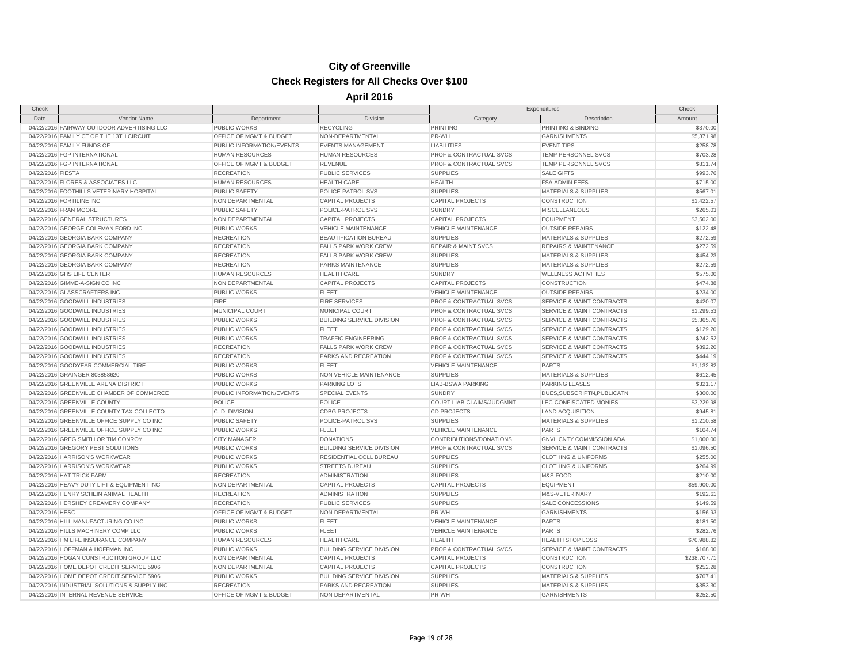| Check             |                                              |                           |                                  | Expenditures                   |                                      | Check        |
|-------------------|----------------------------------------------|---------------------------|----------------------------------|--------------------------------|--------------------------------------|--------------|
| Date              | Vendor Name                                  | Department                | Division                         | Category                       | Description                          | Amount       |
|                   | 04/22/2016 FAIRWAY OUTDOOR ADVERTISING LLC   | <b>PUBLIC WORKS</b>       | <b>RECYCLING</b>                 | PRINTING                       | PRINTING & BINDING                   | \$370.00     |
|                   | 04/22/2016 FAMILY CT OF THE 13TH CIRCUIT     | OFFICE OF MGMT & BUDGET   | NON-DEPARTMENTAL                 | PR-WH                          | <b>GARNISHMENTS</b>                  | \$5,371.98   |
|                   | 04/22/2016 FAMILY FUNDS OF                   | PUBLIC INFORMATION/EVENTS | <b>EVENTS MANAGEMENT</b>         | <b>LIABILITIES</b>             | <b>EVENT TIPS</b>                    | \$258.78     |
|                   | 04/22/2016 FGP INTERNATIONAL                 | <b>HUMAN RESOURCES</b>    | <b>HUMAN RESOURCES</b>           | PROF & CONTRACTUAL SVCS        | TEMP PERSONNEL SVCS                  | \$703.28     |
|                   | 04/22/2016 FGP INTERNATIONAL                 | OFFICE OF MGMT & BUDGET   | REVENUE                          | PROF & CONTRACTUAL SVCS        | TEMP PERSONNEL SVCS                  | \$811.74     |
| 04/22/2016 FIESTA |                                              | <b>RECREATION</b>         | <b>PUBLIC SERVICES</b>           | <b>SUPPLIES</b>                | <b>SALE GIFTS</b>                    | \$993.76     |
|                   | 04/22/2016 FLORES & ASSOCIATES LLC           | <b>HUMAN RESOURCES</b>    | <b>HEALTH CARE</b>               | <b>HEALTH</b>                  | <b>FSA ADMIN FEES</b>                | \$715.00     |
|                   | 04/22/2016 FOOTHILLS VETERINARY HOSPITAL     | <b>PUBLIC SAFETY</b>      | POLICE-PATROL SVS                | <b>SUPPLIES</b>                | <b>MATERIALS &amp; SUPPLIES</b>      | \$567.01     |
|                   | 04/22/2016 FORTILINE INC                     | NON DEPARTMENTAL          | CAPITAL PROJECTS                 | <b>CAPITAL PROJECTS</b>        | CONSTRUCTION                         | \$1,422.57   |
|                   | 04/22/2016 FRAN MOORE                        | <b>PUBLIC SAFETY</b>      | POLICE-PATROL SVS                | <b>SUNDRY</b>                  | <b>MISCELLANEOUS</b>                 | \$265.03     |
|                   | 04/22/2016 GENERAL STRUCTURES                | NON DEPARTMENTAL          | <b>CAPITAL PROJECTS</b>          | <b>CAPITAL PROJECTS</b>        | <b>EQUIPMENT</b>                     | \$3,502.00   |
|                   | 04/22/2016 GEORGE COLEMAN FORD INC           | PUBLIC WORKS              | <b>VEHICLE MAINTENANCE</b>       | <b>VEHICLE MAINTENANCE</b>     | <b>OUTSIDE REPAIRS</b>               | \$122.48     |
|                   | 04/22/2016 GEORGIA BARK COMPANY              | <b>RECREATION</b>         | BEAUTIFICATION BUREAU            | <b>SUPPLIES</b>                | MATERIALS & SUPPLIES                 | \$272.59     |
|                   | 04/22/2016 GEORGIA BARK COMPANY              | <b>RECREATION</b>         | <b>FALLS PARK WORK CREW</b>      | <b>REPAIR &amp; MAINT SVCS</b> | <b>REPAIRS &amp; MAINTENANCE</b>     | \$272.59     |
|                   | 04/22/2016 GEORGIA BARK COMPANY              | <b>RECREATION</b>         | <b>FALLS PARK WORK CREW</b>      | <b>SUPPLIES</b>                | <b>MATERIALS &amp; SUPPLIES</b>      | \$454.23     |
|                   | 04/22/2016 GEORGIA BARK COMPANY              | <b>RECREATION</b>         | PARKS MAINTENANCE                | <b>SUPPLIES</b>                | <b>MATERIALS &amp; SUPPLIES</b>      | \$272.59     |
|                   | 04/22/2016 GHS LIFE CENTER                   | <b>HUMAN RESOURCES</b>    | <b>HEALTH CARE</b>               | <b>SUNDRY</b>                  | <b>WELLNESS ACTIVITIES</b>           | \$575.00     |
|                   | 04/22/2016 GIMME-A-SIGN CO INC               | NON DEPARTMENTAL          | <b>CAPITAL PROJECTS</b>          | CAPITAL PROJECTS               | CONSTRUCTION                         | \$474.88     |
|                   | 04/22/2016 GLASSCRAFTERS INC                 | <b>PUBLIC WORKS</b>       | <b>FLEET</b>                     | <b>VEHICLE MAINTENANCE</b>     | <b>OUTSIDE REPAIRS</b>               | \$234.00     |
|                   | 04/22/2016 GOODWILL INDUSTRIES               | <b>FIRE</b>               | <b>FIRE SERVICES</b>             | PROF & CONTRACTUAL SVCS        | <b>SERVICE &amp; MAINT CONTRACTS</b> | \$420.07     |
|                   | 04/22/2016 GOODWILL INDUSTRIES               | MUNICIPAL COURT           | MUNICIPAL COURT                  | PROF & CONTRACTUAL SVCS        | <b>SERVICE &amp; MAINT CONTRACTS</b> | \$1,299.53   |
|                   | 04/22/2016 GOODWILL INDUSTRIES               | <b>PUBLIC WORKS</b>       | <b>BUILDING SERVICE DIVISION</b> | PROF & CONTRACTUAL SVCS        | <b>SERVICE &amp; MAINT CONTRACTS</b> | \$5,365.76   |
|                   | 04/22/2016 GOODWILL INDUSTRIES               | <b>PUBLIC WORKS</b>       | <b>FLEET</b>                     | PROF & CONTRACTUAL SVCS        | SERVICE & MAINT CONTRACTS            | \$129.20     |
|                   | 04/22/2016 GOODWILL INDUSTRIES               | <b>PUBLIC WORKS</b>       | <b>TRAFFIC ENGINEERING</b>       | PROF & CONTRACTUAL SVCS        | SERVICE & MAINT CONTRACTS            | \$242.52     |
|                   | 04/22/2016 GOODWILL INDUSTRIES               | <b>RECREATION</b>         | <b>FALLS PARK WORK CREW</b>      | PROF & CONTRACTUAL SVCS        | <b>SERVICE &amp; MAINT CONTRACTS</b> | \$892.20     |
|                   | 04/22/2016 GOODWILL INDUSTRIES               | <b>RECREATION</b>         | PARKS AND RECREATION             | PROF & CONTRACTUAL SVCS        | <b>SERVICE &amp; MAINT CONTRACTS</b> | \$444.19     |
|                   | 04/22/2016 GOODYEAR COMMERCIAL TIRE          | <b>PUBLIC WORKS</b>       | <b>FLEET</b>                     | <b>VEHICLE MAINTENANCE</b>     | <b>PARTS</b>                         | \$1,132.82   |
|                   | 04/22/2016 GRAINGER 803858620                | PUBLIC WORKS              | NON VEHICLE MAINTENANCE          | <b>SUPPLIES</b>                | <b>MATERIALS &amp; SUPPLIES</b>      | \$612.45     |
|                   | 04/22/2016 GREENVILLE ARENA DISTRICT         | <b>PUBLIC WORKS</b>       | <b>PARKING LOTS</b>              | LIAB-BSWA PARKING              | PARKING LEASES                       | \$321.17     |
|                   | 04/22/2016 GREENVILLE CHAMBER OF COMMERCE    | PUBLIC INFORMATION/EVENTS | <b>SPECIAL EVENTS</b>            | <b>SUNDRY</b>                  | DUES, SUBSCRIPTN, PUBLICATN          | \$300.00     |
|                   | 04/22/2016 GREENVILLE COUNTY                 | POLICE                    | POLICE                           | COURT LIAB-CLAIMS/JUDGMNT      | LEC-CONFISCATED MONIES               | \$3,229.98   |
|                   | 04/22/2016 GREENVILLE COUNTY TAX COLLECTO    | C.D. DIVISION             | <b>CDBG PROJECTS</b>             | <b>CD PROJECTS</b>             | <b>LAND ACQUISITION</b>              | \$945.81     |
|                   | 04/22/2016 GREENVILLE OFFICE SUPPLY CO INC   | PUBLIC SAFETY             | POLICE-PATROL SVS                | <b>SUPPLIES</b>                | MATERIALS & SUPPLIES                 | \$1,210.58   |
|                   | 04/22/2016 GREENVILLE OFFICE SUPPLY CO INC   | <b>PUBLIC WORKS</b>       | <b>FLEET</b>                     | <b>VEHICLE MAINTENANCE</b>     | <b>PARTS</b>                         | \$104.74     |
|                   | 04/22/2016 GREG SMITH OR TIM CONROY          | <b>CITY MANAGER</b>       | <b>DONATIONS</b>                 | CONTRIBUTIONS/DONATIONS        | GNVL CNTY COMMISSION ADA             | \$1,000.00   |
|                   | 04/22/2016 GREGORY PEST SOLUTIONS            | <b>PUBLIC WORKS</b>       | <b>BUILDING SERVICE DIVISION</b> | PROF & CONTRACTUAL SVCS        | <b>SERVICE &amp; MAINT CONTRACTS</b> | \$1,096.50   |
|                   | 04/22/2016 HARRISON'S WORKWEAR               | <b>PUBLIC WORKS</b>       | RESIDENTIAL COLL BUREAU          | <b>SUPPLIES</b>                | <b>CLOTHING &amp; UNIFORMS</b>       | \$255.00     |
|                   | 04/22/2016 HARRISON'S WORKWEAR               | PUBLIC WORKS              | <b>STREETS BUREAU</b>            | <b>SUPPLIES</b>                | <b>CLOTHING &amp; UNIFORMS</b>       | \$264.99     |
|                   | 04/22/2016 HAT TRICK FARM                    | <b>RECREATION</b>         | <b>ADMINISTRATION</b>            | <b>SUPPLIES</b>                | M&S-FOOD                             | \$210.00     |
|                   | 04/22/2016 HEAVY DUTY LIFT & EQUIPMENT INC   | NON DEPARTMENTAL          | <b>CAPITAL PROJECTS</b>          | <b>CAPITAL PROJECTS</b>        | <b>EQUIPMENT</b>                     | \$59,900.00  |
|                   | 04/22/2016 HENRY SCHEIN ANIMAL HEALTH        | <b>RECREATION</b>         | <b>ADMINISTRATION</b>            | <b>SUPPLIES</b>                | M&S-VETERINARY                       | \$192.61     |
|                   | 04/22/2016 HERSHEY CREAMERY COMPANY          | <b>RECREATION</b>         | <b>PUBLIC SERVICES</b>           | <b>SUPPLIES</b>                | SALE CONCESSIONS                     | \$149.59     |
| 04/22/2016 HESC   |                                              | OFFICE OF MGMT & BUDGET   | NON-DEPARTMENTAL                 | PR-WH                          | <b>GARNISHMENTS</b>                  | \$156.93     |
|                   | 04/22/2016 HILL MANUFACTURING CO INC         | <b>PUBLIC WORKS</b>       | <b>FLEET</b>                     | VEHICLE MAINTENANCE            | PARTS                                | \$181.50     |
|                   | 04/22/2016 HILLS MACHINERY COMP LLC          | <b>PUBLIC WORKS</b>       | <b>FLEET</b>                     | <b>VEHICLE MAINTENANCE</b>     | <b>PARTS</b>                         | \$282.76     |
|                   | 04/22/2016 HM LIFE INSURANCE COMPANY         | <b>HUMAN RESOURCES</b>    | <b>HEALTH CARE</b>               | <b>HEALTH</b>                  | <b>HEALTH STOP LOSS</b>              | \$70,988.82  |
|                   | 04/22/2016 HOFFMAN & HOFFMAN INC             | <b>PUBLIC WORKS</b>       | <b>BUILDING SERVICE DIVISION</b> | PROF & CONTRACTUAL SVCS        | <b>SERVICE &amp; MAINT CONTRACTS</b> | \$168.00     |
|                   | 04/22/2016 HOGAN CONSTRUCTION GROUP LLC      | NON DEPARTMENTAL          | <b>CAPITAL PROJECTS</b>          | <b>CAPITAL PROJECTS</b>        | CONSTRUCTION                         | \$238,707.71 |
|                   | 04/22/2016 HOME DEPOT CREDIT SERVICE 5906    | NON DEPARTMENTAL          | <b>CAPITAL PROJECTS</b>          | <b>CAPITAL PROJECTS</b>        | CONSTRUCTION                         | \$252.28     |
|                   | 04/22/2016 HOME DEPOT CREDIT SERVICE 5906    | <b>PUBLIC WORKS</b>       | <b>BUILDING SERVICE DIVISION</b> | <b>SUPPLIES</b>                | <b>MATERIALS &amp; SUPPLIES</b>      | \$707.41     |
|                   | 04/22/2016 INDUSTRIAL SOLUTIONS & SUPPLY INC | <b>RECREATION</b>         | PARKS AND RECREATION             | <b>SUPPLIES</b>                | <b>MATERIALS &amp; SUPPLIES</b>      | \$353.30     |
|                   | 04/22/2016 INTERNAL REVENUE SERVICE          | OFFICE OF MGMT & BUDGET   | NON-DEPARTMENTAL                 | PR-WH                          | <b>GARNISHMENTS</b>                  | \$252.50     |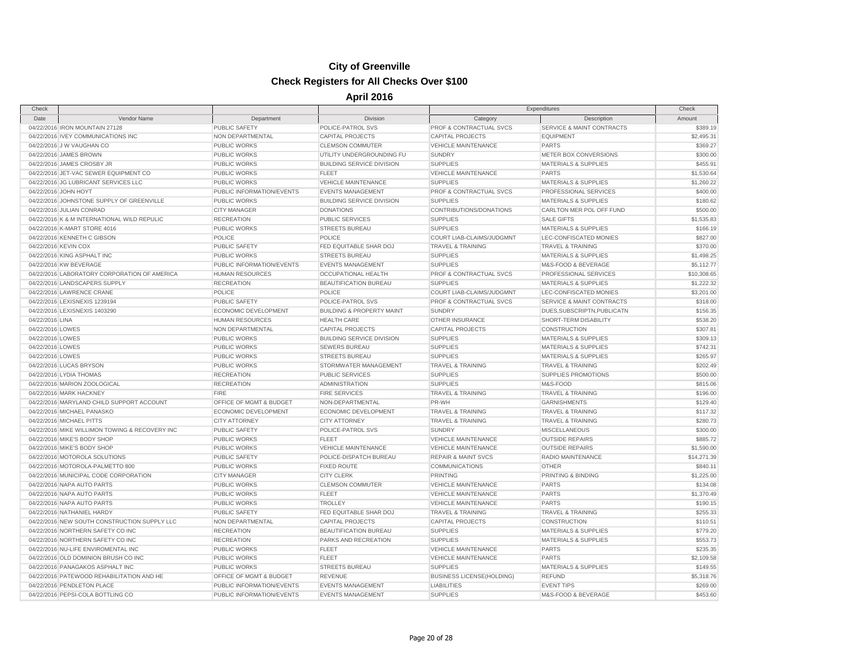| Check                |                                                |                             |                                      | Expenditures                     |                                      | Check       |
|----------------------|------------------------------------------------|-----------------------------|--------------------------------------|----------------------------------|--------------------------------------|-------------|
| Date                 | Vendor Name                                    | Department                  | Division                             | Category                         | Description                          | Amount      |
|                      | 04/22/2016 IRON MOUNTAIN 27128                 | <b>PUBLIC SAFETY</b>        | POLICE-PATROL SVS                    | PROF & CONTRACTUAL SVCS          | SERVICE & MAINT CONTRACTS            | \$389.19    |
|                      | 04/22/2016 IVEY COMMUNICATIONS INC             | NON DEPARTMENTAL            | <b>CAPITAL PROJECTS</b>              | <b>CAPITAL PROJECTS</b>          | <b>EQUIPMENT</b>                     | \$2,495.31  |
|                      | 04/22/2016 J W VAUGHAN CO                      | <b>PUBLIC WORKS</b>         | <b>CLEMSON COMMUTER</b>              | <b>VEHICLE MAINTENANCE</b>       | <b>PARTS</b>                         | \$369.27    |
|                      | 04/22/2016 JAMES BROWN                         | <b>PUBLIC WORKS</b>         | UTILITY UNDERGROUNDING FU            | <b>SUNDRY</b>                    | METER BOX CONVERSIONS                | \$300.00    |
|                      | 04/22/2016 JAMES CROSBY JR                     | <b>PUBLIC WORKS</b>         | <b>BUILDING SERVICE DIVISION</b>     | <b>SUPPLIES</b>                  | <b>MATERIALS &amp; SUPPLIES</b>      | \$455.91    |
|                      | 04/22/2016 JET-VAC SEWER EQUIPMENT CO          | PUBLIC WORKS                | <b>FLEET</b>                         | <b>VEHICLE MAINTENANCE</b>       | <b>PARTS</b>                         | \$1,530.64  |
|                      | 04/22/2016 JG LUBRICANT SERVICES LLC           | <b>PUBLIC WORKS</b>         | <b>VEHICLE MAINTENANCE</b>           | <b>SUPPLIES</b>                  | <b>MATERIALS &amp; SUPPLIES</b>      | \$1,260.22  |
|                      | 04/22/2016 JOHN HOYT                           | PUBLIC INFORMATION/EVENTS   | <b>EVENTS MANAGEMENT</b>             | PROF & CONTRACTUAL SVCS          | PROFESSIONAL SERVICES                | \$400.00    |
|                      | 04/22/2016 JOHNSTONE SUPPLY OF GREENVILLE      | <b>PUBLIC WORKS</b>         | <b>BUILDING SERVICE DIVISION</b>     | <b>SUPPLIES</b>                  | <b>MATERIALS &amp; SUPPLIES</b>      | \$180.62    |
|                      | 04/22/2016 JULIAN CONRAD                       | <b>CITY MANAGER</b>         | <b>DONATIONS</b>                     | CONTRIBUTIONS/DONATIONS          | CARLTON MER POL OFF FUND             | \$500.00    |
|                      | 04/22/2016 K & M INTERNATIONAL WILD REPULIC    | <b>RECREATION</b>           | <b>PUBLIC SERVICES</b>               | <b>SUPPLIES</b>                  | <b>SALE GIFTS</b>                    | \$1,535.83  |
|                      | 04/22/2016 K-MART STORE 4016                   | <b>PUBLIC WORKS</b>         | <b>STREETS BUREAU</b>                | <b>SUPPLIES</b>                  | <b>MATERIALS &amp; SUPPLIES</b>      | \$166.19    |
|                      | 04/22/2016 KENNETH C GIBSON                    | POLICE                      | POLICE                               | COURT LIAB-CLAIMS/JUDGMNT        | LEC-CONFISCATED MONIES               | \$827.00    |
| 04/22/2016 KEVIN COX |                                                | PUBLIC SAFETY               | FED EQUITABLE SHAR DOJ               | <b>TRAVEL &amp; TRAINING</b>     | <b>TRAVEL &amp; TRAINING</b>         | \$370.00    |
|                      | 04/22/2016 KING ASPHALT INC                    | <b>PUBLIC WORKS</b>         | <b>STREETS BUREAU</b>                | <b>SUPPLIES</b>                  | MATERIALS & SUPPLIES                 | \$1,498.25  |
|                      | 04/22/2016 KW BEVERAGE                         | PUBLIC INFORMATION/EVENTS   | <b>EVENTS MANAGEMENT</b>             | <b>SUPPLIES</b>                  | M&S-FOOD & BEVERAGE                  | \$5,112.77  |
|                      | 04/22/2016 LABORATORY CORPORATION OF AMERICA   | <b>HUMAN RESOURCES</b>      | OCCUPATIONAL HEALTH                  | PROF & CONTRACTUAL SVCS          | PROFESSIONAL SERVICES                | \$10,308.65 |
|                      | 04/22/2016 LANDSCAPERS SUPPLY                  | <b>RECREATION</b>           | <b>BEAUTIFICATION BUREAU</b>         | <b>SUPPLIES</b>                  | <b>MATERIALS &amp; SUPPLIES</b>      | \$1,222.32  |
|                      | 04/22/2016 LAWRENCE CRANE                      | POLICE                      | POLICE                               | COURT LIAB-CLAIMS/JUDGMNT        | LEC-CONFISCATED MONIES               | \$3,201.00  |
|                      | 04/22/2016 LEXISNEXIS 1239194                  | PUBLIC SAFETY               | POLICE-PATROL SVS                    | PROF & CONTRACTUAL SVCS          | <b>SERVICE &amp; MAINT CONTRACTS</b> | \$318.00    |
|                      | 04/22/2016 LEXISNEXIS 1403290                  | <b>ECONOMIC DEVELOPMENT</b> | <b>BUILDING &amp; PROPERTY MAINT</b> | <b>SUNDRY</b>                    | DUES.SUBSCRIPTN.PUBLICATN            | \$156.35    |
| 04/22/2016 LINA      |                                                | <b>HUMAN RESOURCES</b>      | <b>HEALTH CARE</b>                   | OTHER INSURANCE                  | SHORT-TERM DISABILITY                | \$538.20    |
| 04/22/2016 LOWES     |                                                | NON DEPARTMENTAL            | <b>CAPITAL PROJECTS</b>              | <b>CAPITAL PROJECTS</b>          | CONSTRUCTION                         | \$307.81    |
| 04/22/2016 LOWES     |                                                | <b>PUBLIC WORKS</b>         | <b>BUILDING SERVICE DIVISION</b>     | <b>SUPPLIES</b>                  | <b>MATERIALS &amp; SUPPLIES</b>      | \$309.13    |
| 04/22/2016 LOWES     |                                                | <b>PUBLIC WORKS</b>         | <b>SEWERS BUREAU</b>                 | <b>SUPPLIES</b>                  | <b>MATERIALS &amp; SUPPLIES</b>      | \$742.31    |
| 04/22/2016 LOWES     |                                                | <b>PUBLIC WORKS</b>         | <b>STREETS BUREAU</b>                | <b>SUPPLIES</b>                  | <b>MATERIALS &amp; SUPPLIES</b>      | \$265.97    |
|                      | 04/22/2016 LUCAS BRYSON                        | <b>PUBLIC WORKS</b>         | STORMWATER MANAGEMENT                | <b>TRAVEL &amp; TRAINING</b>     | <b>TRAVEL &amp; TRAINING</b>         | \$202.49    |
|                      | 04/22/2016 LYDIA THOMAS                        | <b>RECREATION</b>           | <b>PUBLIC SERVICES</b>               | <b>SUPPLIES</b>                  | <b>SUPPLIES PROMOTIONS</b>           | \$500.00    |
|                      | 04/22/2016 MARION ZOOLOGICAL                   | <b>RECREATION</b>           | <b>ADMINISTRATION</b>                | <b>SUPPLIES</b>                  | M&S-FOOD                             | \$815.06    |
|                      | 04/22/2016 MARK HACKNEY                        | <b>FIRE</b>                 | <b>FIRE SERVICES</b>                 | TRAVEL & TRAINING                | TRAVEL & TRAINING                    | \$196.00    |
|                      | 04/22/2016 MARYLAND CHILD SUPPORT ACCOUNT      | OFFICE OF MGMT & BUDGET     | NON-DEPARTMENTAL                     | PR-WH                            | <b>GARNISHMENTS</b>                  | \$129.40    |
|                      | 04/22/2016 MICHAEL PANASKO                     | ECONOMIC DEVELOPMENT        | ECONOMIC DEVELOPMENT                 | <b>TRAVEL &amp; TRAINING</b>     | <b>TRAVEL &amp; TRAINING</b>         | \$117.32    |
|                      | 04/22/2016 MICHAEL PITTS                       | <b>CITY ATTORNEY</b>        | <b>CITY ATTORNEY</b>                 | <b>TRAVEL &amp; TRAINING</b>     | <b>TRAVEL &amp; TRAINING</b>         | \$280.73    |
|                      | 04/22/2016 MIKE WILLIMON TOWING & RECOVERY INC | <b>PUBLIC SAFETY</b>        | POLICE-PATROL SVS                    | <b>SUNDRY</b>                    | <b>MISCELLANEOUS</b>                 | \$300.00    |
|                      | 04/22/2016 MIKE'S BODY SHOP                    | <b>PUBLIC WORKS</b>         | <b>FLEET</b>                         | <b>VEHICLE MAINTENANCE</b>       | <b>OUTSIDE REPAIRS</b>               | \$885.72    |
|                      | 04/22/2016 MIKE'S BODY SHOP                    | <b>PUBLIC WORKS</b>         | <b>VEHICLE MAINTENANCE</b>           | <b>VEHICLE MAINTENANCE</b>       | <b>OUTSIDE REPAIRS</b>               | \$1,590.00  |
|                      | 04/22/2016 MOTOROLA SOLUTIONS                  | PUBLIC SAFETY               | POLICE-DISPATCH BUREAU               | <b>REPAIR &amp; MAINT SVCS</b>   | RADIO MAINTENANCE                    | \$14,271.39 |
|                      | 04/22/2016 MOTOROLA-PALMETTO 800               | <b>PUBLIC WORKS</b>         | <b>FIXED ROUTE</b>                   | <b>COMMUNICATIONS</b>            | <b>OTHER</b>                         | \$840.11    |
|                      | 04/22/2016 MUNICIPAL CODE CORPORATION          | <b>CITY MANAGER</b>         | <b>CITY CLERK</b>                    | <b>PRINTING</b>                  | PRINTING & BINDING                   | \$1,225.00  |
|                      | 04/22/2016 NAPA AUTO PARTS                     | <b>PUBLIC WORKS</b>         | <b>CLEMSON COMMUTER</b>              | <b>VEHICLE MAINTENANCE</b>       | <b>PARTS</b>                         | \$134.08    |
|                      | 04/22/2016 NAPA AUTO PARTS                     | <b>PUBLIC WORKS</b>         | <b>FLEET</b>                         | <b>VEHICLE MAINTENANCE</b>       | <b>PARTS</b>                         | \$1,370.49  |
|                      | 04/22/2016 NAPA AUTO PARTS                     | <b>PUBLIC WORKS</b>         | <b>TROLLEY</b>                       | <b>VEHICLE MAINTENANCE</b>       | <b>PARTS</b>                         | \$190.15    |
|                      | 04/22/2016 NATHANIEL HARDY                     | <b>PUBLIC SAFETY</b>        | FED EQUITABLE SHAR DOJ               | <b>TRAVEL &amp; TRAINING</b>     | <b>TRAVEL &amp; TRAINING</b>         | \$255.33    |
|                      | 04/22/2016 NEW SOUTH CONSTRUCTION SUPPLY LLC   | NON DEPARTMENTAL            | <b>CAPITAL PROJECTS</b>              | <b>CAPITAL PROJECTS</b>          | <b>CONSTRUCTION</b>                  | \$110.51    |
|                      | 04/22/2016 NORTHERN SAFETY CO INC              | <b>RECREATION</b>           | BEAUTIFICATION BUREAU                | <b>SUPPLIES</b>                  | MATERIALS & SUPPLIES                 | \$779.20    |
|                      | 04/22/2016 NORTHERN SAFETY CO INC              | <b>RECREATION</b>           | PARKS AND RECREATION                 | <b>SUPPLIES</b>                  | MATERIALS & SUPPLIES                 | \$553.73    |
|                      | 04/22/2016 NU-LIFE ENVIROMENTAL INC            | <b>PUBLIC WORKS</b>         | <b>FLEET</b>                         | <b>VEHICLE MAINTENANCE</b>       | <b>PARTS</b>                         | \$235.35    |
|                      | 04/22/2016 OLD DOMINION BRUSH CO INC           | <b>PUBLIC WORKS</b>         | <b>FLEET</b>                         | <b>VEHICLE MAINTENANCE</b>       | <b>PARTS</b>                         | \$2,109.58  |
|                      | 04/22/2016 PANAGAKOS ASPHALT INC               | <b>PUBLIC WORKS</b>         | <b>STREETS BUREAU</b>                | <b>SUPPLIES</b>                  | <b>MATERIALS &amp; SUPPLIES</b>      | \$149.55    |
|                      | 04/22/2016 PATEWOOD REHABILITATION AND HE      | OFFICE OF MGMT & BUDGET     | <b>REVENUE</b>                       | <b>BUSINESS LICENSE(HOLDING)</b> | <b>REFUND</b>                        | \$5,318.76  |
|                      | 04/22/2016 PENDLETON PLACE                     | PUBLIC INFORMATION/EVENTS   | <b>EVENTS MANAGEMENT</b>             | <b>LIABILITIES</b>               | <b>EVENT TIPS</b>                    | \$269.00    |
|                      | 04/22/2016 PEPSI-COLA BOTTLING CO              | PUBLIC INFORMATION/EVENTS   | <b>EVENTS MANAGEMENT</b>             | <b>SUPPLIES</b>                  | M&S-FOOD & BEVERAGE                  | \$453.60    |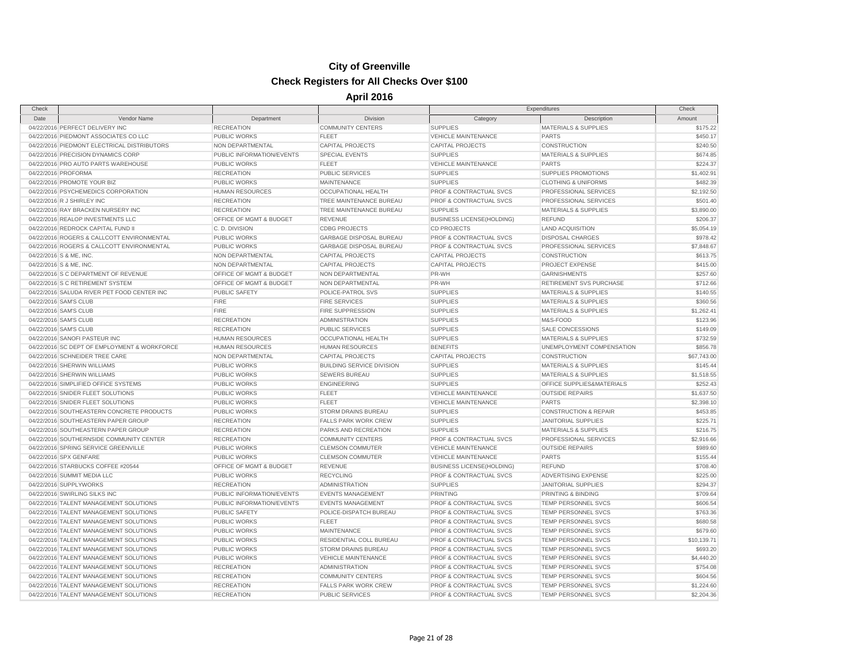| Check                   |                                                                                |                           |                                  | Expenditures                       |                                  | Check       |
|-------------------------|--------------------------------------------------------------------------------|---------------------------|----------------------------------|------------------------------------|----------------------------------|-------------|
| Date                    | Vendor Name                                                                    | Department                | Division                         | Category                           | Description                      | Amount      |
|                         | 04/22/2016 PERFECT DELIVERY INC                                                | <b>RECREATION</b>         | <b>COMMUNITY CENTERS</b>         | <b>SUPPLIES</b>                    | <b>MATERIALS &amp; SUPPLIES</b>  | \$175.22    |
|                         | 04/22/2016 PIEDMONT ASSOCIATES CO LLC                                          | PUBLIC WORKS              | <b>FLEET</b>                     | <b>VEHICLE MAINTENANCE</b>         | <b>PARTS</b>                     | \$450.17    |
|                         | 04/22/2016 PIEDMONT ELECTRICAL DISTRIBUTORS                                    | NON DEPARTMENTAL          | <b>CAPITAL PROJECTS</b>          | <b>CAPITAL PROJECTS</b>            | <b>CONSTRUCTION</b>              | \$240.50    |
|                         | 04/22/2016 PRECISION DYNAMICS CORP                                             | PUBLIC INFORMATION/EVENTS | <b>SPECIAL EVENTS</b>            | <b>SUPPLIES</b>                    | <b>MATERIALS &amp; SUPPLIES</b>  | \$674.85    |
|                         | 04/22/2016 PRO AUTO PARTS WAREHOUSE                                            | PUBLIC WORKS              | <b>FLEET</b>                     | <b>VEHICLE MAINTENANCE</b>         | <b>PARTS</b>                     | \$224.37    |
| 04/22/2016 PROFORMA     |                                                                                | <b>RECREATION</b>         | PUBLIC SERVICES                  | <b>SUPPLIES</b>                    | SUPPLIES PROMOTIONS              | \$1,402.91  |
|                         | 04/22/2016 PROMOTE YOUR BIZ                                                    | <b>PUBLIC WORKS</b>       | <b>MAINTENANCE</b>               | <b>SUPPLIES</b>                    | <b>CLOTHING &amp; UNIFORMS</b>   | \$482.39    |
|                         | 04/22/2016 PSYCHEMEDICS CORPORATION                                            | <b>HUMAN RESOURCES</b>    | OCCUPATIONAL HEALTH              | PROF & CONTRACTUAL SVCS            | PROFESSIONAL SERVICES            | \$2,192.50  |
|                         | 04/22/2016 R J SHIRLEY INC                                                     | <b>RECREATION</b>         | TREE MAINTENANCE BUREAU          | <b>PROF &amp; CONTRACTUAL SVCS</b> | PROFESSIONAL SERVICES            | \$501.40    |
|                         | 04/22/2016 RAY BRACKEN NURSERY INC                                             | <b>RECREATION</b>         | TREE MAINTENANCE BUREAU          | <b>SUPPLIES</b>                    | <b>MATERIALS &amp; SUPPLIES</b>  | \$3,890.00  |
|                         | 04/22/2016 REALOP INVESTMENTS LLC                                              | OFFICE OF MGMT & BUDGET   | <b>REVENUE</b>                   | <b>BUSINESS LICENSE(HOLDING)</b>   | <b>REFUND</b>                    | \$206.37    |
|                         | 04/22/2016 REDROCK CAPITAL FUND II                                             | C. D. DIVISION            | <b>CDBG PROJECTS</b>             | <b>CD PROJECTS</b>                 | <b>LAND ACQUISITION</b>          | \$5,054.19  |
|                         | 04/22/2016 ROGERS & CALLCOTT ENVIRONMENTAL                                     | PUBLIC WORKS              | <b>GARBAGE DISPOSAL BUREAU</b>   | <b>PROF &amp; CONTRACTUAL SVCS</b> | <b>DISPOSAL CHARGES</b>          | \$978.42    |
|                         | 04/22/2016 ROGERS & CALLCOTT ENVIRONMENTAL                                     | PUBLIC WORKS              | <b>GARBAGE DISPOSAL BUREAU</b>   | PROF & CONTRACTUAL SVCS            | PROFESSIONAL SERVICES            | \$7,848.67  |
| 04/22/2016 S & ME, INC  |                                                                                | NON DEPARTMENTAL          | <b>CAPITAL PROJECTS</b>          | <b>CAPITAL PROJECTS</b>            | <b>CONSTRUCTION</b>              | \$613.75    |
| 04/22/2016 S & ME, INC. |                                                                                | NON DEPARTMENTAL          | <b>CAPITAL PROJECTS</b>          | <b>CAPITAL PROJECTS</b>            | PROJECT EXPENSE                  | \$415.00    |
|                         | 04/22/2016 S C DEPARTMENT OF REVENUE                                           | OFFICE OF MGMT & BUDGET   | NON DEPARTMENTAL                 | PR-WH                              | <b>GARNISHMENTS</b>              | \$257.60    |
|                         | 04/22/2016 S C RETIREMENT SYSTEM                                               | OFFICE OF MGMT & BUDGET   | NON DEPARTMENTAL                 | PR-WH                              | RETIREMENT SVS PURCHASE          | \$712.66    |
|                         | 04/22/2016 SALUDA RIVER PET FOOD CENTER INC                                    | <b>PUBLIC SAFETY</b>      | POLICE-PATROL SVS                | <b>SUPPLIES</b>                    | <b>MATERIALS &amp; SUPPLIES</b>  | \$140.55    |
|                         | 04/22/2016 SAM'S CLUB                                                          | <b>FIRE</b>               | <b>FIRE SERVICES</b>             | <b>SUPPLIES</b>                    | <b>MATERIALS &amp; SUPPLIES</b>  | \$360.56    |
|                         | 04/22/2016 SAM'S CLUB                                                          | <b>FIRE</b>               | <b>FIRE SUPPRESSION</b>          | <b>SUPPLIES</b>                    | <b>MATERIALS &amp; SUPPLIES</b>  | \$1,262.41  |
|                         | 04/22/2016 SAM'S CLUB                                                          | <b>RECREATION</b>         | ADMINISTRATION                   | <b>SUPPLIES</b>                    | M&S-FOOD                         | \$123.96    |
|                         | 04/22/2016 SAM'S CLUB                                                          | <b>RECREATION</b>         | <b>PUBLIC SERVICES</b>           | <b>SUPPLIES</b>                    | SALE CONCESSIONS                 | \$149.09    |
|                         | 04/22/2016 SANOFI PASTEUR INC                                                  | <b>HUMAN RESOURCES</b>    | OCCUPATIONAL HEALTH              | <b>SUPPLIES</b>                    | <b>MATERIALS &amp; SUPPLIES</b>  | \$732.59    |
|                         | 04/22/2016 SC DEPT OF EMPLOYMENT & WORKFORCE                                   | <b>HUMAN RESOURCES</b>    | <b>HUMAN RESOURCES</b>           | <b>BENEFITS</b>                    | UNEMPLOYMENT COMPENSATION        | \$856.78    |
|                         | 04/22/2016 SCHNEIDER TREE CARE                                                 | NON DEPARTMENTAL          | <b>CAPITAL PROJECTS</b>          | <b>CAPITAL PROJECTS</b>            | <b>CONSTRUCTION</b>              | \$67,743.00 |
|                         | 04/22/2016 SHERWIN WILLIAMS                                                    | PUBLIC WORKS              | <b>BUILDING SERVICE DIVISION</b> | <b>SUPPLIES</b>                    | <b>MATERIALS &amp; SUPPLIES</b>  | \$145.44    |
|                         | 04/22/2016 SHERWIN WILLIAMS                                                    | PUBLIC WORKS              | <b>SEWERS BUREAU</b>             | <b>SUPPLIES</b>                    | <b>MATERIALS &amp; SUPPLIES</b>  | \$1,518.55  |
|                         | 04/22/2016 SIMPLIFIED OFFICE SYSTEMS                                           | PUBLIC WORKS              | <b>ENGINEERING</b>               | <b>SUPPLIES</b>                    | OFFICE SUPPLIES&MATERIALS        | \$252.43    |
|                         |                                                                                |                           |                                  |                                    |                                  |             |
|                         | 04/22/2016 SNIDER FLEET SOLUTIONS                                              | <b>PUBLIC WORKS</b>       | <b>FLEET</b>                     | <b>VEHICLE MAINTENANCE</b>         | <b>OUTSIDE REPAIRS</b>           | \$1,637.50  |
|                         | 04/22/2016 SNIDER FLEET SOLUTIONS<br>04/22/2016 SOUTHEASTERN CONCRETE PRODUCTS | PUBLIC WORKS              | <b>FLEET</b>                     | <b>VEHICLE MAINTENANCE</b>         | <b>PARTS</b>                     | \$2,398.10  |
|                         |                                                                                | <b>PUBLIC WORKS</b>       | <b>STORM DRAINS BUREAU</b>       | <b>SUPPLIES</b>                    | <b>CONSTRUCTION &amp; REPAIR</b> | \$453.85    |
|                         | 04/22/2016 SOUTHEASTERN PAPER GROUP                                            | <b>RECREATION</b>         | <b>FALLS PARK WORK CREW</b>      | <b>SUPPLIES</b>                    | <b>JANITORIAL SUPPLIES</b>       | \$225.71    |
|                         | 04/22/2016 SOUTHEASTERN PAPER GROUP                                            | <b>RECREATION</b>         | PARKS AND RECREATION             | <b>SUPPLIES</b>                    | <b>MATERIALS &amp; SUPPLIES</b>  | \$216.75    |
|                         | 04/22/2016 SOUTHERNSIDE COMMUNITY CENTER                                       | <b>RECREATION</b>         | <b>COMMUNITY CENTERS</b>         | <b>PROF &amp; CONTRACTUAL SVCS</b> | PROFESSIONAL SERVICES            | \$2,916.66  |
|                         | 04/22/2016 SPRING SERVICE GREENVILLE                                           | <b>PUBLIC WORKS</b>       | <b>CLEMSON COMMUTER</b>          | <b>VEHICLE MAINTENANCE</b>         | <b>OUTSIDE REPAIRS</b>           | \$989.60    |
|                         | 04/22/2016 SPX GENFARE                                                         | PUBLIC WORKS              | <b>CLEMSON COMMUTER</b>          | <b>VEHICLE MAINTENANCE</b>         | <b>PARTS</b>                     | \$155.44    |
|                         | 04/22/2016 STARBUCKS COFFEE #20544                                             | OFFICE OF MGMT & BUDGET   | <b>REVENUE</b>                   | <b>BUSINESS LICENSE(HOLDING)</b>   | <b>REFUND</b>                    | \$708.40    |
|                         | 04/22/2016 SUMMIT MEDIA LLC                                                    | <b>PUBLIC WORKS</b>       | <b>RECYCLING</b>                 | PROF & CONTRACTUAL SVCS            | ADVERTISING EXPENSE              | \$225.00    |
|                         | 04/22/2016 SUPPLYWORKS                                                         | <b>RECREATION</b>         | <b>ADMINISTRATION</b>            | <b>SUPPLIES</b>                    | <b>JANITORIAL SUPPLIES</b>       | \$294.37    |
|                         | 04/22/2016 SWIRLING SILKS INC                                                  | PUBLIC INFORMATION/EVENTS | <b>EVENTS MANAGEMENT</b>         | <b>PRINTING</b>                    | PRINTING & BINDING               | \$709.64    |
|                         | 04/22/2016 TALENT MANAGEMENT SOLUTIONS                                         | PUBLIC INFORMATION/EVENTS | <b>EVENTS MANAGEMENT</b>         | PROF & CONTRACTUAL SVCS            | TEMP PERSONNEL SVCS              | \$606.54    |
|                         | 04/22/2016 TALENT MANAGEMENT SOLUTIONS                                         | PUBLIC SAFETY             | POLICE-DISPATCH BUREAU           | PROF & CONTRACTUAL SVCS            | TEMP PERSONNEL SVCS              | \$763.36    |
|                         | 04/22/2016 TALENT MANAGEMENT SOLUTIONS                                         | PUBLIC WORKS              | <b>FLEET</b>                     | PROF & CONTRACTUAL SVCS            | TEMP PERSONNEL SVCS              | \$680.58    |
|                         | 04/22/2016 TALENT MANAGEMENT SOLUTIONS                                         | PUBLIC WORKS              | MAINTENANCE                      | PROF & CONTRACTUAL SVCS            | TEMP PERSONNEL SVCS              | \$679.60    |
|                         | 04/22/2016 TALENT MANAGEMENT SOLUTIONS                                         | PUBLIC WORKS              | RESIDENTIAL COLL BUREAU          | PROF & CONTRACTUAL SVCS            | TEMP PERSONNEL SVCS              | \$10,139.71 |
|                         | 04/22/2016 TALENT MANAGEMENT SOLUTIONS                                         | PUBLIC WORKS              | <b>STORM DRAINS BUREAU</b>       | PROF & CONTRACTUAL SVCS            | TEMP PERSONNEL SVCS              | \$693.20    |
|                         | 04/22/2016 TALENT MANAGEMENT SOLUTIONS                                         | PUBLIC WORKS              | <b>VEHICLE MAINTENANCE</b>       | PROF & CONTRACTUAL SVCS            | TEMP PERSONNEL SVCS              | \$4,440.20  |
|                         | 04/22/2016 TALENT MANAGEMENT SOLUTIONS                                         | <b>RECREATION</b>         | <b>ADMINISTRATION</b>            | PROF & CONTRACTUAL SVCS            | TEMP PERSONNEL SVCS              | \$754.08    |
|                         | 04/22/2016 TALENT MANAGEMENT SOLUTIONS                                         | <b>RECREATION</b>         | <b>COMMUNITY CENTERS</b>         | PROF & CONTRACTUAL SVCS            | TEMP PERSONNEL SVCS              | \$604.56    |
|                         | 04/22/2016 TALENT MANAGEMENT SOLUTIONS                                         | <b>RECREATION</b>         | <b>FALLS PARK WORK CREW</b>      | PROF & CONTRACTUAL SVCS            | <b>TEMP PERSONNEL SVCS</b>       | \$1,224.60  |
|                         | 04/22/2016 TALENT MANAGEMENT SOLUTIONS                                         | <b>RECREATION</b>         | <b>PUBLIC SERVICES</b>           | PROF & CONTRACTUAL SVCS            | TEMP PERSONNEL SVCS              | \$2,204.36  |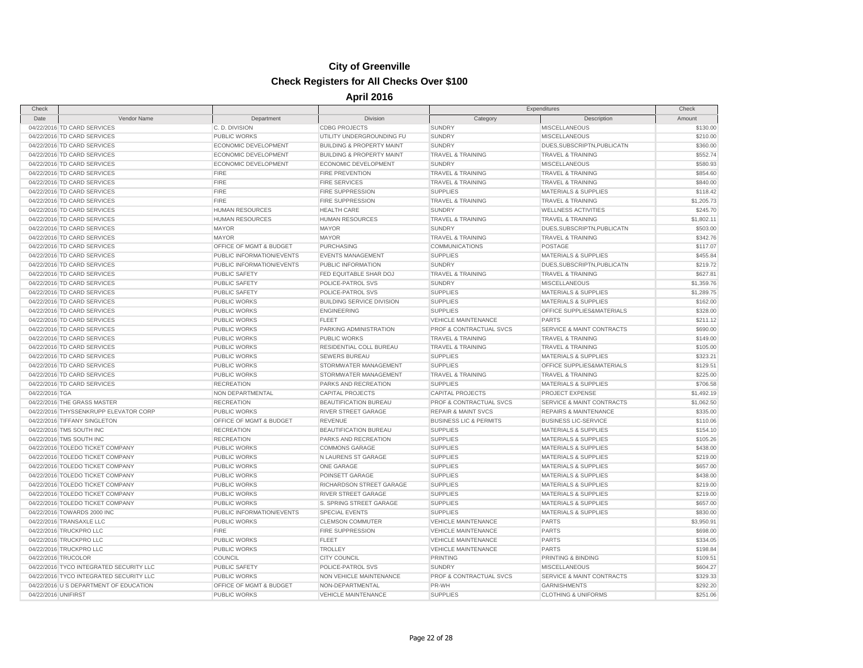| Check               |                                         |                             |                                      |                                    | Expenditures                         | Check      |
|---------------------|-----------------------------------------|-----------------------------|--------------------------------------|------------------------------------|--------------------------------------|------------|
| Date                | Vendor Name                             | Department                  | Division                             | Category                           | Description                          | Amount     |
|                     | 04/22/2016 TD CARD SERVICES             | C.D. DIVISION               | <b>CDBG PROJECTS</b>                 | <b>SUNDRY</b>                      | <b>MISCELLANEOUS</b>                 | \$130.00   |
|                     | 04/22/2016 TD CARD SERVICES             | <b>PUBLIC WORKS</b>         | UTILITY UNDERGROUNDING FU            | <b>SUNDRY</b>                      | <b>MISCELLANEOUS</b>                 | \$210.00   |
|                     | 04/22/2016 TD CARD SERVICES             | ECONOMIC DEVELOPMENT        | <b>BUILDING &amp; PROPERTY MAINT</b> | <b>SUNDRY</b>                      | DUES, SUBSCRIPTN, PUBLICATN          | \$360.00   |
|                     | 04/22/2016 TD CARD SERVICES             | <b>ECONOMIC DEVELOPMENT</b> | <b>BUILDING &amp; PROPERTY MAINT</b> | <b>TRAVEL &amp; TRAINING</b>       | <b>TRAVEL &amp; TRAINING</b>         | \$552.74   |
|                     | 04/22/2016 TD CARD SERVICES             | ECONOMIC DEVELOPMENT        | ECONOMIC DEVELOPMENT                 | <b>SUNDRY</b>                      | <b>MISCELLANEOUS</b>                 | \$580.93   |
|                     | 04/22/2016 TD CARD SERVICES             | <b>FIRE</b>                 | <b>FIRE PREVENTION</b>               | <b>TRAVEL &amp; TRAINING</b>       | <b>TRAVEL &amp; TRAINING</b>         | \$854.60   |
|                     | 04/22/2016 TD CARD SERVICES             | <b>FIRE</b>                 | <b>FIRE SERVICES</b>                 | TRAVEL & TRAINING                  | TRAVEL & TRAINING                    | \$840.00   |
|                     | 04/22/2016 TD CARD SERVICES             | <b>FIRE</b>                 | FIRE SUPPRESSION                     | <b>SUPPLIES</b>                    | <b>MATERIALS &amp; SUPPLIES</b>      | \$118.42   |
|                     | 04/22/2016 TD CARD SERVICES             | <b>FIRE</b>                 | <b>FIRE SUPPRESSION</b>              | <b>TRAVEL &amp; TRAINING</b>       | <b>TRAVEL &amp; TRAINING</b>         | \$1,205.73 |
|                     | 04/22/2016 TD CARD SERVICES             | <b>HUMAN RESOURCES</b>      | <b>HEALTH CARE</b>                   | <b>SUNDRY</b>                      | <b>WELLNESS ACTIVITIES</b>           | \$245.70   |
|                     | 04/22/2016 TD CARD SERVICES             | HUMAN RESOURCES             | <b>HUMAN RESOURCES</b>               | <b>TRAVEL &amp; TRAINING</b>       | <b>TRAVEL &amp; TRAINING</b>         | \$1,802.11 |
|                     | 04/22/2016 TD CARD SERVICES             | <b>MAYOR</b>                | <b>MAYOR</b>                         | <b>SUNDRY</b>                      | DUES, SUBSCRIPTN, PUBLICATN          | \$503.00   |
|                     | 04/22/2016 TD CARD SERVICES             | <b>MAYOR</b>                | <b>MAYOR</b>                         | <b>TRAVEL &amp; TRAINING</b>       | <b>TRAVEL &amp; TRAINING</b>         | \$342.76   |
|                     | 04/22/2016 TD CARD SERVICES             | OFFICE OF MGMT & BUDGET     | PURCHASING                           | COMMUNICATIONS                     | POSTAGE                              | \$117.07   |
|                     | 04/22/2016 TD CARD SERVICES             | PUBLIC INFORMATION/EVENTS   | <b>EVENTS MANAGEMENT</b>             | <b>SUPPLIES</b>                    | <b>MATERIALS &amp; SUPPLIES</b>      | \$455.84   |
|                     | 04/22/2016 TD CARD SERVICES             | PUBLIC INFORMATION/EVENTS   | PUBLIC INFORMATION                   | <b>SUNDRY</b>                      | DUES, SUBSCRIPTN, PUBLICATN          | \$219.72   |
|                     | 04/22/2016 TD CARD SERVICES             | <b>PUBLIC SAFETY</b>        | FED EQUITABLE SHAR DOJ               | TRAVEL & TRAINING                  | <b>TRAVEL &amp; TRAINING</b>         | \$627.81   |
|                     | 04/22/2016 TD CARD SERVICES             | PUBLIC SAFETY               | POLICE-PATROL SVS                    | <b>SUNDRY</b>                      | <b>MISCELLANEOUS</b>                 | \$1,359.76 |
|                     | 04/22/2016 TD CARD SERVICES             | <b>PUBLIC SAFETY</b>        | POLICE-PATROL SVS                    | <b>SUPPLIES</b>                    | <b>MATERIALS &amp; SUPPLIES</b>      | \$1,289.75 |
|                     | 04/22/2016 TD CARD SERVICES             | <b>PUBLIC WORKS</b>         | <b>BUILDING SERVICE DIVISION</b>     | <b>SUPPLIES</b>                    | <b>MATERIALS &amp; SUPPLIES</b>      | \$162.00   |
|                     | 04/22/2016 TD CARD SERVICES             | <b>PUBLIC WORKS</b>         | <b>ENGINEERING</b>                   | <b>SUPPLIES</b>                    | OFFICE SUPPLIES&MATERIALS            | \$328.00   |
|                     | 04/22/2016 TD CARD SERVICES             | PUBLIC WORKS                | <b>FLEET</b>                         | <b>VEHICLE MAINTENANCE</b>         | <b>PARTS</b>                         | \$211.12   |
|                     | 04/22/2016 TD CARD SERVICES             | <b>PUBLIC WORKS</b>         | PARKING ADMINISTRATION               | PROF & CONTRACTUAL SVCS            | <b>SERVICE &amp; MAINT CONTRACTS</b> | \$690.00   |
|                     | 04/22/2016 TD CARD SERVICES             | PUBLIC WORKS                | <b>PUBLIC WORKS</b>                  | <b>TRAVEL &amp; TRAINING</b>       | <b>TRAVEL &amp; TRAINING</b>         | \$149.00   |
|                     | 04/22/2016 TD CARD SERVICES             | <b>PUBLIC WORKS</b>         | RESIDENTIAL COLL BUREAU              | <b>TRAVEL &amp; TRAINING</b>       | <b>TRAVEL &amp; TRAINING</b>         | \$105.00   |
|                     | 04/22/2016 TD CARD SERVICES             | <b>PUBLIC WORKS</b>         | <b>SEWERS BUREAU</b>                 | <b>SUPPLIES</b>                    | <b>MATERIALS &amp; SUPPLIES</b>      | \$323.21   |
|                     | 04/22/2016 TD CARD SERVICES             | <b>PUBLIC WORKS</b>         | STORMWATER MANAGEMENT                | <b>SUPPLIES</b>                    | OFFICE SUPPLIES&MATERIALS            | \$129.51   |
|                     | 04/22/2016 TD CARD SERVICES             | <b>PUBLIC WORKS</b>         | STORMWATER MANAGEMENT                | <b>TRAVEL &amp; TRAINING</b>       | <b>TRAVEL &amp; TRAINING</b>         | \$225.00   |
|                     | 04/22/2016 TD CARD SERVICES             | <b>RECREATION</b>           | PARKS AND RECREATION                 | <b>SUPPLIES</b>                    | <b>MATERIALS &amp; SUPPLIES</b>      | \$706.58   |
| 04/22/2016 TGA      |                                         | NON DEPARTMENTAL            | <b>CAPITAL PROJECTS</b>              | <b>CAPITAL PROJECTS</b>            | PROJECT EXPENSE                      | \$1,492.19 |
|                     | 04/22/2016 THE GRASS MASTER             | <b>RECREATION</b>           | BEAUTIFICATION BUREAU                | PROF & CONTRACTUAL SVCS            | <b>SERVICE &amp; MAINT CONTRACTS</b> | \$1,062.50 |
|                     | 04/22/2016 THYSSENKRUPP ELEVATOR CORP   | <b>PUBLIC WORKS</b>         | RIVER STREET GARAGE                  | <b>REPAIR &amp; MAINT SVCS</b>     | <b>REPAIRS &amp; MAINTENANCE</b>     | \$335.00   |
|                     | 04/22/2016 TIFFANY SINGLETON            | OFFICE OF MGMT & BUDGET     | <b>REVENUE</b>                       | <b>BUSINESS LIC &amp; PERMITS</b>  | <b>BUSINESS LIC-SERVICE</b>          | \$110.06   |
|                     | 04/22/2016 TMS SOUTH INC                | <b>RECREATION</b>           | <b>BEAUTIFICATION BUREAU</b>         | <b>SUPPLIES</b>                    | <b>MATERIALS &amp; SUPPLIES</b>      | \$154.10   |
|                     | 04/22/2016 TMS SOUTH INC                | <b>RECREATION</b>           | PARKS AND RECREATION                 | <b>SUPPLIES</b>                    | <b>MATERIALS &amp; SUPPLIES</b>      | \$105.26   |
|                     | 04/22/2016 TOLEDO TICKET COMPANY        | PUBLIC WORKS                | <b>COMMONS GARAGE</b>                | <b>SUPPLIES</b>                    | <b>MATERIALS &amp; SUPPLIES</b>      | \$438.00   |
|                     | 04/22/2016 TOLEDO TICKET COMPANY        | PUBLIC WORKS                | N LAURENS ST GARAGE                  | <b>SUPPLIES</b>                    | <b>MATERIALS &amp; SUPPLIES</b>      | \$219.00   |
|                     | 04/22/2016 TOLEDO TICKET COMPANY        | <b>PUBLIC WORKS</b>         | ONE GARAGE                           | <b>SUPPLIES</b>                    | <b>MATERIALS &amp; SUPPLIES</b>      | \$657.00   |
|                     | 04/22/2016 TOLEDO TICKET COMPANY        | <b>PUBLIC WORKS</b>         | POINSETT GARAGE                      | <b>SUPPLIES</b>                    | <b>MATERIALS &amp; SUPPLIES</b>      | \$438.00   |
|                     | 04/22/2016 TOLEDO TICKET COMPANY        | <b>PUBLIC WORKS</b>         | RICHARDSON STREET GARAGE             | <b>SUPPLIES</b>                    | <b>MATERIALS &amp; SUPPLIES</b>      | \$219.00   |
|                     | 04/22/2016 TOLEDO TICKET COMPANY        | <b>PUBLIC WORKS</b>         | RIVER STREET GARAGE                  | <b>SUPPLIES</b>                    | <b>MATERIALS &amp; SUPPLIES</b>      | \$219.00   |
|                     | 04/22/2016 TOLEDO TICKET COMPANY        | <b>PUBLIC WORKS</b>         | S. SPRING STREET GARAGE              | <b>SUPPLIES</b>                    | <b>MATERIALS &amp; SUPPLIES</b>      | \$657.00   |
|                     | 04/22/2016 TOWARDS 2000 INC             | PUBLIC INFORMATION/EVENTS   | <b>SPECIAL EVENTS</b>                | <b>SUPPLIES</b>                    | <b>MATERIALS &amp; SUPPLIES</b>      | \$830.00   |
|                     | 04/22/2016 TRANSAXLE LLC                | <b>PUBLIC WORKS</b>         | <b>CLEMSON COMMUTER</b>              | VEHICLE MAINTENANCE                | <b>PARTS</b>                         | \$3,950.91 |
|                     | 04/22/2016 TRUCKPRO LLC                 | <b>FIRE</b>                 | <b>FIRE SUPPRESSION</b>              | VEHICLE MAINTENANCE                | <b>PARTS</b>                         | \$698.00   |
|                     | 04/22/2016 TRUCKPRO LLC                 | <b>PUBLIC WORKS</b>         | <b>FLEET</b>                         | <b>VEHICLE MAINTENANCE</b>         | <b>PARTS</b>                         | \$334.05   |
|                     | 04/22/2016 TRUCKPRO LLC                 | PUBLIC WORKS                | <b>TROLLEY</b>                       | <b>VEHICLE MAINTENANCE</b>         | <b>PARTS</b>                         | \$198.84   |
|                     | 04/22/2016 TRUCOLOR                     | <b>COUNCIL</b>              | <b>CITY COUNCIL</b>                  | <b>PRINTING</b>                    | PRINTING & BINDING                   | \$109.51   |
|                     | 04/22/2016 TYCO INTEGRATED SECURITY LLC | <b>PUBLIC SAFETY</b>        | POLICE-PATROL SVS                    | <b>SUNDRY</b>                      | <b>MISCELLANEOUS</b>                 | \$604.27   |
|                     | 04/22/2016 TYCO INTEGRATED SECURITY LLC | PUBLIC WORKS                | NON VEHICLE MAINTENANCE              | <b>PROF &amp; CONTRACTUAL SVCS</b> | <b>SERVICE &amp; MAINT CONTRACTS</b> | \$329.33   |
|                     | 04/22/2016 U S DEPARTMENT OF EDUCATION  | OFFICE OF MGMT & BUDGET     | NON-DEPARTMENTAL                     | PR-WH                              | <b>GARNISHMENTS</b>                  | \$292.20   |
| 04/22/2016 UNIFIRST |                                         | PUBLIC WORKS                | <b>VEHICLE MAINTENANCE</b>           | <b>SUPPLIES</b>                    | <b>CLOTHING &amp; UNIFORMS</b>       | \$251.06   |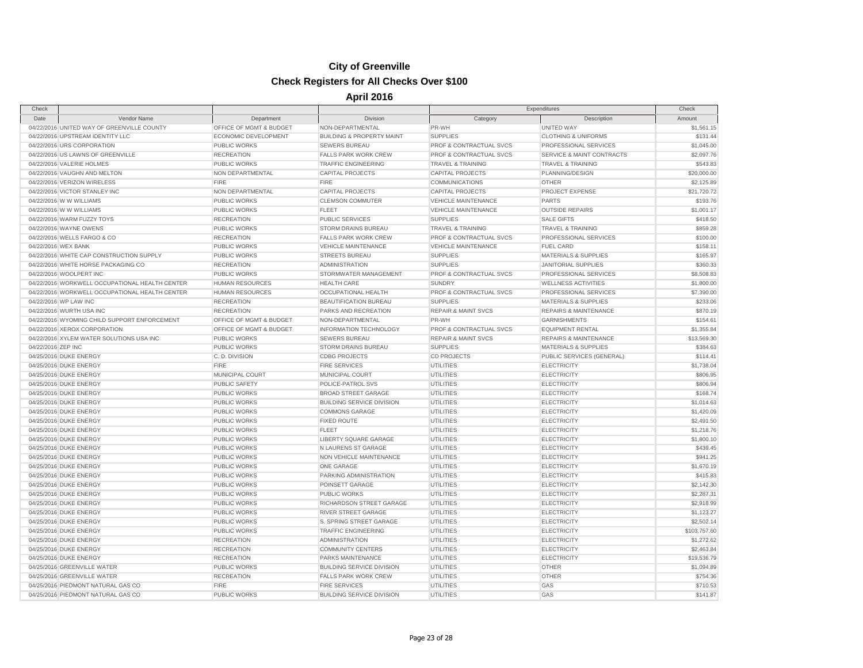| Check               |                                                |                         |                                      | Expenditures                       |                                      | Check        |
|---------------------|------------------------------------------------|-------------------------|--------------------------------------|------------------------------------|--------------------------------------|--------------|
| Date                | Vendor Name                                    | Department              | Division                             | Category                           | Description                          | Amount       |
|                     | 04/22/2016 UNITED WAY OF GREENVILLE COUNTY     | OFFICE OF MGMT & BUDGET | NON-DEPARTMENTAL                     | PR-WH                              | <b>UNITED WAY</b>                    | \$1,561.15   |
|                     | 04/22/2016 UPSTREAM IDENTITY LLC               | ECONOMIC DEVELOPMENT    | <b>BUILDING &amp; PROPERTY MAINT</b> | <b>SUPPLIES</b>                    | <b>CLOTHING &amp; UNIFORMS</b>       | \$131.44     |
|                     | 04/22/2016 URS CORPORATION                     | PUBLIC WORKS            | <b>SEWERS BUREAU</b>                 | <b>PROF &amp; CONTRACTUAL SVCS</b> | PROFESSIONAL SERVICES                | \$1,045.00   |
|                     | 04/22/2016 US LAWNS OF GREENVILLE              | <b>RECREATION</b>       | <b>FALLS PARK WORK CREW</b>          | PROF & CONTRACTUAL SVCS            | <b>SERVICE &amp; MAINT CONTRACTS</b> | \$2,097.76   |
|                     | 04/22/2016 VALERIE HOLMES                      | PUBLIC WORKS            | <b>TRAFFIC ENGINEERING</b>           | <b>TRAVEL &amp; TRAINING</b>       | <b>TRAVEL &amp; TRAINING</b>         | \$543.83     |
|                     | 04/22/2016 VAUGHN AND MELTON                   | NON DEPARTMENTAL        | CAPITAL PROJECTS                     | <b>CAPITAL PROJECTS</b>            | PLANNING/DESIGN                      | \$20,000.00  |
|                     | 04/22/2016 VERIZON WIRELESS                    | <b>FIRE</b>             | <b>FIRE</b>                          | <b>COMMUNICATIONS</b>              | <b>OTHER</b>                         | \$2,125.89   |
|                     | 04/22/2016 VICTOR STANLEY INC                  | NON DEPARTMENTAL        | <b>CAPITAL PROJECTS</b>              | <b>CAPITAL PROJECTS</b>            | PROJECT EXPENSE                      | \$21,720.72  |
|                     | 04/22/2016 W W WILLIAMS                        | PUBLIC WORKS            | <b>CLEMSON COMMUTER</b>              | <b>VEHICLE MAINTENANCE</b>         | <b>PARTS</b>                         | \$193.76     |
|                     | 04/22/2016 W W WILLIAMS                        | PUBLIC WORKS            | <b>FLEET</b>                         | <b>VEHICLE MAINTENANCE</b>         | <b>OUTSIDE REPAIRS</b>               | \$1,001.17   |
|                     | 04/22/2016 WARM FUZZY TOYS                     | <b>RECREATION</b>       | <b>PUBLIC SERVICES</b>               | <b>SUPPLIES</b>                    | <b>SALE GIFTS</b>                    | \$418.50     |
|                     | 04/22/2016 WAYNE OWENS                         | <b>PUBLIC WORKS</b>     | <b>STORM DRAINS BUREAU</b>           | <b>TRAVEL &amp; TRAINING</b>       | <b>TRAVEL &amp; TRAINING</b>         | \$859.28     |
|                     | 04/22/2016 WELLS FARGO & CO                    | <b>RECREATION</b>       | <b>FALLS PARK WORK CREW</b>          | PROF & CONTRACTUAL SVCS            | PROFESSIONAL SERVICES                | \$100.00     |
| 04/22/2016 WEX BANK |                                                | PUBLIC WORKS            | <b>VEHICLE MAINTENANCE</b>           | <b>VEHICLE MAINTENANCE</b>         | <b>FUEL CARD</b>                     | \$158.11     |
|                     | 04/22/2016 WHITE CAP CONSTRUCTION SUPPLY       | PUBLIC WORKS            | <b>STREETS BUREAU</b>                | <b>SUPPLIES</b>                    | <b>MATERIALS &amp; SUPPLIES</b>      | \$165.97     |
|                     | 04/22/2016 WHITE HORSE PACKAGING CO            | <b>RECREATION</b>       | <b>ADMINISTRATION</b>                | <b>SUPPLIES</b>                    | <b>JANITORIAL SUPPLIES</b>           | \$360.33     |
|                     | 04/22/2016 WOOLPERT INC                        | <b>PUBLIC WORKS</b>     | STORMWATER MANAGEMENT                | PROF & CONTRACTUAL SVCS            | PROFESSIONAL SERVICES                | \$8,508.83   |
|                     | 04/22/2016 WORKWELL OCCUPATIONAL HEALTH CENTER | <b>HUMAN RESOURCES</b>  | <b>HEALTH CARE</b>                   | <b>SUNDRY</b>                      | <b>WELLNESS ACTIVITIES</b>           | \$1,800.00   |
|                     | 04/22/2016 WORKWELL OCCUPATIONAL HEALTH CENTER | <b>HUMAN RESOURCES</b>  | <b>OCCUPATIONAL HEALTH</b>           | PROF & CONTRACTUAL SVCS            | PROFESSIONAL SERVICES                | \$7,390.00   |
|                     | 04/22/2016 WP LAW INC                          | <b>RECREATION</b>       | <b>BEAUTIFICATION BUREAU</b>         | <b>SUPPLIES</b>                    | <b>MATERIALS &amp; SUPPLIES</b>      | \$233.06     |
|                     | 04/22/2016 WURTH USA INC                       | <b>RECREATION</b>       | PARKS AND RECREATION                 | <b>REPAIR &amp; MAINT SVCS</b>     | <b>REPAIRS &amp; MAINTENANCE</b>     | \$870.19     |
|                     | 04/22/2016 WYOMING CHILD SUPPORT ENFORCEMENT   | OFFICE OF MGMT & BUDGET | NON-DEPARTMENTAL                     | PR-WH                              | <b>GARNISHMENTS</b>                  | \$154.61     |
|                     | 04/22/2016 XEROX CORPORATION                   | OFFICE OF MGMT & BUDGET | INFORMATION TECHNOLOGY               | PROF & CONTRACTUAL SVCS            | <b>EQUIPMENT RENTAL</b>              | \$1,355.84   |
|                     | 04/22/2016 XYLEM WATER SOLUTIONS USA INC       | <b>PUBLIC WORKS</b>     | <b>SEWERS BUREAU</b>                 | <b>REPAIR &amp; MAINT SVCS</b>     | <b>REPAIRS &amp; MAINTENANCE</b>     | \$13,569.30  |
| 04/22/2016 ZEP INC  |                                                | <b>PUBLIC WORKS</b>     | STORM DRAINS BUREAU                  | <b>SUPPLIES</b>                    | <b>MATERIALS &amp; SUPPLIES</b>      | \$384.63     |
|                     | 04/25/2016 DUKE ENERGY                         | C.D. DIVISION           | <b>CDBG PROJECTS</b>                 | <b>CD PROJECTS</b>                 | PUBLIC SERVICES (GENERAL)            | \$114.41     |
|                     | 04/25/2016 DUKE ENERGY                         | <b>FIRE</b>             | <b>FIRE SERVICES</b>                 | <b>UTILITIES</b>                   | <b>ELECTRICITY</b>                   | \$1,738.04   |
|                     | 04/25/2016 DUKE ENERGY                         | <b>MUNICIPAL COURT</b>  | <b>MUNICIPAL COURT</b>               | <b>UTILITIES</b>                   | <b>ELECTRICITY</b>                   | \$806.95     |
|                     | 04/25/2016 DUKE ENERGY                         | PUBLIC SAFETY           | POLICE-PATROL SVS                    | <b>UTILITIES</b>                   | <b>ELECTRICITY</b>                   | \$806.94     |
|                     | 04/25/2016 DUKE ENERGY                         | <b>PUBLIC WORKS</b>     | <b>BROAD STREET GARAGE</b>           | <b>UTILITIES</b>                   | <b>ELECTRICITY</b>                   | \$168.74     |
|                     | 04/25/2016 DUKE ENERGY                         | PUBLIC WORKS            | <b>BUILDING SERVICE DIVISION</b>     | <b>UTILITIES</b>                   | <b>ELECTRICITY</b>                   | \$1,014.63   |
|                     | 04/25/2016 DUKE ENERGY                         | <b>PUBLIC WORKS</b>     | <b>COMMONS GARAGE</b>                | <b>UTILITIES</b>                   | <b>ELECTRICITY</b>                   | \$1,420.09   |
|                     | 04/25/2016 DUKE ENERGY                         | PUBLIC WORKS            | <b>FIXED ROUTE</b>                   | <b>UTILITIES</b>                   | <b>ELECTRICITY</b>                   | \$2,491.50   |
|                     | 04/25/2016 DUKE ENERGY                         | PUBLIC WORKS            | <b>FLEET</b>                         | <b>UTILITIES</b>                   | <b>ELECTRICITY</b>                   | \$1,218.76   |
|                     | 04/25/2016 DUKE ENERGY                         | <b>PUBLIC WORKS</b>     | LIBERTY SQUARE GARAGE                | <b>UTILITIES</b>                   | <b>ELECTRICITY</b>                   | \$1,800.10   |
|                     | 04/25/2016 DUKE ENERGY                         | PUBLIC WORKS            | N LAURENS ST GARAGE                  | UTILITIES                          | <b>ELECTRICITY</b>                   | \$439.45     |
|                     | 04/25/2016 DUKE ENERGY                         | <b>PUBLIC WORKS</b>     | NON VEHICLE MAINTENANCE              | <b>UTILITIES</b>                   | <b>ELECTRICITY</b>                   | \$941.25     |
|                     | 04/25/2016 DUKE ENERGY                         | PUBLIC WORKS            | ONE GARAGE                           | <b>UTILITIES</b>                   | <b>ELECTRICITY</b>                   | \$1,670.19   |
|                     | 04/25/2016 DUKE ENERGY                         | PUBLIC WORKS            | PARKING ADMINISTRATION               | <b>UTILITIES</b>                   | <b>ELECTRICITY</b>                   | \$415.83     |
|                     | 04/25/2016 DUKE ENERGY                         | PUBLIC WORKS            | POINSETT GARAGE                      | <b>UTILITIES</b>                   | <b>ELECTRICITY</b>                   | \$2,142.30   |
|                     | 04/25/2016 DUKE ENERGY                         | PUBLIC WORKS            | <b>PUBLIC WORKS</b>                  | <b>UTILITIES</b>                   | <b>ELECTRICITY</b>                   | \$2,287.31   |
|                     | 04/25/2016 DUKE ENERGY                         | PUBLIC WORKS            | RICHARDSON STREET GARAGE             | <b>UTILITIES</b>                   | <b>ELECTRICITY</b>                   | \$2,918.99   |
|                     | 04/25/2016 DUKE ENERGY                         | PUBLIC WORKS            | <b>RIVER STREET GARAGE</b>           | <b>UTILITIES</b>                   | <b>ELECTRICITY</b>                   | \$1,123.27   |
|                     | 04/25/2016 DUKE ENERGY                         | <b>PUBLIC WORKS</b>     | S. SPRING STREET GARAGE              | <b>UTILITIES</b>                   | <b>ELECTRICITY</b>                   | \$2,502.14   |
|                     | 04/25/2016 DUKE ENERGY                         | PUBLIC WORKS            | <b>TRAFFIC ENGINEERING</b>           | <b>UTILITIES</b>                   | <b>ELECTRICITY</b>                   | \$103,757.60 |
|                     | 04/25/2016 DUKE ENERGY                         | <b>RECREATION</b>       | <b>ADMINISTRATION</b>                | <b>UTILITIES</b>                   | <b>ELECTRICITY</b>                   | \$1,272.62   |
|                     | 04/25/2016 DUKE ENERGY                         | <b>RECREATION</b>       | <b>COMMUNITY CENTERS</b>             | <b>UTILITIES</b>                   | <b>ELECTRICITY</b>                   | \$2,463.84   |
|                     | 04/25/2016 DUKE ENERGY                         | <b>RECREATION</b>       | <b>PARKS MAINTENANCE</b>             | <b>UTILITIES</b>                   | <b>ELECTRICITY</b>                   | \$19,536.79  |
|                     | 04/25/2016 GREENVILLE WATER                    | PUBLIC WORKS            | <b>BUILDING SERVICE DIVISION</b>     | <b>UTILITIES</b>                   | <b>OTHER</b>                         | \$1,094.89   |
|                     | 04/25/2016 GREENVILLE WATER                    | <b>RECREATION</b>       | <b>FALLS PARK WORK CREW</b>          | <b>UTILITIES</b>                   | <b>OTHER</b>                         | \$754.36     |
|                     | 04/25/2016 PIEDMONT NATURAL GAS CO             | <b>FIRE</b>             | <b>FIRE SERVICES</b>                 | <b>UTILITIES</b>                   | GAS                                  | \$710.53     |
|                     | 04/25/2016 PIEDMONT NATURAL GAS CO             | PUBLIC WORKS            | <b>BUILDING SERVICE DIVISION</b>     | <b>UTILITIES</b>                   | GAS                                  | \$141.87     |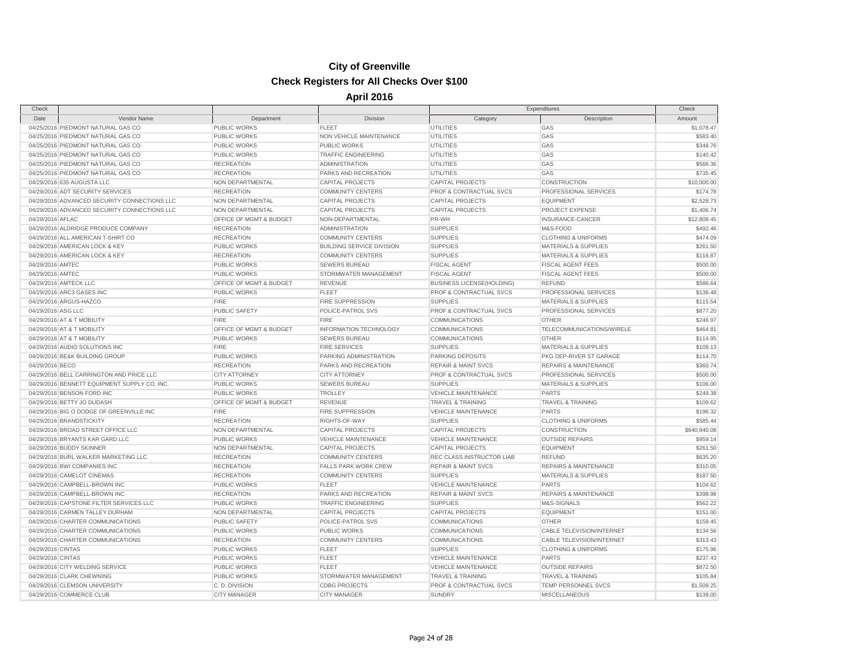| Check              |                                              |                         |                                  | Expenditures                     |                                  | Check        |
|--------------------|----------------------------------------------|-------------------------|----------------------------------|----------------------------------|----------------------------------|--------------|
| Date               | Vendor Name                                  | Department              | Division                         | Category                         | Description                      | Amount       |
|                    | 04/25/2016 PIEDMONT NATURAL GAS CO           | <b>PUBLIC WORKS</b>     | <b>FLEET</b>                     | <b>UTILITIES</b>                 | GAS                              | \$1,078.47   |
|                    | 04/25/2016 PIEDMONT NATURAL GAS CO           | <b>PUBLIC WORKS</b>     | NON VEHICLE MAINTENANCE          | <b>UTILITIES</b>                 | GAS                              | \$583.40     |
|                    | 04/25/2016 PIEDMONT NATURAL GAS CO           | <b>PUBLIC WORKS</b>     | <b>PUBLIC WORKS</b>              | <b>UTILITIES</b>                 | GAS                              | \$348.76     |
|                    | 04/25/2016 PIEDMONT NATURAL GAS CO           | <b>PUBLIC WORKS</b>     | <b>TRAFFIC ENGINEERING</b>       | UTILITIES                        | GAS                              | \$140.42     |
|                    | 04/25/2016 PIEDMONT NATURAL GAS CO           | <b>RECREATION</b>       | <b>ADMINISTRATION</b>            | UTILITIES                        | GAS                              | \$566.36     |
|                    | 04/25/2016 PIEDMONT NATURAL GAS CO           | <b>RECREATION</b>       | PARKS AND RECREATION             | <b>UTILITIES</b>                 | GAS                              | \$735.45     |
|                    | 04/29/2016 635 AUGUSTA LLC                   | NON DEPARTMENTAL        | <b>CAPITAL PROJECTS</b>          | <b>CAPITAL PROJECTS</b>          | <b>CONSTRUCTION</b>              | \$10,000.00  |
|                    | 04/29/2016 ADT SECURITY SERVICES             | <b>RECREATION</b>       | <b>COMMUNITY CENTERS</b>         | PROF & CONTRACTUAL SVCS          | PROFESSIONAL SERVICES            | \$174.78     |
|                    | 04/29/2016 ADVANCED SECURITY CONNECTIONS LLC | NON DEPARTMENTAL        | <b>CAPITAL PROJECTS</b>          | <b>CAPITAL PROJECTS</b>          | <b>EQUIPMENT</b>                 | \$2,528.73   |
|                    | 04/29/2016 ADVANCED SECURITY CONNECTIONS LLC | NON DEPARTMENTAL        | <b>CAPITAL PROJECTS</b>          | <b>CAPITAL PROJECTS</b>          | PROJECT EXPENSE                  | \$1,406.74   |
| 04/29/2016 AFLAC   |                                              | OFFICE OF MGMT & BUDGET | NON-DEPARTMENTAL                 | PR-WH                            | INSURANCE-CANCER                 | \$12,808.45  |
|                    | 04/29/2016 ALDRIDGE PRODUCE COMPANY          | <b>RECREATION</b>       | <b>ADMINISTRATION</b>            | <b>SUPPLIES</b>                  | M&S-FOOD                         | \$492.46     |
|                    | 04/29/2016 ALL AMERICAN T-SHIRT CO           | <b>RECREATION</b>       | <b>COMMUNITY CENTERS</b>         | <b>SUPPLIES</b>                  | <b>CLOTHING &amp; UNIFORMS</b>   | \$474.09     |
|                    | 04/29/2016 AMERICAN LOCK & KEY               | <b>PUBLIC WORKS</b>     | <b>BUILDING SERVICE DIVISION</b> | <b>SUPPLIES</b>                  | <b>MATERIALS &amp; SUPPLIES</b>  | \$261.50     |
|                    | 04/29/2016 AMERICAN LOCK & KEY               | <b>RECREATION</b>       | <b>COMMUNITY CENTERS</b>         | <b>SUPPLIES</b>                  | <b>MATERIALS &amp; SUPPLIES</b>  | \$116.87     |
| 04/29/2016 AMTEC   |                                              | <b>PUBLIC WORKS</b>     | <b>SEWERS BUREAU</b>             | <b>FISCAL AGENT</b>              | <b>FISCAL AGENT FEES</b>         | \$500.00     |
| 04/29/2016 AMTEC   |                                              | <b>PUBLIC WORKS</b>     | STORMWATER MANAGEMENT            | <b>FISCAL AGENT</b>              | <b>FISCAL AGENT FEES</b>         | \$500.00     |
|                    | 04/29/2016 AMTECK LLC                        | OFFICE OF MGMT & BUDGET | <b>REVENUE</b>                   | <b>BUSINESS LICENSE(HOLDING)</b> | <b>REFUND</b>                    | \$586.64     |
|                    | 04/29/2016 ARC3 GASES INC                    | <b>PUBLIC WORKS</b>     | <b>FLEET</b>                     | PROF & CONTRACTUAL SVCS          | PROFESSIONAL SERVICES            | \$136.48     |
|                    | 04/29/2016 ARGUS-HAZCO                       | <b>FIRE</b>             | <b>FIRE SUPPRESSION</b>          | <b>SUPPLIES</b>                  | <b>MATERIALS &amp; SUPPLIES</b>  | \$115.54     |
| 04/29/2016 ASG LLC |                                              | <b>PUBLIC SAFETY</b>    | POLICE-PATROL SVS                | PROF & CONTRACTUAL SVCS          | PROFESSIONAL SERVICES            | \$877.20     |
|                    | 04/29/2016 AT & T MOBILITY                   | <b>FIRE</b>             | <b>FIRE</b>                      | COMMUNICATIONS                   | <b>OTHER</b>                     | \$246.97     |
|                    | 04/29/2016 AT & T MOBILITY                   | OFFICE OF MGMT & BUDGET | INFORMATION TECHNOLOGY           | <b>COMMUNICATIONS</b>            | TELECOMMUNICATIONS/WIRELE        | \$464.81     |
|                    | 04/29/2016 AT & T MOBILITY                   | <b>PUBLIC WORKS</b>     | <b>SEWERS BUREAU</b>             | COMMUNICATIONS                   | <b>OTHER</b>                     | \$114.95     |
|                    | 04/29/2016 AUDIO SOLUTIONS INC               | <b>FIRE</b>             | <b>FIRE SERVICES</b>             | <b>SUPPLIES</b>                  | <b>MATERIALS &amp; SUPPLIES</b>  | \$109.13     |
|                    | 04/29/2016 BE&K BUILDING GROUP               | <b>PUBLIC WORKS</b>     | PARKING ADMINISTRATION           | <b>PARKING DEPOSITS</b>          | PKG DEP-RIVER ST GARAGE          | \$114.70     |
| 04/29/2016 BECO    |                                              | <b>RECREATION</b>       | PARKS AND RECREATION             | <b>REPAIR &amp; MAINT SVCS</b>   | <b>REPAIRS &amp; MAINTENANCE</b> | \$360.74     |
|                    | 04/29/2016 BELL CARRINGTON AND PRICE LLC     | <b>CITY ATTORNEY</b>    | <b>CITY ATTORNEY</b>             | PROF & CONTRACTUAL SVCS          | PROFESSIONAL SERVICES            | \$500.00     |
|                    | 04/29/2016 BENNETT EQUIPMENT SUPPLY CO. INC. | <b>PUBLIC WORKS</b>     | <b>SEWERS BUREAU</b>             | <b>SUPPLIES</b>                  | <b>MATERIALS &amp; SUPPLIES</b>  | \$106.00     |
|                    | 04/29/2016 BENSON FORD INC                   | <b>PUBLIC WORKS</b>     | <b>TROLLEY</b>                   | <b>VEHICLE MAINTENANCE</b>       | <b>PARTS</b>                     | \$249.38     |
|                    | 04/29/2016 BETTY JO DUDASH                   | OFFICE OF MGMT & BUDGET | <b>REVENUE</b>                   | <b>TRAVEL &amp; TRAINING</b>     | <b>TRAVEL &amp; TRAINING</b>     | \$109.62     |
|                    | 04/29/2016 BIG O DODGE OF GREENVILLE INC     | <b>FIRE</b>             | FIRE SUPPRESSION                 | <b>VEHICLE MAINTENANCE</b>       | <b>PARTS</b>                     | \$196.32     |
|                    | 04/29/2016 BRANDSTICKITY                     | <b>RECREATION</b>       | RIGHTS-OF-WAY                    | <b>SUPPLIES</b>                  | <b>CLOTHING &amp; UNIFORMS</b>   | \$585.44     |
|                    | 04/29/2016 BROAD STREET OFFICE LLC           | NON DEPARTMENTAL        | <b>CAPITAL PROJECTS</b>          | <b>CAPITAL PROJECTS</b>          | <b>CONSTRUCTION</b>              | \$640,940.08 |
|                    | 04/29/2016 BRYANTS KAR GARD LLC              | <b>PUBLIC WORKS</b>     | <b>VEHICLE MAINTENANCE</b>       | <b>VEHICLE MAINTENANCE</b>       | <b>OUTSIDE REPAIRS</b>           | \$959.14     |
|                    | 04/29/2016 BUDDY SKINNER                     | <b>NON DEPARTMENTAL</b> | <b>CAPITAL PROJECTS</b>          | <b>CAPITAL PROJECTS</b>          | <b>EQUIPMENT</b>                 | \$261.50     |
|                    | 04/29/2016 BURL WALKER MARKETING LLC         | <b>RECREATION</b>       | <b>COMMUNITY CENTERS</b>         | REC CLASS INSTRUCTOR LIAB        | <b>REFUND</b>                    | \$635.20     |
|                    | 04/29/2016 BWI COMPANIES INC                 | <b>RECREATION</b>       | <b>FALLS PARK WORK CREW</b>      | <b>REPAIR &amp; MAINT SVCS</b>   | <b>REPAIRS &amp; MAINTENANCE</b> | \$310.05     |
|                    | 04/29/2016 CAMELOT CINEMAS                   | <b>RECREATION</b>       | <b>COMMUNITY CENTERS</b>         | <b>SUPPLIES</b>                  | <b>MATERIALS &amp; SUPPLIES</b>  | \$187.50     |
|                    | 04/29/2016 CAMPBELL-BROWN INC                | <b>PUBLIC WORKS</b>     | <b>FLEET</b>                     | <b>VEHICLE MAINTENANCE</b>       | <b>PARTS</b>                     | \$104.62     |
|                    | 04/29/2016 CAMPBELL-BROWN INC                | <b>RECREATION</b>       | PARKS AND RECREATION             | <b>REPAIR &amp; MAINT SVCS</b>   | <b>REPAIRS &amp; MAINTENANCE</b> | \$398.96     |
|                    | 04/29/2016 CAPSTONE FILTER SERVICES LLC      | <b>PUBLIC WORKS</b>     | <b>TRAFFIC ENGINEERING</b>       | <b>SUPPLIES</b>                  | M&S-SIGNALS                      | \$562.22     |
|                    | 04/29/2016 CARMEN TALLEY DURHAM              | NON DEPARTMENTAL        | <b>CAPITAL PROJECTS</b>          | <b>CAPITAL PROJECTS</b>          | <b>EQUIPMENT</b>                 | \$151.00     |
|                    | 04/29/2016 CHARTER COMMUNICATIONS            | <b>PUBLIC SAFETY</b>    | POLICE-PATROL SVS                | <b>COMMUNICATIONS</b>            | <b>OTHER</b>                     | \$159.45     |
|                    | 04/29/2016 CHARTER COMMUNICATIONS            | PUBLIC WORKS            | <b>PUBLIC WORKS</b>              | COMMUNICATIONS                   | <b>CABLE TELEVISION/INTERNET</b> | \$134.56     |
|                    | 04/29/2016 CHARTER COMMUNICATIONS            | <b>RECREATION</b>       | <b>COMMUNITY CENTERS</b>         | <b>COMMUNICATIONS</b>            | CABLE TELEVISION/INTERNET        | \$313.43     |
| 04/29/2016 CINTAS  |                                              | PUBLIC WORKS            | <b>FLEET</b>                     | <b>SUPPLIES</b>                  | <b>CLOTHING &amp; UNIFORMS</b>   | \$175.96     |
| 04/29/2016 CINTAS  |                                              | <b>PUBLIC WORKS</b>     | <b>FLEET</b>                     | <b>VEHICLE MAINTENANCE</b>       | <b>PARTS</b>                     | \$237.43     |
|                    | 04/29/2016 CITY WELDING SERVICE              | PUBLIC WORKS            | <b>FLEET</b>                     | VEHICLE MAINTENANCE              | <b>OUTSIDE REPAIRS</b>           | \$872.50     |
|                    | 04/29/2016 CLARK CHEWNING                    | PUBLIC WORKS            | STORMWATER MANAGEMENT            | <b>TRAVEL &amp; TRAINING</b>     | <b>TRAVEL &amp; TRAINING</b>     | \$105.84     |
|                    | 04/29/2016 CLEMSON UNIVERSITY                | C.D. DIVISION           | <b>CDBG PROJECTS</b>             | PROF & CONTRACTUAL SVCS          | TEMP PERSONNEL SVCS              | \$1,509.25   |
|                    | 04/29/2016 COMMERCE CLUB                     | <b>CITY MANAGER</b>     | <b>CITY MANAGER</b>              | <b>SUNDRY</b>                    | <b>MISCELLANEOUS</b>             | \$139.00     |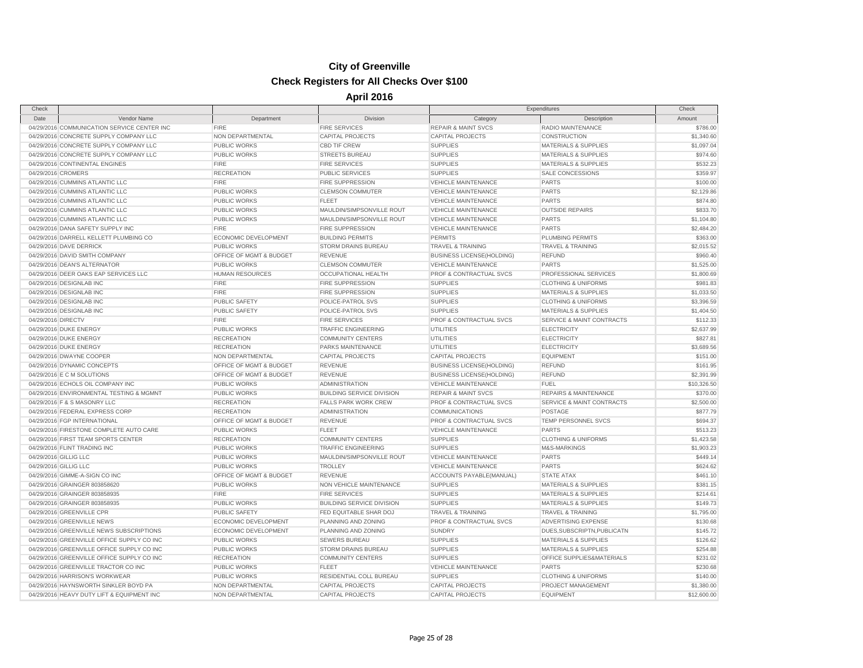|             |                                                                                                                                                                                                                                                                                                                                                                                                                                                                                                                                                                                                                                                                                                                                                                                                                                                                                                                                                                                                                                                                                                                                                                                                                                                                                                                                                                                                                                                                                                                                                                                                                                                                                                                                                                                                                                                                   |                                  |                                  | Expenditures                         |             |
|-------------|-------------------------------------------------------------------------------------------------------------------------------------------------------------------------------------------------------------------------------------------------------------------------------------------------------------------------------------------------------------------------------------------------------------------------------------------------------------------------------------------------------------------------------------------------------------------------------------------------------------------------------------------------------------------------------------------------------------------------------------------------------------------------------------------------------------------------------------------------------------------------------------------------------------------------------------------------------------------------------------------------------------------------------------------------------------------------------------------------------------------------------------------------------------------------------------------------------------------------------------------------------------------------------------------------------------------------------------------------------------------------------------------------------------------------------------------------------------------------------------------------------------------------------------------------------------------------------------------------------------------------------------------------------------------------------------------------------------------------------------------------------------------------------------------------------------------------------------------------------------------|----------------------------------|----------------------------------|--------------------------------------|-------------|
| Vendor Name | Department                                                                                                                                                                                                                                                                                                                                                                                                                                                                                                                                                                                                                                                                                                                                                                                                                                                                                                                                                                                                                                                                                                                                                                                                                                                                                                                                                                                                                                                                                                                                                                                                                                                                                                                                                                                                                                                        | Division                         | Category                         | Description                          | Amount      |
|             | <b>FIRE</b>                                                                                                                                                                                                                                                                                                                                                                                                                                                                                                                                                                                                                                                                                                                                                                                                                                                                                                                                                                                                                                                                                                                                                                                                                                                                                                                                                                                                                                                                                                                                                                                                                                                                                                                                                                                                                                                       | <b>FIRE SERVICES</b>             | <b>REPAIR &amp; MAINT SVCS</b>   | RADIO MAINTENANCE                    | \$786.00    |
|             | NON DEPARTMENTAL                                                                                                                                                                                                                                                                                                                                                                                                                                                                                                                                                                                                                                                                                                                                                                                                                                                                                                                                                                                                                                                                                                                                                                                                                                                                                                                                                                                                                                                                                                                                                                                                                                                                                                                                                                                                                                                  | <b>CAPITAL PROJECTS</b>          | <b>CAPITAL PROJECTS</b>          | CONSTRUCTION                         | \$1,340.60  |
|             | PUBLIC WORKS                                                                                                                                                                                                                                                                                                                                                                                                                                                                                                                                                                                                                                                                                                                                                                                                                                                                                                                                                                                                                                                                                                                                                                                                                                                                                                                                                                                                                                                                                                                                                                                                                                                                                                                                                                                                                                                      | <b>CBD TIF CREW</b>              | <b>SUPPLIES</b>                  | <b>MATERIALS &amp; SUPPLIES</b>      | \$1,097.04  |
|             | PUBLIC WORKS                                                                                                                                                                                                                                                                                                                                                                                                                                                                                                                                                                                                                                                                                                                                                                                                                                                                                                                                                                                                                                                                                                                                                                                                                                                                                                                                                                                                                                                                                                                                                                                                                                                                                                                                                                                                                                                      | <b>STREETS BUREAU</b>            | <b>SUPPLIES</b>                  | <b>MATERIALS &amp; SUPPLIES</b>      | \$974.60    |
|             | <b>FIRE</b>                                                                                                                                                                                                                                                                                                                                                                                                                                                                                                                                                                                                                                                                                                                                                                                                                                                                                                                                                                                                                                                                                                                                                                                                                                                                                                                                                                                                                                                                                                                                                                                                                                                                                                                                                                                                                                                       | <b>FIRE SERVICES</b>             | <b>SUPPLIES</b>                  | <b>MATERIALS &amp; SUPPLIES</b>      | \$532.23    |
|             | <b>RECREATION</b>                                                                                                                                                                                                                                                                                                                                                                                                                                                                                                                                                                                                                                                                                                                                                                                                                                                                                                                                                                                                                                                                                                                                                                                                                                                                                                                                                                                                                                                                                                                                                                                                                                                                                                                                                                                                                                                 | <b>PUBLIC SERVICES</b>           | <b>SUPPLIES</b>                  | <b>SALE CONCESSIONS</b>              | \$359.97    |
|             | <b>FIRE</b>                                                                                                                                                                                                                                                                                                                                                                                                                                                                                                                                                                                                                                                                                                                                                                                                                                                                                                                                                                                                                                                                                                                                                                                                                                                                                                                                                                                                                                                                                                                                                                                                                                                                                                                                                                                                                                                       | <b>FIRE SUPPRESSION</b>          | <b>VEHICLE MAINTENANCE</b>       | <b>PARTS</b>                         | \$100.00    |
|             | PUBLIC WORKS                                                                                                                                                                                                                                                                                                                                                                                                                                                                                                                                                                                                                                                                                                                                                                                                                                                                                                                                                                                                                                                                                                                                                                                                                                                                                                                                                                                                                                                                                                                                                                                                                                                                                                                                                                                                                                                      | <b>CLEMSON COMMUTER</b>          | <b>VEHICLE MAINTENANCE</b>       | <b>PARTS</b>                         | \$2,129.86  |
|             | <b>PUBLIC WORKS</b>                                                                                                                                                                                                                                                                                                                                                                                                                                                                                                                                                                                                                                                                                                                                                                                                                                                                                                                                                                                                                                                                                                                                                                                                                                                                                                                                                                                                                                                                                                                                                                                                                                                                                                                                                                                                                                               | <b>FLEET</b>                     | <b>VEHICLE MAINTENANCE</b>       | <b>PARTS</b>                         | \$874.80    |
|             | PUBLIC WORKS                                                                                                                                                                                                                                                                                                                                                                                                                                                                                                                                                                                                                                                                                                                                                                                                                                                                                                                                                                                                                                                                                                                                                                                                                                                                                                                                                                                                                                                                                                                                                                                                                                                                                                                                                                                                                                                      | MAULDIN/SIMPSONVILLE ROUT        | <b>VEHICLE MAINTENANCE</b>       | <b>OUTSIDE REPAIRS</b>               | \$833.70    |
|             | PUBLIC WORKS                                                                                                                                                                                                                                                                                                                                                                                                                                                                                                                                                                                                                                                                                                                                                                                                                                                                                                                                                                                                                                                                                                                                                                                                                                                                                                                                                                                                                                                                                                                                                                                                                                                                                                                                                                                                                                                      | MAULDIN/SIMPSONVILLE ROUT        | <b>VEHICLE MAINTENANCE</b>       | <b>PARTS</b>                         | \$1,104.80  |
|             | <b>FIRE</b>                                                                                                                                                                                                                                                                                                                                                                                                                                                                                                                                                                                                                                                                                                                                                                                                                                                                                                                                                                                                                                                                                                                                                                                                                                                                                                                                                                                                                                                                                                                                                                                                                                                                                                                                                                                                                                                       | <b>FIRE SUPPRESSION</b>          | <b>VEHICLE MAINTENANCE</b>       | <b>PARTS</b>                         | \$2,484.20  |
|             | <b>ECONOMIC DEVELOPMENT</b>                                                                                                                                                                                                                                                                                                                                                                                                                                                                                                                                                                                                                                                                                                                                                                                                                                                                                                                                                                                                                                                                                                                                                                                                                                                                                                                                                                                                                                                                                                                                                                                                                                                                                                                                                                                                                                       | <b>BUILDING PERMITS</b>          | <b>PERMITS</b>                   | <b>PLUMBING PERMITS</b>              | \$363.00    |
|             | <b>PUBLIC WORKS</b>                                                                                                                                                                                                                                                                                                                                                                                                                                                                                                                                                                                                                                                                                                                                                                                                                                                                                                                                                                                                                                                                                                                                                                                                                                                                                                                                                                                                                                                                                                                                                                                                                                                                                                                                                                                                                                               | <b>STORM DRAINS BUREAU</b>       | TRAVEL & TRAINING                | TRAVEL & TRAINING                    | \$2,015.52  |
|             | OFFICE OF MGMT & BUDGET                                                                                                                                                                                                                                                                                                                                                                                                                                                                                                                                                                                                                                                                                                                                                                                                                                                                                                                                                                                                                                                                                                                                                                                                                                                                                                                                                                                                                                                                                                                                                                                                                                                                                                                                                                                                                                           | <b>REVENUE</b>                   | <b>BUSINESS LICENSE(HOLDING)</b> | <b>REFUND</b>                        | \$960.40    |
|             | <b>PUBLIC WORKS</b>                                                                                                                                                                                                                                                                                                                                                                                                                                                                                                                                                                                                                                                                                                                                                                                                                                                                                                                                                                                                                                                                                                                                                                                                                                                                                                                                                                                                                                                                                                                                                                                                                                                                                                                                                                                                                                               | <b>CLEMSON COMMUTER</b>          | <b>VEHICLE MAINTENANCE</b>       | <b>PARTS</b>                         | \$1,525.00  |
|             | <b>HUMAN RESOURCES</b>                                                                                                                                                                                                                                                                                                                                                                                                                                                                                                                                                                                                                                                                                                                                                                                                                                                                                                                                                                                                                                                                                                                                                                                                                                                                                                                                                                                                                                                                                                                                                                                                                                                                                                                                                                                                                                            | OCCUPATIONAL HEALTH              | PROF & CONTRACTUAL SVCS          | PROFESSIONAL SERVICES                | \$1,800.69  |
|             | <b>FIRE</b>                                                                                                                                                                                                                                                                                                                                                                                                                                                                                                                                                                                                                                                                                                                                                                                                                                                                                                                                                                                                                                                                                                                                                                                                                                                                                                                                                                                                                                                                                                                                                                                                                                                                                                                                                                                                                                                       | <b>FIRE SUPPRESSION</b>          | <b>SUPPLIES</b>                  | <b>CLOTHING &amp; UNIFORMS</b>       | \$981.83    |
|             | <b>FIRE</b>                                                                                                                                                                                                                                                                                                                                                                                                                                                                                                                                                                                                                                                                                                                                                                                                                                                                                                                                                                                                                                                                                                                                                                                                                                                                                                                                                                                                                                                                                                                                                                                                                                                                                                                                                                                                                                                       | <b>FIRE SUPPRESSION</b>          | <b>SUPPLIES</b>                  | MATERIALS & SUPPLIES                 | \$1,033.50  |
|             | PUBLIC SAFETY                                                                                                                                                                                                                                                                                                                                                                                                                                                                                                                                                                                                                                                                                                                                                                                                                                                                                                                                                                                                                                                                                                                                                                                                                                                                                                                                                                                                                                                                                                                                                                                                                                                                                                                                                                                                                                                     | POLICE-PATROL SVS                | <b>SUPPLIES</b>                  | <b>CLOTHING &amp; UNIFORMS</b>       | \$3,396.59  |
|             | PUBLIC SAFETY                                                                                                                                                                                                                                                                                                                                                                                                                                                                                                                                                                                                                                                                                                                                                                                                                                                                                                                                                                                                                                                                                                                                                                                                                                                                                                                                                                                                                                                                                                                                                                                                                                                                                                                                                                                                                                                     | POLICE-PATROL SVS                | <b>SUPPLIES</b>                  | <b>MATERIALS &amp; SUPPLIES</b>      | \$1,404.50  |
|             | <b>FIRE</b>                                                                                                                                                                                                                                                                                                                                                                                                                                                                                                                                                                                                                                                                                                                                                                                                                                                                                                                                                                                                                                                                                                                                                                                                                                                                                                                                                                                                                                                                                                                                                                                                                                                                                                                                                                                                                                                       | <b>FIRE SERVICES</b>             | PROF & CONTRACTUAL SVCS          | <b>SERVICE &amp; MAINT CONTRACTS</b> | \$112.33    |
|             | PUBLIC WORKS                                                                                                                                                                                                                                                                                                                                                                                                                                                                                                                                                                                                                                                                                                                                                                                                                                                                                                                                                                                                                                                                                                                                                                                                                                                                                                                                                                                                                                                                                                                                                                                                                                                                                                                                                                                                                                                      | <b>TRAFFIC ENGINEERING</b>       | UTILITIES                        | <b>ELECTRICITY</b>                   | \$2,637.99  |
|             | <b>RECREATION</b>                                                                                                                                                                                                                                                                                                                                                                                                                                                                                                                                                                                                                                                                                                                                                                                                                                                                                                                                                                                                                                                                                                                                                                                                                                                                                                                                                                                                                                                                                                                                                                                                                                                                                                                                                                                                                                                 | <b>COMMUNITY CENTERS</b>         | <b>UTILITIES</b>                 | <b>ELECTRICITY</b>                   | \$827.81    |
|             | <b>RECREATION</b>                                                                                                                                                                                                                                                                                                                                                                                                                                                                                                                                                                                                                                                                                                                                                                                                                                                                                                                                                                                                                                                                                                                                                                                                                                                                                                                                                                                                                                                                                                                                                                                                                                                                                                                                                                                                                                                 | <b>PARKS MAINTENANCE</b>         | UTILITIES                        | <b>ELECTRICITY</b>                   | \$3,689.56  |
|             | NON DEPARTMENTAL                                                                                                                                                                                                                                                                                                                                                                                                                                                                                                                                                                                                                                                                                                                                                                                                                                                                                                                                                                                                                                                                                                                                                                                                                                                                                                                                                                                                                                                                                                                                                                                                                                                                                                                                                                                                                                                  | <b>CAPITAL PROJECTS</b>          | <b>CAPITAL PROJECTS</b>          | <b>EQUIPMENT</b>                     | \$151.00    |
|             | OFFICE OF MGMT & BUDGET                                                                                                                                                                                                                                                                                                                                                                                                                                                                                                                                                                                                                                                                                                                                                                                                                                                                                                                                                                                                                                                                                                                                                                                                                                                                                                                                                                                                                                                                                                                                                                                                                                                                                                                                                                                                                                           | <b>REVENUE</b>                   | <b>BUSINESS LICENSE(HOLDING)</b> | <b>REFUND</b>                        | \$161.95    |
|             | OFFICE OF MGMT & BUDGET                                                                                                                                                                                                                                                                                                                                                                                                                                                                                                                                                                                                                                                                                                                                                                                                                                                                                                                                                                                                                                                                                                                                                                                                                                                                                                                                                                                                                                                                                                                                                                                                                                                                                                                                                                                                                                           | <b>REVENUE</b>                   | <b>BUSINESS LICENSE(HOLDING)</b> | <b>REFUND</b>                        | \$2,391.99  |
|             | PUBLIC WORKS                                                                                                                                                                                                                                                                                                                                                                                                                                                                                                                                                                                                                                                                                                                                                                                                                                                                                                                                                                                                                                                                                                                                                                                                                                                                                                                                                                                                                                                                                                                                                                                                                                                                                                                                                                                                                                                      | <b>ADMINISTRATION</b>            | <b>VEHICLE MAINTENANCE</b>       | <b>FUEL</b>                          | \$10,326.50 |
|             | <b>PUBLIC WORKS</b>                                                                                                                                                                                                                                                                                                                                                                                                                                                                                                                                                                                                                                                                                                                                                                                                                                                                                                                                                                                                                                                                                                                                                                                                                                                                                                                                                                                                                                                                                                                                                                                                                                                                                                                                                                                                                                               | <b>BUILDING SERVICE DIVISION</b> | <b>REPAIR &amp; MAINT SVCS</b>   | <b>REPAIRS &amp; MAINTENANCE</b>     | \$370.00    |
|             | <b>RECREATION</b>                                                                                                                                                                                                                                                                                                                                                                                                                                                                                                                                                                                                                                                                                                                                                                                                                                                                                                                                                                                                                                                                                                                                                                                                                                                                                                                                                                                                                                                                                                                                                                                                                                                                                                                                                                                                                                                 | <b>FALLS PARK WORK CREW</b>      | PROF & CONTRACTUAL SVCS          | SERVICE & MAINT CONTRACTS            | \$2,500.00  |
|             | <b>RECREATION</b>                                                                                                                                                                                                                                                                                                                                                                                                                                                                                                                                                                                                                                                                                                                                                                                                                                                                                                                                                                                                                                                                                                                                                                                                                                                                                                                                                                                                                                                                                                                                                                                                                                                                                                                                                                                                                                                 | <b>ADMINISTRATION</b>            | COMMUNICATIONS                   | <b>POSTAGE</b>                       | \$877.79    |
|             | OFFICE OF MGMT & BUDGET                                                                                                                                                                                                                                                                                                                                                                                                                                                                                                                                                                                                                                                                                                                                                                                                                                                                                                                                                                                                                                                                                                                                                                                                                                                                                                                                                                                                                                                                                                                                                                                                                                                                                                                                                                                                                                           | <b>REVENUE</b>                   | PROF & CONTRACTUAL SVCS          | TEMP PERSONNEL SVCS                  | \$694.37    |
|             | <b>PUBLIC WORKS</b>                                                                                                                                                                                                                                                                                                                                                                                                                                                                                                                                                                                                                                                                                                                                                                                                                                                                                                                                                                                                                                                                                                                                                                                                                                                                                                                                                                                                                                                                                                                                                                                                                                                                                                                                                                                                                                               | <b>FLEET</b>                     | <b>VEHICLE MAINTENANCE</b>       | <b>PARTS</b>                         | \$513.23    |
|             | <b>RECREATION</b>                                                                                                                                                                                                                                                                                                                                                                                                                                                                                                                                                                                                                                                                                                                                                                                                                                                                                                                                                                                                                                                                                                                                                                                                                                                                                                                                                                                                                                                                                                                                                                                                                                                                                                                                                                                                                                                 | <b>COMMUNITY CENTERS</b>         | <b>SUPPLIES</b>                  | <b>CLOTHING &amp; UNIFORMS</b>       | \$1,423.58  |
|             | PUBLIC WORKS                                                                                                                                                                                                                                                                                                                                                                                                                                                                                                                                                                                                                                                                                                                                                                                                                                                                                                                                                                                                                                                                                                                                                                                                                                                                                                                                                                                                                                                                                                                                                                                                                                                                                                                                                                                                                                                      | <b>TRAFFIC ENGINEERING</b>       | <b>SUPPLIES</b>                  | M&S-MARKINGS                         | \$1,903.23  |
|             | PUBLIC WORKS                                                                                                                                                                                                                                                                                                                                                                                                                                                                                                                                                                                                                                                                                                                                                                                                                                                                                                                                                                                                                                                                                                                                                                                                                                                                                                                                                                                                                                                                                                                                                                                                                                                                                                                                                                                                                                                      | MAULDIN/SIMPSONVILLE ROUT        | <b>VEHICLE MAINTENANCE</b>       | <b>PARTS</b>                         | \$449.14    |
|             | PUBLIC WORKS                                                                                                                                                                                                                                                                                                                                                                                                                                                                                                                                                                                                                                                                                                                                                                                                                                                                                                                                                                                                                                                                                                                                                                                                                                                                                                                                                                                                                                                                                                                                                                                                                                                                                                                                                                                                                                                      | <b>TROLLEY</b>                   | <b>VEHICLE MAINTENANCE</b>       | <b>PARTS</b>                         | \$624.62    |
|             | OFFICE OF MGMT & BUDGET                                                                                                                                                                                                                                                                                                                                                                                                                                                                                                                                                                                                                                                                                                                                                                                                                                                                                                                                                                                                                                                                                                                                                                                                                                                                                                                                                                                                                                                                                                                                                                                                                                                                                                                                                                                                                                           | <b>REVENUE</b>                   | ACCOUNTS PAYABLE(MANUAL)         | <b>STATE ATAX</b>                    | \$461.10    |
|             | PUBLIC WORKS                                                                                                                                                                                                                                                                                                                                                                                                                                                                                                                                                                                                                                                                                                                                                                                                                                                                                                                                                                                                                                                                                                                                                                                                                                                                                                                                                                                                                                                                                                                                                                                                                                                                                                                                                                                                                                                      | NON VEHICLE MAINTENANCE          | <b>SUPPLIES</b>                  | <b>MATERIALS &amp; SUPPLIES</b>      | \$381.15    |
|             | <b>FIRE</b>                                                                                                                                                                                                                                                                                                                                                                                                                                                                                                                                                                                                                                                                                                                                                                                                                                                                                                                                                                                                                                                                                                                                                                                                                                                                                                                                                                                                                                                                                                                                                                                                                                                                                                                                                                                                                                                       | <b>FIRE SERVICES</b>             | <b>SUPPLIES</b>                  | <b>MATERIALS &amp; SUPPLIES</b>      | \$214.61    |
|             | PUBLIC WORKS                                                                                                                                                                                                                                                                                                                                                                                                                                                                                                                                                                                                                                                                                                                                                                                                                                                                                                                                                                                                                                                                                                                                                                                                                                                                                                                                                                                                                                                                                                                                                                                                                                                                                                                                                                                                                                                      | <b>BUILDING SERVICE DIVISION</b> | <b>SUPPLIES</b>                  | <b>MATERIALS &amp; SUPPLIES</b>      | \$149.73    |
|             | <b>PUBLIC SAFETY</b>                                                                                                                                                                                                                                                                                                                                                                                                                                                                                                                                                                                                                                                                                                                                                                                                                                                                                                                                                                                                                                                                                                                                                                                                                                                                                                                                                                                                                                                                                                                                                                                                                                                                                                                                                                                                                                              | FED EQUITABLE SHAR DOJ           | <b>TRAVEL &amp; TRAINING</b>     | <b>TRAVEL &amp; TRAINING</b>         | \$1,795.00  |
|             | ECONOMIC DEVELOPMENT                                                                                                                                                                                                                                                                                                                                                                                                                                                                                                                                                                                                                                                                                                                                                                                                                                                                                                                                                                                                                                                                                                                                                                                                                                                                                                                                                                                                                                                                                                                                                                                                                                                                                                                                                                                                                                              | PLANNING AND ZONING              | PROF & CONTRACTUAL SVCS          | ADVERTISING EXPENSE                  | \$130.68    |
|             | ECONOMIC DEVELOPMENT                                                                                                                                                                                                                                                                                                                                                                                                                                                                                                                                                                                                                                                                                                                                                                                                                                                                                                                                                                                                                                                                                                                                                                                                                                                                                                                                                                                                                                                                                                                                                                                                                                                                                                                                                                                                                                              | PLANNING AND ZONING              | <b>SUNDRY</b>                    | DUES, SUBSCRIPTN, PUBLICATN          | \$145.72    |
|             | PUBLIC WORKS                                                                                                                                                                                                                                                                                                                                                                                                                                                                                                                                                                                                                                                                                                                                                                                                                                                                                                                                                                                                                                                                                                                                                                                                                                                                                                                                                                                                                                                                                                                                                                                                                                                                                                                                                                                                                                                      | <b>SEWERS BUREAU</b>             | <b>SUPPLIES</b>                  | <b>MATERIALS &amp; SUPPLIES</b>      | \$126.62    |
|             | PUBLIC WORKS                                                                                                                                                                                                                                                                                                                                                                                                                                                                                                                                                                                                                                                                                                                                                                                                                                                                                                                                                                                                                                                                                                                                                                                                                                                                                                                                                                                                                                                                                                                                                                                                                                                                                                                                                                                                                                                      | <b>STORM DRAINS BUREAU</b>       | <b>SUPPLIES</b>                  | <b>MATERIALS &amp; SUPPLIES</b>      | \$254.88    |
|             | <b>RECREATION</b>                                                                                                                                                                                                                                                                                                                                                                                                                                                                                                                                                                                                                                                                                                                                                                                                                                                                                                                                                                                                                                                                                                                                                                                                                                                                                                                                                                                                                                                                                                                                                                                                                                                                                                                                                                                                                                                 | <b>COMMUNITY CENTERS</b>         | <b>SUPPLIES</b>                  | OFFICE SUPPLIES&MATERIALS            | \$231.02    |
|             | PUBLIC WORKS                                                                                                                                                                                                                                                                                                                                                                                                                                                                                                                                                                                                                                                                                                                                                                                                                                                                                                                                                                                                                                                                                                                                                                                                                                                                                                                                                                                                                                                                                                                                                                                                                                                                                                                                                                                                                                                      | <b>FLEET</b>                     | <b>VEHICLE MAINTENANCE</b>       | <b>PARTS</b>                         | \$230.68    |
|             | PUBLIC WORKS                                                                                                                                                                                                                                                                                                                                                                                                                                                                                                                                                                                                                                                                                                                                                                                                                                                                                                                                                                                                                                                                                                                                                                                                                                                                                                                                                                                                                                                                                                                                                                                                                                                                                                                                                                                                                                                      | RESIDENTIAL COLL BUREAU          | <b>SUPPLIES</b>                  | <b>CLOTHING &amp; UNIFORMS</b>       | \$140.00    |
|             | NON DEPARTMENTAL                                                                                                                                                                                                                                                                                                                                                                                                                                                                                                                                                                                                                                                                                                                                                                                                                                                                                                                                                                                                                                                                                                                                                                                                                                                                                                                                                                                                                                                                                                                                                                                                                                                                                                                                                                                                                                                  | <b>CAPITAL PROJECTS</b>          | <b>CAPITAL PROJECTS</b>          | PROJECT MANAGEMENT                   | \$1,380.00  |
|             | NON DEPARTMENTAL                                                                                                                                                                                                                                                                                                                                                                                                                                                                                                                                                                                                                                                                                                                                                                                                                                                                                                                                                                                                                                                                                                                                                                                                                                                                                                                                                                                                                                                                                                                                                                                                                                                                                                                                                                                                                                                  | <b>CAPITAL PROJECTS</b>          | <b>CAPITAL PROJECTS</b>          | <b>EQUIPMENT</b>                     | \$12,600.00 |
|             | 04/29/2016 COMMUNICATION SERVICE CENTER INC<br>04/29/2016 CONCRETE SUPPLY COMPANY LLC<br>04/29/2016 CONCRETE SUPPLY COMPANY LLC<br>04/29/2016 CONCRETE SUPPLY COMPANY LLC<br>04/29/2016 CONTINENTAL ENGINES<br>04/29/2016 CROMERS<br>04/29/2016 CUMMINS ATLANTIC LLC<br>04/29/2016 CUMMINS ATLANTIC LLC<br>04/29/2016 CUMMINS ATLANTIC LLC<br>04/29/2016 CUMMINS ATLANTIC LLC<br>04/29/2016 CUMMINS ATLANTIC LLC<br>04/29/2016 DANA SAFETY SUPPLY INC<br>04/29/2016 DARRELL KELLETT PLUMBING CO<br>04/29/2016 DAVE DERRICK<br>04/29/2016 DAVID SMITH COMPANY<br>04/29/2016 DEAN'S ALTERNATOR<br>04/29/2016 DEER OAKS EAP SERVICES LLC<br>04/29/2016 DESIGNLAB INC<br>04/29/2016 DESIGNLAB INC<br>04/29/2016 DESIGNLAB INC<br>04/29/2016 DESIGNLAB INC<br>04/29/2016 DIRECTV<br>04/29/2016 DUKE ENERGY<br>04/29/2016 DUKE ENERGY<br>04/29/2016 DUKE ENERGY<br>04/29/2016 DWAYNE COOPER<br>04/29/2016 DYNAMIC CONCEPTS<br>04/29/2016 E C M SOLUTIONS<br>04/29/2016 ECHOLS OIL COMPANY INC<br>04/29/2016 ENVIRONMENTAL TESTING & MGMNT<br>04/29/2016 F & S MASONRY LLC<br>04/29/2016 FEDERAL EXPRESS CORP<br>04/29/2016 FGP INTERNATIONAL<br>04/29/2016 FIRESTONE COMPLETE AUTO CARE<br>04/29/2016 FIRST TEAM SPORTS CENTER<br>04/29/2016 FLINT TRADING INC<br>04/29/2016 GILLIG LLC<br>04/29/2016 GILLIG LLC<br>04/29/2016 GIMME-A-SIGN CO INC<br>04/29/2016 GRAINGER 803858620<br>04/29/2016 GRAINGER 803858935<br>04/29/2016 GRAINGER 803858935<br>04/29/2016 GREENVILLE CPR<br>04/29/2016 GREENVILLE NEWS<br>04/29/2016 GREENVILLE NEWS SUBSCRIPTIONS<br>04/29/2016 GREENVILLE OFFICE SUPPLY CO INC<br>04/29/2016 GREENVILLE OFFICE SUPPLY CO INC<br>04/29/2016 GREENVILLE OFFICE SUPPLY CO INC<br>04/29/2016 GREENVILLE TRACTOR CO INC<br>04/29/2016 HARRISON'S WORKWEAR<br>04/29/2016 HAYNSWORTH SINKLER BOYD PA<br>04/29/2016 HEAVY DUTY LIFT & EQUIPMENT INC |                                  |                                  |                                      |             |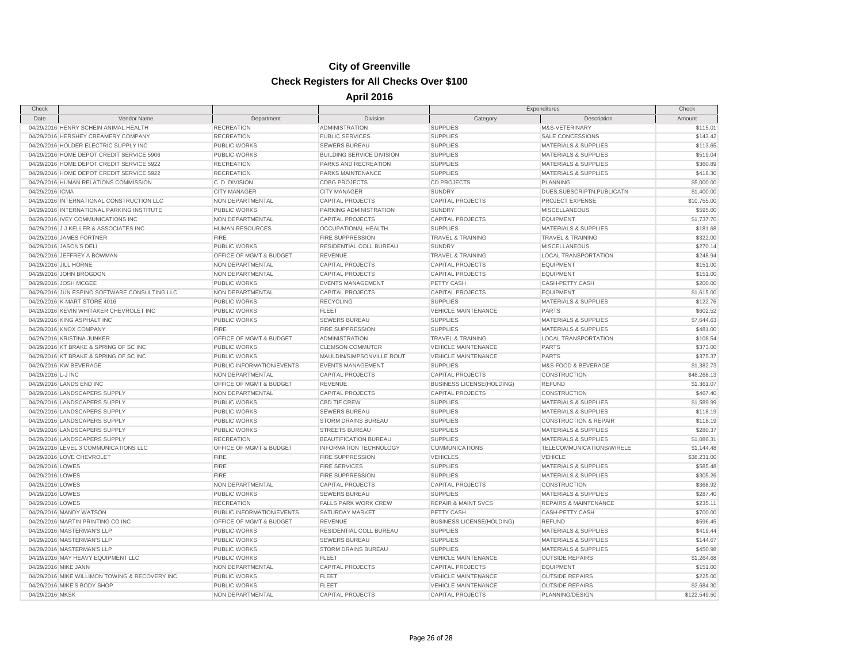| Check              |                                                |                           |                                  | Expenditures                     |                                  | Check        |
|--------------------|------------------------------------------------|---------------------------|----------------------------------|----------------------------------|----------------------------------|--------------|
| Date               | Vendor Name                                    | Department                | Division                         | Category                         | Description                      | Amount       |
|                    | 04/29/2016 HENRY SCHEIN ANIMAL HEALTH          | <b>RECREATION</b>         | <b>ADMINISTRATION</b>            | <b>SUPPLIES</b>                  | M&S-VETERINARY                   | \$115.01     |
|                    | 04/29/2016 HERSHEY CREAMERY COMPANY            | <b>RECREATION</b>         | <b>PUBLIC SERVICES</b>           | <b>SUPPLIES</b>                  | SALE CONCESSIONS                 | \$143.42     |
|                    | 04/29/2016 HOLDER ELECTRIC SUPPLY INC          | <b>PUBLIC WORKS</b>       | <b>SEWERS BUREAU</b>             | <b>SUPPLIES</b>                  | <b>MATERIALS &amp; SUPPLIES</b>  | \$113.65     |
|                    | 04/29/2016 HOME DEPOT CREDIT SERVICE 5906      | <b>PUBLIC WORKS</b>       | <b>BUILDING SERVICE DIVISION</b> | <b>SUPPLIES</b>                  | <b>MATERIALS &amp; SUPPLIES</b>  | \$519.04     |
|                    | 04/29/2016 HOME DEPOT CREDIT SERVICE 5922      | <b>RECREATION</b>         | PARKS AND RECREATION             | <b>SUPPLIES</b>                  | <b>MATERIALS &amp; SUPPLIES</b>  | \$360.89     |
|                    | 04/29/2016 HOME DEPOT CREDIT SERVICE 5922      | <b>RECREATION</b>         | PARKS MAINTENANCE                | <b>SUPPLIES</b>                  | <b>MATERIALS &amp; SUPPLIES</b>  | \$418.30     |
|                    | 04/29/2016 HUMAN RELATIONS COMMISSION          | C.D. DIVISION             | <b>CDBG PROJECTS</b>             | <b>CD PROJECTS</b>               | <b>PLANNING</b>                  | \$5,000.00   |
| 04/29/2016 ICMA    |                                                | <b>CITY MANAGER</b>       | <b>CITY MANAGER</b>              | <b>SUNDRY</b>                    | DUES, SUBSCRIPTN, PUBLICATN      | \$1,400.00   |
|                    | 04/29/2016 INTERNATIONAL CONSTRUCTION LLC      | NON DEPARTMENTAL          | <b>CAPITAL PROJECTS</b>          | <b>CAPITAL PROJECTS</b>          | PROJECT EXPENSE                  | \$10,755.00  |
|                    | 04/29/2016 INTERNATIONAL PARKING INSTITUTE     | <b>PUBLIC WORKS</b>       | PARKING ADMINISTRATION           | <b>SUNDRY</b>                    | <b>MISCELLANEOUS</b>             | \$595.00     |
|                    | 04/29/2016 IVEY COMMUNICATIONS INC             | NON DEPARTMENTAL          | <b>CAPITAL PROJECTS</b>          | <b>CAPITAL PROJECTS</b>          | <b>EQUIPMENT</b>                 | \$1,737.70   |
|                    | 04/29/2016 J J KELLER & ASSOCIATES INC         | <b>HUMAN RESOURCES</b>    | OCCUPATIONAL HEALTH              | <b>SUPPLIES</b>                  | <b>MATERIALS &amp; SUPPLIES</b>  | \$181.68     |
|                    | 04/29/2016 JAMES FORTNER                       | <b>FIRE</b>               | <b>FIRE SUPPRESSION</b>          | <b>TRAVEL &amp; TRAINING</b>     | <b>TRAVEL &amp; TRAINING</b>     | \$322.00     |
|                    | 04/29/2016 JASON'S DELI                        | PUBLIC WORKS              | RESIDENTIAL COLL BUREAU          | <b>SUNDRY</b>                    | <b>MISCELLANEOUS</b>             | \$270.14     |
|                    | 04/29/2016 JEFFREY A BOWMAN                    | OFFICE OF MGMT & BUDGET   | <b>REVENUE</b>                   | <b>TRAVEL &amp; TRAINING</b>     | <b>LOCAL TRANSPORTATION</b>      | \$248.94     |
|                    | 04/29/2016 JILL HORNE                          | NON DEPARTMENTAL          | <b>CAPITAL PROJECTS</b>          | <b>CAPITAL PROJECTS</b>          | <b>EQUIPMENT</b>                 | \$151.00     |
|                    | 04/29/2016 JOHN BROGDON                        | NON DEPARTMENTAL          | <b>CAPITAL PROJECTS</b>          | <b>CAPITAL PROJECTS</b>          | <b>EQUIPMENT</b>                 | \$151.00     |
|                    | 04/29/2016 JOSH MCGEE                          | <b>PUBLIC WORKS</b>       | <b>EVENTS MANAGEMENT</b>         | PETTY CASH                       | <b>CASH-PETTY CASH</b>           | \$200.00     |
|                    | 04/29/2016 JUN ESPINO SOFTWARE CONSULTING LLC  | NON DEPARTMENTAL          | <b>CAPITAL PROJECTS</b>          | <b>CAPITAL PROJECTS</b>          | <b>EQUIPMENT</b>                 | \$1,615.00   |
|                    | 04/29/2016 K-MART STORE 4016                   | <b>PUBLIC WORKS</b>       | <b>RECYCLING</b>                 | <b>SUPPLIES</b>                  | <b>MATERIALS &amp; SUPPLIES</b>  | \$122.76     |
|                    | 04/29/2016 KEVIN WHITAKER CHEVROLET INC        | <b>PUBLIC WORKS</b>       | <b>FLEET</b>                     | <b>VEHICLE MAINTENANCE</b>       | <b>PARTS</b>                     | \$602.52     |
|                    | 04/29/2016 KING ASPHALT INC                    | <b>PUBLIC WORKS</b>       | <b>SEWERS BUREAU</b>             | <b>SUPPLIES</b>                  | <b>MATERIALS &amp; SUPPLIES</b>  | \$7,644.63   |
|                    | 04/29/2016 KNOX COMPANY                        | <b>FIRE</b>               | <b>FIRE SUPPRESSION</b>          | <b>SUPPLIES</b>                  | <b>MATERIALS &amp; SUPPLIES</b>  | \$481.00     |
|                    | 04/29/2016 KRISTINA JUNKER                     | OFFICE OF MGMT & BUDGET   | <b>ADMINISTRATION</b>            | <b>TRAVEL &amp; TRAINING</b>     | <b>LOCAL TRANSPORTATION</b>      | \$108.54     |
|                    | 04/29/2016 KT BRAKE & SPRING OF SC INC         | <b>PUBLIC WORKS</b>       | <b>CLEMSON COMMUTER</b>          | <b>VEHICLE MAINTENANCE</b>       | <b>PARTS</b>                     | \$373.00     |
|                    | 04/29/2016 KT BRAKE & SPRING OF SC INC         | PUBLIC WORKS              | MAULDIN/SIMPSONVILLE ROUT        | <b>VEHICLE MAINTENANCE</b>       | <b>PARTS</b>                     | \$375.37     |
|                    | 04/29/2016 KW BEVERAGE                         | PUBLIC INFORMATION/EVENTS | <b>EVENTS MANAGEMENT</b>         | <b>SUPPLIES</b>                  | M&S-FOOD & BEVERAGE              | \$1,382.73   |
| 04/29/2016 L-J INC |                                                | NON DEPARTMENTAL          | <b>CAPITAL PROJECTS</b>          | <b>CAPITAL PROJECTS</b>          | <b>CONSTRUCTION</b>              | \$48,268,13  |
|                    | 04/29/2016 LANDS END INC                       | OFFICE OF MGMT & BUDGET   | REVENUE                          | <b>BUSINESS LICENSE(HOLDING)</b> | <b>REFUND</b>                    | \$1,361.07   |
|                    | 04/29/2016 LANDSCAPERS SUPPLY                  | NON DEPARTMENTAL          | CAPITAL PROJECTS                 | CAPITAL PROJECTS                 | CONSTRUCTION                     | \$467.40     |
|                    | 04/29/2016 LANDSCAPERS SUPPLY                  | <b>PUBLIC WORKS</b>       | <b>CBD TIF CREW</b>              | <b>SUPPLIES</b>                  | <b>MATERIALS &amp; SUPPLIES</b>  | \$1,589.99   |
|                    | 04/29/2016 LANDSCAPERS SUPPLY                  | <b>PUBLIC WORKS</b>       | <b>SEWERS BUREAU</b>             | <b>SUPPLIES</b>                  | <b>MATERIALS &amp; SUPPLIES</b>  | \$118.19     |
|                    | 04/29/2016 LANDSCAPERS SUPPLY                  | PUBLIC WORKS              | STORM DRAINS BUREAU              | <b>SUPPLIES</b>                  | <b>CONSTRUCTION &amp; REPAIR</b> | \$118.19     |
|                    | 04/29/2016 LANDSCAPERS SUPPLY                  | <b>PUBLIC WORKS</b>       | <b>STREETS BUREAU</b>            | <b>SUPPLIES</b>                  | <b>MATERIALS &amp; SUPPLIES</b>  | \$280.37     |
|                    | 04/29/2016 LANDSCAPERS SUPPLY                  | <b>RECREATION</b>         | <b>BEAUTIFICATION BUREAU</b>     | <b>SUPPLIES</b>                  | <b>MATERIALS &amp; SUPPLIES</b>  | \$1,086.31   |
|                    | 04/29/2016 LEVEL 3 COMMUNICATIONS LLC          | OFFICE OF MGMT & BUDGET   | <b>INFORMATION TECHNOLOGY</b>    | <b>COMMUNICATIONS</b>            | TELECOMMUNICATIONS/WIRELE        | \$1,144.48   |
|                    | 04/29/2016 LOVE CHEVROLET                      | <b>FIRE</b>               | <b>FIRE SUPPRESSION</b>          | <b>VEHICLES</b>                  | <b>VEHICLE</b>                   | \$38,231.00  |
| 04/29/2016 LOWES   |                                                | <b>FIRE</b>               | <b>FIRE SERVICES</b>             | <b>SUPPLIES</b>                  | <b>MATERIALS &amp; SUPPLIES</b>  | \$585.48     |
| 04/29/2016 LOWES   |                                                | <b>FIRE</b>               | <b>FIRE SUPPRESSION</b>          | <b>SUPPLIES</b>                  | <b>MATERIALS &amp; SUPPLIES</b>  | \$305.26     |
| 04/29/2016 LOWES   |                                                | NON DEPARTMENTAL          | <b>CAPITAL PROJECTS</b>          | <b>CAPITAL PROJECTS</b>          | <b>CONSTRUCTION</b>              | \$368.92     |
| 04/29/2016 LOWES   |                                                | <b>PUBLIC WORKS</b>       | <b>SEWERS BUREAU</b>             | <b>SUPPLIES</b>                  | <b>MATERIALS &amp; SUPPLIES</b>  | \$287.40     |
| 04/29/2016 LOWES   |                                                | <b>RECREATION</b>         | <b>FALLS PARK WORK CREW</b>      | <b>REPAIR &amp; MAINT SVCS</b>   | <b>REPAIRS &amp; MAINTENANCE</b> | \$235.11     |
|                    | 04/29/2016 MANDY WATSON                        | PUBLIC INFORMATION/EVENTS | <b>SATURDAY MARKET</b>           | PETTY CASH                       | <b>CASH-PETTY CASH</b>           | \$700.00     |
|                    | 04/29/2016 MARTIN PRINTING CO INC              | OFFICE OF MGMT & BUDGET   | <b>REVENUE</b>                   | <b>BUSINESS LICENSE(HOLDING)</b> | <b>REFUND</b>                    | \$596.45     |
|                    | 04/29/2016 MASTERMAN'S LLP                     | <b>PUBLIC WORKS</b>       | <b>RESIDENTIAL COLL BUREAU</b>   | <b>SUPPLIES</b>                  | <b>MATERIALS &amp; SUPPLIES</b>  | \$419.44     |
|                    | 04/29/2016 MASTERMAN'S LLP                     | <b>PUBLIC WORKS</b>       | <b>SEWERS BUREAU</b>             | <b>SUPPLIES</b>                  | <b>MATERIALS &amp; SUPPLIES</b>  | \$144.67     |
|                    | 04/29/2016 MASTERMAN'S LLP                     | <b>PUBLIC WORKS</b>       | <b>STORM DRAINS BUREAU</b>       | <b>SUPPLIES</b>                  | <b>MATERIALS &amp; SUPPLIES</b>  | \$450.98     |
|                    | 04/29/2016 MAY HEAVY EQUIPMENT LLC             | <b>PUBLIC WORKS</b>       | <b>FLEET</b>                     | <b>VEHICLE MAINTENANCE</b>       | <b>OUTSIDE REPAIRS</b>           | \$1,264.68   |
|                    | 04/29/2016 MIKE JANN                           | NON DEPARTMENTAL          | <b>CAPITAL PROJECTS</b>          | <b>CAPITAL PROJECTS</b>          | <b>EQUIPMENT</b>                 | \$151.00     |
|                    | 04/29/2016 MIKE WILLIMON TOWING & RECOVERY INC | <b>PUBLIC WORKS</b>       | FLEET                            | <b>VEHICLE MAINTENANCE</b>       | <b>OUTSIDE REPAIRS</b>           | \$225.00     |
|                    | 04/29/2016 MIKE'S BODY SHOP                    | <b>PUBLIC WORKS</b>       | <b>FLEET</b>                     | <b>VEHICLE MAINTENANCE</b>       | <b>OUTSIDE REPAIRS</b>           | \$2,684.30   |
| 04/29/2016 MKSK    |                                                | NON DEPARTMENTAL          | CAPITAL PROJECTS                 | <b>CAPITAL PROJECTS</b>          | PLANNING/DESIGN                  | \$122,549.50 |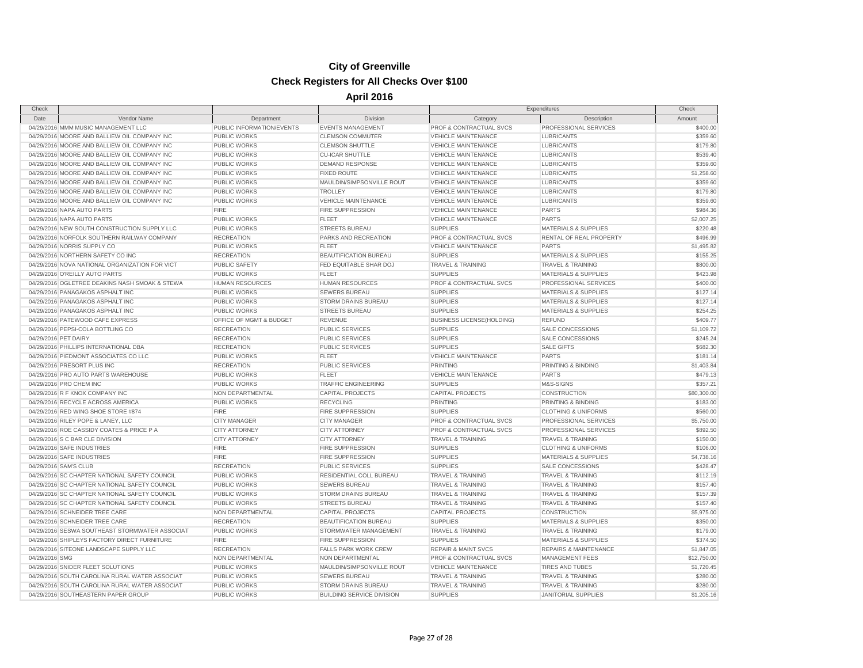| Check                |                                                |                           |                                         | Expenditures                     |                                  | Check       |
|----------------------|------------------------------------------------|---------------------------|-----------------------------------------|----------------------------------|----------------------------------|-------------|
| Date                 | Vendor Name                                    | Department                | Division                                | Category                         | Description                      | Amount      |
|                      | 04/29/2016 MMM MUSIC MANAGEMENT LLC            | PUBLIC INFORMATION/EVENTS | <b>EVENTS MANAGEMENT</b>                | PROF & CONTRACTUAL SVCS          | PROFESSIONAL SERVICES            | \$400.00    |
|                      | 04/29/2016 MOORE AND BALLIEW OIL COMPANY INC   | <b>PUBLIC WORKS</b>       | <b>CLEMSON COMMUTER</b>                 | <b>VEHICLE MAINTENANCE</b>       | <b>LUBRICANTS</b>                | \$359.60    |
|                      | 04/29/2016 MOORE AND BALLIEW OIL COMPANY INC   | PUBLIC WORKS              | <b>CLEMSON SHUTTLE</b>                  | <b>VEHICLE MAINTENANCE</b>       | <b>LUBRICANTS</b>                | \$179.80    |
|                      | 04/29/2016 MOORE AND BALLIEW OIL COMPANY INC   | PUBLIC WORKS              | <b>CU-ICAR SHUTTLE</b>                  | <b>VEHICLE MAINTENANCE</b>       | <b>LUBRICANTS</b>                | \$539.40    |
|                      | 04/29/2016 MOORE AND BALLIEW OIL COMPANY INC   | PUBLIC WORKS              | <b>DEMAND RESPONSE</b>                  | <b>VEHICLE MAINTENANCE</b>       | <b>LUBRICANTS</b>                | \$359.60    |
|                      | 04/29/2016 MOORE AND BALLIEW OIL COMPANY INC   | PUBLIC WORKS              | <b>FIXED ROUTE</b>                      | <b>VEHICLE MAINTENANCE</b>       | <b>LUBRICANTS</b>                | \$1,258.60  |
|                      | 04/29/2016 MOORE AND BALLIEW OIL COMPANY INC   | <b>PUBLIC WORKS</b>       | MAULDIN/SIMPSONVILLE ROUT               | VEHICLE MAINTENANCE              | LUBRICANTS                       | \$359.60    |
|                      | 04/29/2016 MOORE AND BALLIEW OIL COMPANY INC   | PUBLIC WORKS              | TROLLEY                                 | <b>VEHICLE MAINTENANCE</b>       | <b>LUBRICANTS</b>                | \$179.80    |
|                      | 04/29/2016 MOORE AND BALLIEW OIL COMPANY INC   | PUBLIC WORKS              | <b>VEHICLE MAINTENANCE</b>              | <b>VEHICLE MAINTENANCE</b>       | <b>LUBRICANTS</b>                | \$359.60    |
|                      | 04/29/2016 NAPA AUTO PARTS                     | <b>FIRE</b>               | <b>FIRE SUPPRESSION</b>                 | <b>VEHICLE MAINTENANCE</b>       | <b>PARTS</b>                     | \$984.36    |
|                      | 04/29/2016 NAPA AUTO PARTS                     | PUBLIC WORKS              | <b>FLEET</b>                            | <b>VEHICLE MAINTENANCE</b>       | <b>PARTS</b>                     | \$2,007.25  |
|                      | 04/29/2016 NEW SOUTH CONSTRUCTION SUPPLY LLC   | PUBLIC WORKS              | STREETS BUREAU                          | <b>SUPPLIES</b>                  | <b>MATERIALS &amp; SUPPLIES</b>  | \$220.48    |
|                      | 04/29/2016 NORFOLK SOUTHERN RAILWAY COMPANY    | <b>RECREATION</b>         | PARKS AND RECREATION                    | PROF & CONTRACTUAL SVCS          | RENTAL OF REAL PROPERTY          | \$496.99    |
|                      | 04/29/2016 NORRIS SUPPLY CO                    | PUBLIC WORKS              | <b>FLEET</b>                            | <b>VEHICLE MAINTENANCE</b>       | <b>PARTS</b>                     | \$1,495.82  |
|                      | 04/29/2016 NORTHERN SAFETY CO INC              | <b>RECREATION</b>         | BEAUTIFICATION BUREAU                   | <b>SUPPLIES</b>                  | <b>MATERIALS &amp; SUPPLIES</b>  | \$155.25    |
|                      | 04/29/2016 NOVA NATIONAL ORGANIZATION FOR VICT | <b>PUBLIC SAFETY</b>      | FED EQUITABLE SHAR DOJ                  | TRAVEL & TRAINING                | <b>TRAVEL &amp; TRAINING</b>     | \$800.00    |
|                      | 04/29/2016 O'REILLY AUTO PARTS                 | <b>PUBLIC WORKS</b>       | <b>FLEET</b>                            | <b>SUPPLIES</b>                  | <b>MATERIALS &amp; SUPPLIES</b>  | \$423.98    |
|                      | 04/29/2016 OGLETREE DEAKINS NASH SMOAK & STEWA | <b>HUMAN RESOURCES</b>    | <b>HUMAN RESOURCES</b>                  | PROF & CONTRACTUAL SVCS          | PROFESSIONAL SERVICES            | \$400.00    |
|                      | 04/29/2016 PANAGAKOS ASPHALT INC               | PUBLIC WORKS              | <b>SEWERS BUREAU</b>                    | <b>SUPPLIES</b>                  | <b>MATERIALS &amp; SUPPLIES</b>  | \$127.14    |
|                      | 04/29/2016 PANAGAKOS ASPHALT INC               | <b>PUBLIC WORKS</b>       | STORM DRAINS BUREAU                     | <b>SUPPLIES</b>                  | <b>MATERIALS &amp; SUPPLIES</b>  | \$127.14    |
|                      | 04/29/2016 PANAGAKOS ASPHALT INC               | PUBLIC WORKS              |                                         | <b>SUPPLIES</b>                  | <b>MATERIALS &amp; SUPPLIES</b>  | \$254.25    |
|                      | 04/29/2016 PATEWOOD CAFE EXPRESS               | OFFICE OF MGMT & BUDGET   | <b>STREETS BUREAU</b><br><b>REVENUE</b> |                                  |                                  |             |
|                      |                                                |                           |                                         | <b>BUSINESS LICENSE(HOLDING)</b> | <b>REFUND</b>                    | \$409.77    |
|                      | 04/29/2016 PEPSI-COLA BOTTLING CO              | <b>RECREATION</b>         | PUBLIC SERVICES                         | <b>SUPPLIES</b>                  | <b>SALE CONCESSIONS</b>          | \$1,109.72  |
| 04/29/2016 PET DAIRY |                                                | <b>RECREATION</b>         | PUBLIC SERVICES                         | <b>SUPPLIES</b>                  | <b>SALE CONCESSIONS</b>          | \$245.24    |
|                      | 04/29/2016 PHILLIPS INTERNATIONAL DBA          | <b>RECREATION</b>         | <b>PUBLIC SERVICES</b>                  | <b>SUPPLIES</b>                  | <b>SALE GIFTS</b>                | \$682.30    |
|                      | 04/29/2016 PIEDMONT ASSOCIATES CO LLC          | PUBLIC WORKS              | <b>FLEET</b>                            | <b>VEHICLE MAINTENANCE</b>       | <b>PARTS</b>                     | \$181.14    |
|                      | 04/29/2016 PRESORT PLUS INC                    | <b>RECREATION</b>         | PUBLIC SERVICES                         | <b>PRINTING</b>                  | PRINTING & BINDING               | \$1,403.84  |
|                      | 04/29/2016 PRO AUTO PARTS WAREHOUSE            | PUBLIC WORKS              | <b>FLEET</b>                            | <b>VEHICLE MAINTENANCE</b>       | <b>PARTS</b>                     | \$479.13    |
|                      | 04/29/2016 PRO CHEM INC                        | PUBLIC WORKS              | <b>TRAFFIC ENGINEERING</b>              | <b>SUPPLIES</b>                  | M&S-SIGNS                        | \$357.21    |
|                      | 04/29/2016 R F KNOX COMPANY INC                | NON DEPARTMENTAL          | <b>CAPITAL PROJECTS</b>                 | <b>CAPITAL PROJECTS</b>          | CONSTRUCTION                     | \$80,300.00 |
|                      | 04/29/2016 RECYCLE ACROSS AMERICA              | PUBLIC WORKS              | <b>RECYCLING</b>                        | <b>PRINTING</b>                  | PRINTING & BINDING               | \$183.00    |
|                      | 04/29/2016 RED WING SHOE STORE #874            | <b>FIRE</b>               | <b>FIRE SUPPRESSION</b>                 | <b>SUPPLIES</b>                  | <b>CLOTHING &amp; UNIFORMS</b>   | \$560.00    |
|                      | 04/29/2016 RILEY POPE & LANEY, LLC             | <b>CITY MANAGER</b>       | <b>CITY MANAGER</b>                     | PROF & CONTRACTUAL SVCS          | PROFESSIONAL SERVICES            | \$5,750.00  |
|                      | 04/29/2016 ROE CASSIDY COATES & PRICE P A      | <b>CITY ATTORNEY</b>      | <b>CITY ATTORNEY</b>                    | PROF & CONTRACTUAL SVCS          | PROFESSIONAL SERVICES            | \$892.50    |
|                      | 04/29/2016 S C BAR CLE DIVISION                | <b>CITY ATTORNEY</b>      | <b>CITY ATTORNEY</b>                    | <b>TRAVEL &amp; TRAINING</b>     | <b>TRAVEL &amp; TRAINING</b>     | \$150.00    |
|                      | 04/29/2016 SAFE INDUSTRIES                     | <b>FIRE</b>               | <b>FIRE SUPPRESSION</b>                 | <b>SUPPLIES</b>                  | <b>CLOTHING &amp; UNIFORMS</b>   | \$106.00    |
|                      | 04/29/2016 SAFE INDUSTRIES                     | <b>FIRE</b>               | FIRE SUPPRESSION                        | <b>SUPPLIES</b>                  | MATERIALS & SUPPLIES             | \$4,738.16  |
|                      | 04/29/2016 SAM'S CLUB                          | <b>RECREATION</b>         | PUBLIC SERVICES                         | <b>SUPPLIES</b>                  | <b>SALE CONCESSIONS</b>          | \$428.47    |
|                      | 04/29/2016 SC CHAPTER NATIONAL SAFETY COUNCIL  | PUBLIC WORKS              | RESIDENTIAL COLL BUREAU                 | <b>TRAVEL &amp; TRAINING</b>     | TRAVEL & TRAINING                | \$112.19    |
|                      | 04/29/2016 SC CHAPTER NATIONAL SAFETY COUNCIL  | PUBLIC WORKS              | <b>SEWERS BUREAU</b>                    | <b>TRAVEL &amp; TRAINING</b>     | <b>TRAVEL &amp; TRAINING</b>     | \$157.40    |
|                      | 04/29/2016 SC CHAPTER NATIONAL SAFETY COUNCIL  | <b>PUBLIC WORKS</b>       | <b>STORM DRAINS BUREAU</b>              | <b>TRAVEL &amp; TRAINING</b>     | <b>TRAVEL &amp; TRAINING</b>     | \$157.39    |
|                      | 04/29/2016 SC CHAPTER NATIONAL SAFETY COUNCIL  | PUBLIC WORKS              | <b>STREETS BUREAU</b>                   | <b>TRAVEL &amp; TRAINING</b>     | <b>TRAVEL &amp; TRAINING</b>     | \$157.40    |
|                      | 04/29/2016 SCHNEIDER TREE CARE                 | NON DEPARTMENTAL          | <b>CAPITAL PROJECTS</b>                 | <b>CAPITAL PROJECTS</b>          | <b>CONSTRUCTION</b>              | \$5,975.00  |
|                      | 04/29/2016 SCHNEIDER TREE CARE                 | <b>RECREATION</b>         | BEAUTIFICATION BUREAU                   | <b>SUPPLIES</b>                  | <b>MATERIALS &amp; SUPPLIES</b>  | \$350.00    |
|                      | 04/29/2016 SESWA SOUTHEAST STORMWATER ASSOCIAT | PUBLIC WORKS              | STORMWATER MANAGEMENT                   | <b>TRAVEL &amp; TRAINING</b>     | <b>TRAVEL &amp; TRAINING</b>     | \$179.00    |
|                      | 04/29/2016 SHIPLEYS FACTORY DIRECT FURNITURE   | <b>FIRE</b>               | <b>FIRE SUPPRESSION</b>                 | <b>SUPPLIES</b>                  | MATERIALS & SUPPLIES             | \$374.50    |
|                      | 04/29/2016 SITEONE LANDSCAPE SUPPLY LLC        | <b>RECREATION</b>         | <b>FALLS PARK WORK CREW</b>             | <b>REPAIR &amp; MAINT SVCS</b>   | <b>REPAIRS &amp; MAINTENANCE</b> | \$1,847.05  |
| 04/29/2016 SMG       |                                                | NON DEPARTMENTAL          | NON DEPARTMENTAL                        | PROF & CONTRACTUAL SVCS          | <b>MANAGEMENT FEES</b>           | \$12,750.00 |
|                      | 04/29/2016 SNIDER FLEET SOLUTIONS              | PUBLIC WORKS              | MAULDIN/SIMPSONVILLE ROUT               | <b>VEHICLE MAINTENANCE</b>       | TIRES AND TUBES                  | \$1,720.45  |
|                      | 04/29/2016 SOUTH CAROLINA RURAL WATER ASSOCIAT | PUBLIC WORKS              | <b>SEWERS BUREAU</b>                    | <b>TRAVEL &amp; TRAINING</b>     | <b>TRAVEL &amp; TRAINING</b>     | \$280.00    |
|                      | 04/29/2016 SOUTH CAROLINA RURAL WATER ASSOCIAT | PUBLIC WORKS              | STORM DRAINS BUREAU                     | <b>TRAVEL &amp; TRAINING</b>     | <b>TRAVEL &amp; TRAINING</b>     | \$280.00    |
|                      | 04/29/2016 SOUTHEASTERN PAPER GROUP            | PUBLIC WORKS              | <b>BUILDING SERVICE DIVISION</b>        | <b>SUPPLIES</b>                  | <b>JANITORIAL SUPPLIES</b>       | \$1,205.16  |
|                      |                                                |                           |                                         |                                  |                                  |             |